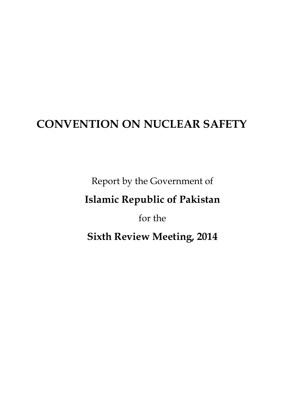# **CONVENTION ON NUCLEAR SAFETY**

Report by the Government of

# **Islamic Republic of Pakistan**

for the

**Sixth Review Meeting, 2014**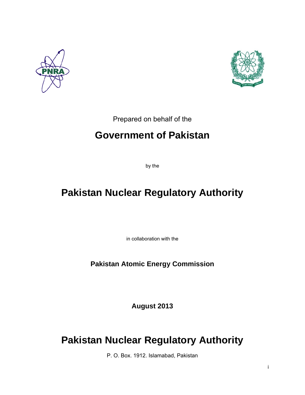



Prepared on behalf of the

## **Government of Pakistan**

by the

# **Pakistan Nuclear Regulatory Authority**

in collaboration with the

**Pakistan Atomic Energy Commission** 

**August 2013** 

## **Pakistan Nuclear Regulatory Authority**

P. O. Box. 1912. Islamabad, Pakistan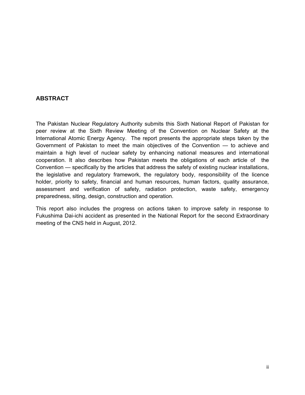### **ABSTRACT**

The Pakistan Nuclear Regulatory Authority submits this Sixth National Report of Pakistan for peer review at the Sixth Review Meeting of the Convention on Nuclear Safety at the International Atomic Energy Agency. The report presents the appropriate steps taken by the Government of Pakistan to meet the main objectives of the Convention — to achieve and maintain a high level of nuclear safety by enhancing national measures and international cooperation. It also describes how Pakistan meets the obligations of each article of the Convention — specifically by the articles that address the safety of existing nuclear installations, the legislative and regulatory framework, the regulatory body, responsibility of the licence holder, priority to safety, financial and human resources, human factors, quality assurance, assessment and verification of safety, radiation protection, waste safety, emergency preparedness, siting, design, construction and operation.

This report also includes the progress on actions taken to improve safety in response to Fukushima Dai-ichi accident as presented in the National Report for the second Extraordinary meeting of the CNS held in August, 2012.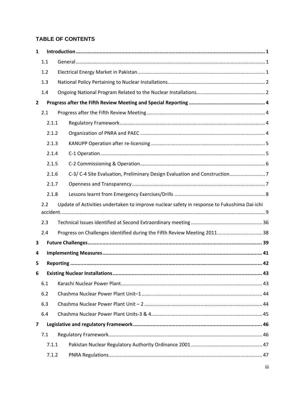### **TABLE OF CONTENTS**

| $\mathbf{1}$ |       |                                                                                             |  |
|--------------|-------|---------------------------------------------------------------------------------------------|--|
|              | 1.1   |                                                                                             |  |
|              | 1.2   |                                                                                             |  |
|              | 1.3   |                                                                                             |  |
|              | 1.4   |                                                                                             |  |
| $\mathbf{2}$ |       |                                                                                             |  |
|              | 2.1   |                                                                                             |  |
|              | 2.1.1 |                                                                                             |  |
|              | 2.1.2 |                                                                                             |  |
|              | 2.1.3 |                                                                                             |  |
|              | 2.1.4 |                                                                                             |  |
|              | 2.1.5 |                                                                                             |  |
|              | 2.1.6 |                                                                                             |  |
|              | 2.1.7 |                                                                                             |  |
|              | 2.1.8 |                                                                                             |  |
|              | 2.2   | Update of Activities undertaken to improve nuclear safety in response to Fukushima Dai-ichi |  |
|              | 2.3   |                                                                                             |  |
|              | 2.4   | Progress on Challenges identified during the Fifth Review Meeting 2011 38                   |  |
| 3            |       |                                                                                             |  |
| 4            |       |                                                                                             |  |
| 5            |       |                                                                                             |  |
| 6            |       |                                                                                             |  |
|              | 6.1   |                                                                                             |  |
|              | 6.2   |                                                                                             |  |
|              | 6.3   |                                                                                             |  |
|              | 6.4   |                                                                                             |  |
| 7            |       |                                                                                             |  |
|              | 7.1   |                                                                                             |  |
|              | 7.1.1 |                                                                                             |  |
|              | 7.1.2 |                                                                                             |  |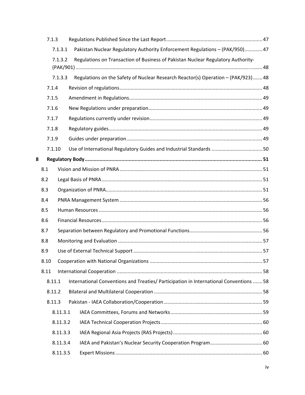|                    | 7.1.3    |                                                                                       |  |
|--------------------|----------|---------------------------------------------------------------------------------------|--|
| 7.1.3.1<br>7.1.3.2 |          | Pakistan Nuclear Regulatory Authority Enforcement Regulations - (PAK/950) 47          |  |
|                    |          | Regulations on Transaction of Business of Pakistan Nuclear Regulatory Authority-      |  |
|                    |          |                                                                                       |  |
|                    | 7.1.3.3  | Regulations on the Safety of Nuclear Research Reactor(s) Operation - (PAK/923)48      |  |
|                    | 7.1.4    |                                                                                       |  |
|                    | 7.1.5    |                                                                                       |  |
|                    | 7.1.6    |                                                                                       |  |
|                    | 7.1.7    |                                                                                       |  |
|                    | 7.1.8    |                                                                                       |  |
|                    | 7.1.9    |                                                                                       |  |
|                    | 7.1.10   | Use of International Regulatory Guides and Industrial Standards  50                   |  |
| 8                  |          |                                                                                       |  |
|                    | 8.1      |                                                                                       |  |
|                    | 8.2      |                                                                                       |  |
|                    | 8.3      |                                                                                       |  |
|                    | 8.4      |                                                                                       |  |
|                    | 8.5      |                                                                                       |  |
|                    | 8.6      |                                                                                       |  |
|                    | 8.7      |                                                                                       |  |
|                    | 8.8      |                                                                                       |  |
|                    | 8.9      |                                                                                       |  |
|                    | 8.10     |                                                                                       |  |
|                    | 8.11     |                                                                                       |  |
|                    | 8.11.1   | International Conventions and Treaties/ Participation in International Conventions 58 |  |
|                    | 8.11.2   |                                                                                       |  |
|                    | 8.11.3   |                                                                                       |  |
|                    | 8.11.3.1 |                                                                                       |  |
|                    | 8.11.3.2 |                                                                                       |  |
|                    | 8.11.3.3 |                                                                                       |  |
|                    | 8.11.3.4 |                                                                                       |  |
|                    | 8.11.3.5 |                                                                                       |  |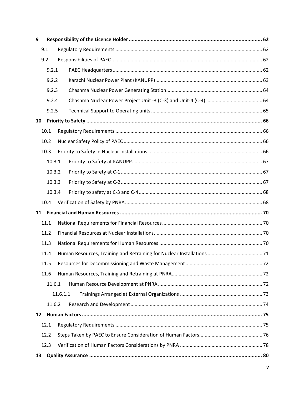| 9  |        |          |  |
|----|--------|----------|--|
|    | 9.1    |          |  |
|    | 9.2    |          |  |
|    | 9.2.1  |          |  |
|    | 9.2.2  |          |  |
|    | 9.2.3  |          |  |
|    | 9.2.4  |          |  |
|    | 9.2.5  |          |  |
| 10 |        |          |  |
|    | 10.1   |          |  |
|    | 10.2   |          |  |
|    | 10.3   |          |  |
|    | 10.3.1 |          |  |
|    | 10.3.2 |          |  |
|    | 10.3.3 |          |  |
|    | 10.3.4 |          |  |
|    | 10.4   |          |  |
|    |        |          |  |
|    | 11.1   |          |  |
|    | 11.2   |          |  |
|    | 11.3   |          |  |
|    | 11.4   |          |  |
|    | 11.5   |          |  |
|    | 11.6   |          |  |
|    | 11.6.1 |          |  |
|    |        | 11.6.1.1 |  |
|    | 11.6.2 |          |  |
| 12 |        |          |  |
|    | 12.1   |          |  |
|    | 12.2   |          |  |
|    | 12.3   |          |  |
| 13 |        |          |  |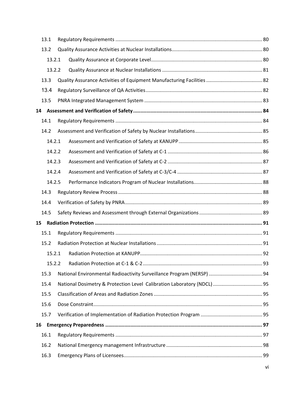|    | 13.1   |  |  |  |
|----|--------|--|--|--|
|    | 13.2   |  |  |  |
|    | 13.2.1 |  |  |  |
|    | 13.2.2 |  |  |  |
|    | 13.3   |  |  |  |
|    | 13.4   |  |  |  |
|    | 13.5   |  |  |  |
| 14 |        |  |  |  |
|    | 14.1   |  |  |  |
|    | 14.2   |  |  |  |
|    | 14.2.1 |  |  |  |
|    | 14.2.2 |  |  |  |
|    | 14.2.3 |  |  |  |
|    | 14.2.4 |  |  |  |
|    | 14.2.5 |  |  |  |
|    | 14.3   |  |  |  |
|    | 14.4   |  |  |  |
|    | 14.5   |  |  |  |
| 15 |        |  |  |  |
|    | 15.1   |  |  |  |
|    | 15.2   |  |  |  |
|    | 15.2.1 |  |  |  |
|    | 15.2.2 |  |  |  |
|    | 15.3   |  |  |  |
|    | 15.4   |  |  |  |
|    | 15.5   |  |  |  |
|    | 15.6   |  |  |  |
|    | 15.7   |  |  |  |
| 16 |        |  |  |  |
|    | 16.1   |  |  |  |
|    | 16.2   |  |  |  |
|    | 16.3   |  |  |  |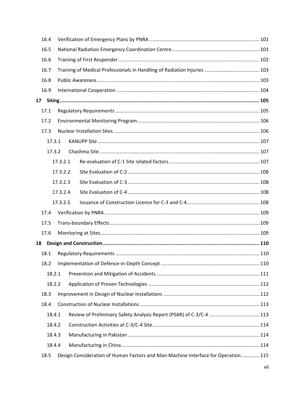|                 | 16.4 |        |          |                                                                                    |  |
|-----------------|------|--------|----------|------------------------------------------------------------------------------------|--|
|                 | 16.5 |        |          |                                                                                    |  |
|                 | 16.6 |        |          |                                                                                    |  |
|                 | 16.7 |        |          |                                                                                    |  |
|                 | 16.8 |        |          |                                                                                    |  |
|                 | 16.9 |        |          |                                                                                    |  |
| 17 <sub>1</sub> |      |        |          |                                                                                    |  |
|                 | 17.1 |        |          |                                                                                    |  |
|                 | 17.2 |        |          |                                                                                    |  |
|                 | 17.3 |        |          |                                                                                    |  |
|                 |      | 17.3.1 |          |                                                                                    |  |
|                 |      | 17.3.2 |          |                                                                                    |  |
|                 |      |        | 17.3.2.1 |                                                                                    |  |
|                 |      |        | 17.3.2.2 |                                                                                    |  |
|                 |      |        | 17.3.2.3 |                                                                                    |  |
|                 |      |        | 17.3.2.4 |                                                                                    |  |
|                 |      |        | 17.3.2.5 |                                                                                    |  |
|                 | 17.4 |        |          |                                                                                    |  |
|                 | 17.5 |        |          |                                                                                    |  |
|                 | 17.6 |        |          |                                                                                    |  |
| 18              |      |        |          |                                                                                    |  |
|                 | 18.1 |        |          |                                                                                    |  |
|                 | 18.2 |        |          |                                                                                    |  |
|                 |      | 18.2.1 |          |                                                                                    |  |
|                 |      | 18.2.2 |          |                                                                                    |  |
|                 | 18.3 |        |          |                                                                                    |  |
|                 | 18.4 |        |          |                                                                                    |  |
|                 |      | 18.4.1 |          |                                                                                    |  |
|                 |      | 18.4.2 |          |                                                                                    |  |
|                 |      | 18.4.3 |          |                                                                                    |  |
|                 |      | 18.4.4 |          |                                                                                    |  |
|                 | 18.5 |        |          | Design Consideration of Human Factors and Man-Machine Interface for Operation  115 |  |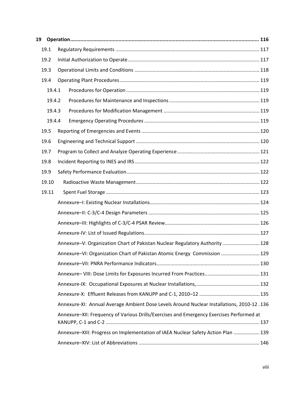| 19.1   |                                                                                           |  |
|--------|-------------------------------------------------------------------------------------------|--|
| 19.2   |                                                                                           |  |
| 19.3   |                                                                                           |  |
| 19.4   |                                                                                           |  |
| 19.4.1 |                                                                                           |  |
| 19.4.2 |                                                                                           |  |
| 19.4.3 |                                                                                           |  |
| 19.4.4 |                                                                                           |  |
| 19.5   |                                                                                           |  |
| 19.6   |                                                                                           |  |
| 19.7   |                                                                                           |  |
| 19.8   |                                                                                           |  |
| 19.9   |                                                                                           |  |
| 19.10  |                                                                                           |  |
| 19.11  |                                                                                           |  |
|        |                                                                                           |  |
|        |                                                                                           |  |
|        |                                                                                           |  |
|        |                                                                                           |  |
|        | Annexure-V: Organization Chart of Pakistan Nuclear Regulatory Authority  128              |  |
|        | Annexure-VI: Organization Chart of Pakistan Atomic Energy Commission  129                 |  |
|        |                                                                                           |  |
|        |                                                                                           |  |
|        |                                                                                           |  |
|        |                                                                                           |  |
|        | Annexure-XI: Annual Average Ambient Dose Levels Around Nuclear Installations, 2010-12.136 |  |
|        | Annexure-XII: Frequency of Various Drills/Exercises and Emergency Exercises Performed at  |  |
|        | Annexure-XIII: Progress on Implementation of IAEA Nuclear Safety Action Plan  139         |  |
|        |                                                                                           |  |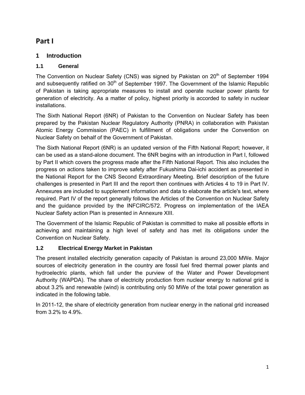### **Part I**

### **1 Introduction**

### **1.1 General**

The Convention on Nuclear Safety (CNS) was signed by Pakistan on 20<sup>th</sup> of September 1994 and subsequently ratified on 30<sup>th</sup> of September 1997. The Government of the Islamic Republic of Pakistan is taking appropriate measures to install and operate nuclear power plants for generation of electricity. As a matter of policy, highest priority is accorded to safety in nuclear installations.

The Sixth National Report (6NR) of Pakistan to the Convention on Nuclear Safety has been prepared by the Pakistan Nuclear Regulatory Authority (PNRA) in collaboration with Pakistan Atomic Energy Commission (PAEC) in fulfillment of obligations under the Convention on Nuclear Safety on behalf of the Government of Pakistan.

The Sixth National Report (6NR) is an updated version of the Fifth National Report; however, it can be used as a stand-alone document. The 6NR begins with an introduction in Part I, followed by Part II which covers the progress made after the Fifth National Report. This also includes the progress on actions taken to improve safety after Fukushima Dai-ichi accident as presented in the National Report for the CNS Second Extraordinary Meeting. Brief description of the future challenges is presented in Part III and the report then continues with Articles 4 to 19 in Part IV. Annexures are included to supplement information and data to elaborate the article's text, where required. Part IV of the report generally follows the Articles of the Convention on Nuclear Safety and the guidance provided by the INFCIRC/572. Progress on implementation of the IAEA Nuclear Safety action Plan is presented in Annexure XIII.

The Government of the Islamic Republic of Pakistan is committed to make all possible efforts in achieving and maintaining a high level of safety and has met its obligations under the Convention on Nuclear Safety.

### **1.2 Electrical Energy Market in Pakistan**

The present installed electricity generation capacity of Pakistan is around 23,000 MWe. Major sources of electricity generation in the country are fossil fuel fired thermal power plants and hydroelectric plants, which fall under the purview of the Water and Power Development Authority (WAPDA). The share of electricity production from nuclear energy to national grid is about 3.2% and renewable (wind) is contributing only 50 MWe of the total power generation as indicated in the following table.

In 2011-12, the share of electricity generation from nuclear energy in the national grid increased from 3.2% to 4.9%.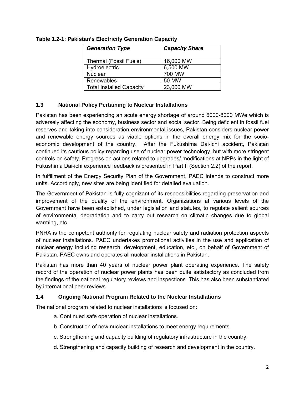| <b>Generation Type</b>          | <b>Capacity Share</b> |
|---------------------------------|-----------------------|
| <b>Thermal (Fossil Fuels)</b>   | 16,000 MW             |
| Hydroelectric                   | 6,500 MW              |
| <b>Nuclear</b>                  | 700 MW                |
| Renewables                      | 50 MW                 |
| <b>Total Installed Capacity</b> | 23,000 MW             |

**Table 1.2-1: Pakistan's Electricity Generation Capacity** 

### **1.3 National Policy Pertaining to Nuclear Installations**

Pakistan has been experiencing an acute energy shortage of around 6000-8000 MWe which is adversely affecting the economy, business sector and social sector. Being deficient in fossil fuel reserves and taking into consideration environmental issues, Pakistan considers nuclear power and renewable energy sources as viable options in the overall energy mix for the socioeconomic development of the country. After the Fukushima Dai-ichi accident, Pakistan continued its cautious policy regarding use of nuclear power technology, but with more stringent controls on safety. Progress on actions related to upgrades/ modifications at NPPs in the light of Fukushima Dai-ichi experience feedback is presented in Part II (Section 2.2) of the report.

In fulfillment of the Energy Security Plan of the Government, PAEC intends to construct more units. Accordingly, new sites are being identified for detailed evaluation.

The Government of Pakistan is fully cognizant of its responsibilities regarding preservation and improvement of the quality of the environment. Organizations at various levels of the Government have been established, under legislation and statutes, to regulate salient sources of environmental degradation and to carry out research on climatic changes due to global warming, etc.

PNRA is the competent authority for regulating nuclear safety and radiation protection aspects of nuclear installations. PAEC undertakes promotional activities in the use and application of nuclear energy including research, development, education, etc., on behalf of Government of Pakistan. PAEC owns and operates all nuclear installations in Pakistan.

Pakistan has more than 40 years of nuclear power plant operating experience. The safety record of the operation of nuclear power plants has been quite satisfactory as concluded from the findings of the national regulatory reviews and inspections. This has also been substantiated by international peer reviews.

#### **1.4 Ongoing National Program Related to the Nuclear Installations**

The national program related to nuclear installations is focused on:

- a. Continued safe operation of nuclear installations.
- b. Construction of new nuclear installations to meet energy requirements.
- c. Strengthening and capacity building of regulatory infrastructure in the country.
- d. Strengthening and capacity building of research and development in the country.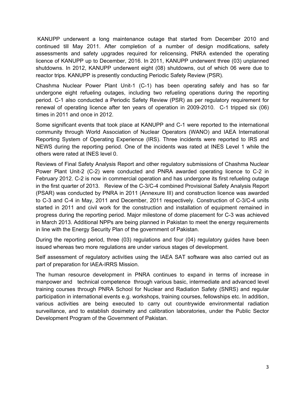KANUPP underwent a long maintenance outage that started from December 2010 and continued till May 2011. After completion of a number of design modifications, safety assessments and safety upgrades required for relicensing, PNRA extended the operating licence of KANUPP up to December, 2016. In 2011, KANUPP underwent three (03) unplanned shutdowns. In 2012, KANUPP underwent eight (08) shutdowns, out of which 06 were due to reactor trips. KANUPP is presently conducting Periodic Safety Review (PSR).

Chashma Nuclear Power Plant Unit-1 (C-1) has been operating safely and has so far undergone eight refueling outages, including two refueling operations during the reporting period. C-1 also conducted a Periodic Safety Review (PSR) as per regulatory requirement for renewal of operating licence after ten years of operation in 2009-2010. C-1 tripped six (06) times in 2011 and once in 2012.

Some significant events that took place at KANUPP and C-1 were reported to the international community through World Association of Nuclear Operators (WANO) and IAEA International Reporting System of Operating Experience (IRS). Three incidents were reported to IRS and NEWS during the reporting period. One of the incidents was rated at INES Level 1 while the others were rated at INES level 0.

Reviews of Final Safety Analysis Report and other regulatory submissions of Chashma Nuclear Power Plant Unit-2 (C-2) were conducted and PNRA awarded operating licence to C-2 in February 2012. C-2 is now in commercial operation and has undergone its first refueling outage in the first quarter of 2013. Review of the C-3/C-4 combined Provisional Safety Analysis Report (PSAR) was conducted by PNRA in 2011 (Annexure III) and construction licence was awarded to C-3 and C-4 in May, 2011 and December, 2011 respectively. Construction of C-3/C-4 units started in 2011 and civil work for the construction and installation of equipment remained in progress during the reporting period. Major milestone of dome placement for C-3 was achieved in March 2013. Additional NPPs are being planned in Pakistan to meet the energy requirements in line with the Energy Security Plan of the government of Pakistan.

During the reporting period, three (03) regulations and four (04) regulatory guides have been issued whereas two more regulations are under various stages of development.

Self assessment of regulatory activities using the IAEA SAT software was also carried out as part of preparation for IAEA-IRRS Mission.

The human resource development in PNRA continues to expand in terms of increase in manpower and technical competence through various basic, intermediate and advanced level training courses through PNRA School for Nuclear and Radiation Safety (SNRS) and regular participation in international events e.g. workshops, training courses, fellowships etc. In addition, various activities are being executed to carry out countrywide environmental radiation surveillance, and to establish dosimetry and calibration laboratories, under the Public Sector Development Program of the Government of Pakistan.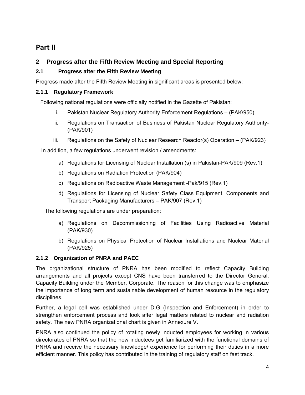### **Part II**

### **2 Progress after the Fifth Review Meeting and Special Reporting**

### **2.1 Progress after the Fifth Review Meeting**

Progress made after the Fifth Review Meeting in significant areas is presented below:

### **2.1.1 Regulatory Framework**

Following national regulations were officially notified in the Gazette of Pakistan:

- i. Pakistan Nuclear Regulatory Authority Enforcement Regulations (PAK/950)
- ii. Regulations on Transaction of Business of Pakistan Nuclear Regulatory Authority- (PAK/901)
- iii. Regulations on the Safety of Nuclear Research Reactor(s) Operation (PAK/923)

In addition, a few regulations underwent revision / amendments:

- a) Regulations for Licensing of Nuclear Installation (s) in Pakistan-PAK/909 (Rev.1)
- b) Regulations on Radiation Protection (PAK/904)
- c) Regulations on Radioactive Waste Management -Pak/915 (Rev.1)
- d) Regulations for Licensing of Nuclear Safety Class Equipment, Components and Transport Packaging Manufacturers – PAK/907 (Rev.1)

The following regulations are under preparation:

- a) Regulations on Decommissioning of Facilities Using Radioactive Material (PAK/930)
- b) Regulations on Physical Protection of Nuclear Installations and Nuclear Material (PAK/925)

### **2.1.2 Organization of PNRA and PAEC**

The organizational structure of PNRA has been modified to reflect Capacity Building arrangements and all projects except CNS have been transferred to the Director General, Capacity Building under the Member, Corporate. The reason for this change was to emphasize the importance of long term and sustainable development of human resource in the regulatory disciplines.

Further, a legal cell was established under D.G (Inspection and Enforcement) in order to strengthen enforcement process and look after legal matters related to nuclear and radiation safety. The new PNRA organizational chart is given in Annexure V.

PNRA also continued the policy of rotating newly inducted employees for working in various directorates of PNRA so that the new inductees get familiarized with the functional domains of PNRA and receive the necessary knowledge/ experience for performing their duties in a more efficient manner. This policy has contributed in the training of regulatory staff on fast track.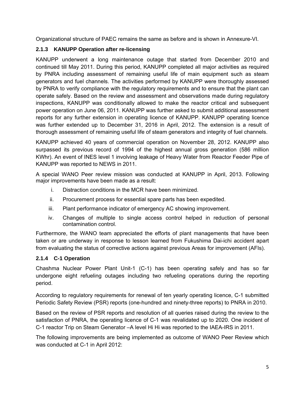Organizational structure of PAEC remains the same as before and is shown in Annexure-VI.

### **2.1.3 KANUPP Operation after re-licensing**

KANUPP underwent a long maintenance outage that started from December 2010 and continued till May 2011. During this period, KANUPP completed all major activities as required by PNRA including assessment of remaining useful life of main equipment such as steam generators and fuel channels. The activities performed by KANUPP were thoroughly assessed by PNRA to verify compliance with the regulatory requirements and to ensure that the plant can operate safely. Based on the review and assessment and observations made during regulatory inspections, KANUPP was conditionally allowed to make the reactor critical and subsequent power operation on June 06, 2011. KANUPP was further asked to submit additional assessment reports for any further extension in operating licence of KANUPP. KANUPP operating licence was further extended up to December 31, 2016 in April, 2012. The extension is a result of thorough assessment of remaining useful life of steam generators and integrity of fuel channels.

KANUPP achieved 40 years of commercial operation on November 28, 2012. KANUPP also surpassed its previous record of 1994 of the highest annual gross generation (586 million KWhr). An event of INES level 1 involving leakage of Heavy Water from Reactor Feeder Pipe of KANUPP was reported to NEWS in 2011.

A special WANO Peer review mission was conducted at KANUPP in April, 2013. Following major improvements have been made as a result:

- i. Distraction conditions in the MCR have been minimized.
- ii. Procurement process for essential spare parts has been expedited.
- iii. Plant performance indicator of emergency AC showing improvement.
- iv. Changes of multiple to single access control helped in reduction of personal contamination control.

Furthermore, the WANO team appreciated the efforts of plant managements that have been taken or are underway in response to lesson learned from Fukushima Dai-ichi accident apart from evaluating the status of corrective actions against previous Areas for improvement (AFIs).

### **2.1.4 C-1 Operation**

Chashma Nuclear Power Plant Unit-1 (C-1) has been operating safely and has so far undergone eight refueling outages including two refueling operations during the reporting period.

According to regulatory requirements for renewal of ten yearly operating licence, C-1 submitted Periodic Safety Review (PSR) reports (one-hundred and ninety-three reports) to PNRA in 2010.

Based on the review of PSR reports and resolution of all queries raised during the review to the satisfaction of PNRA, the operating licence of C-1 was revalidated up to 2020. One incident of C-1 reactor Trip on Steam Generator –A level Hi Hi was reported to the IAEA-IRS in 2011.

The following improvements are being implemented as outcome of WANO Peer Review which was conducted at C-1 in April 2012: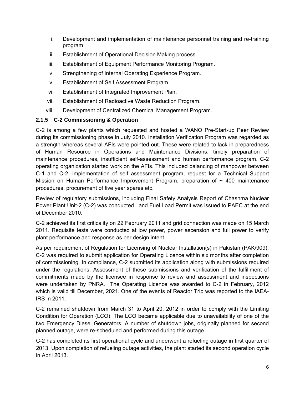- i. Development and implementation of maintenance personnel training and re-training program.
- ii. Establishment of Operational Decision Making process.
- iii. Establishment of Equipment Performance Monitoring Program.
- iv. Strengthening of Internal Operating Experience Program.
- v. Establishment of Self Assessment Program.
- vi. Establishment of Integrated Improvement Plan.
- vii. Establishment of Radioactive Waste Reduction Program.
- viii. Development of Centralized Chemical Management Program.

### **2.1.5 C-2 Commissioning & Operation**

C-2 is among a few plants which requested and hosted a WANO Pre-Start-up Peer Review during its commissioning phase in July 2010. Installation Verification Program was regarded as a strength whereas several AFIs were pointed out. These were related to lack in preparedness of Human Resource in Operations and Maintenance Divisions, timely preparation of maintenance procedures, insufficient self-assessment and human performance program. C-2 operating organization started work on the AFIs. This included balancing of manpower between C-1 and C-2, implementation of self assessment program, request for a Technical Support Mission on Human Performance Improvement Program, preparation of  $\sim$  400 maintenance procedures, procurement of five year spares etc.

Review of regulatory submissions, including Final Safety Analysis Report of Chashma Nuclear Power Plant Unit-2 (C-2) was conducted and Fuel Load Permit was issued to PAEC at the end of December 2010.

C-2 achieved its first criticality on 22 February 2011 and grid connection was made on 15 March 2011. Requisite tests were conducted at low power, power ascension and full power to verify plant performance and response as per design intent.

As per requirement of Regulation for Licensing of Nuclear Installation(s) in Pakistan (PAK/909), C-2 was required to submit application for Operating Licence within six months after completion of commissioning. In compliance, C-2 submitted its application along with submissions required under the regulations. Assessment of these submissions and verification of the fulfillment of commitments made by the licensee in response to review and assessment and inspections were undertaken by PNRA. The Operating Licence was awarded to C-2 in February, 2012 which is valid till December, 2021. One of the events of Reactor Trip was reported to the IAEA-IRS in 2011.

C-2 remained shutdown from March 31 to April 20, 2012 in order to comply with the Limiting Condition for Operation (LCO). The LCO became applicable due to unavailability of one of the two Emergency Diesel Generators. A number of shutdown jobs, originally planned for second planned outage, were re-scheduled and performed during this outage.

C-2 has completed its first operational cycle and underwent a refueling outage in first quarter of 2013. Upon completion of refueling outage activities, the plant started its second operation cycle in April 2013.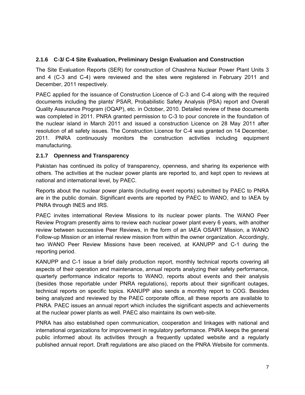### **2.1.6 C-3/ C-4 Site Evaluation, Preliminary Design Evaluation and Construction**

The Site Evaluation Reports (SER) for construction of Chashma Nuclear Power Plant Units 3 and 4 (C-3 and C-4) were reviewed and the sites were registered in February 2011 and December, 2011 respectively.

PAEC applied for the issuance of Construction Licence of C-3 and C-4 along with the required documents including the plants' PSAR, Probabilistic Safety Analysis (PSA) report and Overall Quality Assurance Program (OQAP), etc. in October, 2010. Detailed review of these documents was completed in 2011. PNRA granted permission to C-3 to pour concrete in the foundation of the nuclear island in March 2011 and issued a construction Licence on 28 May 2011 after resolution of all safety issues. The Construction Licence for C-4 was granted on 14 December, 2011. PNRA continuously monitors the construction activities including equipment manufacturing.

### **2.1.7 Openness and Transparency**

Pakistan has continued its policy of transparency, openness, and sharing its experience with others. The activities at the nuclear power plants are reported to, and kept open to reviews at national and international level, by PAEC.

Reports about the nuclear power plants (including event reports) submitted by PAEC to PNRA are in the public domain. Significant events are reported by PAEC to WANO, and to IAEA by PNRA through INES and IRS.

PAEC invites international Review Missions to its nuclear power plants. The WANO Peer Review Program presently aims to review each nuclear power plant every 6 years, with another review between successive Peer Reviews, in the form of an IAEA OSART Mission, a WANO Follow-up Mission or an internal review mission from within the owner organization. Accordingly, two WANO Peer Review Missions have been received, at KANUPP and C-1 during the reporting period.

KANUPP and C-1 issue a brief daily production report, monthly technical reports covering all aspects of their operation and maintenance, annual reports analyzing their safety performance, quarterly performance indicator reports to WANO, reports about events and their analysis (besides those reportable under PNRA regulations), reports about their significant outages, technical reports on specific topics. KANUPP also sends a monthly report to COG. Besides being analyzed and reviewed by the PAEC corporate office, all these reports are available to PNRA. PAEC issues an annual report which includes the significant aspects and achievements at the nuclear power plants as well. PAEC also maintains its own web-site.

PNRA has also established open communication, cooperation and linkages with national and international organizations for improvement in regulatory performance. PNRA keeps the general public informed about its activities through a frequently updated website and a regularly published annual report. Draft regulations are also placed on the PNRA Website for comments.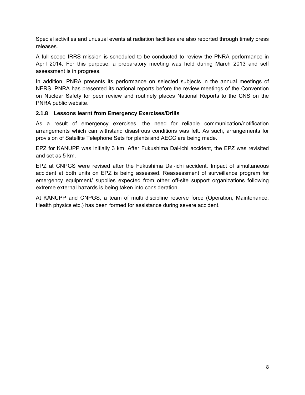Special activities and unusual events at radiation facilities are also reported through timely press releases.

A full scope IRRS mission is scheduled to be conducted to review the PNRA performance in April 2014. For this purpose, a preparatory meeting was held during March 2013 and self assessment is in progress.

In addition, PNRA presents its performance on selected subjects in the annual meetings of NERS. PNRA has presented its national reports before the review meetings of the Convention on Nuclear Safety for peer review and routinely places National Reports to the CNS on the PNRA public website.

#### **2.1.8 Lessons learnt from Emergency Exercises/Drills**

As a result of emergency exercises, the need for reliable communication/notification arrangements which can withstand disastrous conditions was felt. As such, arrangements for provision of Satellite Telephone Sets for plants and AECC are being made.

EPZ for KANUPP was initially 3 km. After Fukushima Dai-ichi accident, the EPZ was revisited and set as 5 km.

EPZ at CNPGS were revised after the Fukushima Dai-ichi accident. Impact of simultaneous accident at both units on EPZ is being assessed. Reassessment of surveillance program for emergency equipment/ supplies expected from other off-site support organizations following extreme external hazards is being taken into consideration.

At KANUPP and CNPGS, a team of multi discipline reserve force (Operation, Maintenance, Health physics etc.) has been formed for assistance during severe accident.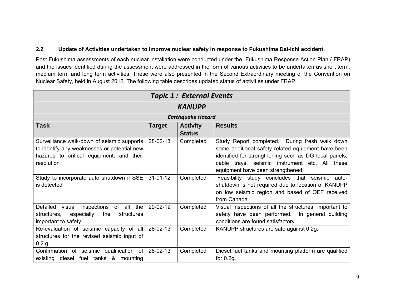### **2.2 Update of Activities undertaken to improve nuclear safety in response to Fukushima Dai-ichi accident.**

Post Fukushima assessments of each nuclear installation were conducted under the Fukushima Response Action Plan ( FRAP) and the issues identified during the assessment were addressed in the form of various activities to be undertaken as short term, medium term and long term activities. These were also presented in the Second Extraordinary meeting of the Convention on Nuclear Safety, held in August 2012. The following table describes updated status of activities under FRAP.

| <b>Topic 1: External Events</b>                |                |                          |                                                        |  |  |  |  |  |
|------------------------------------------------|----------------|--------------------------|--------------------------------------------------------|--|--|--|--|--|
|                                                | <b>KANUPP</b>  |                          |                                                        |  |  |  |  |  |
|                                                |                | <b>Earthquake Hazard</b> |                                                        |  |  |  |  |  |
| <b>Task</b>                                    | <b>Target</b>  | <b>Activity</b>          | <b>Results</b>                                         |  |  |  |  |  |
|                                                |                | <b>Status</b>            |                                                        |  |  |  |  |  |
| Surveillance walk-down of seismic supports     | 28-02-13       | Completed                | Study Report completed. During fresh walk down         |  |  |  |  |  |
| to identify any weaknesses or potential new    |                |                          | some additional safety related equipment have been     |  |  |  |  |  |
| hazards to critical equipment, and their       |                |                          | identified for strengthening such as DG local panels,  |  |  |  |  |  |
| resolution                                     |                |                          | cable trays, seismic instrument etc. All these         |  |  |  |  |  |
|                                                |                |                          | equipment have been strengthened.                      |  |  |  |  |  |
| Study to incorporate auto shutdown if SSE      | $31 - 01 - 12$ | Completed                | Feasibility study concludes that seismic auto-         |  |  |  |  |  |
| is detected                                    |                |                          | shutdown is not required due to location of KANUPP     |  |  |  |  |  |
|                                                |                |                          | on low seismic region and based of OEF received        |  |  |  |  |  |
|                                                |                |                          | from Canada                                            |  |  |  |  |  |
| Detailed<br>visual inspections of all the      | 29-02-12       | Completed                | Visual inspections of all the structures, important to |  |  |  |  |  |
| especially<br>the<br>structures,<br>structures |                |                          | safety have been performed. In general building        |  |  |  |  |  |
| important to safety                            |                |                          | conditions are found satisfactory.                     |  |  |  |  |  |
| Re-evaluation of seismic capacity of all       | 28-02-13       | Completed                | KANUPP structures are safe against 0.2g.               |  |  |  |  |  |
| structures for the revised seismic input of    |                |                          |                                                        |  |  |  |  |  |
| 0.2 <sub>g</sub>                               |                |                          |                                                        |  |  |  |  |  |
| Confirmation of seismic qualification of       | 28-02-13       | Completed                | Diesel fuel tanks and mounting platform are qualified  |  |  |  |  |  |
| existing diesel fuel tanks & mounting          |                |                          | for $0.2g$ .                                           |  |  |  |  |  |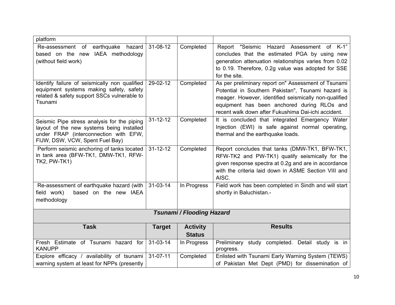| platform                                                                                                                                                             |                |                                  |                                                                                                                                                                                                                                                                          |
|----------------------------------------------------------------------------------------------------------------------------------------------------------------------|----------------|----------------------------------|--------------------------------------------------------------------------------------------------------------------------------------------------------------------------------------------------------------------------------------------------------------------------|
| of earthquake<br>Re-assessment<br>hazard<br>based on the new IAEA methodology<br>(without field work)                                                                | 31-08-12       | Completed                        | Report "Seismic Hazard Assessment of K-1"<br>concludes that the estimated PGA by using new<br>generation attenuation relationships varies from 0.02<br>to 0.19. Therefore, 0.2g value was adopted for SSE<br>for the site.                                               |
| Identify failure of seismically non qualified<br>equipment systems making safety, safety<br>related & safety support SSCs vulnerable to<br>Tsunami                   | 29-02-12       | Completed                        | As per preliminary report on" Assessment of Tsunami<br>Potential in Southern Pakistan", Tsunami hazard is<br>meager. However, identified seismically non-qualified<br>equipment has been anchored during RLOs and<br>recent walk down after Fukushima Dai-ichi accident. |
| Seismic Pipe stress analysis for the piping<br>layout of the new systems being installed<br>under FRAP (interconnection with EFW,<br>FIJW, DSW, VCW, Spent Fuel Bay) | $31 - 12 - 12$ | Completed                        | It is concluded that integrated Emergency Water<br>Injection (EWI) is safe against normal operating,<br>thermal and the earthquake loads.                                                                                                                                |
| Perform seismic anchoring of tanks located<br>in tank area (BFW-TK1, DMW-TK1, RFW-<br><b>TK2, PW-TK1)</b>                                                            | $31 - 12 - 12$ | Completed                        | Report concludes that tanks (DMW-TK1, BFW-TK1,<br>RFW-TK2 and PW-TK1) qualify seismically for the<br>given response spectra at 0.2g and are in accordance<br>with the criteria laid down in ASME Section VIII and<br>AISC.                                               |
| Re-assessment of earthquake hazard (with<br>field work)<br>based on the new IAEA<br>methodology                                                                      | $31 - 03 - 14$ | In Progress                      | Field work has been completed in Sindh and will start<br>shortly in Baluchistan.-                                                                                                                                                                                        |
|                                                                                                                                                                      |                | <b>Tsunami / Flooding Hazard</b> |                                                                                                                                                                                                                                                                          |
| <b>Task</b>                                                                                                                                                          | <b>Target</b>  | <b>Activity</b><br><b>Status</b> | <b>Results</b>                                                                                                                                                                                                                                                           |
| Fresh Estimate of Tsunami hazard for<br><b>KANUPP</b>                                                                                                                | $31 - 03 - 14$ | In Progress                      | Preliminary study completed. Detail study is in<br>progress.                                                                                                                                                                                                             |
| Explore efficacy / availability of tsunami<br>warning system at least for NPPs (presently                                                                            | $31 - 07 - 11$ | Completed                        | Enlisted with Tsunami Early Warning System (TEWS)<br>of Pakistan Met Dept (PMD) for dissemination of                                                                                                                                                                     |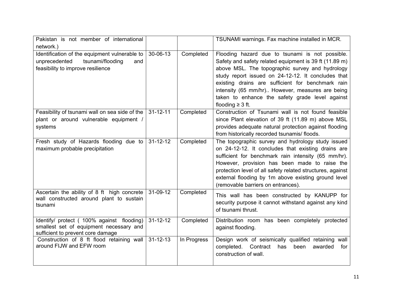| Pakistan is not member of international<br>network.)                                                                           |                |             | TSUNAMI warnings. Fax machine installed in MCR.                                                                                                                                                                                                                                                                                                                                                         |
|--------------------------------------------------------------------------------------------------------------------------------|----------------|-------------|---------------------------------------------------------------------------------------------------------------------------------------------------------------------------------------------------------------------------------------------------------------------------------------------------------------------------------------------------------------------------------------------------------|
| Identification of the equipment vulnerable to<br>unprecedented<br>tsunami/flooding<br>and<br>feasibility to improve resilience | 30-06-13       | Completed   | Flooding hazard due to tsunami is not possible.<br>Safety and safety related equipment is 39 ft (11.89 m)<br>above MSL. The topographic survey and hydrology<br>study report issued on 24-12-12. It concludes that<br>existing drains are sufficient for benchmark rain<br>intensity (65 mm/hr) However, measures are being<br>taken to enhance the safety grade level against<br>flooding $\geq$ 3 ft. |
| Feasibility of tsunami wall on sea side of the<br>plant or around vulnerable equipment /<br>systems                            | $31 - 12 - 11$ | Completed   | Construction of Tsunami wall is not found feasible<br>since Plant elevation of 39 ft (11.89 m) above MSL<br>provides adequate natural protection against flooding<br>from historically recorded tsunamis/floods.                                                                                                                                                                                        |
| Fresh study of Hazards flooding due to<br>maximum probable precipitation                                                       | $31 - 12 - 12$ | Completed   | The topographic survey and hydrology study issued<br>on 24-12-12. It concludes that existing drains are<br>sufficient for benchmark rain intensity (65 mm/hr).<br>However, provision has been made to raise the<br>protection level of all safety related structures, against<br>external flooding by 1m above existing ground level<br>(removable barriers on entrances).                              |
| Ascertain the ability of 8 ft high concrete<br>wall constructed around plant to sustain<br>tsunami                             | 31-09-12       | Completed   | This wall has been constructed by KANUPP for<br>security purpose it cannot withstand against any kind<br>of tsunami thrust.                                                                                                                                                                                                                                                                             |
| Identify/ protect (100% against flooding)<br>smallest set of equipment necessary and<br>sufficient to prevent core damage      | $31 - 12 - 12$ | Completed   | Distribution room has been completely protected<br>against flooding.                                                                                                                                                                                                                                                                                                                                    |
| Construction of 8 ft flood retaining wall<br>around FIJW and EFW room                                                          | $31 - 12 - 13$ | In Progress | Design work of seismically qualified retaining wall<br>completed.<br>Contract<br>has<br>been<br>awarded<br>for<br>construction of wall.                                                                                                                                                                                                                                                                 |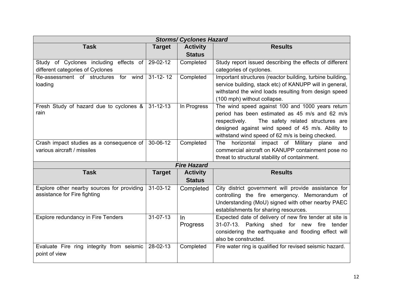| <b>Storms/ Cyclones Hazard</b>                                             |                |                                  |                                                                                                                                                                                                                                                                   |  |  |  |
|----------------------------------------------------------------------------|----------------|----------------------------------|-------------------------------------------------------------------------------------------------------------------------------------------------------------------------------------------------------------------------------------------------------------------|--|--|--|
| <b>Task</b>                                                                | <b>Target</b>  | <b>Activity</b>                  | <b>Results</b>                                                                                                                                                                                                                                                    |  |  |  |
|                                                                            |                | <b>Status</b>                    |                                                                                                                                                                                                                                                                   |  |  |  |
| Study of Cyclones including effects of                                     | 29-02-12       | Completed                        | Study report issued describing the effects of different                                                                                                                                                                                                           |  |  |  |
| different categories of Cyclones                                           |                |                                  | categories of cyclones.                                                                                                                                                                                                                                           |  |  |  |
| Re-assessment of structures<br>for wind<br>loading                         | $31 - 12 - 12$ | Completed                        | Important structures (reactor building, turbine building,<br>service building, stack etc) of KANUPP will in general,<br>withstand the wind loads resulting from design speed<br>(100 mph) without collapse.                                                       |  |  |  |
| Fresh Study of hazard due to cyclones &<br>rain                            | $31 - 12 - 13$ | In Progress                      | The wind speed against 100 and 1000 years return<br>period has been estimated as 45 m/s and 62 m/s<br>The safety related structures are<br>respectively.<br>designed against wind speed of 45 m/s. Ability to<br>withstand wind speed of 62 m/s is being checked. |  |  |  |
| Crash impact studies as a consequence of                                   | 30-06-12       | Completed                        | The horizontal impact of Military plane and                                                                                                                                                                                                                       |  |  |  |
| various aircraft / missiles                                                |                |                                  | commercial aircraft on KANUPP containment pose no                                                                                                                                                                                                                 |  |  |  |
|                                                                            |                |                                  | threat to structural stability of containment.                                                                                                                                                                                                                    |  |  |  |
|                                                                            |                | <b>Fire Hazard</b>               |                                                                                                                                                                                                                                                                   |  |  |  |
| <b>Task</b>                                                                | <b>Target</b>  | <b>Activity</b><br><b>Status</b> | <b>Results</b>                                                                                                                                                                                                                                                    |  |  |  |
| Explore other nearby sources for providing<br>assistance for Fire fighting | 31-03-12       | Completed                        | City district government will provide assistance for<br>controlling the fire emergency. Memorandum of<br>Understanding (MoU) signed with other nearby PAEC<br>establishments for sharing resources.                                                               |  |  |  |
| <b>Explore redundancy in Fire Tenders</b>                                  | $31 - 07 - 13$ | In.<br>Progress                  | Expected date of delivery of new fire tender at site is<br>31-07-13. Parking shed for<br>fire<br>new<br>tender<br>considering the earthquake and flooding effect will<br>also be constructed.                                                                     |  |  |  |
| Evaluate Fire ring integrity from seismic<br>point of view                 | 28-02-13       | Completed                        | Fire water ring is qualified for revised seismic hazard.                                                                                                                                                                                                          |  |  |  |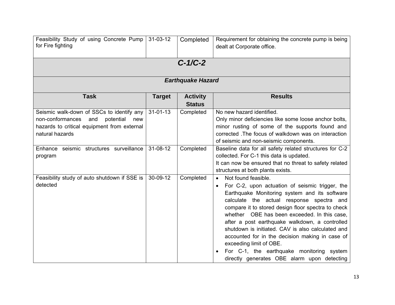| Feasibility Study of using Concrete Pump<br>for Fire fighting                                                                                              | $31 - 03 - 12$ | Completed                        | Requirement for obtaining the concrete pump is being<br>dealt at Corporate office.                                                                                                                                                                                                                                                                                                                                                                                                                                                                                                    |  |  |  |  |
|------------------------------------------------------------------------------------------------------------------------------------------------------------|----------------|----------------------------------|---------------------------------------------------------------------------------------------------------------------------------------------------------------------------------------------------------------------------------------------------------------------------------------------------------------------------------------------------------------------------------------------------------------------------------------------------------------------------------------------------------------------------------------------------------------------------------------|--|--|--|--|
| $C-1/C-2$                                                                                                                                                  |                |                                  |                                                                                                                                                                                                                                                                                                                                                                                                                                                                                                                                                                                       |  |  |  |  |
| <b>Earthquake Hazard</b>                                                                                                                                   |                |                                  |                                                                                                                                                                                                                                                                                                                                                                                                                                                                                                                                                                                       |  |  |  |  |
| <b>Task</b>                                                                                                                                                | <b>Target</b>  | <b>Activity</b><br><b>Status</b> | <b>Results</b>                                                                                                                                                                                                                                                                                                                                                                                                                                                                                                                                                                        |  |  |  |  |
| Seismic walk-down of SSCs to identify any<br>non-conformances<br>potential<br>and<br>new<br>hazards to critical equipment from external<br>natural hazards | $31 - 01 - 13$ | Completed                        | No new hazard identified.<br>Only minor deficiencies like some loose anchor bolts,<br>minor rusting of some of the supports found and<br>corrected. The focus of walkdown was on interaction<br>of seismic and non-seismic components.                                                                                                                                                                                                                                                                                                                                                |  |  |  |  |
| Enhance seismic structures surveillance<br>program                                                                                                         | 31-08-12       | Completed                        | Baseline data for all safety related structures for C-2<br>collected. For C-1 this data is updated.<br>It can now be ensured that no threat to safety related<br>structures at both plants exists.                                                                                                                                                                                                                                                                                                                                                                                    |  |  |  |  |
| Feasibility study of auto shutdown if SSE is<br>detected                                                                                                   | 30-09-12       | Completed                        | Not found feasible.<br>$\bullet$<br>For C-2, upon actuation of seismic trigger, the<br>$\bullet$<br>Earthquake Monitoring system and its software<br>calculate the actual response spectra and<br>compare it to stored design floor spectra to check<br>whether OBE has been exceeded. In this case,<br>after a post earthquake walkdown, a controlled<br>shutdown is initiated. CAV is also calculated and<br>accounted for in the decision making in case of<br>exceeding limit of OBE.<br>For C-1, the earthquake monitoring system<br>directly generates OBE alarm upon detecting |  |  |  |  |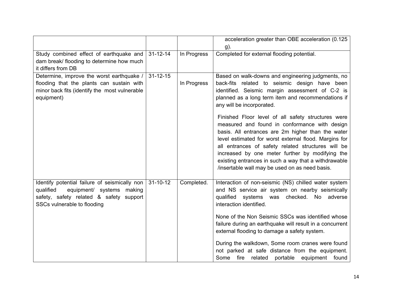|                                                                                                                                                                   |                |             | acceleration greater than OBE acceleration (0.125<br>g).                                                                                                                                                                                                                                                                                                                                                                             |
|-------------------------------------------------------------------------------------------------------------------------------------------------------------------|----------------|-------------|--------------------------------------------------------------------------------------------------------------------------------------------------------------------------------------------------------------------------------------------------------------------------------------------------------------------------------------------------------------------------------------------------------------------------------------|
| Study combined effect of earthquake and<br>dam break/ flooding to determine how much<br>it differs from DB                                                        | $31 - 12 - 14$ | In Progress | Completed for external flooding potential.                                                                                                                                                                                                                                                                                                                                                                                           |
| Determine, improve the worst earthquake /<br>flooding that the plants can sustain with<br>minor back fits (identify the most vulnerable<br>equipment)             | $31 - 12 - 15$ | In Progress | Based on walk-downs and engineering judgments, no<br>back-fits related to seismic design have been<br>identified. Seismic margin assessment of C-2 is<br>planned as a long term item and recommendations if<br>any will be incorporated.                                                                                                                                                                                             |
|                                                                                                                                                                   |                |             | Finished Floor level of all safety structures were<br>measured and found in conformance with design<br>basis. All entrances are 2m higher than the water<br>level estimated for worst external flood. Margins for<br>all entrances of safety related structures will be<br>increased by one meter further by modifying the<br>existing entrances in such a way that a withdrawable<br>/insertable wall may be used on as need basis. |
| Identify potential failure of seismically non<br>equipment/ systems making<br>qualified<br>safety, safety related & safety support<br>SSCs vulnerable to flooding | $31 - 10 - 12$ | Completed.  | Interaction of non-seismic (NS) chilled water system<br>and NS service air system on nearby seismically<br>qualified systems was checked. No adverse<br>interaction identified.                                                                                                                                                                                                                                                      |
|                                                                                                                                                                   |                |             | None of the Non Seismic SSCs was identified whose<br>failure during an earthquake will result in a concurrent<br>external flooding to damage a safety system.                                                                                                                                                                                                                                                                        |
|                                                                                                                                                                   |                |             | During the walkdown, Some room cranes were found<br>not parked at safe distance from the equipment.<br>Some fire related portable equipment found                                                                                                                                                                                                                                                                                    |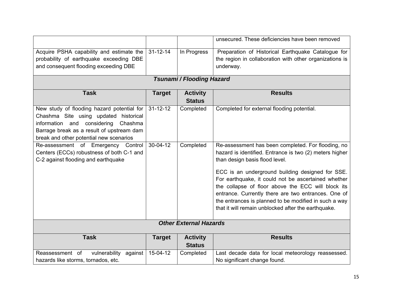|                                                                                                                                                                                                                       |                |                                  | unsecured. These deficiencies have been removed                                                                                                                                                                                                                                                                                                                                                                                                                                         |  |  |  |
|-----------------------------------------------------------------------------------------------------------------------------------------------------------------------------------------------------------------------|----------------|----------------------------------|-----------------------------------------------------------------------------------------------------------------------------------------------------------------------------------------------------------------------------------------------------------------------------------------------------------------------------------------------------------------------------------------------------------------------------------------------------------------------------------------|--|--|--|
| Acquire PSHA capability and estimate the<br>probability of earthquake exceeding DBE<br>and consequent flooding exceeding DBE                                                                                          | $31 - 12 - 14$ | In Progress                      | Preparation of Historical Earthquake Catalogue for<br>the region in collaboration with other organizations is<br>underway.                                                                                                                                                                                                                                                                                                                                                              |  |  |  |
| <b>Tsunami / Flooding Hazard</b>                                                                                                                                                                                      |                |                                  |                                                                                                                                                                                                                                                                                                                                                                                                                                                                                         |  |  |  |
| <b>Task</b>                                                                                                                                                                                                           | <b>Target</b>  | <b>Activity</b><br><b>Status</b> | <b>Results</b>                                                                                                                                                                                                                                                                                                                                                                                                                                                                          |  |  |  |
| New study of flooding hazard potential for<br>Chashma Site using updated historical<br>information and considering<br>Chashma<br>Barrage break as a result of upstream dam<br>break and other potential new scenarios | $31 - 12 - 12$ | Completed                        | Completed for external flooding potential.                                                                                                                                                                                                                                                                                                                                                                                                                                              |  |  |  |
| Re-assessment of Emergency Control<br>Centers (ECCs) robustness of both C-1 and<br>C-2 against flooding and earthquake                                                                                                | $30-04-12$     | Completed                        | Re-assessment has been completed. For flooding, no<br>hazard is identified. Entrance is two (2) meters higher<br>than design basis flood level.<br>ECC is an underground building designed for SSE.<br>For earthquake, it could not be ascertained whether<br>the collapse of floor above the ECC will block its<br>entrance. Currently there are two entrances. One of<br>the entrances is planned to be modified in such a way<br>that it will remain unblocked after the earthquake. |  |  |  |
|                                                                                                                                                                                                                       |                | <b>Other External Hazards</b>    |                                                                                                                                                                                                                                                                                                                                                                                                                                                                                         |  |  |  |
| <b>Task</b>                                                                                                                                                                                                           | <b>Target</b>  | <b>Activity</b><br><b>Status</b> | <b>Results</b>                                                                                                                                                                                                                                                                                                                                                                                                                                                                          |  |  |  |
| Reassessment of<br>vulnerability<br>against<br>hazards like storms, tornados, etc.                                                                                                                                    | 15-04-12       | Completed                        | Last decade data for local meteorology reassessed.<br>No significant change found.                                                                                                                                                                                                                                                                                                                                                                                                      |  |  |  |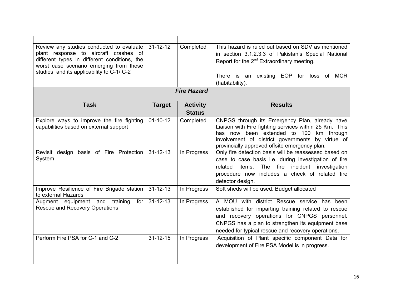| Review any studies conducted to evaluate<br>plant response to aircraft crashes of<br>different types in different conditions, the<br>worst case scenario emerging from these<br>studies and its applicability to C-1/ C-2 | $31 - 12 - 12$ | Completed       | This hazard is ruled out based on SDV as mentioned<br>in section 3.1.2.3.3 of Pakistan's Special National<br>Report for the $2^{nd}$ Extraordinary meeting.<br>There is an existing EOP for loss of MCR<br>(habitability).                                     |  |  |
|---------------------------------------------------------------------------------------------------------------------------------------------------------------------------------------------------------------------------|----------------|-----------------|----------------------------------------------------------------------------------------------------------------------------------------------------------------------------------------------------------------------------------------------------------------|--|--|
| <b>Fire Hazard</b>                                                                                                                                                                                                        |                |                 |                                                                                                                                                                                                                                                                |  |  |
| <b>Task</b>                                                                                                                                                                                                               | <b>Target</b>  | <b>Activity</b> | <b>Results</b>                                                                                                                                                                                                                                                 |  |  |
|                                                                                                                                                                                                                           |                | <b>Status</b>   |                                                                                                                                                                                                                                                                |  |  |
| Explore ways to improve the fire fighting<br>capabilities based on external support                                                                                                                                       | $01 - 10 - 12$ | Completed       | CNPGS through its Emergency Plan, already have<br>Liaison with Fire fighting services within 25 Km. This<br>has now been extended to 100 km through<br>involvement of district governments by virtue of<br>provincially approved offsite emergency plan.       |  |  |
| Revisit design<br>basis of Fire Protection<br>System                                                                                                                                                                      | $31 - 12 - 13$ | In Progress     | Only fire detection basis will be reassessed based on<br>case to case basis i.e. during investigation of fire<br>The fire incident investigation<br>items.<br>related<br>procedure now includes a check of related fire<br>detector design.                    |  |  |
| Improve Resilience of Fire Brigade station<br>to external Hazards                                                                                                                                                         | $31 - 12 - 13$ | In Progress     | Soft sheds will be used. Budget allocated                                                                                                                                                                                                                      |  |  |
| Augment equipment and training<br>for<br><b>Rescue and Recovery Operations</b>                                                                                                                                            | $31 - 12 - 13$ | In Progress     | A MOU with district Rescue service has been<br>established for imparting training related to rescue<br>and recovery operations for CNPGS personnel.<br>CNPGS has a plan to strengthen its equipment base<br>needed for typical rescue and recovery operations. |  |  |
| Perform Fire PSA for C-1 and C-2                                                                                                                                                                                          | $31 - 12 - 15$ | In Progress     | Acquisition of Plant specific component Data for<br>development of Fire PSA Model is in progress.                                                                                                                                                              |  |  |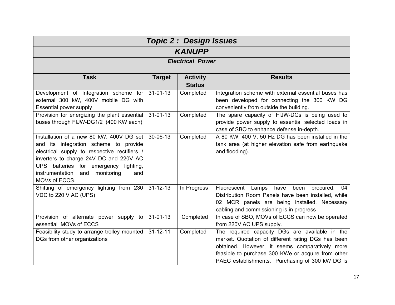| <b>Topic 2: Design Issues</b>                                     |                |               |                                                                                                 |  |  |  |
|-------------------------------------------------------------------|----------------|---------------|-------------------------------------------------------------------------------------------------|--|--|--|
| <b>KANUPP</b>                                                     |                |               |                                                                                                 |  |  |  |
| <b>Electrical Power</b>                                           |                |               |                                                                                                 |  |  |  |
| <b>Task</b><br><b>Results</b><br><b>Target</b><br><b>Activity</b> |                |               |                                                                                                 |  |  |  |
|                                                                   |                | <b>Status</b> |                                                                                                 |  |  |  |
| Development of Integration scheme for                             | $31 - 01 - 13$ | Completed     | Integration scheme with external essential buses has                                            |  |  |  |
| external 300 kW, 400V mobile DG with                              |                |               | been developed for connecting the 300 KW DG                                                     |  |  |  |
| <b>Essential power supply</b>                                     |                |               | conveniently from outside the building.                                                         |  |  |  |
| Provision for energizing the plant essential                      | $31 - 01 - 13$ | Completed     | The spare capacity of FIJW-DGs is being used to                                                 |  |  |  |
| buses through FIJW-DG1/2 (400 KW each)                            |                |               | provide power supply to essential selected loads in<br>case of SBO to enhance defense in-depth. |  |  |  |
| Installation of a new 80 kW, 400V DG set                          | 30-06-13       | Completed     | A 80 KW, 400 V, 50 Hz DG has been installed in the                                              |  |  |  |
| and its integration scheme to provide                             |                |               | tank area (at higher elevation safe from earthquake                                             |  |  |  |
| electrical supply to respective rectifiers /                      |                |               | and flooding).                                                                                  |  |  |  |
| inverters to charge 24V DC and 220V AC                            |                |               |                                                                                                 |  |  |  |
| UPS batteries for emergency lighting,                             |                |               |                                                                                                 |  |  |  |
| instrumentation<br>monitoring<br>and<br>and                       |                |               |                                                                                                 |  |  |  |
| MOVs of ECCS.                                                     |                |               |                                                                                                 |  |  |  |
| Shifting of emergency lighting from 230                           | $31 - 12 - 13$ | In Progress   | have been<br>Fluorescent Lamps<br>procured.<br>04                                               |  |  |  |
| VDC to 220 V AC (UPS)                                             |                |               | Distribution Room Panels have been installed, while                                             |  |  |  |
|                                                                   |                |               | 02 MCR panels are being installed. Necessary                                                    |  |  |  |
|                                                                   |                |               | cabling and commissioning is in progress                                                        |  |  |  |
| Provision of alternate power supply to                            | $31 - 01 - 13$ | Completed     | In case of SBO, MOVs of ECCS can now be operated                                                |  |  |  |
| essential MOVs of ECCS                                            |                |               | from 220V AC UPS supply.                                                                        |  |  |  |
| Feasibility study to arrange trolley mounted                      | $31 - 12 - 11$ | Completed     | The required capacity DGs are available in the                                                  |  |  |  |
| DGs from other organizations                                      |                |               | market. Quotation of different rating DGs has been                                              |  |  |  |
|                                                                   |                |               | obtained. However, it seems comparatively more                                                  |  |  |  |
|                                                                   |                |               | feasible to purchase 300 KWe or acquire from other                                              |  |  |  |
|                                                                   |                |               | PAEC establishments. Purchasing of 300 kW DG is                                                 |  |  |  |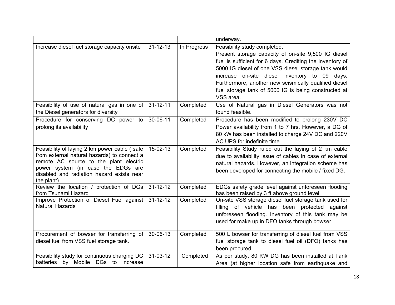|                                                                                                                                                                                                                                         |                |             | underway.                                                                                                                                                                                                                                                                                                                                                                              |
|-----------------------------------------------------------------------------------------------------------------------------------------------------------------------------------------------------------------------------------------|----------------|-------------|----------------------------------------------------------------------------------------------------------------------------------------------------------------------------------------------------------------------------------------------------------------------------------------------------------------------------------------------------------------------------------------|
| Increase diesel fuel storage capacity onsite                                                                                                                                                                                            | $31 - 12 - 13$ | In Progress | Feasibility study completed.<br>Present storage capacity of on-site 9,500 IG diesel<br>fuel is sufficient for 6 days. Crediting the inventory of<br>5000 IG diesel of one VSS diesel storage tank would<br>increase on-site diesel inventory to 09 days.<br>Furthermore, another new seismically qualified diesel<br>fuel storage tank of 5000 IG is being constructed at<br>VSS area. |
| Feasibility of use of natural gas in one of<br>the Diesel generators for diversity                                                                                                                                                      | $31 - 12 - 11$ | Completed   | Use of Natural gas in Diesel Generators was not<br>found feasible.                                                                                                                                                                                                                                                                                                                     |
| Procedure for conserving DC power to<br>prolong its availability                                                                                                                                                                        | 30-06-11       | Completed   | Procedure has been modified to prolong 230V DC<br>Power availability from 1 to 7 hrs. However, a DG of<br>80 kW has been installed to charge 24V DC and 220V<br>AC UPS for indefinite time.                                                                                                                                                                                            |
| Feasibility of laying 2 km power cable (safe)<br>from external natural hazards) to connect a<br>remote AC source to the plant electric<br>power system (in case the EDGs are<br>disabled and radiation hazard exists near<br>the plant) | $15-02-13$     | Completed   | Feasibility Study ruled out the laying of 2 km cable<br>due to availability issue of cables in case of external<br>natural hazards. However, an integration scheme has<br>been developed for connecting the mobile / fixed DG.                                                                                                                                                         |
| Review the location / protection of DGs<br>from Tsunami Hazard                                                                                                                                                                          | $31 - 12 - 12$ | Completed   | EDGs safety grade level against unforeseen flooding<br>has been raised by 3 ft above ground level.                                                                                                                                                                                                                                                                                     |
| Improve Protection of Diesel Fuel against<br><b>Natural Hazards</b>                                                                                                                                                                     | $31 - 12 - 12$ | Completed   | On-site VSS storage diesel fuel storage tank used for<br>filling of vehicle has been protected<br>against<br>unforeseen flooding. Inventory of this tank may be<br>used for make up in DFO tanks through bowser.                                                                                                                                                                       |
| Procurement of bowser for transferring of<br>diesel fuel from VSS fuel storage tank.                                                                                                                                                    | 30-06-13       | Completed   | 500 L bowser for transferring of diesel fuel from VSS<br>fuel storage tank to diesel fuel oil (DFO) tanks has<br>been procured.                                                                                                                                                                                                                                                        |
| Feasibility study for continuous charging DC<br>batteries by Mobile DGs to increase                                                                                                                                                     | $31 - 03 - 12$ | Completed   | As per study, 80 KW DG has been installed at Tank<br>Area (at higher location safe from earthquake and                                                                                                                                                                                                                                                                                 |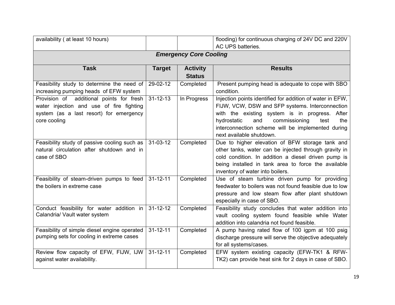| availability ( at least 10 hours)                                                                                                               |                |                                  | flooding) for continuous charging of 24V DC and 220V<br>AC UPS batteries.                                                                                                                                                                                                                             |  |  |  |
|-------------------------------------------------------------------------------------------------------------------------------------------------|----------------|----------------------------------|-------------------------------------------------------------------------------------------------------------------------------------------------------------------------------------------------------------------------------------------------------------------------------------------------------|--|--|--|
| <b>Emergency Core Cooling</b>                                                                                                                   |                |                                  |                                                                                                                                                                                                                                                                                                       |  |  |  |
| <b>Task</b>                                                                                                                                     | <b>Target</b>  | <b>Activity</b><br><b>Status</b> | <b>Results</b>                                                                                                                                                                                                                                                                                        |  |  |  |
| Feasibility study to determine the need of<br>increasing pumping heads of EFW system                                                            | 29-02-12       | Completed                        | Present pumping head is adequate to cope with SBO<br>condition.                                                                                                                                                                                                                                       |  |  |  |
| Provision of additional points for fresh<br>water injection and use of fire fighting<br>system (as a last resort) for emergency<br>core cooling | $31 - 12 - 13$ | In Progress                      | Injection points identified for addition of water in EFW,<br>FIJW, VCW, DSW and SFP systems. Interconnection<br>with the existing system is in progress. After<br>and<br>commissioning<br>test<br>hydrostatic<br>the<br>interconnection scheme will be implemented during<br>next available shutdown. |  |  |  |
| Feasibility study of passive cooling such as<br>natural circulation after shutdown and in<br>case of SBO                                        | $31 - 03 - 12$ | Completed                        | Due to higher elevation of BFW storage tank and<br>other tanks, water can be injected through gravity in<br>cold condition. In addition a diesel driven pump is<br>being installed in tank area to force the available<br>inventory of water into boilers.                                            |  |  |  |
| Feasibility of steam-driven pumps to feed<br>the boilers in extreme case                                                                        | $31 - 12 - 11$ | Completed                        | Use of steam turbine driven pump for providing<br>feedwater to boilers was not found feasible due to low<br>pressure and low steam flow after plant shutdown<br>especially in case of SBO.                                                                                                            |  |  |  |
| Conduct feasibility for water addition in<br>Calandria/ Vault water system                                                                      | $31 - 12 - 12$ | Completed                        | Feasibility study concludes that water addition into<br>vault cooling system found feasible while Water<br>addition into calandria not found feasible.                                                                                                                                                |  |  |  |
| Feasibility of simple diesel engine operated<br>pumping sets for cooling in extreme cases                                                       | $31 - 12 - 11$ | Completed                        | A pump having rated flow of 100 igpm at 100 psig<br>discharge pressure will serve the objective adequately<br>for all systems/cases.                                                                                                                                                                  |  |  |  |
| Review flow capacity of EFW, FIJW, IJW<br>against water availability.                                                                           | $31 - 12 - 11$ | Completed                        | EFW system existing capacity (EFW-TK1 & RFW-<br>TK2) can provide heat sink for 2 days in case of SBO.                                                                                                                                                                                                 |  |  |  |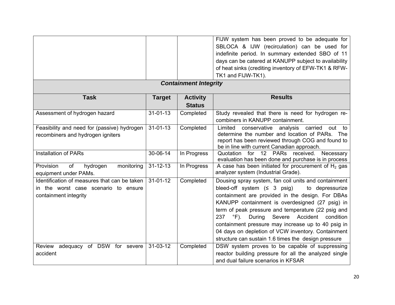|                                                                                                               |                |                 | FIJW system has been proved to be adequate for                                                                                                                                                                                                                                                                                                                                                                                                                                                                            |  |  |
|---------------------------------------------------------------------------------------------------------------|----------------|-----------------|---------------------------------------------------------------------------------------------------------------------------------------------------------------------------------------------------------------------------------------------------------------------------------------------------------------------------------------------------------------------------------------------------------------------------------------------------------------------------------------------------------------------------|--|--|
|                                                                                                               |                |                 | SBLOCA & IJW (recirculation) can be used for                                                                                                                                                                                                                                                                                                                                                                                                                                                                              |  |  |
|                                                                                                               |                |                 | indefinite period. In summary extended SBO of 11                                                                                                                                                                                                                                                                                                                                                                                                                                                                          |  |  |
|                                                                                                               |                |                 | days can be catered at KANUPP subject to availability                                                                                                                                                                                                                                                                                                                                                                                                                                                                     |  |  |
|                                                                                                               |                |                 | of heat sinks (crediting inventory of EFW-TK1 & RFW-                                                                                                                                                                                                                                                                                                                                                                                                                                                                      |  |  |
|                                                                                                               |                |                 | TK1 and FIJW-TK1).                                                                                                                                                                                                                                                                                                                                                                                                                                                                                                        |  |  |
| <b>Containment Integrity</b>                                                                                  |                |                 |                                                                                                                                                                                                                                                                                                                                                                                                                                                                                                                           |  |  |
| <b>Task</b>                                                                                                   | <b>Target</b>  | <b>Activity</b> | <b>Results</b>                                                                                                                                                                                                                                                                                                                                                                                                                                                                                                            |  |  |
|                                                                                                               |                | <b>Status</b>   |                                                                                                                                                                                                                                                                                                                                                                                                                                                                                                                           |  |  |
| Assessment of hydrogen hazard                                                                                 | $31 - 01 - 13$ | Completed       | Study revealed that there is need for hydrogen re-<br>combiners in KANUPP containment.                                                                                                                                                                                                                                                                                                                                                                                                                                    |  |  |
| Feasibility and need for (passive) hydrogen<br>recombiners and hydrogen igniters                              | $31 - 01 - 13$ | Completed       | Limited<br>conservative analysis carried<br>out<br>to<br>determine the number and location of PARs. The<br>report has been reviewed through COG and found to<br>be in line with current Canadian approach.                                                                                                                                                                                                                                                                                                                |  |  |
| <b>Installation of PARs</b>                                                                                   | 30-06-14       | In Progress     | Quotation for 12 PARs received.<br>Necessary<br>evaluation has been done and purchase is in process                                                                                                                                                                                                                                                                                                                                                                                                                       |  |  |
| Provision<br>of<br>hydrogen<br>monitoring<br>equipment under PAMs.                                            | $31 - 12 - 13$ | In Progress     | A case has been initiated for procurement of $H_2$ gas<br>analyzer system (Industrial Grade).                                                                                                                                                                                                                                                                                                                                                                                                                             |  |  |
| Identification of measures that can be taken<br>in the worst case scenario to ensure<br>containment integrity | $31 - 01 - 12$ | Completed       | Dousing spray system, fan coil units and containment<br>bleed-off system $(5, 3, \text{psi})$<br>to depressurize<br>containment are provided in the design. For DBAs<br>KANUPP containment is overdesigned (27 psig) in<br>term of peak pressure and temperature (22 psig and<br>During Severe Accident<br>237<br>$\mathrm{^{\circ}F}$ ).<br>condition<br>containment pressure may increase up to 40 psig in<br>04 days on depletion of VCW inventory. Containment<br>structure can sustain 1.6 times the design pressure |  |  |
| Review adequacy of DSW for severe<br>accident                                                                 | $31 - 03 - 12$ | Completed       | DSW system proves to be capable of suppressing<br>reactor building pressure for all the analyzed single<br>and dual failure scenarios in KFSAR                                                                                                                                                                                                                                                                                                                                                                            |  |  |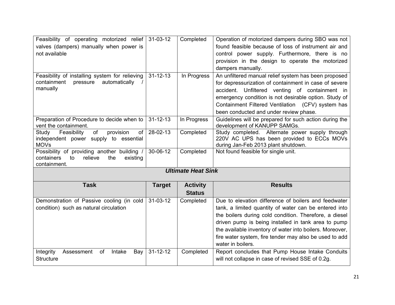| Feasibility of operating motorized relief                          | $31 - 03 - 12$ | Completed                 | Operation of motorized dampers during SBO was not                                                     |
|--------------------------------------------------------------------|----------------|---------------------------|-------------------------------------------------------------------------------------------------------|
| valves (dampers) manually when power is                            |                |                           | found feasible because of loss of instrument air and                                                  |
| not available                                                      |                |                           | control power supply. Furthermore, there is no                                                        |
|                                                                    |                |                           | provision in the design to operate the motorized                                                      |
|                                                                    |                |                           | dampers manually.                                                                                     |
| Feasibility of installing system for relieving                     | $31 - 12 - 13$ | In Progress               | An unfiltered manual relief system has been proposed                                                  |
| containment<br>automatically<br>pressure                           |                |                           | for depressurization of containment in case of severe                                                 |
| manually                                                           |                |                           | accident. Unfiltered venting of containment in                                                        |
|                                                                    |                |                           | emergency condition is not desirable option. Study of                                                 |
|                                                                    |                |                           | Containment Filtered Ventilation (CFV) system has                                                     |
|                                                                    |                |                           | been conducted and under review phase.                                                                |
| Preparation of Procedure to decide when to                         | $31 - 12 - 13$ | In Progress               | Guidelines will be prepared for such action during the                                                |
| vent the containment.                                              |                |                           | development of KANUPP SAMGs.                                                                          |
| Feasibility<br>of<br>provision<br>Study<br><b>of</b>               | 28-02-13       | Completed                 | Study completed. Alternate power supply through                                                       |
| independent power supply to essential<br><b>MOVs</b>               |                |                           | 220V AC UPS has been provided to ECCs MOVs<br>during Jan-Feb 2013 plant shutdown.                     |
| Possibility of providing another building                          | 30-06-12       | Completed                 | Not found feasible for single unit.                                                                   |
| containers<br>relieve<br>the<br>to<br>existing                     |                |                           |                                                                                                       |
| containment.                                                       |                |                           |                                                                                                       |
|                                                                    |                | <b>Ultimate Heat Sink</b> |                                                                                                       |
| <b>Task</b>                                                        |                |                           | <b>Results</b>                                                                                        |
|                                                                    | <b>Target</b>  | <b>Activity</b>           |                                                                                                       |
|                                                                    |                | <b>Status</b>             | Due to elevation difference of boilers and feedwater                                                  |
| Demonstration of Passive cooling (in cold                          | 31-03-12       | Completed                 |                                                                                                       |
| condition) such as natural circulation                             |                |                           |                                                                                                       |
|                                                                    |                |                           | tank, a limited quantity of water can be entered into                                                 |
|                                                                    |                |                           | the boilers during cold condition. Therefore, a diesel                                                |
|                                                                    |                |                           | driven pump is being installed in tank area to pump                                                   |
|                                                                    |                |                           | the available inventory of water into boilers. Moreover,                                              |
|                                                                    |                |                           | fire water system, fire tender may also be used to add                                                |
|                                                                    |                |                           | water in boilers.                                                                                     |
| Assessment<br>Intake<br>Integrity<br>of<br>Bay<br><b>Structure</b> | $31 - 12 - 12$ | Completed                 | Report concludes that Pump House Intake Conduits<br>will not collapse in case of revised SSE of 0.2g. |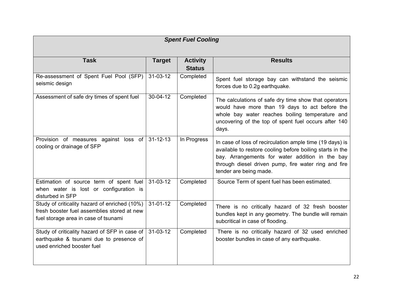| <b>Spent Fuel Cooling</b>                                                                                                            |                |                                  |                                                                                                                                                                                                                                                            |  |  |
|--------------------------------------------------------------------------------------------------------------------------------------|----------------|----------------------------------|------------------------------------------------------------------------------------------------------------------------------------------------------------------------------------------------------------------------------------------------------------|--|--|
| <b>Task</b>                                                                                                                          | <b>Target</b>  | <b>Activity</b><br><b>Status</b> | <b>Results</b>                                                                                                                                                                                                                                             |  |  |
| Re-assessment of Spent Fuel Pool (SFP)<br>seismic design                                                                             | $31 - 03 - 12$ | Completed                        | Spent fuel storage bay can withstand the seismic<br>forces due to 0.2g earthquake.                                                                                                                                                                         |  |  |
| Assessment of safe dry times of spent fuel                                                                                           | $30 - 04 - 12$ | Completed                        | The calculations of safe dry time show that operators<br>would have more than 19 days to act before the<br>whole bay water reaches boiling temperature and<br>uncovering of the top of spent fuel occurs after 140<br>days.                                |  |  |
| Provision of measures against loss of<br>cooling or drainage of SFP                                                                  | $31 - 12 - 13$ | In Progress                      | In case of loss of recirculation ample time (19 days) is<br>available to restore cooling before boiling starts in the<br>bay. Arrangements for water addition in the bay<br>through diesel driven pump, fire water ring and fire<br>tender are being made. |  |  |
| Estimation of source term of spent fuel<br>when water is lost or configuration is<br>disturbed in SFP                                | $31 - 03 - 12$ | Completed                        | Source Term of spent fuel has been estimated.                                                                                                                                                                                                              |  |  |
| Study of criticality hazard of enriched (10%)<br>fresh booster fuel assemblies stored at new<br>fuel storage area in case of tsunami | $31 - 01 - 12$ | Completed                        | There is no critically hazard of 32 fresh booster<br>bundles kept in any geometry. The bundle will remain<br>subcritical in case of flooding.                                                                                                              |  |  |
| Study of criticality hazard of SFP in case of<br>earthquake & tsunami due to presence of<br>used enriched booster fuel               | $31 - 03 - 12$ | Completed                        | There is no critically hazard of 32 used enriched<br>booster bundles in case of any earthquake.                                                                                                                                                            |  |  |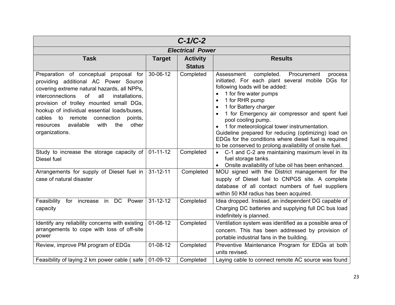|                                                                                                                                                                                                                                                                                                                                                                                                                                                                                                                                                                                                                            |                | $C-1/C-2$                        |                                                                                                                                                                                                                                                                                                                                                                                                                                                                                                                                           |  |
|----------------------------------------------------------------------------------------------------------------------------------------------------------------------------------------------------------------------------------------------------------------------------------------------------------------------------------------------------------------------------------------------------------------------------------------------------------------------------------------------------------------------------------------------------------------------------------------------------------------------------|----------------|----------------------------------|-------------------------------------------------------------------------------------------------------------------------------------------------------------------------------------------------------------------------------------------------------------------------------------------------------------------------------------------------------------------------------------------------------------------------------------------------------------------------------------------------------------------------------------------|--|
| <b>Electrical Power</b>                                                                                                                                                                                                                                                                                                                                                                                                                                                                                                                                                                                                    |                |                                  |                                                                                                                                                                                                                                                                                                                                                                                                                                                                                                                                           |  |
| <b>Task</b>                                                                                                                                                                                                                                                                                                                                                                                                                                                                                                                                                                                                                | <b>Target</b>  | <b>Activity</b><br><b>Status</b> | <b>Results</b>                                                                                                                                                                                                                                                                                                                                                                                                                                                                                                                            |  |
| Preparation of conceptual proposal for 30-06-12<br>providing additional AC Power Source<br>covering extreme natural hazards, all NPPs,<br>interconnections<br>of the control of the control of the control of the control of the control of the control of the control of th<br>Separate control of the control of the control of the control of the control of the control of the control of t<br>all<br>installations.<br>provision of trolley mounted small DGs,<br>hookup of individual essential loads/buses,<br>cables to remote connection points,<br>the<br>available with<br>other<br>resources<br>organizations. |                | Completed                        | Assessment<br>completed.<br>Procurement<br>process<br>initiated. For each plant several mobile DGs for<br>following loads will be added:<br>1 for fire water pumps<br>1 for RHR pump<br>1 for Battery charger<br>$\bullet$<br>1 for Emergency air compressor and spent fuel<br>$\bullet$<br>pool cooling pump.<br>1 for meteorological tower instrumentation.<br>Guideline prepared for reducing (optimizing) load on<br>EDGs for the conditions where diesel fuel is required<br>to be conserved to prolong availability of onsite fuel. |  |
| Study to increase the storage capacity of 01-11-12<br>Diesel fuel                                                                                                                                                                                                                                                                                                                                                                                                                                                                                                                                                          |                | Completed                        | • C-1 and C-2 are maintaining maximum level in its<br>fuel storage tanks.<br>• Onsite availability of lube oil has been enhanced.                                                                                                                                                                                                                                                                                                                                                                                                         |  |
| Arrangements for supply of Diesel fuel in 31-12-11<br>case of natural disaster                                                                                                                                                                                                                                                                                                                                                                                                                                                                                                                                             |                | Completed                        | MOU signed with the District management for the<br>supply of Diesel fuel to CNPGS site. A complete<br>database of all contact numbers of fuel suppliers<br>within 50 KM radius has been acquired.                                                                                                                                                                                                                                                                                                                                         |  |
| Feasibility for increase in DC Power 31-12-12<br>capacity                                                                                                                                                                                                                                                                                                                                                                                                                                                                                                                                                                  |                | Completed                        | Idea dropped. Instead, an independent DG capable of<br>Charging DC batteries and supplying full DC bus load<br>indefinitely is planned.                                                                                                                                                                                                                                                                                                                                                                                                   |  |
| Identify any reliability concerns with existing<br>arrangements to cope with loss of off-site<br>power                                                                                                                                                                                                                                                                                                                                                                                                                                                                                                                     | $01 - 08 - 12$ | Completed                        | Ventilation system was identified as a possible area of<br>concern. This has been addressed by provision of<br>portable industrial fans in the building.                                                                                                                                                                                                                                                                                                                                                                                  |  |
| Review, improve PM program of EDGs                                                                                                                                                                                                                                                                                                                                                                                                                                                                                                                                                                                         | $01 - 08 - 12$ | Completed                        | Preventive Maintenance Program for EDGs at both<br>units revised.                                                                                                                                                                                                                                                                                                                                                                                                                                                                         |  |
| Feasibility of laying 2 km power cable (safe   01-09-12                                                                                                                                                                                                                                                                                                                                                                                                                                                                                                                                                                    |                | Completed                        | Laying cable to connect remote AC source was found                                                                                                                                                                                                                                                                                                                                                                                                                                                                                        |  |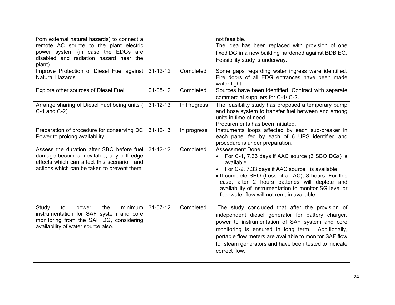| from external natural hazards) to connect a<br>remote AC source to the plant electric<br>power system (in case the EDGs are<br>disabled and radiation hazard near the<br>plant)     |                |             | not feasible.<br>The idea has been replaced with provision of one<br>fixed DG in a new building hardened against BDB EQ.<br>Feasibility study is underway.                                                                                                                                                                                                                     |
|-------------------------------------------------------------------------------------------------------------------------------------------------------------------------------------|----------------|-------------|--------------------------------------------------------------------------------------------------------------------------------------------------------------------------------------------------------------------------------------------------------------------------------------------------------------------------------------------------------------------------------|
| Improve Protection of Diesel Fuel against<br><b>Natural Hazards</b>                                                                                                                 | $31 - 12 - 12$ | Completed   | Some gaps regarding water ingress were identified.<br>Fire doors of all EDG entrances have been made<br>water tight.                                                                                                                                                                                                                                                           |
| Explore other sources of Diesel Fuel                                                                                                                                                | $01 - 08 - 12$ | Completed   | Sources have been identified. Contract with separate<br>commercial suppliers for C-1/C-2.                                                                                                                                                                                                                                                                                      |
| Arrange sharing of Diesel Fuel being units (<br>$C-1$ and $C-2$ )                                                                                                                   | $31 - 12 - 13$ | In Progress | The feasibility study has proposed a temporary pump<br>and hose system to transfer fuel between and among<br>units in time of need.<br>Procurements has been initiated.                                                                                                                                                                                                        |
| Preparation of procedure for conserving DC<br>Power to prolong availability                                                                                                         | $31 - 12 - 13$ | In progress | Instruments loops affected by each sub-breaker in<br>each panel fed by each of 6 UPS identified and<br>procedure is under preparation.                                                                                                                                                                                                                                         |
| Assess the duration after SBO before fuel<br>damage becomes inevitable, any cliff edge<br>effects which can affect this scenario, and<br>actions which can be taken to prevent them | $31 - 12 - 12$ | Completed   | Assessment Done.<br>For C-1, 7.33 days if AAC source (3 SBO DGs) is<br>$\bullet$<br>available.<br>For C-2, 7.33 days if AAC source is available<br>$\bullet$<br>• If complete SBO (Loss of all AC), 8 hours. For this<br>case, after 2 hours batteries will deplete and<br>availability of instrumentation to monitor SG level or<br>feedwater flow will not remain available. |
| the<br>minimum<br>to<br>Study<br>power<br>instrumentation for SAF system and core<br>monitoring from the SAF DG, considering<br>availability of water source also.                  | $31 - 07 - 12$ | Completed   | The study concluded that after the provision of<br>independent diesel generator for battery charger,<br>power to instrumentation of SAF system and core<br>monitoring is ensured in long term. Additionally,<br>portable flow meters are available to monitor SAF flow<br>for steam generators and have been tested to indicate<br>correct flow.                               |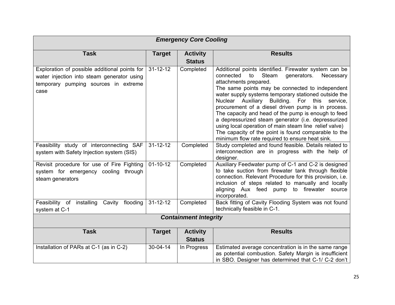| <b>Emergency Core Cooling</b>                                                                                                               |                |                                  |                                                                                                                                                                                                                                                                                                                                                                                                                                                                                                                                                                                                                                             |  |  |
|---------------------------------------------------------------------------------------------------------------------------------------------|----------------|----------------------------------|---------------------------------------------------------------------------------------------------------------------------------------------------------------------------------------------------------------------------------------------------------------------------------------------------------------------------------------------------------------------------------------------------------------------------------------------------------------------------------------------------------------------------------------------------------------------------------------------------------------------------------------------|--|--|
| <b>Task</b>                                                                                                                                 | <b>Target</b>  | <b>Activity</b><br><b>Status</b> | <b>Results</b>                                                                                                                                                                                                                                                                                                                                                                                                                                                                                                                                                                                                                              |  |  |
| Exploration of possible additional points for<br>water injection into steam generator using<br>temporary pumping sources in extreme<br>case | $31 - 12 - 12$ | Completed                        | Additional points identified. Firewater system can be<br>connected<br>Steam<br>generators.<br>to<br>Necessary<br>attachments prepared.<br>The same points may be connected to independent<br>water supply systems temporary stationed outside the<br>Nuclear Auxiliary Building. For this service,<br>procurement of a diesel driven pump is in process.<br>The capacity and head of the pump is enough to feed<br>a depressurized steam generator (i.e. depressurized<br>using local operation of main steam line relief valve)<br>The capacity of the point is found comparable to the<br>minimum flow rate required to ensure heat sink. |  |  |
| Feasibility study of interconnecting SAF<br>system with Safety Injection system (SIS)                                                       | $31 - 12 - 12$ | Completed                        | Study completed and found feasible. Details related to<br>interconnection are in progress with the help of<br>designer.                                                                                                                                                                                                                                                                                                                                                                                                                                                                                                                     |  |  |
| Revisit procedure for use of Fire Fighting<br>system for emergency cooling through<br>steam generators                                      | $01 - 10 - 12$ | Completed                        | Auxiliary Feedwater pump of C-1 and C-2 is designed<br>to take suction from firewater tank through flexible<br>connection. Relevant Procedure for this provision, i.e.<br>inclusion of steps related to manually and locally<br>aligning Aux feed pump to firewater source<br>incorporated.                                                                                                                                                                                                                                                                                                                                                 |  |  |
| Feasibility of installing<br>Cavity<br>flooding<br>system at C-1                                                                            | $31 - 12 - 12$ | Completed                        | Back fitting of Cavity Flooding System was not found<br>technically feasible in C-1.                                                                                                                                                                                                                                                                                                                                                                                                                                                                                                                                                        |  |  |
|                                                                                                                                             |                | <b>Containment Integrity</b>     |                                                                                                                                                                                                                                                                                                                                                                                                                                                                                                                                                                                                                                             |  |  |
| <b>Task</b>                                                                                                                                 | <b>Target</b>  | <b>Activity</b><br><b>Status</b> | <b>Results</b>                                                                                                                                                                                                                                                                                                                                                                                                                                                                                                                                                                                                                              |  |  |
| Installation of PARs at C-1 (as in C-2)                                                                                                     | 30-04-14       | In Progress                      | Estimated average concentration is in the same range<br>as potential combustion. Safety Margin is insufficient<br>in SBO. Designer has determined that C-1/ C-2 don't                                                                                                                                                                                                                                                                                                                                                                                                                                                                       |  |  |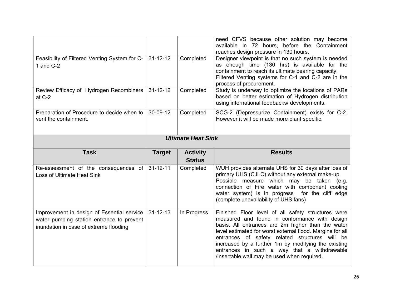|                                                                     |                |                                  | need CFVS because other solution may become<br>available in 72 hours, before the Containment<br>reaches design pressure in 130 hours.                                                                                                                                                                |  |  |
|---------------------------------------------------------------------|----------------|----------------------------------|------------------------------------------------------------------------------------------------------------------------------------------------------------------------------------------------------------------------------------------------------------------------------------------------------|--|--|
| Feasibility of Filtered Venting System for C-<br>1 and $C-2$        | $31 - 12 - 12$ | Completed                        | Designer viewpoint is that no such system is needed<br>as enough time (130 hrs) is available for the<br>containment to reach its ultimate bearing capacity.<br>Filtered Venting systems for C-1 and C-2 are in the<br>process of procurement.                                                        |  |  |
| Review Efficacy of Hydrogen Recombiners<br>at $C-2$                 | $31 - 12 - 12$ | Completed                        | Study is underway to optimize the locations of PARs<br>based on better estimation of Hydrogen distribution<br>using international feedbacks/ developments.                                                                                                                                           |  |  |
| Preparation of Procedure to decide when to<br>vent the containment. | 30-09-12       | Completed                        | SCG-2 (Depressurize Containment) exists for C-2.<br>However it will be made more plant specific.                                                                                                                                                                                                     |  |  |
| <b>Ultimate Heat Sink</b>                                           |                |                                  |                                                                                                                                                                                                                                                                                                      |  |  |
| <b>Task</b>                                                         |                |                                  |                                                                                                                                                                                                                                                                                                      |  |  |
|                                                                     | <b>Target</b>  | <b>Activity</b><br><b>Status</b> | <b>Results</b>                                                                                                                                                                                                                                                                                       |  |  |
| Re-assessment of the consequences of<br>Loss of Ultimate Heat Sink  | $31 - 12 - 11$ | Completed                        | WUH provides alternate UHS for 30 days after loss of<br>primary UHS (CJLC) without any external make-up.<br>Possible measure which may be taken (e.g.<br>connection of Fire water with component cooling<br>water system) is in progress for the cliff edge<br>(complete unavailability of UHS fans) |  |  |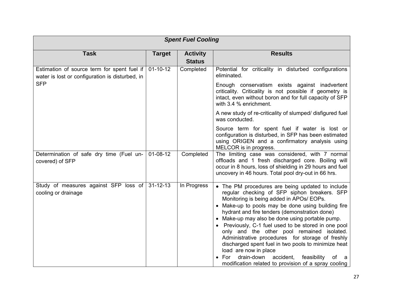| <b>Spent Fuel Cooling</b>                                                                      |                |                                  |                                                                                                                                                                                                                                                                                                                                                                                                                                                                                                                                                                                                                                                                |  |  |
|------------------------------------------------------------------------------------------------|----------------|----------------------------------|----------------------------------------------------------------------------------------------------------------------------------------------------------------------------------------------------------------------------------------------------------------------------------------------------------------------------------------------------------------------------------------------------------------------------------------------------------------------------------------------------------------------------------------------------------------------------------------------------------------------------------------------------------------|--|--|
| <b>Task</b>                                                                                    | <b>Target</b>  | <b>Activity</b><br><b>Status</b> | <b>Results</b>                                                                                                                                                                                                                                                                                                                                                                                                                                                                                                                                                                                                                                                 |  |  |
| Estimation of source term for spent fuel if<br>water is lost or configuration is disturbed, in | $01 - 10 - 12$ | Completed                        | Potential for criticality in disturbed configurations<br>eliminated.                                                                                                                                                                                                                                                                                                                                                                                                                                                                                                                                                                                           |  |  |
| <b>SFP</b>                                                                                     |                |                                  | Enough conservatism exists against inadvertent<br>criticality. Criticality is not possible if geometry is<br>intact, even without boron and for full capacity of SFP<br>with 3.4 % enrichment.                                                                                                                                                                                                                                                                                                                                                                                                                                                                 |  |  |
|                                                                                                |                |                                  | A new study of re-criticality of slumped/ disfigured fuel<br>was conducted.                                                                                                                                                                                                                                                                                                                                                                                                                                                                                                                                                                                    |  |  |
|                                                                                                |                |                                  | Source term for spent fuel if water is lost or<br>configuration is disturbed, in SFP has been estimated<br>using ORIGEN and a confirmatory analysis using<br>MELCOR is in progress.                                                                                                                                                                                                                                                                                                                                                                                                                                                                            |  |  |
| Determination of safe dry time (Fuel un-<br>covered) of SFP                                    | $01-08-12$     | Completed                        | The limiting case was considered, with 7 normal<br>offloads and 1 fresh discharged core. Boiling will<br>occur in 8 hours, loss of shielding in 29 hours and fuel<br>uncovery in 46 hours. Total pool dry-out in 66 hrs.                                                                                                                                                                                                                                                                                                                                                                                                                                       |  |  |
| Study of measures against SFP loss of<br>cooling or drainage                                   | $31 - 12 - 13$ | In Progress                      | • The PM procedures are being updated to include<br>regular checking of SFP siphon breakers. SFP<br>Monitoring is being added in APOs/ EOPs.<br>• Make-up to pools may be done using building fire<br>hydrant and fire tenders (demonstration done)<br>• Make-up may also be done using portable pump.<br>Previously, C-1 fuel used to be stored in one pool<br>only and the other pool remained isolated.<br>Administrative procedures for storage of freshly<br>discharged spent fuel in two pools to minimize heat<br>load are now in place<br>drain-down accident, feasibility<br>For<br>of<br>- a<br>modification related to provision of a spray cooling |  |  |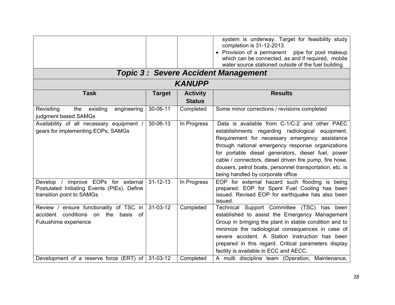|                                                                                |                |                 | system is underway. Target for feasibility study<br>completion is 31-12-2013. |
|--------------------------------------------------------------------------------|----------------|-----------------|-------------------------------------------------------------------------------|
|                                                                                |                |                 | • Provision of a permanent<br>pipe for pool makeup                            |
|                                                                                |                |                 | which can be connected, as and if required, mobile                            |
|                                                                                |                |                 | water source stationed outside of the fuel building.                          |
|                                                                                |                |                 | <b>Topic 3: Severe Accident Management</b>                                    |
|                                                                                |                | <b>KANUPP</b>   |                                                                               |
| <b>Task</b>                                                                    | <b>Target</b>  | <b>Activity</b> | <b>Results</b>                                                                |
|                                                                                |                | <b>Status</b>   |                                                                               |
| engineering<br>Revisiting<br>the<br>existing                                   | 30-06-11       | Completed       | Some minor corrections / revisions completed                                  |
| judgment based SAMGs                                                           |                |                 |                                                                               |
| Availability of all necessary equipment /                                      | 30-06-13       | In Progress     | Data is available from C-1/C-2 and other PAEC                                 |
| gears for implementing EOPs, SAMGs                                             |                |                 | establishments regarding radiological equipment.                              |
|                                                                                |                |                 | Requirement for necessary emergency assistance                                |
|                                                                                |                |                 | through national emergency response organizations                             |
|                                                                                |                |                 | for portable diesel generators, diesel fuel, power                            |
|                                                                                |                |                 | cable / connectors, diesel driven fire pump, fire hose,                       |
|                                                                                |                |                 | dousers, petrol boats, personnel transportation, etc. is                      |
|                                                                                |                |                 | being handled by corporate office                                             |
| Develop / improve EOPs for external                                            | $31 - 12 - 13$ | In Progress     | EOP for external hazard such flooding is being                                |
| Postulated Initiating Events (PIEs). Define                                    |                |                 | prepared. EOP for Spent Fuel Cooling has been                                 |
| transition point to SAMGs                                                      |                |                 | issued. Revised EOP for earthquake has also been                              |
|                                                                                | $31 - 03 - 12$ |                 | issued.                                                                       |
| Review / ensure functionality of TSC in<br>accident conditions on the basis of |                | Completed       | Technical Support Committee (TSC)<br>has been                                 |
|                                                                                |                |                 | established to assist the Emergency Management                                |
| Fukushima experience                                                           |                |                 | Group in bringing the plant in stable condition and to                        |
|                                                                                |                |                 | minimize the radiological consequences in case of                             |
|                                                                                |                |                 | severe accident. A Station Instruction has been                               |
|                                                                                |                |                 | prepared in this regard. Critical parameters display                          |
|                                                                                |                |                 | facility is available in ECC and AECC.                                        |
| Development of a reserve force (ERT) of $\vert$ 31-03-12                       |                | Completed       | A multi discipline team (Operation, Maintenance,                              |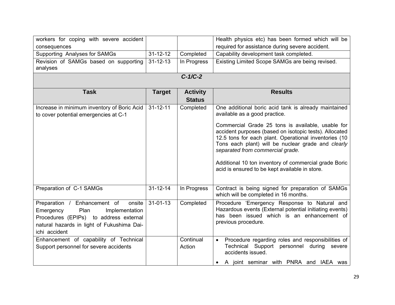| workers for coping with severe accident                                                                                                                                                |                |                                  | Health physics etc) has been formed which will be                                                                                                                                                                                                                                                                                                                         |
|----------------------------------------------------------------------------------------------------------------------------------------------------------------------------------------|----------------|----------------------------------|---------------------------------------------------------------------------------------------------------------------------------------------------------------------------------------------------------------------------------------------------------------------------------------------------------------------------------------------------------------------------|
| consequences                                                                                                                                                                           |                |                                  | required for assistance during severe accident.                                                                                                                                                                                                                                                                                                                           |
| Supporting Analyses for SAMGs                                                                                                                                                          | $31 - 12 - 12$ | Completed                        | Capability development task completed.                                                                                                                                                                                                                                                                                                                                    |
| Revision of SAMGs based on supporting<br>analyses                                                                                                                                      | $31 - 12 - 13$ | In Progress                      | Existing Limited Scope SAMGs are being revised.                                                                                                                                                                                                                                                                                                                           |
|                                                                                                                                                                                        |                | $C-1/C-2$                        |                                                                                                                                                                                                                                                                                                                                                                           |
| <b>Task</b>                                                                                                                                                                            | <b>Target</b>  | <b>Activity</b><br><b>Status</b> | <b>Results</b>                                                                                                                                                                                                                                                                                                                                                            |
| Increase in minimum inventory of Boric Acid<br>to cover potential emergencies at C-1                                                                                                   | $31 - 12 - 11$ | Completed                        | One additional boric acid tank is already maintained<br>available as a good practice.                                                                                                                                                                                                                                                                                     |
|                                                                                                                                                                                        |                |                                  | Commercial Grade 25 tons is available, usable for<br>accident purposes (based on isotopic tests). Allocated<br>12.5 tons for each plant. Operational inventories (10<br>Tons each plant) will be nuclear grade and clearly<br>separated from commercial grade.<br>Additional 10 ton inventory of commercial grade Boric<br>acid is ensured to be kept available in store. |
| Preparation of C-1 SAMGs                                                                                                                                                               | $31 - 12 - 14$ | In Progress                      | Contract is being signed for preparation of SAMGs<br>which will be completed in 16 months.                                                                                                                                                                                                                                                                                |
| Preparation / Enhancement of<br>onsite<br>Emergency<br>Plan<br>Implementation<br>Procedures (EPIPs) to address external<br>natural hazards in light of Fukushima Dai-<br>ichi accident | $31 - 01 - 13$ | Completed                        | Procedure 'Emergency Response to Natural and<br>Hazardous events (External potential initiating events)<br>has been issued which is an enhancement of<br>previous procedure.                                                                                                                                                                                              |
| Enhancement of capability of Technical<br>Support personnel for severe accidents                                                                                                       |                | Continual<br>Action              | Procedure regarding roles and responsibilities of<br>$\bullet$<br>Technical Support personnel during<br>severe<br>accidents issued.<br>A joint seminar with PNRA and IAEA was<br>$\bullet$                                                                                                                                                                                |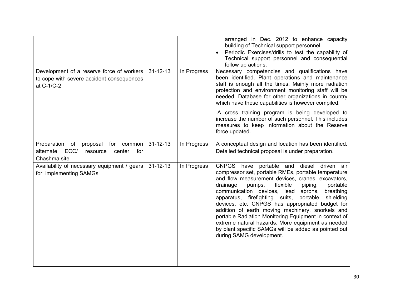|                                                                                                                  |                |             | arranged in Dec. 2012 to enhance capacity<br>building of Technical support personnel.<br>Periodic Exercises/drills to test the capability of<br>Technical support personnel and consequential<br>follow up actions.                                                                                                                                                                                                                                                                                                                                                                                                                       |
|------------------------------------------------------------------------------------------------------------------|----------------|-------------|-------------------------------------------------------------------------------------------------------------------------------------------------------------------------------------------------------------------------------------------------------------------------------------------------------------------------------------------------------------------------------------------------------------------------------------------------------------------------------------------------------------------------------------------------------------------------------------------------------------------------------------------|
| Development of a reserve force of workers<br>to cope with severe accident consequences<br>at C-1/C-2             | $31 - 12 - 13$ | In Progress | Necessary competencies and qualifications have<br>been identified. Plant operations and maintenance<br>staff is enough all the times. Mainly more radiation<br>protection and environment monitoring staff will be<br>needed. Database for other organizations in country<br>which have these capabilities is however compiled.                                                                                                                                                                                                                                                                                                           |
|                                                                                                                  |                |             | A cross training program is being developed to<br>increase the number of such personnel. This includes<br>measures to keep information about the Reserve<br>force updated.                                                                                                                                                                                                                                                                                                                                                                                                                                                                |
| Preparation<br>of<br>proposal<br>common<br>for<br>ECC/<br>alternate<br>center<br>for<br>resource<br>Chashma site | $31 - 12 - 13$ | In Progress | A conceptual design and location has been identified.<br>Detailed technical proposal is under preparation.                                                                                                                                                                                                                                                                                                                                                                                                                                                                                                                                |
| Availability of necessary equipment / gears<br>for implementing SAMGs                                            | $31 - 12 - 13$ | In Progress | CNPGS have portable and diesel driven air<br>compressor set, portable RMEs, portable temperature<br>and flow measurement devices, cranes, excavators,<br>drainage<br>flexible<br>portable<br>pumps,<br>piping,<br>communication devices, lead<br>aprons,<br>breathing<br>apparatus, firefighting suits,<br>portable<br>shielding<br>devices, etc. CNPGS has appropriated budget for<br>addition of earth moving machinery, snorkels and<br>portable Radiation Monitoring Equipment in context of<br>extreme natural hazards. More equipment as needed<br>by plant specific SAMGs will be added as pointed out<br>during SAMG development. |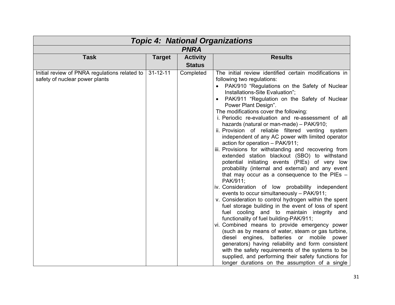| <b>Topic 4: National Organizations</b>                                          |                |                 |                                                                                                                                                                                                                                                                                                                                                                                                                                                                                                                                                                                                                                                                                                                                                                                                                                                                                                                                                                                                                                                                                                                                                                                                                                                                                                                                                                                                                                                                                                                         |  |  |
|---------------------------------------------------------------------------------|----------------|-----------------|-------------------------------------------------------------------------------------------------------------------------------------------------------------------------------------------------------------------------------------------------------------------------------------------------------------------------------------------------------------------------------------------------------------------------------------------------------------------------------------------------------------------------------------------------------------------------------------------------------------------------------------------------------------------------------------------------------------------------------------------------------------------------------------------------------------------------------------------------------------------------------------------------------------------------------------------------------------------------------------------------------------------------------------------------------------------------------------------------------------------------------------------------------------------------------------------------------------------------------------------------------------------------------------------------------------------------------------------------------------------------------------------------------------------------------------------------------------------------------------------------------------------------|--|--|
| <b>PNRA</b>                                                                     |                |                 |                                                                                                                                                                                                                                                                                                                                                                                                                                                                                                                                                                                                                                                                                                                                                                                                                                                                                                                                                                                                                                                                                                                                                                                                                                                                                                                                                                                                                                                                                                                         |  |  |
| <b>Task</b>                                                                     | <b>Target</b>  | <b>Activity</b> | <b>Results</b>                                                                                                                                                                                                                                                                                                                                                                                                                                                                                                                                                                                                                                                                                                                                                                                                                                                                                                                                                                                                                                                                                                                                                                                                                                                                                                                                                                                                                                                                                                          |  |  |
|                                                                                 |                | <b>Status</b>   |                                                                                                                                                                                                                                                                                                                                                                                                                                                                                                                                                                                                                                                                                                                                                                                                                                                                                                                                                                                                                                                                                                                                                                                                                                                                                                                                                                                                                                                                                                                         |  |  |
| Initial review of PNRA regulations related to<br>safety of nuclear power plants | $31 - 12 - 11$ | Completed       | The initial review identified certain modifications in<br>following two regulations:<br>PAK/910 "Regulations on the Safety of Nuclear<br>Installations-Site Evaluation";<br>PAK/911 "Regulation on the Safety of Nuclear<br>Power Plant Design".<br>The modifications cover the following:<br>i. Periodic re-evaluation and re-assessment of all<br>hazards (natural or man-made) - PAK/910;<br>ii. Provision of reliable filtered venting<br>system<br>independent of any AC power with limited operator<br>action for operation - PAK/911;<br>iii. Provisions for withstanding and recovering from<br>extended station blackout (SBO) to withstand<br>potential initiating events (PIEs) of very low<br>probability (internal and external) and any event<br>that may occur as a consequence to the PIEs $-$<br>PAK/911;<br>iv. Consideration of low probability independent<br>events to occur simultaneously - PAK/911;<br>v. Consideration to control hydrogen within the spent<br>fuel storage building in the event of loss of spent<br>fuel cooling and to maintain integrity<br>and<br>functionality of fuel building-PAK/911;<br>vi. Combined means to provide emergency power<br>(such as by means of water, steam or gas turbine,<br>diesel engines,<br>batteries or<br>mobile<br>power<br>generators) having reliability and form consistent<br>with the safety requirements of the systems to be<br>supplied, and performing their safety functions for<br>longer durations on the assumption of a single |  |  |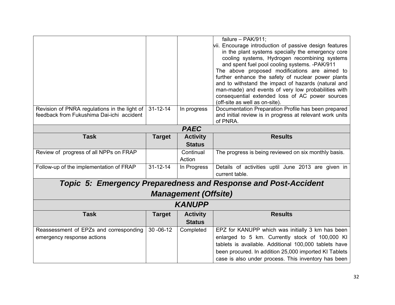|                                              |                |                             | failure $-$ PAK/911;                                                  |  |  |
|----------------------------------------------|----------------|-----------------------------|-----------------------------------------------------------------------|--|--|
|                                              |                |                             | vii. Encourage introduction of passive design features                |  |  |
|                                              |                |                             | in the plant systems specially the emergency core                     |  |  |
|                                              |                |                             | cooling systems, Hydrogen recombining systems                         |  |  |
|                                              |                |                             | and spent fuel pool cooling systems. - PAK/911                        |  |  |
|                                              |                |                             | The above proposed modifications are aimed to                         |  |  |
|                                              |                |                             | further enhance the safety of nuclear power plants                    |  |  |
|                                              |                |                             | and to withstand the impact of hazards (natural and                   |  |  |
|                                              |                |                             | man-made) and events of very low probabilities with                   |  |  |
|                                              |                |                             | consequential extended loss of AC power sources                       |  |  |
|                                              |                |                             | (off-site as well as on-site).                                        |  |  |
| Revision of PNRA regulations in the light of | $31 - 12 - 14$ | In progress                 | Documentation Preparation Profile has been prepared                   |  |  |
| feedback from Fukushima Dai-ichi accident    |                |                             | and initial review is in progress at relevant work units              |  |  |
|                                              |                |                             | of PNRA.                                                              |  |  |
|                                              | <b>PAEC</b>    |                             |                                                                       |  |  |
| <b>Task</b>                                  | <b>Target</b>  | <b>Activity</b>             | <b>Results</b>                                                        |  |  |
|                                              |                | <b>Status</b>               |                                                                       |  |  |
| Review of progress of all NPPs on FRAP       |                | Continual                   | The progress is being reviewed on six monthly basis.                  |  |  |
|                                              |                | Action                      |                                                                       |  |  |
| Follow-up of the implementation of FRAP      | $31 - 12 - 14$ | In Progress                 | Details of activities uptil June 2013 are given in                    |  |  |
|                                              |                |                             | current table.                                                        |  |  |
|                                              |                |                             | <b>Topic 5: Emergency Preparedness and Response and Post-Accident</b> |  |  |
|                                              |                |                             |                                                                       |  |  |
|                                              |                | <b>Management (Offsite)</b> |                                                                       |  |  |
|                                              |                | <b>KANUPP</b>               |                                                                       |  |  |
| <b>Task</b>                                  | <b>Target</b>  | <b>Activity</b>             | <b>Results</b>                                                        |  |  |
|                                              |                | <b>Status</b>               |                                                                       |  |  |
| Reassessment of EPZs and corresponding       | $30 - 06 - 12$ | Completed                   | EPZ for KANUPP which was initially 3 km has been                      |  |  |
| emergency response actions                   |                |                             | enlarged to 5 km. Currently stock of 100,000 KI                       |  |  |
|                                              |                |                             | tablets is available. Additional 100,000 tablets have                 |  |  |
|                                              |                |                             | been procured. In addition 25,000 imported KI Tablets                 |  |  |
|                                              |                |                             | case is also under process. This inventory has been                   |  |  |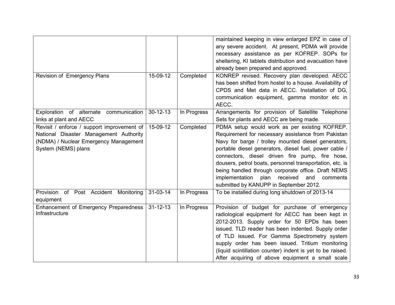|                                            |                |             | maintained keeping in view enlarged EPZ in case of         |  |
|--------------------------------------------|----------------|-------------|------------------------------------------------------------|--|
|                                            |                |             | any severe accident. At present, PDMA will provide         |  |
|                                            |                |             | necessary assistance as per KOFREP. SOPs for               |  |
|                                            |                |             | sheltering, KI tablets distribution and evacuation have    |  |
|                                            |                |             | already been prepared and approved.                        |  |
| Revision of Emergency Plans                | 15-09-12       | Completed   | KONREP revised. Recovery plan developed. AECC              |  |
|                                            |                |             | has been shifted from hostel to a house. Availability of   |  |
|                                            |                |             | CPDS and Met data in AECC. Installation of DG,             |  |
|                                            |                |             | communication equipment, gamma monitor etc in              |  |
|                                            |                |             | AECC.                                                      |  |
| Exploration of alternate communication     | $30 - 12 - 13$ | In Progress | Arrangements for provision of Satellite Telephone          |  |
| links at plant and AECC                    |                |             | Sets for plants and AECC are being made.                   |  |
| Revisit / enforce / support improvement of | 15-09-12       | Completed   | PDMA setup would work as per existing KOFREP.              |  |
| National Disaster Management Authority     |                |             | Requirement for necessary assistance from Pakistan         |  |
| (NDMA) / Nuclear Emergency Management      |                |             | Navy for barge / trolley mounted diesel generators,        |  |
| System (NEMS) plans                        |                |             | portable diesel generators, diesel fuel, power cable /     |  |
|                                            |                |             | connectors, diesel driven fire pump, fire hose,            |  |
|                                            |                |             | dousers, petrol boats, personnel transportation, etc. is   |  |
|                                            |                |             | being handled through corporate office. Draft NEMS         |  |
|                                            |                |             | implementation<br>plan<br>received<br>and<br>comments      |  |
|                                            |                |             | submitted by KANUPP in September 2012.                     |  |
| Provision of Post Accident<br>Monitoring   | $31 - 03 - 14$ | In Progress | To be installed during long shutdown of 2013-14            |  |
| equipment                                  |                |             |                                                            |  |
| Enhancement of Emergency Preparedness      | $31 - 12 - 13$ | In Progress | Provision of budget for purchase of emergency              |  |
| Infrastructure                             |                |             | radiological equipment for AECC has been kept in           |  |
|                                            |                |             | 2012-2013. Supply order for 50 EPDs has been               |  |
|                                            |                |             | issued. TLD reader has been indented. Supply order         |  |
|                                            |                |             | of TLD issued. For Gamma Spectrometry system               |  |
|                                            |                |             | supply order has been issued. Tritium monitoring           |  |
|                                            |                |             | (liquid scintillation counter) indent is yet to be raised. |  |
|                                            |                |             | After acquiring of above equipment a small scale           |  |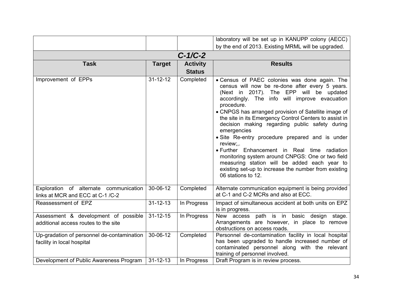|                                                                              |                |                                  | laboratory will be set up in KANUPP colony (AECC)                                                                                                                                                                                                                                                                                                                                                                                                                                                                                                                                                                                                                                               |  |  |  |
|------------------------------------------------------------------------------|----------------|----------------------------------|-------------------------------------------------------------------------------------------------------------------------------------------------------------------------------------------------------------------------------------------------------------------------------------------------------------------------------------------------------------------------------------------------------------------------------------------------------------------------------------------------------------------------------------------------------------------------------------------------------------------------------------------------------------------------------------------------|--|--|--|
|                                                                              |                |                                  | by the end of 2013. Existing MRML will be upgraded.                                                                                                                                                                                                                                                                                                                                                                                                                                                                                                                                                                                                                                             |  |  |  |
| $C-1/C-2$                                                                    |                |                                  |                                                                                                                                                                                                                                                                                                                                                                                                                                                                                                                                                                                                                                                                                                 |  |  |  |
| <b>Task</b>                                                                  | <b>Target</b>  | <b>Activity</b><br><b>Status</b> | <b>Results</b>                                                                                                                                                                                                                                                                                                                                                                                                                                                                                                                                                                                                                                                                                  |  |  |  |
| Improvement of EPPs                                                          | $31 - 12 - 12$ | Completed                        | • Census of PAEC colonies was done again. The<br>census will now be re-done after every 5 years.<br>(Next in 2017). The EPP will be updated<br>accordingly. The info will improve evacuation<br>procedure.<br>• CNPGS has arranged provision of Satellite image of<br>the site in its Emergency Control Centers to assist in<br>decision making regarding public safety during<br>emergencies<br>• Site Re-entry procedure prepared and is under<br>review;,.<br>• Further Enhancement in Real time radiation<br>monitoring system around CNPGS: One or two field<br>measuring station will be added each year to<br>existing set-up to increase the number from existing<br>06 stations to 12. |  |  |  |
| Exploration of alternate communication<br>links at MCR and ECC at C-1 /C-2   | 30-06-12       | Completed                        | Alternate communication equipment is being provided<br>at C-1 and C-2 MCRs and also at ECC.                                                                                                                                                                                                                                                                                                                                                                                                                                                                                                                                                                                                     |  |  |  |
| Reassessment of EPZ                                                          | $31 - 12 - 13$ | In Progress                      | Impact of simultaneous accident at both units on EPZ<br>is in progress.                                                                                                                                                                                                                                                                                                                                                                                                                                                                                                                                                                                                                         |  |  |  |
| Assessment & development of possible<br>additional access routes to the site | $31 - 12 - 15$ | In Progress                      | New access path is in basic design stage.<br>Arrangements are however, in place to remove<br>obstructions on access roads.                                                                                                                                                                                                                                                                                                                                                                                                                                                                                                                                                                      |  |  |  |
| Up-gradation of personnel de-contamination<br>facility in local hospital     | 30-06-12       | Completed                        | Personnel de-contamination facility in local hospital<br>has been upgraded to handle increased number of<br>contaminated personnel along with the relevant<br>training of personnel involved.                                                                                                                                                                                                                                                                                                                                                                                                                                                                                                   |  |  |  |
| Development of Public Awareness Program                                      | $31 - 12 - 13$ | In Progress                      | Draft Program is in review process.                                                                                                                                                                                                                                                                                                                                                                                                                                                                                                                                                                                                                                                             |  |  |  |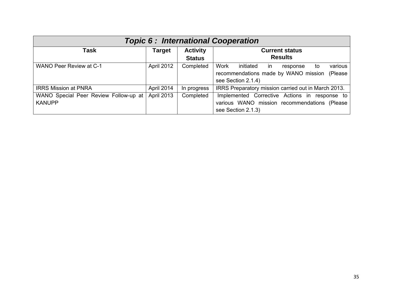| <b>Topic 6: International Cooperation</b>              |               |                                  |                                                                                                                                |  |  |
|--------------------------------------------------------|---------------|----------------------------------|--------------------------------------------------------------------------------------------------------------------------------|--|--|
| Task                                                   | <b>Target</b> | <b>Activity</b><br><b>Status</b> | <b>Current status</b><br><b>Results</b>                                                                                        |  |  |
| <b>WANO Peer Review at C-1</b>                         | April 2012    | Completed                        | Work<br>various<br>initiated<br>-in<br>response<br>to<br>recommendations made by WANO mission<br>(Please<br>see Section 2.1.4) |  |  |
| <b>IRRS Mission at PNRA</b>                            | April 2014    | In progress                      | IRRS Preparatory mission carried out in March 2013.                                                                            |  |  |
| WANO Special Peer Review Follow-up at<br><b>KANUPP</b> | April 2013    | Completed                        | Implemented Corrective Actions in response to<br>various WANO mission recommendations (Please<br>see Section 2.1.3)            |  |  |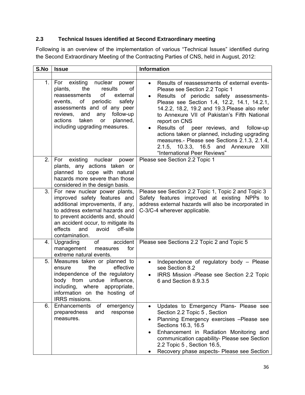# **2.3 Technical Issues identified at Second Extraordinary meeting**

Following is an overview of the implementation of various "Technical Issues" identified during the Second Extraordinary Meeting of the Contracting Parties of CNS, held in August, 2012:

| S.No | <b>Issue</b>                                                                                                                                                                                                                                                                               | <b>Information</b>                                                                                                                                                                                                                                                                                                                                                                                                                                                                                                                                           |  |  |
|------|--------------------------------------------------------------------------------------------------------------------------------------------------------------------------------------------------------------------------------------------------------------------------------------------|--------------------------------------------------------------------------------------------------------------------------------------------------------------------------------------------------------------------------------------------------------------------------------------------------------------------------------------------------------------------------------------------------------------------------------------------------------------------------------------------------------------------------------------------------------------|--|--|
|      |                                                                                                                                                                                                                                                                                            |                                                                                                                                                                                                                                                                                                                                                                                                                                                                                                                                                              |  |  |
| 1.   | existing nuclear<br>For<br>power<br>the<br>results<br>οf<br>plants,<br>of<br>reassessments<br>external<br>οf<br>periodic<br>safety<br>events,<br>assessments and of any peer<br>follow-up<br>reviews,<br>and<br>any<br>taken<br>actions<br>planned,<br>or<br>including upgrading measures. | Results of reassessments of external events-<br>$\bullet$<br>Please see Section 2.2 Topic 1<br>Results of periodic safety assessments-<br>$\bullet$<br>Please see Section 1.4, 12.2, 14.1, 14.2.1,<br>14.2.2, 18.2, 19.2 and 19.3. Please also refer<br>to Annexure VII of Pakistan's Fifth National<br>report on CNS<br>Results of peer reviews, and<br>follow-up<br>$\bullet$<br>actions taken or planned, including upgrading<br>measures.- Please see Sections 2.1.3, 2.1.4,<br>2.1.5, 10.3.3, 16.5 and<br>Annexure XIII<br>"International Peer Reviews" |  |  |
| 2.   | existing nuclear power<br>For<br>plants, any actions taken or<br>planned to cope with natural<br>hazards more severe than those<br>considered in the design basis.                                                                                                                         | Please see Section 2.2 Topic 1                                                                                                                                                                                                                                                                                                                                                                                                                                                                                                                               |  |  |
| 3.   | For new nuclear power plants,<br>improved safety features and<br>additional improvements, if any,<br>to address external hazards and<br>to prevent accidents and, should<br>an accident occur, to mitigate its<br>effects<br>avoid<br>off-site<br>and<br>contamination.                    | Please see Section 2.2 Topic 1, Topic 2 and Topic 3<br>Safety features improved at existing NPPs to<br>address external hazards will also be incorporated in<br>C-3/C-4 wherever applicable.                                                                                                                                                                                                                                                                                                                                                                 |  |  |
| 4.   | accident<br>Upgrading<br>of<br>management<br>for<br>measures<br>extreme natural events.                                                                                                                                                                                                    | Please see Sections 2.2 Topic 2 and Topic 5                                                                                                                                                                                                                                                                                                                                                                                                                                                                                                                  |  |  |
| 5.   | Measures taken or planned to<br>the<br>effective<br>ensure<br>independence of the regulatory<br>body from undue<br>influence.<br>including, where appropriate,<br>information on the hosting of<br>IRRS missions.                                                                          | Independence of regulatory body - Please<br>$\bullet$<br>see Section 8.2<br>IRRS Mission - Please see Section 2.2 Topic<br>6 and Section 8.9.3.5                                                                                                                                                                                                                                                                                                                                                                                                             |  |  |
| 6.   | Enhancements<br>emergency<br>of<br>preparedness<br>and<br>response<br>measures.                                                                                                                                                                                                            | Updates to Emergency Plans- Please see<br>$\bullet$<br>Section 2.2 Topic 5, Section<br>Planning Emergency exercises -Please see<br>٠<br>Sections 16.3, 16.5<br>Enhancement in Radiation Monitoring and<br>$\bullet$<br>communication capability- Please see Section<br>2.2 Topic 5, Section 16.5,<br>Recovery phase aspects- Please see Section                                                                                                                                                                                                              |  |  |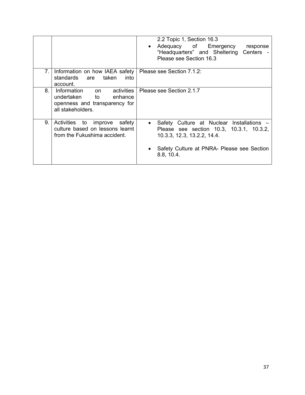|    |                                                                                                                | 2.2 Topic 1, Section 16.3<br>Adequacy of Emergency<br>response<br>$\bullet$<br>"Headquarters" and Sheltering<br>Centers -<br>Please see Section 16.3                                          |
|----|----------------------------------------------------------------------------------------------------------------|-----------------------------------------------------------------------------------------------------------------------------------------------------------------------------------------------|
| 7. | Information on how IAEA safety   Please see Section 7.1.2:<br>standards<br>taken<br>into<br>are<br>account.    |                                                                                                                                                                                               |
| 8. | Information<br>activities<br>on<br>undertaken to enhance<br>openness and transparency for<br>all stakeholders. | Please see Section 2.1.7                                                                                                                                                                      |
| 9. | Activities to improve<br>safety<br>culture based on lessons learnt<br>from the Fukushima accident.             | Safety Culture at Nuclear Installations -<br>$\bullet$<br>Please see section 10.3, 10.3.1, 10.3.2,<br>10.3.3, 12.3, 13.2.2, 14.4.<br>Safety Culture at PNRA- Please see Section<br>8.8, 10.4. |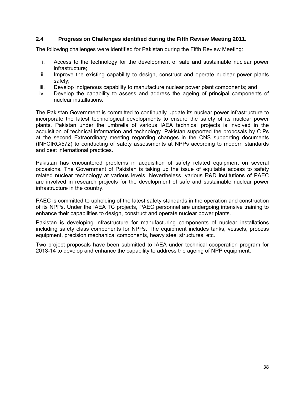#### **2.4 Progress on Challenges identified during the Fifth Review Meeting 2011.**

The following challenges were identified for Pakistan during the Fifth Review Meeting:

- i. Access to the technology for the development of safe and sustainable nuclear power infrastructure;
- ii. Improve the existing capability to design, construct and operate nuclear power plants safely;
- iii. Develop indigenous capability to manufacture nuclear power plant components; and
- iv. Develop the capability to assess and address the ageing of principal components of nuclear installations.

The Pakistan Government is committed to continually update its nuclear power infrastructure to incorporate the latest technological developments to ensure the safety of its nuclear power plants. Pakistan under the umbrella of various IAEA technical projects is involved in the acquisition of technical information and technology. Pakistan supported the proposals by C.Ps at the second Extraordinary meeting regarding changes in the CNS supporting documents (INFCIRC/572) to conducting of safety assessments at NPPs according to modern standards and best international practices.

Pakistan has encountered problems in acquisition of safety related equipment on several occasions. The Government of Pakistan is taking up the issue of equitable access to safety related nuclear technology at various levels. Nevertheless, various R&D institutions of PAEC are involved in research projects for the development of safe and sustainable nuclear power infrastructure in the country.

PAEC is committed to upholding of the latest safety standards in the operation and construction of its NPPs. Under the IAEA TC projects, PAEC personnel are undergoing intensive training to enhance their capabilities to design, construct and operate nuclear power plants.

Pakistan is developing infrastructure for manufacturing components of nuclear installations including safety class components for NPPs. The equipment includes tanks, vessels, process equipment, precision mechanical components, heavy steel structures, etc.

Two project proposals have been submitted to IAEA under technical cooperation program for 2013-14 to develop and enhance the capability to address the ageing of NPP equipment.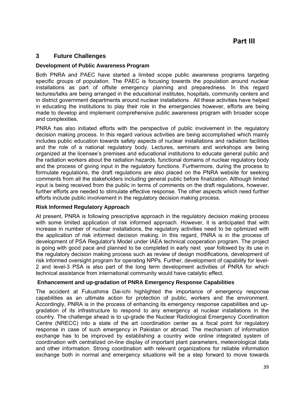## **3 Future Challenges**

#### **Development of Public Awareness Program**

Both PNRA and PAEC have started a limited scope public awareness programs targeting specific groups of population. The PAEC is focusing towards the population around nuclear installations as part of offsite emergency planning and preparedness. In this regard lectures/talks are being arranged in the educational institutes, hospitals, community centers and in district government departments around nuclear installations. All these activities have helped in educating the institutions to play their role in the emergencies however, efforts are being made to develop and implement comprehensive public awareness program with broader scope and complexities.

PNRA has also initiated efforts with the perspective of public involvement in the regulatory decision making process. In this regard various activities are being accomplished which mainly includes public education towards safety aspects of nuclear installations and radiation facilities and the role of a national regulatory body. Lectures, seminars and workshops are being organized at the licensee's premises and educational institutions to educate general public and the radiation workers about the radiation hazards, functional domains of nuclear regulatory body and the process of giving input in the regulatory functions. Furthermore, during the process to formulate regulations, the draft regulations are also placed on the PNRA website for seeking comments from all the stakeholders including general public before finalization. Although limited input is being received from the public in terms of comments on the draft regulations, however, further efforts are needed to stimulate effective response. The other aspects which need further efforts include public involvement in the regulatory decision making process.

#### **Risk Informed Regulatory Approach**

At present, PNRA is following prescriptive approach in the regulatory decision making process with some limited application of risk informed approach. However, it is anticipated that with increase in number of nuclear installations, the regulatory activities need to be optimized with the application of risk informed decision making. In this regard, PNRA is in the process of development of PSA Regulator's Model under IAEA technical cooperation program. The project is going with good pace and planned to be completed in early next year followed by its use in the regulatory decision making process such as review of design modifications, development of risk informed oversight program for operating NPPs. Further, development of capability for level-2 and level-3 PSA is also part of the long term development activities of PNRA for which technical assistance from international community would have catalytic effect.

#### **Enhancement and up-gradation of PNRA Emergency Response Capabilities**

The accident at Fukushima Dai-ichi highlighted the importance of emergency response capabilities as an ultimate action for protection of public, workers and the environment. Accordingly, PNRA is in the process of enhancing its emergency response capabilities and upgradation of its infrastructure to respond to any emergency at nuclear installations in the country. The challenge ahead is to up-grade the Nuclear Radiological Emergency Coordination Centre (NRECC) into a state of the art coordination center as a focal point for regulatory response in case of such emergency in Pakistan or abroad. The mechanism of information exchange has to be improved by establishing a country wide online integrated system of coordination with centralized on-line display of important plant parameters, meteorological data and other information. Strong coordination with relevant organizations for reliable information exchange both in normal and emergency situations will be a step forward to move towards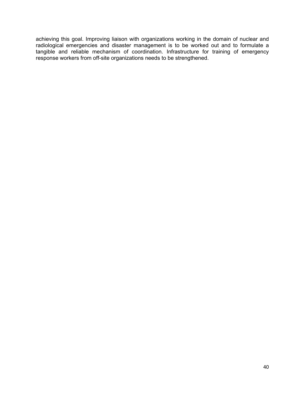achieving this goal. Improving liaison with organizations working in the domain of nuclear and radiological emergencies and disaster management is to be worked out and to formulate a tangible and reliable mechanism of coordination. Infrastructure for training of emergency response workers from off-site organizations needs to be strengthened.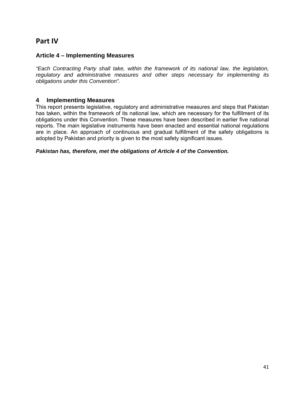# **Part IV**

### **Article 4 – Implementing Measures**

*"Each Contracting Party shall take, within the framework of its national law, the legislation, regulatory and administrative measures and other steps necessary for implementing its obligations under this Convention".* 

### **4 Implementing Measures**

This report presents legislative, regulatory and administrative measures and steps that Pakistan has taken, within the framework of its national law, which are necessary for the fulfillment of its obligations under this Convention. These measures have been described in earlier five national reports. The main legislative instruments have been enacted and essential national regulations are in place. An approach of continuous and gradual fulfillment of the safety obligations is adopted by Pakistan and priority is given to the most safety significant issues.

#### *Pakistan has, therefore, met the obligations of Article 4 of the Convention.*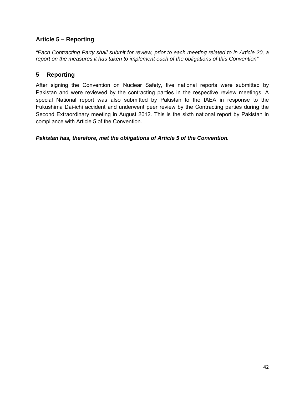# **Article 5 – Reporting**

*"Each Contracting Party shall submit for review, prior to each meeting related to in Article 20, a report on the measures it has taken to implement each of the obligations of this Convention"* 

# **5 Reporting**

After signing the Convention on Nuclear Safety, five national reports were submitted by Pakistan and were reviewed by the contracting parties in the respective review meetings. A special National report was also submitted by Pakistan to the IAEA in response to the Fukushima Dai-ichi accident and underwent peer review by the Contracting parties during the Second Extraordinary meeting in August 2012. This is the sixth national report by Pakistan in compliance with Article 5 of the Convention.

*Pakistan has, therefore, met the obligations of Article 5 of the Convention.*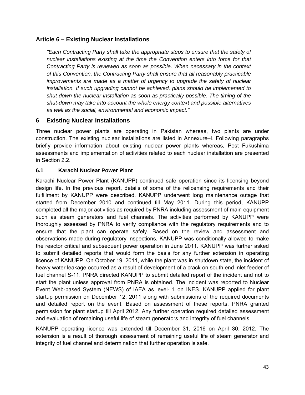## **Article 6 – Existing Nuclear Installations**

*"Each Contracting Party shall take the appropriate steps to ensure that the safety of nuclear installations existing at the time the Convention enters into force for that Contracting Party is reviewed as soon as possible. When necessary in the context of this Convention, the Contracting Party shall ensure that all reasonably practicable improvements are made as a matter of urgency to upgrade the safety of nuclear installation. If such upgrading cannot be achieved, plans should be implemented to shut down the nuclear installation as soon as practically possible. The timing of the shut-down may take into account the whole energy context and possible alternatives as well as the social, environmental and economic impact."*

# **6 Existing Nuclear Installations**

Three nuclear power plants are operating in Pakistan whereas, two plants are under construction. The existing nuclear installations are listed in Annexure–I. Following paragraphs briefly provide information about existing nuclear power plants whereas, Post Fukushima assessments and implementation of activities related to each nuclear installation are presented in Section 2.2.

## **6.1 Karachi Nuclear Power Plant**

Karachi Nuclear Power Plant (KANUPP) continued safe operation since its licensing beyond design life. In the previous report, details of some of the relicensing requirements and their fulfillment by KANUPP were described. KANUPP underwent long maintenance outage that started from December 2010 and continued till May 2011. During this period, KANUPP completed all the major activities as required by PNRA including assessment of main equipment such as steam generators and fuel channels. The activities performed by KANUPP were thoroughly assessed by PNRA to verify compliance with the regulatory requirements and to ensure that the plant can operate safely. Based on the review and assessment and observations made during regulatory inspections, KANUPP was conditionally allowed to make the reactor critical and subsequent power operation in June 2011. KANUPP was further asked to submit detailed reports that would form the basis for any further extension in operating licence of KANUPP. On October 19, 2011, while the plant was in shutdown state, the incident of heavy water leakage occurred as a result of development of a crack on south end inlet feeder of fuel channel S-11. PNRA directed KANUPP to submit detailed report of the incident and not to start the plant unless approval from PNRA is obtained. The incident was reported to Nuclear Event Web-based System (NEWS) of IAEA as level- 1 on INES. KANUPP applied for plant startup permission on December 12, 2011 along with submissions of the required documents and detailed report on the event. Based on assessment of these reports, PNRA granted permission for plant startup till April 2012. Any further operation required detailed assessment and evaluation of remaining useful life of steam generators and integrity of fuel channels.

KANUPP operating licence was extended till December 31, 2016 on April 30, 2012. The extension is a result of thorough assessment of remaining useful life of steam generator and integrity of fuel channel and determination that further operation is safe.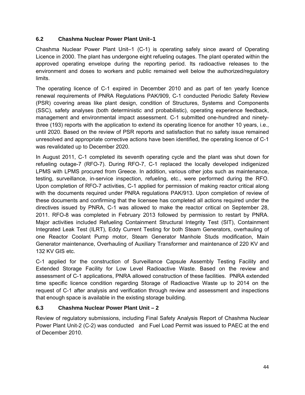## **6.2 Chashma Nuclear Power Plant Unit–1**

Chashma Nuclear Power Plant Unit–1 (C-1) is operating safely since award of Operating Licence in 2000. The plant has undergone eight refueling outages. The plant operated within the approved operating envelope during the reporting period. Its radioactive releases to the environment and doses to workers and public remained well below the authorized/regulatory limits.

The operating licence of C-1 expired in December 2010 and as part of ten yearly licence renewal requirements of PNRA Regulations PAK/909, C-1 conducted Periodic Safety Review (PSR) covering areas like plant design, condition of Structures, Systems and Components (SSC), safety analyses (both deterministic and probabilistic), operating experience feedback, management and environmental impact assessment. C-1 submitted one-hundred and ninetythree (193) reports with the application to extend its operating licence for another 10 years, i.e., until 2020. Based on the review of PSR reports and satisfaction that no safety issue remained unresolved and appropriate corrective actions have been identified, the operating licence of C-1 was revalidated up to December 2020.

In August 2011, C-1 completed its seventh operating cycle and the plant was shut down for refueling outage-7 (RFO-7). During RFO-7, C-1 replaced the locally developed indigenized LPMS with LPMS procured from Greece. In addition, various other jobs such as maintenance, testing, surveillance, in-service inspection, refueling, etc., were performed during the RFO. Upon completion of RFO-7 activities, C-1 applied for permission of making reactor critical along with the documents required under PNRA regulations PAK/913. Upon completion of review of these documents and confirming that the licensee has completed all actions required under the directives issued by PNRA, C-1 was allowed to make the reactor critical on September 28, 2011. RFO-8 was completed in February 2013 followed by permission to restart by PNRA. Major activities included Refueling Containment Structural Integrity Test (SIT), Containment Integrated Leak Test (ILRT), Eddy Current Testing for both Steam Generators, overhauling of one Reactor Coolant Pump motor, Steam Generator Manhole Studs modification, Main Generator maintenance, Overhauling of Auxiliary Transformer and maintenance of 220 KV and 132 KV GIS etc.

C-1 applied for the construction of Surveillance Capsule Assembly Testing Facility and Extended Storage Facility for Low Level Radioactive Waste. Based on the review and assessment of C-1 applications, PNRA allowed construction of these facilities. PNRA extended time specific licence condition regarding Storage of Radioactive Waste up to 2014 on the request of C-1 after analysis and verification through review and assessment and inspections that enough space is available in the existing storage building.

## **6.3 Chashma Nuclear Power Plant Unit – 2**

Review of regulatory submissions, including Final Safety Analysis Report of Chashma Nuclear Power Plant Unit-2 (C-2) was conducted and Fuel Load Permit was issued to PAEC at the end of December 2010.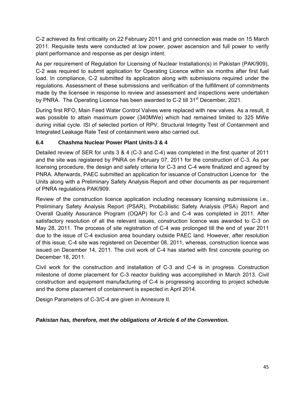C-2 achieved its first criticality on 22 February 2011 and grid connection was made on 15 March 2011. Requisite tests were conducted at low power, power ascension and full power to verify plant performance and response as per design intent.

As per requirement of Regulation for Licensing of Nuclear Installation(s) in Pakistan (PAK/909), C-2 was required to submit application for Operating Licence within six months after first fuel load. In compliance, C-2 submitted its application along with submissions required under the regulations. Assessment of these submissions and verification of the fulfillment of commitments made by the licensee in response to review and assessment and inspections were undertaken by PNRA. The Operating Licence has been awarded to C-2 till 31<sup>st</sup> December, 2021.

During first RFO, Main Feed Water Control Valves were replaced with new valves. As a result, it was possible to attain maximum power (340MWe) which had remained limited to 325 MWe during initial cycle. ISI of selected portion of RPV, Structural Integrity Test of Containment and Integrated Leakage Rate Test of containment were also carried out.

# **6.4 Chashma Nuclear Power Plant Units-3 & 4**

Detailed review of SER for units 3 & 4 (C-3 and C-4) was completed in the first quarter of 2011 and the site was registered by PNRA on February 07, 2011 for the construction of C-3. As per licensing procedure, the design and safety criteria for C-3 and C-4 were finalized and agreed by PNRA. Afterwards, PAEC submitted an application for issuance of Construction Licence for the Units along with a Preliminary Safety Analysis Report and other documents as per requirement of PNRA regulations PAK/909.

Review of the construction licence application including necessary licensing submissions i.e., Preliminary Safety Analysis Report (PSAR), Probabilistic Safety Analysis (PSA) Report and Overall Quality Assurance Program (OQAP) for C-3 and C-4 was completed in 2011. After satisfactory resolution of all the relevant issues, construction licence was awarded to C-3 on May 28, 2011. The process of site registration of C-4 was prolonged till the end of year 2011 due to the issue of C-4 exclusion area boundary outside PAEC land. However, after resolution of this issue, C-4 site was registered on December 08, 2011, whereas, construction licence was issued on December 14, 2011. The civil work of C-4 has started with first concrete pouring on December 18, 2011.

Civil work for the construction and installation of C-3 and C-4 is in progress. Construction milestone of dome placement for C-3 reactor building was accomplished in March 2013. Civil construction and equipment manufacturing of C-4 is progressing according to project schedule and the dome placement of containment is expected in April 2014.

Design Parameters of C-3/C-4 are given in Annexure II.

# *Pakistan has, therefore, met the obligations of Article 6 of the Convention.*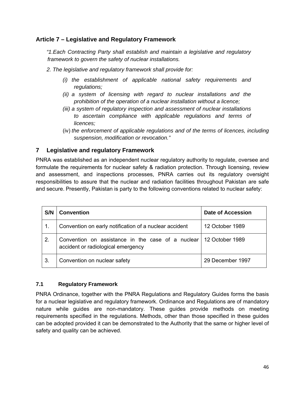# **Article 7 – Legislative and Regulatory Framework**

*"1.Each Contracting Party shall establish and maintain a legislative and regulatory framework to govern the safety of nuclear installations.* 

- *2. The legislative and regulatory framework shall provide for:* 
	- *(i) the establishment of applicable national safety requirements and regulations;*
	- *(ii) a system of licensing with regard to nuclear installations and the prohibition of the operation of a nuclear installation without a licence;*
	- *(iii) a system of regulatory inspection and assessment of nuclear installations to ascertain compliance with applicable regulations and terms of licences;*
	- (iv) *the enforcement of applicable regulations and of the terms of licences, including suspension, modification or revocation."*

# **7 Legislative and regulatory Framework**

PNRA was established as an independent nuclear regulatory authority to regulate, oversee and formulate the requirements for nuclear safety & radiation protection. Through licensing, review and assessment, and inspections processes, PNRA carries out its regulatory oversight responsibilities to assure that the nuclear and radiation facilities throughout Pakistan are safe and secure. Presently, Pakistan is party to the following conventions related to nuclear safety:

| S/N | <b>Convention</b>                                                                                       | <b>Date of Accession</b> |
|-----|---------------------------------------------------------------------------------------------------------|--------------------------|
| 1.  | Convention on early notification of a nuclear accident                                                  | 12 October 1989          |
| 2.  | Convention on assistance in the case of a nuclear 12 October 1989<br>accident or radiological emergency |                          |
| 3.  | Convention on nuclear safety                                                                            | 29 December 1997         |

## **7.1 Regulatory Framework**

PNRA Ordinance, together with the PNRA Regulations and Regulatory Guides forms the basis for a nuclear legislative and regulatory framework. Ordinance and Regulations are of mandatory nature while guides are non-mandatory. These guides provide methods on meeting requirements specified in the regulations. Methods, other than those specified in these guides can be adopted provided it can be demonstrated to the Authority that the same or higher level of safety and quality can be achieved.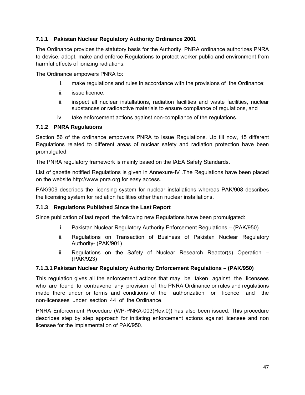## **7.1.1 Pakistan Nuclear Regulatory Authority Ordinance 2001**

The Ordinance provides the statutory basis for the Authority. PNRA ordinance authorizes PNRA to devise, adopt, make and enforce Regulations to protect worker public and environment from harmful effects of ionizing radiations.

The Ordinance empowers PNRA to:

- i. make regulations and rules in accordance with the provisions of the Ordinance;
- ii. issue licence,
- iii. inspect all nuclear installations, radiation facilities and waste facilities, nuclear substances or radioactive materials to ensure compliance of regulations, and
- iv. take enforcement actions against non-compliance of the regulations.

## **7.1.2 PNRA Regulations**

Section 56 of the ordinance empowers PNRA to issue Regulations. Up till now, 15 different Regulations related to different areas of nuclear safety and radiation protection have been promulgated.

The PNRA regulatory framework is mainly based on the IAEA Safety Standards.

List of gazette notified Regulations is given in Annexure-IV .The Regulations have been placed on the website http://www.pnra.org for easy access.

PAK/909 describes the licensing system for nuclear installations whereas PAK/908 describes the licensing system for radiation facilities other than nuclear installations.

## **7.1.3 Regulations Published Since the Last Report**

Since publication of last report, the following new Regulations have been promulgated:

- i. Pakistan Nuclear Regulatory Authority Enforcement Regulations (PAK/950)
- ii. Regulations on Transaction of Business of Pakistan Nuclear Regulatory Authority- (PAK/901)
- iii. Regulations on the Safety of Nuclear Research Reactor(s) Operation -(PAK/923)

## **7.1.3.1 Pakistan Nuclear Regulatory Authority Enforcement Regulations – (PAK/950)**

This regulation gives all the enforcement actions that may be taken against the licensees who are found to contravene any provision of the PNRA Ordinance or rules and regulations made there under or terms and conditions of the authorization or licence and the non‐licensees under section 44 of the Ordinance.

PNRA Enforcement Procedure (WP-PNRA-003(Rev.0)) has also been issued. This procedure describes step by step approach for initiating enforcement actions against licensee and non licensee for the implementation of PAK/950.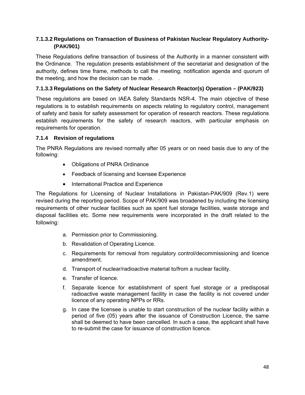## **7.1.3.2 Regulations on Transaction of Business of Pakistan Nuclear Regulatory Authority- (PAK/901)**

These Regulations define transaction of business of the Authority in a manner consistent with the Ordinance. The regulation presents establishment of the secretariat and designation of the authority, defines time frame, methods to call the meeting; notification agenda and quorum of the meeting, and how the decision can be made. .

## **7.1.3.3 Regulations on the Safety of Nuclear Research Reactor(s) Operation – (PAK/923)**

These regulations are based on IAEA Safety Standards NSR-4. The main objective of these regulations is to establish requirements on aspects relating to regulatory control, management of safety and basis for safety assessment for operation of research reactors. These regulations establish requirements for the safety of research reactors, with particular emphasis on requirements for operation.

## **7.1.4 Revision of regulations**

The PNRA Regulations are revised normally after 05 years or on need basis due to any of the following:

- Obligations of PNRA Ordinance
- Feedback of licensing and licensee Experience
- International Practice and Experience

The Regulations for Licensing of Nuclear Installations in Pakistan-PAK/909 (Rev.1) were revised during the reporting period. Scope of PAK/909 was broadened by including the licensing requirements of other nuclear facilities such as spent fuel storage facilities, waste storage and disposal facilities etc. Some new requirements were incorporated in the draft related to the following:

- a. Permission prior to Commissioning.
- b. Revalidation of Operating Licence.
- c. Requirements for removal from regulatory control/decommissioning and licence amendment.
- d. Transport of nuclear/radioactive material to/from a nuclear facility.
- e. Transfer of licence.
- f. Separate licence for establishment of spent fuel storage or a predisposal radioactive waste management facility in case the facility is not covered under licence of any operating NPPs or RRs.
- g. In case the licensee is unable to start construction of the nuclear facility within a period of five (05) years after the issuance of Construction Licence, the same shall be deemed to have been cancelled. In such a case, the applicant shall have to re-submit the case for issuance of construction licence.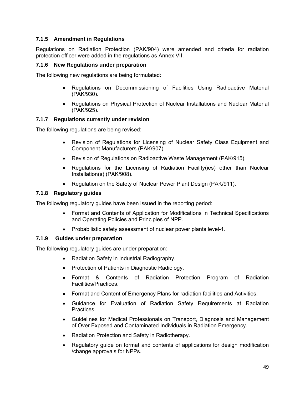### **7.1.5 Amendment in Regulations**

Regulations on Radiation Protection (PAK/904) were amended and criteria for radiation protection officer were added in the regulations as Annex VII.

#### **7.1.6 New Regulations under preparation**

The following new regulations are being formulated:

- Regulations on Decommissioning of Facilities Using Radioactive Material (PAK/930).
- Regulations on Physical Protection of Nuclear Installations and Nuclear Material (PAK/925).

#### **7.1.7 Regulations currently under revision**

The following regulations are being revised:

- Revision of Regulations for Licensing of Nuclear Safety Class Equipment and Component Manufacturers (PAK/907).
- Revision of Regulations on Radioactive Waste Management (PAK/915).
- Regulations for the Licensing of Radiation Facility(ies) other than Nuclear Installation(s) (PAK/908).
- Regulation on the Safety of Nuclear Power Plant Design (PAK/911).

#### **7.1.8 Regulatory guides**

The following regulatory guides have been issued in the reporting period:

- Format and Contents of Application for Modifications in Technical Specifications and Operating Policies and Principles of NPP.
- Probabilistic safety assessment of nuclear power plants level-1.

#### **7.1.9 Guides under preparation**

The following regulatory guides are under preparation:

- Radiation Safety in Industrial Radiography.
- Protection of Patients in Diagnostic Radiology.
- Format & Contents of Radiation Protection Program of Radiation Facilities/Practices.
- Format and Content of Emergency Plans for radiation facilities and Activities.
- Guidance for Evaluation of Radiation Safety Requirements at Radiation Practices.
- Guidelines for Medical Professionals on Transport, Diagnosis and Management of Over Exposed and Contaminated Individuals in Radiation Emergency.
- Radiation Protection and Safety in Radiotherapy.
- Regulatory guide on format and contents of applications for design modification /change approvals for NPPs.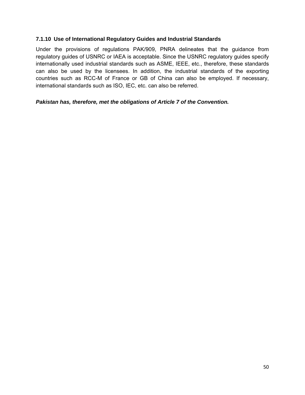#### **7.1.10 Use of International Regulatory Guides and Industrial Standards**

Under the provisions of regulations PAK/909, PNRA delineates that the guidance from regulatory guides of USNRC or IAEA is acceptable. Since the USNRC regulatory guides specify internationally used industrial standards such as ASME, IEEE, etc., therefore, these standards can also be used by the licensees. In addition, the industrial standards of the exporting countries such as RCC-M of France or GB of China can also be employed. If necessary, international standards such as ISO, IEC, etc. can also be referred.

#### *Pakistan has, therefore, met the obligations of Article 7 of the Convention.*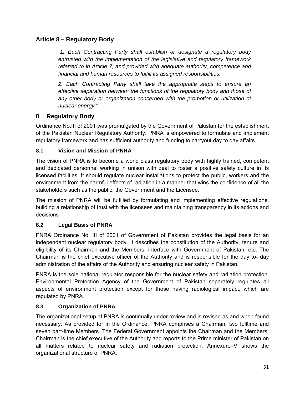# **Article 8 – Regulatory Body**

*"1. Each Contracting Party shall establish or designate a regulatory body entrusted with the implementation of the legislative and regulatory framework referred to in Article 7, and provided with adequate authority, competence and financial and human resources to fulfill its assigned responsibilities.* 

*2. Each Contracting Party shall take the appropriate steps to ensure an effective separation between the functions of the regulatory body and those of*  any other body or organization concerned with the promotion or utilization of *nuclear energy."* 

# **8 Regulatory Body**

Ordinance No.III of 2001 was promulgated by the Government of Pakistan for the establishment of the Pakistan Nuclear Regulatory Authority. PNRA is empowered to formulate and implement regulatory framework and has sufficient authority and funding to carryout day to day affairs.

# **8.1 Vision and Mission of PNRA**

The vision of PNRA is to become a world class regulatory body with highly trained, competent and dedicated personnel working in unison with zeal to foster a positive safety culture in its licensed facilities. It should regulate nuclear installations to protect the public, workers and the environment from the harmful effects of radiation in a manner that wins the confidence of all the stakeholders such as the public, the Government and the Licensee.

The mission of PNRA will be fulfilled by formulating and implementing effective regulations, building a relationship of trust with the licensees and maintaining transparency in its actions and decisions

# **8.2 Legal Basis of PNRA**

PNRA Ordinance No. III of 2001 of Government of Pakistan provides the legal basis for an independent nuclear regulatory body. It describes the constitution of the Authority, tenure and eligibility of its Chairman and the Members, interface with Government of Pakistan, etc. The Chairman is the chief executive officer of the Authority and is responsible for the day to- day administration of the affairs of the Authority and ensuring nuclear safety in Pakistan.

PNRA is the sole national regulator responsible for the nuclear safety and radiation protection. Environmental Protection Agency of the Government of Pakistan separately regulates all aspects of environment protection except for those having radiological impact, which are regulated by PNRA.

## **8.3 Organization of PNRA**

The organizational setup of PNRA is continually under review and is revised as and when found necessary. As provided for in the Ordinance, PNRA comprises a Chairman, two fulltime and seven part-time Members. The Federal Government appoints the Chairman and the Members. Chairman is the chief executive of the Authority and reports to the Prime minister of Pakistan on all matters related to nuclear safety and radiation protection. Annexure–V shows the organizational structure of PNRA.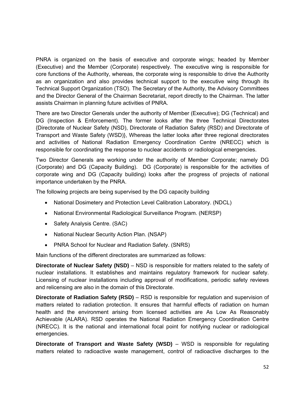PNRA is organized on the basis of executive and corporate wings; headed by Member (Executive) and the Member (Corporate) respectively. The executive wing is responsible for core functions of the Authority, whereas, the corporate wing is responsible to drive the Authority as an organization and also provides technical support to the executive wing through its Technical Support Organization (TSO). The Secretary of the Authority, the Advisory Committees and the Director General of the Chairman Secretariat, report directly to the Chairman. The latter assists Chairman in planning future activities of PNRA.

There are two Director Generals under the authority of Member (Executive); DG (Technical) and DG (Inspection & Enforcement). The former looks after the three Technical Directorates {Directorate of Nuclear Safety (NSD), Directorate of Radiation Safety (RSD) and Directorate of Transport and Waste Safety (WSD)}, Whereas the latter looks after three regional directorates and activities of National Radiation Emergency Coordination Centre (NRECC) which is responsible for coordinating the response to nuclear accidents or radiological emergencies.

Two Director Generals are working under the authority of Member Corporate; namely DG (Corporate) and DG (Capacity Building). DG (Corporate) is responsible for the activities of corporate wing and DG (Capacity building) looks after the progress of projects of national importance undertaken by the PNRA.

The following projects are being supervised by the DG capacity building

- National Dosimetery and Protection Level Calibration Laboratory. (NDCL)
- National Environmental Radiological Surveillance Program. (NERSP)
- Safety Analysis Centre. (SAC)
- National Nuclear Security Action Plan. (NSAP)
- PNRA School for Nuclear and Radiation Safety. (SNRS)

Main functions of the different directorates are summarized as follows:

**Directorate of Nuclear Safety (NSD)** – NSD is responsible for matters related to the safety of nuclear installations. It establishes and maintains regulatory framework for nuclear safety. Licensing of nuclear installations including approval of modifications, periodic safety reviews and relicensing are also in the domain of this Directorate.

**Directorate of Radiation Safety (RSD)** – RSD is responsible for regulation and supervision of matters related to radiation protection. It ensures that harmful effects of radiation on human health and the environment arising from licensed activities are As Low As Reasonably Achievable (ALARA). RSD operates the National Radiation Emergency Coordination Centre (NRECC). It is the national and international focal point for notifying nuclear or radiological emergencies.

**Directorate of Transport and Waste Safety (WSD)** – WSD is responsible for regulating matters related to radioactive waste management, control of radioactive discharges to the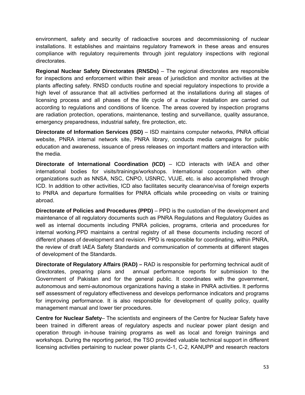environment, safety and security of radioactive sources and decommissioning of nuclear installations. It establishes and maintains regulatory framework in these areas and ensures compliance with regulatory requirements through joint regulatory inspections with regional directorates.

**Regional Nuclear Safety Directorates (RNSDs)** – The regional directorates are responsible for inspections and enforcement within their areas of jurisdiction and monitor activities at the plants affecting safety. RNSD conducts routine and special regulatory inspections to provide a high level of assurance that all activities performed at the installations during all stages of licensing process and all phases of the life cycle of a nuclear installation are carried out according to regulations and conditions of licence. The areas covered by inspection programs are radiation protection, operations, maintenance, testing and surveillance, quality assurance, emergency preparedness, industrial safety, fire protection, etc.

**Directorate of Information Services (ISD)** – ISD maintains computer networks, PNRA official website, PNRA internal network site, PNRA library, conducts media campaigns for public education and awareness, issuance of press releases on important matters and interaction with the media.

**Directorate of International Coordination (ICD)** – ICD interacts with IAEA and other international bodies for visits/trainings/workshops. International cooperation with other organizations such as NNSA, NSC, CNPO, USNRC, VUJE, etc. is also accomplished through ICD. In addition to other activities, ICD also facilitates security clearance/visa of foreign experts to PNRA and departure formalities for PNRA officials while proceeding on visits or training abroad.

**Directorate of Policies and Procedures (PPD)** – PPD is the custodian of the development and maintenance of all regulatory documents such as PNRA Regulations and Regulatory Guides as well as internal documents including PNRA policies, programs, criteria and procedures for internal working.PPD maintains a central registry of all these documents including record of different phases of development and revision. PPD is responsible for coordinating, within PNRA, the review of draft IAEA Safety Standards and communication of comments at different stages of development of the Standards.

**Directorate of Regulatory Affairs (RAD) –** RAD is responsible for performing technical audit of directorates, preparing plans and annual performance reports for submission to the Government of Pakistan and for the general public. It coordinates with the government, autonomous and semi-autonomous organizations having a stake in PNRA activities. It performs self assessment of regulatory effectiveness and develops performance indicators and programs for improving performance. It is also responsible for development of quality policy, quality management manual and lower tier procedures.

**Centre for Nuclear Safety**– The scientists and engineers of the Centre for Nuclear Safety have been trained in different areas of regulatory aspects and nuclear power plant design and operation through in-house training programs as well as local and foreign trainings and workshops. During the reporting period, the TSO provided valuable technical support in different licensing activities pertaining to nuclear power plants C-1, C-2, KANUPP and research reactors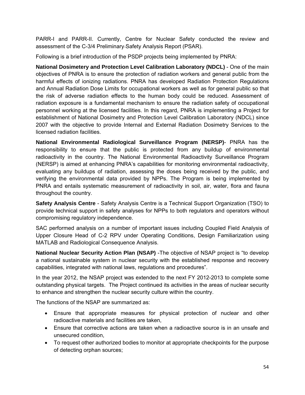PARR-I and PARR-II. Currently, Centre for Nuclear Safety conducted the review and assessment of the C-3/4 Preliminary Safety Analysis Report (PSAR).

Following is a brief introduction of the PSDP projects being implemented by PNRA:

**National Dosimetery and Protection Level Calibration Laboratory (NDCL)** - One of the main objectives of PNRA is to ensure the protection of radiation workers and general public from the harmful effects of ionizing radiations. PNRA has developed Radiation Protection Regulations and Annual Radiation Dose Limits for occupational workers as well as for general public so that the risk of adverse radiation effects to the human body could be reduced. Assessment of radiation exposure is a fundamental mechanism to ensure the radiation safety of occupational personnel working at the licensed facilities. In this regard, PNRA is implementing a Project for establishment of National Dosimetry and Protection Level Calibration Laboratory (NDCL) since 2007 with the objective to provide Internal and External Radiation Dosimetry Services to the licensed radiation facilities.

**National Environmental Radiological Surveillance Program (NERSP)**- PNRA has the responsibility to ensure that the public is protected from any buildup of environmental radioactivity in the country. The National Environmental Radioactivity Surveillance Program (NERSP) is aimed at enhancing PNRA's capabilities for monitoring environmental radioactivity, evaluating any buildups of radiation, assessing the doses being received by the public, and verifying the environmental data provided by NPPs. The Program is being implemented by PNRA and entails systematic measurement of radioactivity in soil, air, water, flora and fauna throughout the country.

**Safety Analysis Centre** - Safety Analysis Centre is a Technical Support Organization (TSO) to provide technical support in safety analyses for NPPs to both regulators and operators without compromising regulatory independence.

SAC performed analysis on a number of important issues including Coupled Field Analysis of Upper Closure Head of C-2 RPV under Operating Conditions, Design Familiarization using MATLAB and Radiological Consequence Analysis.

**National Nuclear Security Action Plan (NSAP)** -The objective of NSAP project is "to develop a national sustainable system in nuclear security with the established response and recovery capabilities, integrated with national laws, regulations and procedures".

In the year 2012, the NSAP project was extended to the next FY 2012-2013 to complete some outstanding physical targets. The Project continued its activities in the areas of nuclear security to enhance and strengthen the nuclear security culture within the country.

The functions of the NSAP are summarized as:

- Ensure that appropriate measures for physical protection of nuclear and other radioactive materials and facilities are taken,
- Ensure that corrective actions are taken when a radioactive source is in an unsafe and unsecured condition,
- To request other authorized bodies to monitor at appropriate checkpoints for the purpose of detecting orphan sources;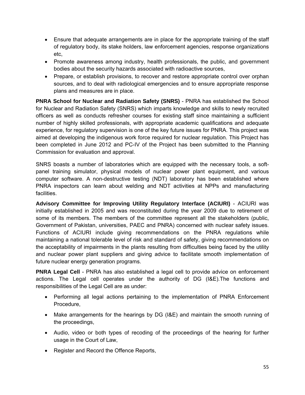- Ensure that adequate arrangements are in place for the appropriate training of the staff of regulatory body, its stake holders, law enforcement agencies, response organizations etc,
- Promote awareness among industry, health professionals, the public, and government bodies about the security hazards associated with radioactive sources,
- Prepare, or establish provisions, to recover and restore appropriate control over orphan sources, and to deal with radiological emergencies and to ensure appropriate response plans and measures are in place.

**PNRA School for Nuclear and Radiation Safety (SNRS)** - PNRA has established the School for Nuclear and Radiation Safety (SNRS) which imparts knowledge and skills to newly recruited officers as well as conducts refresher courses for existing staff since maintaining a sufficient number of highly skilled professionals, with appropriate academic qualifications and adequate experience, for regulatory supervision is one of the key future issues for PNRA. This project was aimed at developing the indigenous work force required for nuclear regulation. This Project has been completed in June 2012 and PC-IV of the Project has been submitted to the Planning Commission for evaluation and approval.

SNRS boasts a number of laboratories which are equipped with the necessary tools, a softpanel training simulator, physical models of nuclear power plant equipment, and various computer software. A non-destructive testing (NDT) laboratory has been established where PNRA inspectors can learn about welding and NDT activities at NPPs and manufacturing facilities.

**Advisory Committee for Improving Utility Regulatory Interface (ACIURI)** - ACIURI was initially established in 2005 and was reconstituted during the year 2009 due to retirement of some of its members. The members of the committee represent all the stakeholders (public, Government of Pakistan, universities, PAEC and PNRA) concerned with nuclear safety issues. Functions of ACIURI include giving recommendations on the PNRA regulations while maintaining a national tolerable level of risk and standard of safety, giving recommendations on the acceptability of impairments in the plants resulting from difficulties being faced by the utility and nuclear power plant suppliers and giving advice to facilitate smooth implementation of future nuclear energy generation programs.

**PNRA Legal Cell** - PNRA has also established a legal cell to provide advice on enforcement actions. The Legal cell operates under the authority of DG (I&E).The functions and responsibilities of the Legal Cell are as under:

- Performing all legal actions pertaining to the implementation of PNRA Enforcement Procedure,
- Make arrangements for the hearings by DG (I&E) and maintain the smooth running of the proceedings,
- Audio, video or both types of recoding of the proceedings of the hearing for further usage in the Court of Law,
- Register and Record the Offence Reports,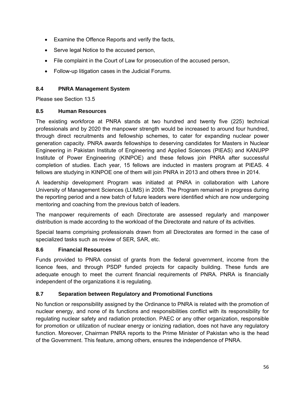- Examine the Offence Reports and verify the facts,
- Serve legal Notice to the accused person,
- File complaint in the Court of Law for prosecution of the accused person,
- Follow-up litigation cases in the Judicial Forums.

## **8.4 PNRA Management System**

Please see Section 13.5

## **8.5 Human Resources**

The existing workforce at PNRA stands at two hundred and twenty five (225) technical professionals and by 2020 the manpower strength would be increased to around four hundred, through direct recruitments and fellowship schemes, to cater for expanding nuclear power generation capacity. PNRA awards fellowships to deserving candidates for Masters in Nuclear Engineering in Pakistan Institute of Engineering and Applied Sciences (PIEAS) and KANUPP Institute of Power Engineering (KINPOE) and these fellows join PNRA after successful completion of studies. Each year, 15 fellows are inducted in masters program at PIEAS. 4 fellows are studying in KINPOE one of them will join PNRA in 2013 and others three in 2014.

A leadership development Program was initiated at PNRA in collaboration with Lahore University of Management Sciences (LUMS) in 2008. The Program remained in progress during the reporting period and a new batch of future leaders were identified which are now undergoing mentoring and coaching from the previous batch of leaders.

The manpower requirements of each Directorate are assessed regularly and manpower distribution is made according to the workload of the Directorate and nature of its activities.

Special teams comprising professionals drawn from all Directorates are formed in the case of specialized tasks such as review of SER, SAR, etc.

## **8.6 Financial Resources**

Funds provided to PNRA consist of grants from the federal government, income from the licence fees, and through PSDP funded projects for capacity building. These funds are adequate enough to meet the current financial requirements of PNRA. PNRA is financially independent of the organizations it is regulating.

# **8.7 Separation between Regulatory and Promotional Functions**

No function or responsibility assigned by the Ordinance to PNRA is related with the promotion of nuclear energy, and none of its functions and responsibilities conflict with its responsibility for regulating nuclear safety and radiation protection. PAEC or any other organization, responsible for promotion or utilization of nuclear energy or ionizing radiation, does not have any regulatory function. Moreover, Chairman PNRA reports to the Prime Minister of Pakistan who is the head of the Government. This feature, among others, ensures the independence of PNRA.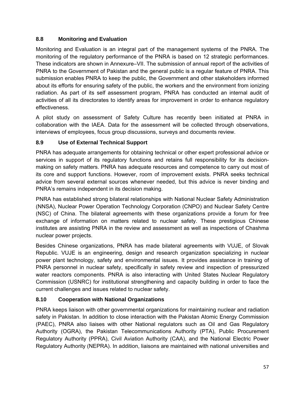# **8.8 Monitoring and Evaluation**

Monitoring and Evaluation is an integral part of the management systems of the PNRA. The monitoring of the regulatory performance of the PNRA is based on 12 strategic performances. These indicators are shown in Annexure–VII. The submission of annual report of the activities of PNRA to the Government of Pakistan and the general public is a regular feature of PNRA. This submission enables PNRA to keep the public, the Government and other stakeholders informed about its efforts for ensuring safety of the public, the workers and the environment from ionizing radiation. As part of its self assessment program, PNRA has conducted an internal audit of activities of all its directorates to identify areas for improvement in order to enhance regulatory effectiveness.

A pilot study on assessment of Safety Culture has recently been initiated at PNRA in collaboration with the IAEA. Data for the assessment will be collected through observations, interviews of employees, focus group discussions, surveys and documents review.

# **8.9 Use of External Technical Support**

PNRA has adequate arrangements for obtaining technical or other expert professional advice or services in support of its regulatory functions and retains full responsibility for its decisionmaking on safety matters. PNRA has adequate resources and competence to carry out most of its core and support functions. However, room of improvement exists. PNRA seeks technical advice from several external sources whenever needed, but this advice is never binding and PNRA's remains independent in its decision making.

PNRA has established strong bilateral relationships with National Nuclear Safety Administration (NNSA), Nuclear Power Operation Technology Corporation (CNPO) and Nuclear Safety Centre (NSC) of China. The bilateral agreements with these organizations provide a forum for free exchange of information on matters related to nuclear safety. These prestigious Chinese institutes are assisting PNRA in the review and assessment as well as inspections of Chashma nuclear power projects.

Besides Chinese organizations, PNRA has made bilateral agreements with VUJE, of Slovak Republic. VUJE is an engineering, design and research organization specializing in nuclear power plant technology, safety and environmental issues. It provides assistance in training of PNRA personnel in nuclear safety, specifically in safety review and inspection of pressurized water reactors components. PNRA is also interacting with United States Nuclear Regulatory Commission (USNRC) for institutional strengthening and capacity building in order to face the current challenges and issues related to nuclear safety.

# **8.10 Cooperation with National Organizations**

PNRA keeps liaison with other governmental organizations for maintaining nuclear and radiation safety in Pakistan. In addition to close interaction with the Pakistan Atomic Energy Commission (PAEC), PNRA also liaises with other National regulators such as Oil and Gas Regulatory Authority (OGRA), the Pakistan Telecommunications Authority (PTA), Public Procurement Regulatory Authority (PPRA), Civil Aviation Authority (CAA), and the National Electric Power Regulatory Authority (NEPRA). In addition, liaisons are maintained with national universities and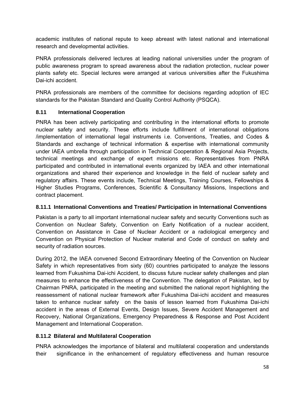academic institutes of national repute to keep abreast with latest national and international research and developmental activities.

PNRA professionals delivered lectures at leading national universities under the program of public awareness program to spread awareness about the radiation protection, nuclear power plants safety etc. Special lectures were arranged at various universities after the Fukushima Dai-ichi accident.

PNRA professionals are members of the committee for decisions regarding adoption of IEC standards for the Pakistan Standard and Quality Control Authority (PSQCA).

# **8.11 International Cooperation**

PNRA has been actively participating and contributing in the international efforts to promote nuclear safety and security. These efforts include fulfillment of international obligations /implementation of international legal instruments i.e. Conventions, Treaties, and Codes & Standards and exchange of technical information & expertise with international community under IAEA umbrella through participation in Technical Cooperation & Regional Asia Projects, technical meetings and exchange of expert missions etc. Representatives from PNRA participated and contributed in international events organized by IAEA and other international organizations and shared their experience and knowledge in the field of nuclear safety and regulatory affairs. These events include, Technical Meetings, Training Courses, Fellowships & Higher Studies Programs, Conferences, Scientific & Consultancy Missions, Inspections and contract placement.

## **8.11.1 International Conventions and Treaties/ Participation in International Conventions**

Pakistan is a party to all important international nuclear safety and security Conventions such as Convention on Nuclear Safety, Convention on Early Notification of a nuclear accident, Convention on Assistance in Case of Nuclear Accident or a radiological emergency and Convention on Physical Protection of Nuclear material and Code of conduct on safety and security of radiation sources.

During 2012, the IAEA convened Second Extraordinary Meeting of the Convention on Nuclear Safety in which representatives from sixty (60) countries participated to analyze the lessons learned from Fukushima Dai-ichi Accident, to discuss future nuclear safety challenges and plan measures to enhance the effectiveness of the Convention. The delegation of Pakistan, led by Chairman PNRA, participated in the meeting and submitted the national report highlighting the reassessment of national nuclear framework after Fukushima Dai-ichi accident and measures taken to enhance nuclear safety on the basis of lesson learned from Fukushima Dai-ichi accident in the areas of External Events, Design Issues, Severe Accident Management and Recovery, National Organizations, Emergency Preparedness & Response and Post Accident Management and International Cooperation.

# **8.11.2 Bilateral and Multilateral Cooperation**

PNRA acknowledges the importance of bilateral and multilateral cooperation and understands their significance in the enhancement of regulatory effectiveness and human resource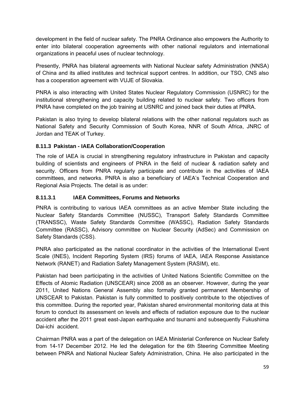development in the field of nuclear safety. The PNRA Ordinance also empowers the Authority to enter into bilateral cooperation agreements with other national regulators and international organizations in peaceful uses of nuclear technology.

Presently, PNRA has bilateral agreements with National Nuclear safety Administration (NNSA) of China and its allied institutes and technical support centres. In addition, our TSO, CNS also has a cooperation agreement with VUJE of Slovakia.

PNRA is also interacting with United States Nuclear Regulatory Commission (USNRC) for the institutional strengthening and capacity building related to nuclear safety. Two officers from PNRA have completed on the job training at USNRC and joined back their duties at PNRA.

Pakistan is also trying to develop bilateral relations with the other national regulators such as National Safety and Security Commission of South Korea, NNR of South Africa, JNRC of Jordan and TEAK of Turkey.

# **8.11.3 Pakistan - IAEA Collaboration/Cooperation**

The role of IAEA is crucial in strengthening regulatory infrastructure in Pakistan and capacity building of scientists and engineers of PNRA in the field of nuclear & radiation safety and security. Officers from PNRA regularly participate and contribute in the activities of IAEA committees, and networks. PNRA is also a beneficiary of IAEA's Technical Cooperation and Regional Asia Projects. The detail is as under:

# **8.11.3.1 IAEA Committees, Forums and Networks**

PNRA is contributing to various IAEA committees as an active Member State including the Nuclear Safety Standards Committee (NUSSC), Transport Safety Standards Committee (TRANSSC), Waste Safety Standards Committee (WASSC), Radiation Safety Standards Committee (RASSC), Advisory committee on Nuclear Security (AdSec) and Commission on Safety Standards (CSS).

PNRA also participated as the national coordinator in the activities of the International Event Scale (INES), Incident Reporting System (IRS) forums of IAEA, IAEA Response Assistance Network (RANET) and Radiation Safety Management System (RASIM), etc.

Pakistan had been participating in the activities of United Nations Scientific Committee on the Effects of Atomic Radiation (UNSCEAR) since 2008 as an observer. However, during the year 2011, United Nations General Assembly also formally granted permanent Membership of UNSCEAR to Pakistan. Pakistan is fully committed to positively contribute to the objectives of this committee. During the reported year, Pakistan shared environmental monitoring data at this forum to conduct its assessment on levels and effects of radiation exposure due to the nuclear accident after the 2011 great east-Japan earthquake and tsunami and subsequently Fukushima Dai-ichi accident.

Chairman PNRA was a part of the delegation on IAEA Ministerial Conference on Nuclear Safety from 14-17 December 2012. He led the delegation for the 6th Steering Committee Meeting between PNRA and National Nuclear Safety Administration, China. He also participated in the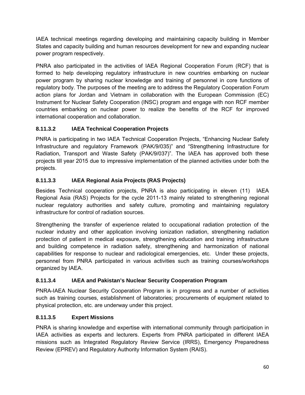IAEA technical meetings regarding developing and maintaining capacity building in Member States and capacity building and human resources development for new and expanding nuclear power program respectively.

PNRA also participated in the activities of IAEA Regional Cooperation Forum (RCF) that is formed to help developing regulatory infrastructure in new countries embarking on nuclear power program by sharing nuclear knowledge and training of personnel in core functions of regulatory body. The purposes of the meeting are to address the Regulatory Cooperation Forum action plans for Jordan and Vietnam in collaboration with the European Commission (EC) Instrument for Nuclear Safety Cooperation (INSC) program and engage with non RCF member countries embarking on nuclear power to realize the benefits of the RCF for improved international cooperation and collaboration.

# **8.11.3.2 IAEA Technical Cooperation Projects**

PNRA is participating in two IAEA Technical Cooperation Projects, "Enhancing Nuclear Safety Infrastructure and regulatory Framework (PAK/9/035)" and "Strengthening Infrastructure for Radiation, Transport and Waste Safety (PAK/9/037)". The IAEA has approved both these projects till year 2015 due to impressive implementation of the planned activities under both the projects.

# **8.11.3.3 IAEA Regional Asia Projects (RAS Projects)**

Besides Technical cooperation projects, PNRA is also participating in eleven (11) IAEA Regional Asia (RAS) Projects for the cycle 2011-13 mainly related to strengthening regional nuclear regulatory authorities and safety culture, promoting and maintaining regulatory infrastructure for control of radiation sources.

Strengthening the transfer of experience related to occupational radiation protection of the nuclear industry and other application involving ionization radiation, strengthening radiation protection of patient in medical exposure, strengthening education and training infrastructure and building competence in radiation safety, strengthening and harmonization of national capabilities for response to nuclear and radiological emergencies, etc. Under these projects, personnel from PNRA participated in various activities such as training courses/workshops organized by IAEA.

# **8.11.3.4 IAEA and Pakistan's Nuclear Security Cooperation Program**

PNRA-IAEA Nuclear Security Cooperation Program is in progress and a number of activities such as training courses, establishment of laboratories; procurements of equipment related to physical protection, etc. are underway under this project.

# **8.11.3.5 Expert Missions**

PNRA is sharing knowledge and expertise with international community through participation in IAEA activities as experts and lecturers. Experts from PNRA participated in different IAEA missions such as Integrated Regulatory Review Service (IRRS), Emergency Preparedness Review (EPREV) and Regulatory Authority Information System (RAIS).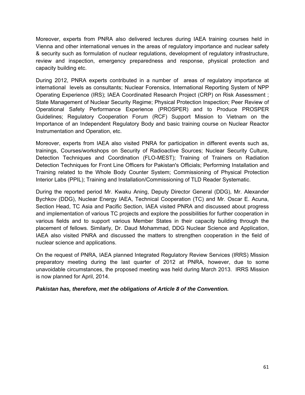Moreover, experts from PNRA also delivered lectures during IAEA training courses held in Vienna and other international venues in the areas of regulatory importance and nuclear safety & security such as formulation of nuclear regulations, development of regulatory infrastructure, review and inspection, emergency preparedness and response, physical protection and capacity building etc.

During 2012, PNRA experts contributed in a number of areas of regulatory importance at international levels as consultants; Nuclear Forensics, International Reporting System of NPP Operating Experience (IRS); IAEA Coordinated Research Project (CRP) on Risk Assessment ; State Management of Nuclear Security Regime; Physical Protection Inspection; Peer Review of Operational Safety Performance Experience (PROSPER) and to Produce PROSPER Guidelines; Regulatory Cooperation Forum (RCF) Support Mission to Vietnam on the Importance of an Independent Regulatory Body and basic training course on Nuclear Reactor Instrumentation and Operation, etc.

Moreover, experts from IAEA also visited PNRA for participation in different events such as, trainings, Courses/workshops on Security of Radioactive Sources; Nuclear Security Culture, Detection Techniques and Coordination (FLO-MEST); Training of Trainers on Radiation Detection Techniques for Front Line Officers for Pakistan's Officials; Performing Installation and Training related to the Whole Body Counter System; Commissioning of Physical Protection Interior Labs (PPIL); Training and Installation/Commissioning of TLD Reader Systematic.

During the reported period Mr. Kwaku Aning, Deputy Director General (DDG), Mr. Alexander Bychkov (DDG), Nuclear Energy IAEA, Technical Cooperation (TC) and Mr. Oscar E. Acuna, Section Head, TC Asia and Pacific Section, IAEA visited PNRA and discussed about progress and implementation of various TC projects and explore the possibilities for further cooperation in various fields and to support various Member States in their capacity building through the placement of fellows. Similarly, Dr. Daud Mohammad, DDG Nuclear Science and Application, IAEA also visited PNRA and discussed the matters to strengthen cooperation in the field of nuclear science and applications.

On the request of PNRA, IAEA planned Integrated Regulatory Review Services (IRRS) Mission preparatory meeting during the last quarter of 2012 at PNRA, however, due to some unavoidable circumstances, the proposed meeting was held during March 2013. IRRS Mission is now planned for April, 2014.

## *Pakistan has, therefore, met the obligations of Article 8 of the Convention.*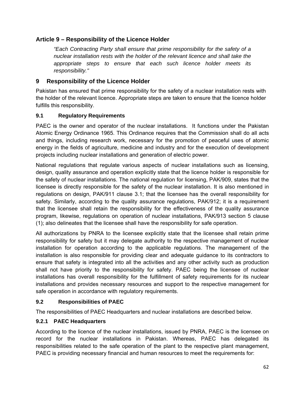# **Article 9 – Responsibility of the Licence Holder**

*"Each Contracting Party shall ensure that prime responsibility for the safety of a nuclear installation rests with the holder of the relevant licence and shall take the appropriate steps to ensure that each such licence holder meets its responsibility."* 

# **9 Responsibility of the Licence Holder**

Pakistan has ensured that prime responsibility for the safety of a nuclear installation rests with the holder of the relevant licence. Appropriate steps are taken to ensure that the licence holder fulfills this responsibility.

## **9.1 Regulatory Requirements**

PAEC is the owner and operator of the nuclear installations. It functions under the Pakistan Atomic Energy Ordinance 1965. This Ordinance requires that the Commission shall do all acts and things, including research work, necessary for the promotion of peaceful uses of atomic energy in the fields of agriculture, medicine and industry and for the execution of development projects including nuclear installations and generation of electric power.

National regulations that regulate various aspects of nuclear installations such as licensing, design, quality assurance and operation explicitly state that the licence holder is responsible for the safety of nuclear installations. The national regulation for licensing, PAK/909, states that the licensee is directly responsible for the safety of the nuclear installation. It is also mentioned in regulations on design, PAK/911 clause 3.1; that the licensee has the overall responsibility for safety. Similarly, according to the quality assurance regulations, PAK/912; it is a requirement that the licensee shall retain the responsibility for the effectiveness of the quality assurance program, likewise, regulations on operation of nuclear installations, PAK/913 section 5 clause (1); also delineates that the licensee shall have the responsibility for safe operation.

All authorizations by PNRA to the licensee explicitly state that the licensee shall retain prime responsibility for safety but it may delegate authority to the respective management of nuclear installation for operation according to the applicable regulations. The management of the installation is also responsible for providing clear and adequate guidance to its contractors to ensure that safety is integrated into all the activities and any other activity such as production shall not have priority to the responsibility for safety. PAEC being the licensee of nuclear installations has overall responsibility for the fulfillment of safety requirements for its nuclear installations and provides necessary resources and support to the respective management for safe operation in accordance with regulatory requirements.

## **9.2 Responsibilities of PAEC**

The responsibilities of PAEC Headquarters and nuclear installations are described below.

## **9.2.1 PAEC Headquarters**

According to the licence of the nuclear installations, issued by PNRA, PAEC is the licensee on record for the nuclear installations in Pakistan. Whereas, PAEC has delegated its responsibilities related to the safe operation of the plant to the respective plant management, PAEC is providing necessary financial and human resources to meet the requirements for: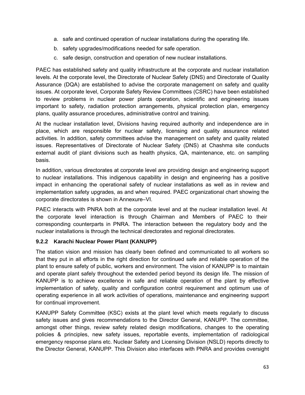- a. safe and continued operation of nuclear installations during the operating life.
- b. safety upgrades/modifications needed for safe operation.
- c. safe design, construction and operation of new nuclear installations.

PAEC has established safety and quality infrastructure at the corporate and nuclear installation levels. At the corporate level, the Directorate of Nuclear Safety (DNS) and Directorate of Quality Assurance (DQA) are established to advise the corporate management on safety and quality issues. At corporate level, Corporate Safety Review Committees (CSRC) have been established to review problems in nuclear power plants operation, scientific and engineering issues important to safety, radiation protection arrangements, physical protection plan, emergency plans, quality assurance procedures, administrative control and training.

At the nuclear installation level, Divisions having required authority and independence are in place, which are responsible for nuclear safety, licensing and quality assurance related activities. In addition, safety committees advise the management on safety and quality related issues. Representatives of Directorate of Nuclear Safety (DNS) at Chashma site conducts external audit of plant divisions such as health physics, QA, maintenance, etc. on sampling basis.

In addition, various directorates at corporate level are providing design and engineering support to nuclear installations. This indigenous capability in design and engineering has a positive impact in enhancing the operational safety of nuclear installations as well as in review and implementation safety upgrades, as and when required. PAEC organizational chart showing the corporate directorates is shown in Annexure–VI.

PAEC interacts with PNRA both at the corporate level and at the nuclear installation level. At the corporate level interaction is through Chairman and Members of PAEC to their corresponding counterparts in PNRA. The interaction between the regulatory body and the nuclear installations is through the technical directorates and regional directorates.

## **9.2.2 Karachi Nuclear Power Plant (KANUPP)**

The station vision and mission has clearly been defined and communicated to all workers so that they put in all efforts in the right direction for continued safe and reliable operation of the plant to ensure safety of public, workers and environment. The vision of KANUPP is to maintain and operate plant safely throughout the extended period beyond its design life. The mission of KANUPP is to achieve excellence in safe and reliable operation of the plant by effective implementation of safety, quality and configuration control requirement and optimum use of operating experience in all work activities of operations, maintenance and engineering support for continual improvement.

KANUPP Safety Committee (KSC) exists at the plant level which meets regularly to discuss safety issues and gives recommendations to the Director General, KANUPP. The committee, amongst other things, review safety related design modifications, changes to the operating policies & principles, new safety issues, reportable events, implementation of radiological emergency response plans etc. Nuclear Safety and Licensing Division (NSLD) reports directly to the Director General, KANUPP. This Division also interfaces with PNRA and provides oversight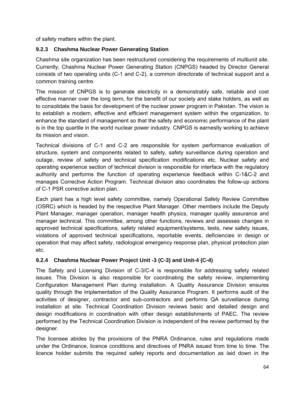of safety matters within the plant.

### **9.2.3 Chashma Nuclear Power Generating Station**

Chashma site organization has been restructured considering the requirements of multiunit site. Currently, Chashma Nuclear Power Generating Station (CNPGS) headed by Director General consists of two operating units (C-1 and C-2), a common directorate of technical support and a common training centre.

The mission of CNPGS is to generate electricity in a demonstrably safe, reliable and cost effective manner over the long term, for the benefit of our society and stake holders, as well as to consolidate the basis for development of the nuclear power program in Pakistan. The vision is to establish a modern, effective and efficient management system within the organization, to enhance the standard of management so that the safety and economic performance of the plant is in the top quartile in the world nuclear power industry. CNPGS is earnestly working to achieve its mission and vision.

Technical divisions of C-1 and C-2 are responsible for system performance evaluation of structure, system and components related to safety, safety surveillance during operation and outage, review of safety and technical specification modifications etc. Nuclear safety and operating experience section of technical division is responsible for interface with the regulatory authority and performs the function of operating experience feedback within C-1&C-2 and manages Corrective Action Program. Technical division also coordinates the follow-up actions of C-1 PSR corrective action plan.

Each plant has a high level safety committee, namely Operational Safety Review Committee (OSRC) which is headed by the respective Plant Manager. Other members include the Deputy Plant Manager, manager operation, manager health physics, manager quality assurance and manager technical. This committee, among other functions, reviews and assesses changes in approved technical specifications, safety related equipment/systems, tests, new safety issues, violations of approved technical specifications, reportable events, deficiencies in design or operation that may affect safety, radiological emergency response plan, physical protection plan etc.

### **9.2.4 Chashma Nuclear Power Project Unit -3 (C-3) and Unit-4 (C-4)**

The Safety and Licensing Division of C-3/C-4 is responsible for addressing safety related issues. This Division is also responsible for coordinating the safety review, implementing Configuration Management Plan during installation. A Quality Assurance Division ensures quality through the implementation of the Quality Assurance Program. It performs audit of the activities of designer, contractor and sub-contractors and performs QA surveillance during installation at site. Technical Coordination Division reviews basic and detailed design and design modifications in coordination with other design establishments of PAEC. The review performed by the Technical Coordination Division is independent of the review performed by the designer.

The licensee abides by the provisions of the PNRA Ordinance, rules and regulations made under the Ordinance, licence conditions and directives of PNRA issued from time to time. The licence holder submits the required safety reports and documentation as laid down in the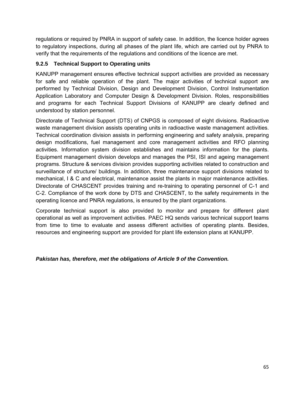regulations or required by PNRA in support of safety case. In addition, the licence holder agrees to regulatory inspections, during all phases of the plant life, which are carried out by PNRA to verify that the requirements of the regulations and conditions of the licence are met.

### **9.2.5 Technical Support to Operating units**

KANUPP management ensures effective technical support activities are provided as necessary for safe and reliable operation of the plant. The major activities of technical support are performed by Technical Division, Design and Development Division, Control Instrumentation Application Laboratory and Computer Design & Development Division. Roles, responsibilities and programs for each Technical Support Divisions of KANUPP are clearly defined and understood by station personnel.

Directorate of Technical Support (DTS) of CNPGS is composed of eight divisions. Radioactive waste management division assists operating units in radioactive waste management activities. Technical coordination division assists in performing engineering and safety analysis, preparing design modifications, fuel management and core management activities and RFO planning activities. Information system division establishes and maintains information for the plants. Equipment management division develops and manages the PSI, ISI and ageing management programs. Structure & services division provides supporting activities related to construction and surveillance of structure/ buildings. In addition, three maintenance support divisions related to mechanical, I & C and electrical, maintenance assist the plants in major maintenance activities. Directorate of CHASCENT provides training and re-training to operating personnel of C-1 and C-2. Compliance of the work done by DTS and CHASCENT, to the safety requirements in the operating licence and PNRA regulations, is ensured by the plant organizations.

Corporate technical support is also provided to monitor and prepare for different plant operational as well as improvement activities. PAEC HQ sends various technical support teams from time to time to evaluate and assess different activities of operating plants. Besides, resources and engineering support are provided for plant life extension plans at KANUPP.

### *Pakistan has, therefore, met the obligations of Article 9 of the Convention.*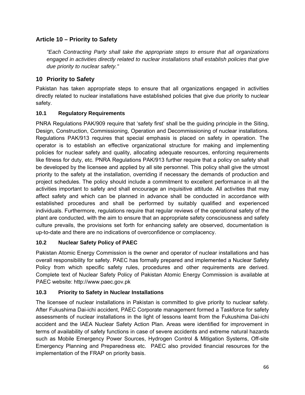# **Article 10 – Priority to Safety**

*"Each Contracting Party shall take the appropriate steps to ensure that all organizations engaged in activities directly related to nuclear installations shall establish policies that give due priority to nuclear safety."* 

# **10 Priority to Safety**

Pakistan has taken appropriate steps to ensure that all organizations engaged in activities directly related to nuclear installations have established policies that give due priority to nuclear safety.

# **10.1 Regulatory Requirements**

PNRA Regulations PAK/909 require that 'safety first' shall be the guiding principle in the Siting, Design, Construction, Commissioning, Operation and Decommissioning of nuclear installations. Regulations PAK/913 requires that special emphasis is placed on safety in operation. The operator is to establish an effective organizational structure for making and implementing policies for nuclear safety and quality, allocating adequate resources, enforcing requirements like fitness for duty, etc. PNRA Regulations PAK/913 further require that a policy on safety shall be developed by the licensee and applied by all site personnel. This policy shall give the utmost priority to the safety at the installation, overriding if necessary the demands of production and project schedules. The policy should include a commitment to excellent performance in all the activities important to safety and shall encourage an inquisitive attitude. All activities that may affect safety and which can be planned in advance shall be conducted in accordance with established procedures and shall be performed by suitably qualified and experienced individuals. Furthermore, regulations require that regular reviews of the operational safety of the plant are conducted, with the aim to ensure that an appropriate safety consciousness and safety culture prevails, the provisions set forth for enhancing safety are observed, documentation is up-to-date and there are no indications of overconfidence or complacency.

# **10.2 Nuclear Safety Policy of PAEC**

Pakistan Atomic Energy Commission is the owner and operator of nuclear installations and has overall responsibility for safety. PAEC has formally prepared and implemented a Nuclear Safety Policy from which specific safety rules, procedures and other requirements are derived. Complete text of Nuclear Safety Policy of Pakistan Atomic Energy Commission is available at PAEC website: http://www.paec.gov.pk

# **10.3 Priority to Safety in Nuclear Installations**

The licensee of nuclear installations in Pakistan is committed to give priority to nuclear safety. After Fukushima Dai-ichi accident, PAEC Corporate management formed a Taskforce for safety assessments of nuclear installations in the light of lessons learnt from the Fukushima Dai-ichi accident and the IAEA Nuclear Safety Action Plan. Areas were identified for improvement in terms of availability of safety functions in case of severe accidents and extreme natural hazards such as Mobile Emergency Power Sources, Hydrogen Control & Mitigation Systems, Off-site Emergency Planning and Preparedness etc. PAEC also provided financial resources for the implementation of the FRAP on priority basis.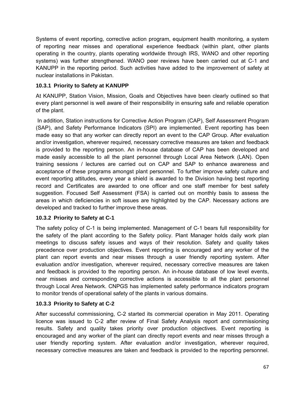Systems of event reporting, corrective action program, equipment health monitoring, a system of reporting near misses and operational experience feedback (within plant, other plants operating in the country, plants operating worldwide through IRS, WANO and other reporting systems) was further strengthened. WANO peer reviews have been carried out at C-1 and KANUPP in the reporting period. Such activities have added to the improvement of safety at nuclear installations in Pakistan.

### **10.3.1 Priority to Safety at KANUPP**

At KANUPP, Station Vision, Mission, Goals and Objectives have been clearly outlined so that every plant personnel is well aware of their responsibility in ensuring safe and reliable operation of the plant.

 In addition, Station instructions for Corrective Action Program (CAP), Self Assessment Program (SAP), and Safety Performance Indicators (SPI) are implemented. Event reporting has been made easy so that any worker can directly report an event to the CAP Group. After evaluation and/or investigation, wherever required, necessary corrective measures are taken and feedback is provided to the reporting person. An in-house database of CAP has been developed and made easily accessible to all the plant personnel through Local Area Network (LAN). Open training sessions / lectures are carried out on CAP and SAP to enhance awareness and acceptance of these programs amongst plant personnel. To further improve safety culture and event reporting attitudes, every year a shield is awarded to the Division having best reporting record and Certificates are awarded to one officer and one staff member for best safety suggestion. Focused Self Assessment (FSA) is carried out on monthly basis to assess the areas in which deficiencies in soft issues are highlighted by the CAP. Necessary actions are developed and tracked to further improve these areas.

### **10.3.2 Priority to Safety at C-1**

The safety policy of C-1 is being implemented. Management of C-1 bears full responsibility for the safety of the plant according to the Safety policy. Plant Manager holds daily work plan meetings to discuss safety issues and ways of their resolution. Safety and quality takes precedence over production objectives. Event reporting is encouraged and any worker of the plant can report events and near misses through a user friendly reporting system. After evaluation and/or investigation, wherever required, necessary corrective measures are taken and feedback is provided to the reporting person. An in-house database of low level events, near misses and corresponding corrective actions is accessible to all the plant personnel through Local Area Network. CNPGS has implemented safety performance indicators program to monitor trends of operational safety of the plants in various domains.

### **10.3.3 Priority to Safety at C-2**

After successful commissioning, C-2 started its commercial operation in May 2011. Operating licence was issued to C-2 after review of Final Safety Analysis report and commissioning results. Safety and quality takes priority over production objectives. Event reporting is encouraged and any worker of the plant can directly report events and near misses through a user friendly reporting system. After evaluation and/or investigation, wherever required, necessary corrective measures are taken and feedback is provided to the reporting personnel.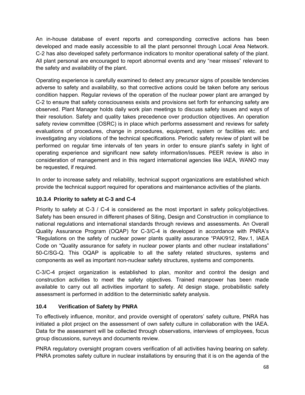An in-house database of event reports and corresponding corrective actions has been developed and made easily accessible to all the plant personnel through Local Area Network. C-2 has also developed safety performance indicators to monitor operational safety of the plant. All plant personal are encouraged to report abnormal events and any "near misses" relevant to the safety and availability of the plant.

Operating experience is carefully examined to detect any precursor signs of possible tendencies adverse to safety and availability, so that corrective actions could be taken before any serious condition happen. Regular reviews of the operation of the nuclear power plant are arranged by C-2 to ensure that safety consciousness exists and provisions set forth for enhancing safety are observed. Plant Manager holds daily work plan meetings to discuss safety issues and ways of their resolution. Safety and quality takes precedence over production objectives. An operation safety review committee (OSRC) is in place which performs assessment and reviews for safety evaluations of procedures, change in procedures, equipment, system or facilities etc. and investigating any violations of the technical specifications. Periodic safety review of plant will be performed on regular time intervals of ten years in order to ensure plant's safety in light of operating experience and significant new safety information/issues. PEER review is also in consideration of management and in this regard international agencies like IAEA, WANO may be requested, if required.

In order to increase safety and reliability, technical support organizations are established which provide the technical support required for operations and maintenance activities of the plants.

# **10.3.4 Priority to safety at C-3 and C-4**

Priority to safety at C-3 / C-4 is considered as the most important in safety policy/objectives. Safety has been ensured in different phases of Siting, Design and Construction in compliance to national regulations and international standards through reviews and assessments. An Overall Quality Assurance Program (OQAP) for C-3/C-4 is developed in accordance with PNRA's "Regulations on the safety of nuclear power plants quality assurance "PAK/912, Rev.1, IAEA Code on "Quality assurance for safety in nuclear power plants and other nuclear installations" 50-C/SG-Q. This OQAP is applicable to all the safety related structures, systems and components as well as important non-nuclear safety structures, systems and components.

C-3/C-4 project organization is established to plan, monitor and control the design and construction activities to meet the safety objectives. Trained manpower has been made available to carry out all activities important to safety. At design stage, probabilistic safety assessment is performed in addition to the deterministic safety analysis.

# **10.4 Verification of Safety by PNRA**

To effectively influence, monitor, and provide oversight of operators' safety culture, PNRA has initiated a pilot project on the assessment of own safety culture in collaboration with the IAEA. Data for the assessment will be collected through observations, interviews of employees, focus group discussions, surveys and documents review.

PNRA regulatory oversight program covers verification of all activities having bearing on safety. PNRA promotes safety culture in nuclear installations by ensuring that it is on the agenda of the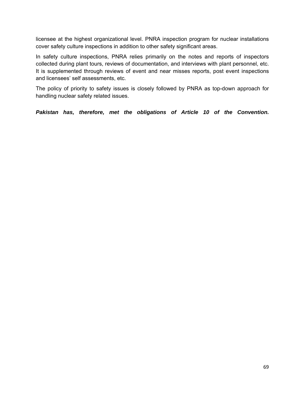licensee at the highest organizational level. PNRA inspection program for nuclear installations cover safety culture inspections in addition to other safety significant areas.

In safety culture inspections, PNRA relies primarily on the notes and reports of inspectors collected during plant tours, reviews of documentation, and interviews with plant personnel, etc. It is supplemented through reviews of event and near misses reports, post event inspections and licensees' self assessments, etc.

The policy of priority to safety issues is closely followed by PNRA as top-down approach for handling nuclear safety related issues.

*Pakistan has, therefore, met the obligations of Article 10 of the Convention.*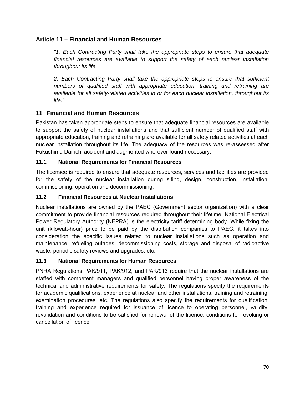### **Article 11 – Financial and Human Resources**

*"1. Each Contracting Party shall take the appropriate steps to ensure that adequate financial resources are available to support the safety of each nuclear installation throughout its life.* 

2. Each Contracting Party shall take the appropriate steps to ensure that sufficient *numbers of qualified staff with appropriate education, training and retraining are available for all safety-related activities in or for each nuclear installation, throughout its life."* 

### **11 Financial and Human Resources**

Pakistan has taken appropriate steps to ensure that adequate financial resources are available to support the safety of nuclear installations and that sufficient number of qualified staff with appropriate education, training and retraining are available for all safety related activities at each nuclear installation throughout its life. The adequacy of the resources was re-assessed after Fukushima Dai-ichi accident and augmented wherever found necessary.

### **11.1 National Requirements for Financial Resources**

The licensee is required to ensure that adequate resources, services and facilities are provided for the safety of the nuclear installation during siting, design, construction, installation, commissioning, operation and decommissioning.

#### **11.2 Financial Resources at Nuclear Installations**

Nuclear installations are owned by the PAEC (Government sector organization) with a clear commitment to provide financial resources required throughout their lifetime. National Electrical Power Regulatory Authority (NEPRA) is the electricity tariff determining body. While fixing the unit (kilowatt-hour) price to be paid by the distribution companies to PAEC, it takes into consideration the specific issues related to nuclear installations such as operation and maintenance, refueling outages, decommissioning costs, storage and disposal of radioactive waste, periodic safety reviews and upgrades, etc.

### **11.3 National Requirements for Human Resources**

PNRA Regulations PAK/911, PAK/912, and PAK/913 require that the nuclear installations are staffed with competent managers and qualified personnel having proper awareness of the technical and administrative requirements for safety. The regulations specify the requirements for academic qualifications, experience at nuclear and other installations, training and retraining, examination procedures, etc. The regulations also specify the requirements for qualification, training and experience required for issuance of licence to operating personnel, validity, revalidation and conditions to be satisfied for renewal of the licence, conditions for revoking or cancellation of licence.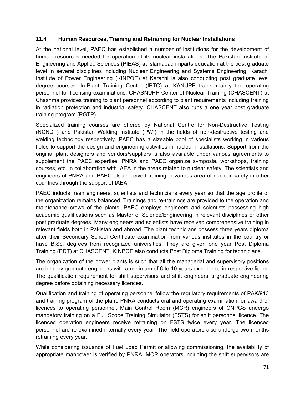#### **11.4 Human Resources, Training and Retraining for Nuclear Installations**

At the national level, PAEC has established a number of institutions for the development of human resources needed for operation of its nuclear installations. The Pakistan Institute of Engineering and Applied Sciences (PIEAS) at Islamabad imparts education at the post graduate level in several disciplines including Nuclear Engineering and Systems Engineering. Karachi Institute of Power Engineering (KINPOE) at Karachi is also conducting post graduate level degree courses. In-Plant Training Center (IPTC) at KANUPP trains mainly the operating personnel for licensing examinations. CHASNUPP Center of Nuclear Training (CHASCENT) at Chashma provides training to plant personnel according to plant requirements including training in radiation protection and industrial safety. CHASCENT also runs a one year post graduate training program (PGTP).

Specialized training courses are offered by National Centre for Non-Destructive Testing (NCNDT) and Pakistan Welding Institute (PWI) in the fields of non-destructive testing and welding technology respectively. PAEC has a sizeable pool of specialists working in various fields to support the design and engineering activities in nuclear installations. Support from the original plant designers and vendors/suppliers is also available under various agreements to supplement the PAEC expertise. PNRA and PAEC organize symposia, workshops, training courses, etc. in collaboration with IAEA in the areas related to nuclear safety. The scientists and engineers of PNRA and PAEC also received training in various area of nuclear safety in other countries through the support of IAEA.

PAEC inducts fresh engineers, scientists and technicians every year so that the age profile of the organization remains balanced. Trainings and re-trainings are provided to the operation and maintenance crews of the plants. PAEC employs engineers and scientists possessing high academic qualifications such as Master of Science/Engineering in relevant disciplines or other post graduate degrees. Many engineers and scientists have received comprehensive training in relevant fields both in Pakistan and abroad. The plant technicians possess three years diploma after their Secondary School Certificate examination from various institutes in the country or have B.Sc. degrees from recognized universities. They are given one year Post Diploma Training (PDT) at CHASCENT. KINPOE also conducts Post Diploma Training for technicians.

The organization of the power plants is such that all the managerial and supervisory positions are held by graduate engineers with a minimum of 6 to 10 years experience in respective fields. The qualification requirement for shift supervisors and shift engineers is graduate engineering degree before obtaining necessary licences.

Qualification and training of operating personnel follow the regulatory requirements of PAK/913 and training program of the plant. PNRA conducts oral and operating examination for award of licences to operating personnel. Main Control Room (MCR) engineers of CNPGS undergo mandatory training on a Full Scope Training Simulator (FSTS) for shift personnel licence. The licenced operation engineers receive retraining on FSTS twice every year. The licenced personnel are re-examined internally every year. The field operators also undergo two months retraining every year.

While considering issuance of Fuel Load Permit or allowing commissioning, the availability of appropriate manpower is verified by PNRA. MCR operators including the shift supervisors are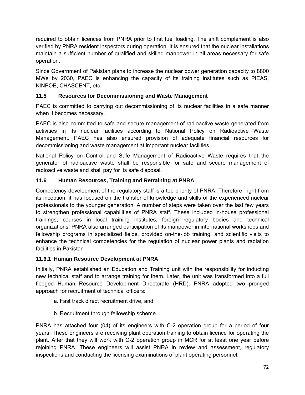required to obtain licences from PNRA prior to first fuel loading. The shift complement is also verified by PNRA resident inspectors during operation. It is ensured that the nuclear installations maintain a sufficient number of qualified and skilled manpower in all areas necessary for safe operation.

Since Government of Pakistan plans to increase the nuclear power generation capacity to 8800 MWe by 2030, PAEC is enhancing the capacity of its training institutes such as PIEAS, KINPOE, CHASCENT, etc.

# **11.5 Resources for Decommissioning and Waste Management**

PAEC is committed to carrying out decommissioning of its nuclear facilities in a safe manner when it becomes necessary.

PAEC is also committed to safe and secure management of radioactive waste generated from activities in its nuclear facilities according to National Policy on Radioactive Waste Management. PAEC has also ensured provision of adequate financial resources for decommissioning and waste management at important nuclear facilities.

National Policy on Control and Safe Management of Radioactive Waste requires that the generator of radioactive waste shall be responsible for safe and secure management of radioactive waste and shall pay for its safe disposal.

### **11.6 Human Resources, Training and Retraining at PNRA**

Competency development of the regulatory staff is a top priority of PNRA. Therefore, right from its inception, it has focused on the transfer of knowledge and skills of the experienced nuclear professionals to the younger generation. A number of steps were taken over the last few years to strengthen professional capabilities of PNRA staff. These included in-house professional trainings, courses in local training institutes, foreign regulatory bodies and technical organizations. PNRA also arranged participation of its manpower in international workshops and fellowship programs in specialized fields, provided on-the-job training, and scientific visits to enhance the technical competencies for the regulation of nuclear power plants and radiation facilities in Pakistan

### **11.6.1 Human Resource Development at PNRA**

Initially, PNRA established an Education and Training unit with the responsibility for inducting new technical staff and to arrange training for them. Later, the unit was transformed into a full fledged Human Resource Development Directorate (HRD). PNRA adopted two pronged approach for recruitment of technical officers:

- a. Fast track direct recruitment drive, and
- b. Recruitment through fellowship scheme.

PNRA has attached four (04) of its engineers with C-2 operation group for a period of four years. These engineers are receiving plant operation training to obtain licence for operating the plant. After that they will work with C-2 operation group in MCR for at least one year before rejoining PNRA. These engineers will assist PNRA in review and assessment, regulatory inspections and conducting the licensing examinations of plant operating personnel.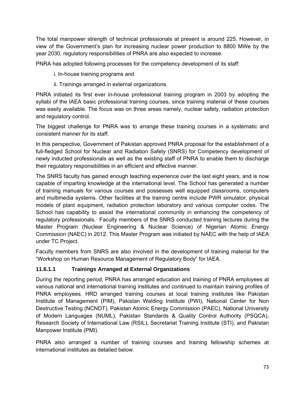The total manpower strength of technical professionals at present is around 225. However, in view of the Government's plan for increasing nuclear power production to 8800 MWe by the year 2030, regulatory responsibilities of PNRA are also expected to increase.

PNRA has adopted following processes for the competency development of its staff:

- i. In-house training programs and
- ii. Trainings arranged in external organizations.

PNRA initiated its first ever in-house professional training program in 2003 by adopting the syllabi of the IAEA basic professional training courses, since training material of these courses was easily available. The focus was on three areas namely, nuclear safety, radiation protection and regulatory control.

The biggest challenge for PNRA was to arrange these training courses in a systematic and consistent manner for its staff.

In this perspective, Government of Pakistan approved PNRA proposal for the establishment of a full-fledged School for Nuclear and Radiation Safety (SNRS) for Competency development of newly inducted professionals as well as the existing staff of PNRA to enable them to discharge their regulatory responsibilities in an efficient and effective manner.

The SNRS faculty has gained enough teaching experience over the last eight years, and is now capable of imparting knowledge at the international level. The School has generated a number of training manuals for various courses and possesses well equipped classrooms, computers and multimedia systems. Other facilities at the training centre include PWR simulator, physical models of plant equipment, radiation protection laboratory and various computer codes. The School has capability to assist the international community in enhancing the competency of regulatory professionals. Faculty members of the SNRS conducted training lectures during the Master Program (Nuclear Engineering & Nuclear Science) of Nigerian Atomic Energy Commission (NAEC) in 2012. This Master Program was initiated by NAEC with the help of IAEA under TC Project.

Faculty members from SNRS are also involved in the development of training material for the "Workshop on Human Resource Management of Regulatory Body" for IAEA.

# **11.6.1.1 Trainings Arranged at External Organizations**

During the reporting period, PNRA has arranged education and training of PNRA employees at various national and international training institutes and continued to maintain training profiles of PNRA employees. HRD arranged training courses at local training institutes like Pakistan Institute of Management (PIM), Pakistan Welding Institute (PWI), National Center for Non Destructive Testing (NCNDT), Pakistan Atomic Energy Commission (PAEC), National University of Modern Languages (NUML), Pakistan Standards & Quality Control Authority (PSQCA), Research Society of International Law (RSIL), Secretariat Training Institute (STI), and Pakistan Manpower Institute (PMI).

PNRA also arranged a number of training courses and training fellowship schemes at international institutes as detailed below.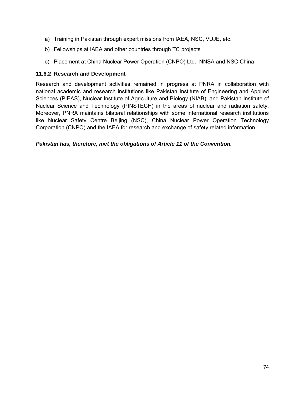- a) Training in Pakistan through expert missions from IAEA, NSC, VUJE, etc.
- b) Fellowships at IAEA and other countries through TC projects
- c) Placement at China Nuclear Power Operation (CNPO) Ltd., NNSA and NSC China

#### **11.6.2 Research and Development**

Research and development activities remained in progress at PNRA in collaboration with national academic and research institutions like Pakistan Institute of Engineering and Applied Sciences (PIEAS), Nuclear Institute of Agriculture and Biology (NIAB), and Pakistan Institute of Nuclear Science and Technology (PINSTECH) in the areas of nuclear and radiation safety. Moreover, PNRA maintains bilateral relationships with some international research institutions like Nuclear Safety Centre Beijing (NSC), China Nuclear Power Operation Technology Corporation (CNPO) and the IAEA for research and exchange of safety related information.

#### *Pakistan has, therefore, met the obligations of Article 11 of the Convention.*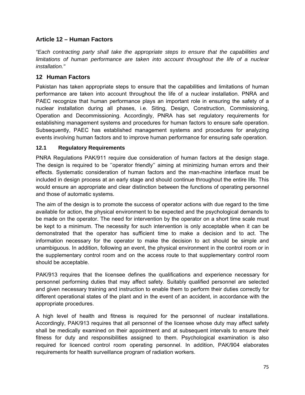# **Article 12 – Human Factors**

*"Each contracting party shall take the appropriate steps to ensure that the capabilities and*  limitations of human performance are taken into account throughout the life of a nuclear *installation."* 

# **12 Human Factors**

Pakistan has taken appropriate steps to ensure that the capabilities and limitations of human performance are taken into account throughout the life of a nuclear installation. PNRA and PAEC recognize that human performance plays an important role in ensuring the safety of a nuclear installation during all phases, i.e. Siting, Design, Construction, Commissioning, Operation and Decommissioning. Accordingly, PNRA has set regulatory requirements for establishing management systems and procedures for human factors to ensure safe operation. Subsequently, PAEC has established management systems and procedures for analyzing events involving human factors and to improve human performance for ensuring safe operation.

### **12.1 Regulatory Requirements**

PNRA Regulations PAK/911 require due consideration of human factors at the design stage. The design is required to be ''operator friendly'' aiming at minimizing human errors and their effects. Systematic consideration of human factors and the man-machine interface must be included in design process at an early stage and should continue throughout the entire life. This would ensure an appropriate and clear distinction between the functions of operating personnel and those of automatic systems.

The aim of the design is to promote the success of operator actions with due regard to the time available for action, the physical environment to be expected and the psychological demands to be made on the operator. The need for intervention by the operator on a short time scale must be kept to a minimum. The necessity for such intervention is only acceptable when it can be demonstrated that the operator has sufficient time to make a decision and to act. The information necessary for the operator to make the decision to act should be simple and unambiguous. In addition, following an event, the physical environment in the control room or in the supplementary control room and on the access route to that supplementary control room should be acceptable.

PAK/913 requires that the licensee defines the qualifications and experience necessary for personnel performing duties that may affect safety. Suitably qualified personnel are selected and given necessary training and instruction to enable them to perform their duties correctly for different operational states of the plant and in the event of an accident, in accordance with the appropriate procedures.

A high level of health and fitness is required for the personnel of nuclear installations. Accordingly, PAK/913 requires that all personnel of the licensee whose duty may affect safety shall be medically examined on their appointment and at subsequent intervals to ensure their fitness for duty and responsibilities assigned to them. Psychological examination is also required for licenced control room operating personnel. In addition, PAK/904 elaborates requirements for health surveillance program of radiation workers.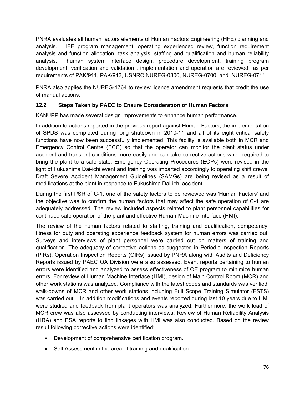PNRA evaluates all human factors elements of Human Factors Engineering (HFE) planning and analysis. HFE program management, operating experienced review, function requirement analysis and function allocation, task analysis, staffing and qualification and human reliability analysis, human system interface design, procedure development, training program development, verification and validation , implementation and operation are reviewed as per requirements of PAK/911, PAK/913, USNRC NUREG-0800, NUREG-0700, and NUREG-0711.

PNRA also applies the NUREG-1764 to review licence amendment requests that credit the use of manual actions.

# **12.2 Steps Taken by PAEC to Ensure Consideration of Human Factors**

KANUPP has made several design improvements to enhance human performance.

In addition to actions reported in the previous report against Human Factors, the implementation of SPDS was completed during long shutdown in 2010-11 and all of its eight critical safety functions have now been successfully implemented. This facility is available both in MCR and Emergency Control Centre (ECC) so that the operator can monitor the plant status under accident and transient conditions more easily and can take corrective actions when required to bring the plant to a safe state. Emergency Operating Procedures (EOPs) were revised in the light of Fukushima Dai-ichi event and training was imparted accordingly to operating shift crews. Draft Severe Accident Management Guidelines (SAMGs) are being revised as a result of modifications at the plant in response to Fukushima Dai-ichi accident.

During the first PSR of C-1, one of the safety factors to be reviewed was 'Human Factors' and the objective was to confirm the human factors that may affect the safe operation of C-1 are adequately addressed. The review included aspects related to plant personnel capabilities for continued safe operation of the plant and effective Human-Machine Interface (HMI).

The review of the human factors related to staffing, training and qualification, competency, fitness for duty and operating experience feedback system for human errors was carried out. Surveys and interviews of plant personnel were carried out on matters of training and qualification. The adequacy of corrective actions as suggested in Periodic Inspection Reports (PIRs), Operation Inspection Reports (OIRs) issued by PNRA along with Audits and Deficiency Reports issued by PAEC QA Division were also assessed. Event reports pertaining to human errors were identified and analyzed to assess effectiveness of OE program to minimize human errors. For review of Human Machine Interface (HMI), design of Main Control Room (MCR) and other work stations was analyzed. Compliance with the latest codes and standards was verified, walk-downs of MCR and other work stations including Full Scope Training Simulator (FSTS) was carried out. In addition modifications and events reported during last 10 years due to HMI were studied and feedback from plant operators was analyzed. Furthermore, the work load of MCR crew was also assessed by conducting interviews. Review of Human Reliability Analysis (HRA) and PSA reports to find linkages with HMI was also conducted. Based on the review result following corrective actions were identified:

- Development of comprehensive certification program.
- Self Assessment in the area of training and qualification.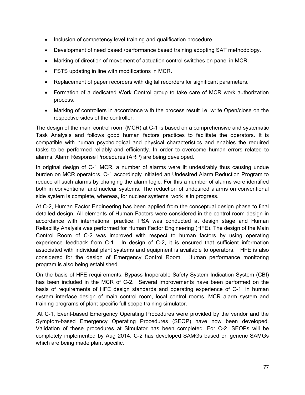- Inclusion of competency level training and qualification procedure.
- Development of need based /performance based training adopting SAT methodology.
- Marking of direction of movement of actuation control switches on panel in MCR.
- FSTS updating in line with modifications in MCR.
- Replacement of paper recorders with digital recorders for significant parameters.
- Formation of a dedicated Work Control group to take care of MCR work authorization process.
- Marking of controllers in accordance with the process result i.e. write Open/close on the respective sides of the controller.

The design of the main control room (MCR) at C-1 is based on a comprehensive and systematic Task Analysis and follows good human factors practices to facilitate the operators. It is compatible with human psychological and physical characteristics and enables the required tasks to be performed reliably and efficiently. In order to overcome human errors related to alarms, Alarm Response Procedures (ARP) are being developed.

In original design of C-1 MCR, a number of alarms were lit undesirably thus causing undue burden on MCR operators. C-1 accordingly initiated an Undesired Alarm Reduction Program to reduce all such alarms by changing the alarm logic. For this a number of alarms were identified both in conventional and nuclear systems. The reduction of undesired alarms on conventional side system is complete, whereas, for nuclear systems, work is in progress.

At C-2, Human Factor Engineering has been applied from the conceptual design phase to final detailed design. All elements of Human Factors were considered in the control room design in accordance with international practice. PSA was conducted at design stage and Human Reliability Analysis was performed for Human Factor Engineering (HFE). The design of the Main Control Room of C-2 was improved with respect to human factors by using operating experience feedback from C-1. In design of C-2, it is ensured that sufficient information associated with individual plant systems and equipment is available to operators. HFE is also considered for the design of Emergency Control Room. Human performance monitoring program is also being established.

On the basis of HFE requirements, Bypass Inoperable Safety System Indication System (CBI) has been included in the MCR of C-2. Several improvements have been performed on the basis of requirements of HFE design standards and operating experience of C-1, in human system interface design of main control room, local control rooms, MCR alarm system and training programs of plant specific full scope training simulator.

 At C-1, Event-based Emergency Operating Procedures were provided by the vendor and the Symptom-based Emergency Operating Procedures (SEOP) have now been developed. Validation of these procedures at Simulator has been completed. For C-2, SEOPs will be completely implemented by Aug 2014. C-2 has developed SAMGs based on generic SAMGs which are being made plant specific.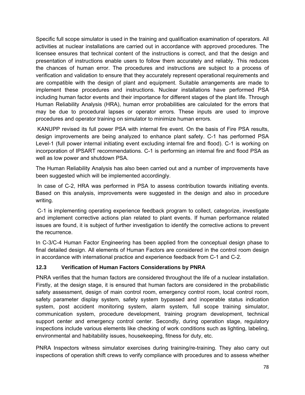Specific full scope simulator is used in the training and qualification examination of operators. All activities at nuclear installations are carried out in accordance with approved procedures. The licensee ensures that technical content of the instructions is correct, and that the design and presentation of instructions enable users to follow them accurately and reliably. This reduces the chances of human error. The procedures and instructions are subject to a process of verification and validation to ensure that they accurately represent operational requirements and are compatible with the design of plant and equipment. Suitable arrangements are made to implement these procedures and instructions. Nuclear installations have performed PSA including human factor events and their importance for different stages of the plant life. Through Human Reliability Analysis (HRA), human error probabilities are calculated for the errors that may be due to procedural lapses or operator errors. These inputs are used to improve procedures and operator training on simulator to minimize human errors.

 KANUPP revised its full power PSA with internal fire event. On the basis of Fire PSA results, design improvements are being analyzed to enhance plant safety. C-1 has performed PSA Level-1 (full power internal initiating event excluding internal fire and flood). C-1 is working on incorporation of IPSART recommendations. C-1 is performing an internal fire and flood PSA as well as low power and shutdown PSA.

The Human Reliability Analysis has also been carried out and a number of improvements have been suggested which will be implemented accordingly.

 In case of C-2, HRA was performed in PSA to assess contribution towards initiating events. Based on this analysis, improvements were suggested in the design and also in procedure writing.

 C-1 is implementing operating experience feedback program to collect, categorize, investigate and implement corrective actions plan related to plant events. If human performance related issues are found, it is subject of further investigation to identify the corrective actions to prevent the recurrence.

In C-3/C-4 Human Factor Engineering has been applied from the conceptual design phase to final detailed design. All elements of Human Factors are considered in the control room design in accordance with international practice and experience feedback from C-1 and C-2.

# **12.3 Verification of Human Factors Considerations by PNRA**

PNRA verifies that the human factors are considered throughout the life of a nuclear installation. Firstly, at the design stage, it is ensured that human factors are considered in the probabilistic safety assessment, design of main control room, emergency control room, local control room, safety parameter display system, safety system bypassed and inoperable status indication system, post accident monitoring system, alarm system, full scope training simulator, communication system, procedure development, training program development, technical support center and emergency control center. Secondly, during operation stage, regulatory inspections include various elements like checking of work conditions such as lighting, labeling, environmental and habitability issues, housekeeping, fitness for duty, etc.

PNRA Inspectors witness simulator exercises during training/re-training. They also carry out inspections of operation shift crews to verify compliance with procedures and to assess whether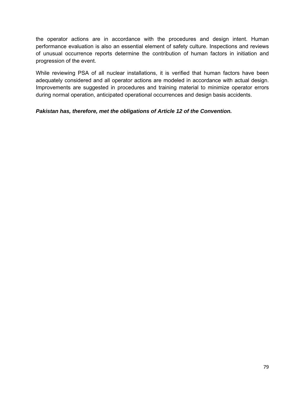the operator actions are in accordance with the procedures and design intent. Human performance evaluation is also an essential element of safety culture. Inspections and reviews of unusual occurrence reports determine the contribution of human factors in initiation and progression of the event.

While reviewing PSA of all nuclear installations, it is verified that human factors have been adequately considered and all operator actions are modeled in accordance with actual design. Improvements are suggested in procedures and training material to minimize operator errors during normal operation, anticipated operational occurrences and design basis accidents.

*Pakistan has, therefore, met the obligations of Article 12 of the Convention.*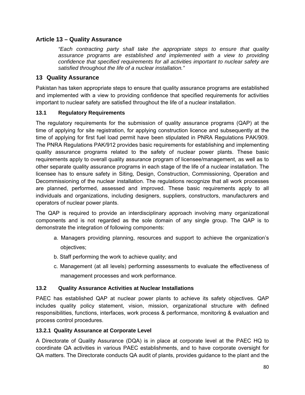### **Article 13 – Quality Assurance**

*"Each contracting party shall take the appropriate steps to ensure that quality assurance programs are established and implemented with a view to providing confidence that specified requirements for all activities important to nuclear safety are satisfied throughout the life of a nuclear installation."* 

### **13 Quality Assurance**

Pakistan has taken appropriate steps to ensure that quality assurance programs are established and implemented with a view to providing confidence that specified requirements for activities important to nuclear safety are satisfied throughout the life of a nuclear installation.

### **13.1 Regulatory Requirements**

The regulatory requirements for the submission of quality assurance programs (QAP) at the time of applying for site registration, for applying construction licence and subsequently at the time of applying for first fuel load permit have been stipulated in PNRA Regulations PAK/909. The PNRA Regulations PAK/912 provides basic requirements for establishing and implementing quality assurance programs related to the safety of nuclear power plants. These basic requirements apply to overall quality assurance program of licensee/management, as well as to other separate quality assurance programs in each stage of the life of a nuclear installation. The licensee has to ensure safety in Siting, Design, Construction, Commissioning, Operation and Decommissioning of the nuclear installation. The regulations recognize that all work processes are planned, performed, assessed and improved. These basic requirements apply to all individuals and organizations, including designers, suppliers, constructors, manufacturers and operators of nuclear power plants.

The QAP is required to provide an interdisciplinary approach involving many organizational components and is not regarded as the sole domain of any single group. The QAP is to demonstrate the integration of following components:

- a. Managers providing planning, resources and support to achieve the organization's objectives;
- b. Staff performing the work to achieve quality; and
- c. Management (at all levels) performing assessments to evaluate the effectiveness of management processes and work performance.

### **13.2 Quality Assurance Activities at Nuclear Installations**

PAEC has established QAP at nuclear power plants to achieve its safety objectives. QAP includes quality policy statement, vision, mission, organizational structure with defined responsibilities, functions, interfaces, work process & performance, monitoring & evaluation and process control procedures.

### **13.2.1 Quality Assurance at Corporate Level**

A Directorate of Quality Assurance (DQA) is in place at corporate level at the PAEC HQ to coordinate QA activities in various PAEC establishments, and to have corporate oversight for QA matters. The Directorate conducts QA audit of plants, provides guidance to the plant and the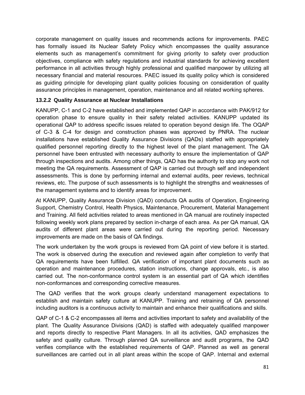corporate management on quality issues and recommends actions for improvements. PAEC has formally issued its Nuclear Safety Policy which encompasses the quality assurance elements such as management's commitment for giving priority to safety over production objectives, compliance with safety regulations and industrial standards for achieving excellent performance in all activities through highly professional and qualified manpower by utilizing all necessary financial and material resources. PAEC issued its quality policy which is considered as guiding principle for developing plant quality policies focusing on consideration of quality assurance principles in management, operation, maintenance and all related working spheres.

### **13.2.2 Quality Assurance at Nuclear Installations**

KANUPP, C-1 and C-2 have established and implemented QAP in accordance with PAK/912 for operation phase to ensure quality in their safety related activities. KANUPP updated its operational QAP to address specific issues related to operation beyond design life. The OQAP of C-3 & C-4 for design and construction phases was approved by PNRA. The nuclear installations have established Quality Assurance Divisions (QADs) staffed with appropriately qualified personnel reporting directly to the highest level of the plant management. The QA personnel have been entrusted with necessary authority to ensure the implementation of QAP through inspections and audits. Among other things, QAD has the authority to stop any work not meeting the QA requirements. Assessment of QAP is carried out through self and independent assessments. This is done by performing internal and external audits, peer reviews, technical reviews, etc. The purpose of such assessments is to highlight the strengths and weaknesses of the management systems and to identify areas for improvement.

At KANUPP, Quality Assurance Division (QAD) conducts QA audits of Operation, Engineering Support, Chemistry Control, Health Physics, Maintenance, Procurement, Material Management and Training. All field activities related to areas mentioned in QA manual are routinely inspected following weekly work plans prepared by section in-charge of each area. As per QA manual, QA audits of different plant areas were carried out during the reporting period. Necessary improvements are made on the basis of QA findings.

The work undertaken by the work groups is reviewed from QA point of view before it is started. The work is observed during the execution and reviewed again after completion to verify that QA requirements have been fulfilled. QA verification of important plant documents such as operation and maintenance procedures, station instructions, change approvals, etc., is also carried out. The non-conformance control system is an essential part of QA which identifies non-conformances and corresponding corrective measures.

The QAD verifies that the work groups clearly understand management expectations to establish and maintain safety culture at KANUPP. Training and retraining of QA personnel including auditors is a continuous activity to maintain and enhance their qualifications and skills.

QAP of C-1 & C-2 encompasses all items and activities important to safety and availability of the plant. The Quality Assurance Divisions (QAD) is staffed with adequately qualified manpower and reports directly to respective Plant Managers. In all its activities, QAD emphasizes the safety and quality culture. Through planned QA surveillance and audit programs, the QAD verifies compliance with the established requirements of QAP. Planned as well as general surveillances are carried out in all plant areas within the scope of QAP. Internal and external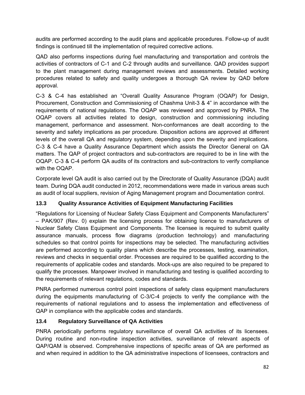audits are performed according to the audit plans and applicable procedures. Follow-up of audit findings is continued till the implementation of required corrective actions.

QAD also performs inspections during fuel manufacturing and transportation and controls the activities of contractors of C-1 and C-2 through audits and surveillance. QAD provides support to the plant management during management reviews and assessments. Detailed working procedures related to safety and quality undergoes a thorough QA review by QAD before approval.

C-3 & C-4 has established an "Overall Quality Assurance Program (OQAP) for Design, Procurement, Construction and Commissioning of Chashma Unit-3 & 4" in accordance with the requirements of national regulations. The OQAP was reviewed and approved by PNRA. The OQAP covers all activities related to design, construction and commissioning including management, performance and assessment. Non-conformances are dealt according to the severity and safety implications as per procedure. Disposition actions are approved at different levels of the overall QA and regulatory system, depending upon the severity and implications. C-3 & C-4 have a Quality Assurance Department which assists the Director General on QA matters. The QAP of project contractors and sub-contractors are required to be in line with the OQAP. C-3 & C-4 perform QA audits of its contractors and sub-contractors to verify compliance with the OQAP.

Corporate level QA audit is also carried out by the Directorate of Quality Assurance (DQA) audit team. During DQA audit conducted in 2012, recommendations were made in various areas such as audit of local suppliers, revision of Aging Management program and Documentation control.

# **13.3 Quality Assurance Activities of Equipment Manufacturing Facilities**

"Regulations for Licensing of Nuclear Safety Class Equipment and Components Manufacturers" – PAK/907 (Rev. 0) explain the licensing process for obtaining licence to manufacturers of Nuclear Safety Class Equipment and Components. The licensee is required to submit quality assurance manuals, process flow diagrams (production technology) and manufacturing schedules so that control points for inspections may be selected. The manufacturing activities are performed according to quality plans which describe the processes, testing, examination, reviews and checks in sequential order. Processes are required to be qualified according to the requirements of applicable codes and standards. Mock-ups are also required to be prepared to qualify the processes. Manpower involved in manufacturing and testing is qualified according to the requirements of relevant regulations, codes and standards.

PNRA performed numerous control point inspections of safety class equipment manufacturers during the equipments manufacturing of C-3/C-4 projects to verify the compliance with the requirements of national regulations and to assess the implementation and effectiveness of QAP in compliance with the applicable codes and standards.

# **13.4 Regulatory Surveillance of QA Activities**

PNRA periodically performs regulatory surveillance of overall QA activities of its licensees. During routine and non-routine inspection activities, surveillance of relevant aspects of QAP/QAM is observed. Comprehensive inspections of specific areas of QA are performed as and when required in addition to the QA administrative inspections of licensees, contractors and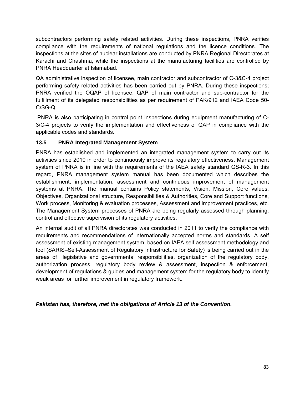subcontractors performing safety related activities. During these inspections, PNRA verifies compliance with the requirements of national regulations and the licence conditions. The inspections at the sites of nuclear installations are conducted by PNRA Regional Directorates at Karachi and Chashma, while the inspections at the manufacturing facilities are controlled by PNRA Headquarter at Islamabad.

QA administrative inspection of licensee, main contractor and subcontractor of C-3&C-4 project performing safety related activities has been carried out by PNRA. During these inspections; PNRA verified the OQAP of licensee, QAP of main contractor and sub-contractor for the fulfillment of its delegated responsibilities as per requirement of PAK/912 and IAEA Code 50- C/SG-Q.

 PNRA is also participating in control point inspections during equipment manufacturing of C-3/C-4 projects to verify the implementation and effectiveness of QAP in compliance with the applicable codes and standards.

### **13.5 PNRA Integrated Management System**

PNRA has established and implemented an integrated management system to carry out its activities since 2010 in order to continuously improve its regulatory effectiveness. Management system of PNRA is in line with the requirements of the IAEA safety standard GS-R-3. In this regard, PNRA management system manual has been documented which describes the establishment, implementation, assessment and continuous improvement of management systems at PNRA. The manual contains Policy statements, Vision, Mission, Core values, Objectives, Organizational structure, Responsibilities & Authorities, Core and Support functions, Work process, Monitoring & evaluation processes, Assessment and improvement practices, etc. The Management System processes of PNRA are being regularly assessed through planning, control and effective supervision of its regulatory activities.

An internal audit of all PNRA directorates was conducted in 2011 to verify the compliance with requirements and recommendations of internationally accepted norms and standards. A self assessment of existing management system, based on IAEA self assessment methodology and tool (SARIS–Self-Assessment of Regulatory Infrastructure for Safety) is being carried out in the areas of legislative and governmental responsibilities, organization of the regulatory body, authorization process, regulatory body review & assessment, inspection & enforcement, development of regulations & guides and management system for the regulatory body to identify weak areas for further improvement in regulatory framework.

### *Pakistan has, therefore, met the obligations of Article 13 of the Convention.*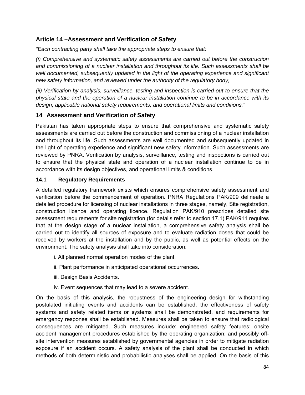# **Article 14 –Assessment and Verification of Safety**

*"Each contracting party shall take the appropriate steps to ensure that:* 

*(i) Comprehensive and systematic safety assessments are carried out before the construction and commissioning of a nuclear installation and throughout its life. Such assessments shall be well documented, subsequently updated in the light of the operating experience and significant new safety information, and reviewed under the authority of the regulatory body;* 

*(ii) Verification by analysis, surveillance, testing and inspection is carried out to ensure that the physical state and the operation of a nuclear installation continue to be in accordance with its design, applicable national safety requirements, and operational limits and conditions."* 

# **14 Assessment and Verification of Safety**

Pakistan has taken appropriate steps to ensure that comprehensive and systematic safety assessments are carried out before the construction and commissioning of a nuclear installation and throughout its life. Such assessments are well documented and subsequently updated in the light of operating experience and significant new safety information. Such assessments are reviewed by PNRA. Verification by analysis, surveillance, testing and inspections is carried out to ensure that the physical state and operation of a nuclear installation continue to be in accordance with its design objectives, and operational limits & conditions.

### **14.1 Regulatory Requirements**

A detailed regulatory framework exists which ensures comprehensive safety assessment and verification before the commencement of operation. PNRA Regulations PAK/909 delineate a detailed procedure for licensing of nuclear installations in three stages, namely, Site registration, construction licence and operating licence. Regulation PAK/910 prescribes detailed site assessment requirements for site registration (for details refer to section 17.1).PAK/911 requires that at the design stage of a nuclear installation, a comprehensive safety analysis shall be carried out to identify all sources of exposure and to evaluate radiation doses that could be received by workers at the installation and by the public, as well as potential effects on the environment. The safety analysis shall take into consideration:

i. All planned normal operation modes of the plant.

- ii. Plant performance in anticipated operational occurrences.
- iii. Design Basis Accidents.
- iv. Event sequences that may lead to a severe accident.

On the basis of this analysis, the robustness of the engineering design for withstanding postulated initiating events and accidents can be established, the effectiveness of safety systems and safety related items or systems shall be demonstrated, and requirements for emergency response shall be established. Measures shall be taken to ensure that radiological consequences are mitigated. Such measures include: engineered safety features; onsite accident management procedures established by the operating organization; and possibly offsite intervention measures established by governmental agencies in order to mitigate radiation exposure if an accident occurs. A safety analysis of the plant shall be conducted in which methods of both deterministic and probabilistic analyses shall be applied. On the basis of this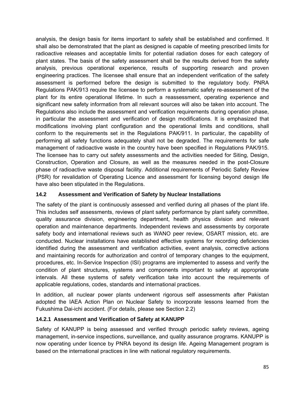analysis, the design basis for items important to safety shall be established and confirmed. It shall also be demonstrated that the plant as designed is capable of meeting prescribed limits for radioactive releases and acceptable limits for potential radiation doses for each category of plant states. The basis of the safety assessment shall be the results derived from the safety analysis, previous operational experience, results of supporting research and proven engineering practices. The licensee shall ensure that an independent verification of the safety assessment is performed before the design is submitted to the regulatory body. PNRA Regulations PAK/913 require the licensee to perform a systematic safety re-assessment of the plant for its entire operational lifetime. In such a reassessment, operating experience and significant new safety information from all relevant sources will also be taken into account. The Regulations also include the assessment and verification requirements during operation phase, in particular the assessment and verification of design modifications. It is emphasized that modifications involving plant configuration and the operational limits and conditions, shall conform to the requirements set in the Regulations PAK/911. In particular, the capability of performing all safety functions adequately shall not be degraded. The requirements for safe management of radioactive waste in the country have been specified in Regulations PAK/915. The licensee has to carry out safety assessments and the activities needed for Siting, Design, Construction, Operation and Closure, as well as the measures needed in the post-Closure phase of radioactive waste disposal facility. Additional requirements of Periodic Safety Review (PSR) for revalidation of Operating Licence and assessment for licensing beyond design life have also been stipulated in the Regulations.

### **14.2 Assessment and Verification of Safety by Nuclear Installations**

The safety of the plant is continuously assessed and verified during all phases of the plant life. This includes self assessments, reviews of plant safety performance by plant safety committee, quality assurance division, engineering department, health physics division and relevant operation and maintenance departments. Independent reviews and assessments by corporate safety body and international reviews such as WANO peer review, OSART mission, etc. are conducted. Nuclear installations have established effective systems for recording deficiencies identified during the assessment and verification activities, event analysis, corrective actions and maintaining records for authorization and control of temporary changes to the equipment, procedures, etc. In-Service Inspection (ISI) programs are implemented to assess and verify the condition of plant structures, systems and components important to safety at appropriate intervals. All these systems of safety verification take into account the requirements of applicable regulations, codes, standards and international practices.

In addition, all nuclear power plants underwent rigorous self assessments after Pakistan adopted the IAEA Action Plan on Nuclear Safety to incorporate lessons learned from the Fukushima Dai-ichi accident. (For details, please see Section 2.2)

### **14.2.1 Assessment and Verification of Safety at KANUPP**

Safety of KANUPP is being assessed and verified through periodic safety reviews, ageing management, in-service inspections, surveillance, and quality assurance programs. KANUPP is now operating under licence by PNRA beyond its design life. Ageing Management program is based on the international practices in line with national regulatory requirements.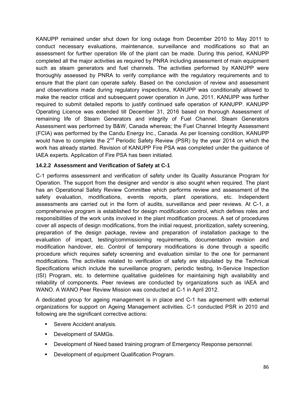KANUPP remained under shut down for long outage from December 2010 to May 2011 to conduct necessary evaluations, maintenance, surveillance and modifications so that an assessment for further operation life of the plant can be made. During this period, KANUPP completed all the major activities as required by PNRA including assessment of main equipment such as steam generators and fuel channels. The activities performed by KANUPP were thoroughly assessed by PNRA to verify compliance with the regulatory requirements and to ensure that the plant can operate safely. Based on the conclusion of review and assessment and observations made during regulatory inspections, KANUPP was conditionally allowed to make the reactor critical and subsequent power operation in June, 2011. KANUPP was further required to submit detailed reports to justify continued safe operation of KANUPP. KANUPP Operating Licence was extended till December 31, 2016 based on thorough Assessment of remaining life of Steam Generators and integrity of Fuel Channel. Steam Generators Assessment was performed by B&W, Canada whereas; the Fuel Channel Integrity Assessment (FCIA) was performed by the Candu Energy Inc., Canada. As per licensing condition, KANUPP would have to complete the  $2^{nd}$  Periodic Safety Review (PSR) by the year 2014 on which the work has already started. Revision of KANUPP Fire PSA was completed under the guidance of IAEA experts. Application of Fire PSA has been initiated.

#### **14.2.2 Assessment and Verification of Safety at C-1**

C-1 performs assessment and verification of safety under its Quality Assurance Program for Operation. The support from the designer and vendor is also sought when required. The plant has an Operational Safety Review Committee which performs review and assessment of the safety evaluation, modifications, events reports, plant operations, etc. Independent assessments are carried out in the form of audits, surveillance and peer reviews. At C-1, a comprehensive program is established for design modification control, which defines roles and responsibilities of the work units involved in the plant modification process. A set of procedures cover all aspects of design modifications, from the initial request, prioritization, safety screening, preparation of the design package, review and preparation of installation package to the evaluation of impact, testing/commissioning requirements, documentation revision and modification handover, etc. Control of temporary modifications is done through a specific procedure which requires safety screening and evaluation similar to the one for permanent modifications. The activities related to verification of safety are stipulated by the Technical Specifications which include the surveillance program, periodic testing, In-Service Inspection (ISI) Program, etc. to determine qualitative guidelines for maintaining high availability and reliability of components. Peer reviews are conducted by organizations such as IAEA and WANO. A WANO Peer Review Mission was conducted at C-1 in April 2012.

A dedicated group for ageing management is in place and C-1 has agreement with external organizations for support on Ageing Management activities. C-1 conducted PSR in 2010 and following are the significant corrective actions:

- **Severe Accident analysis.**
- **-** Development of SAMGs.
- **Development of Need based training program of Emergency Response personnel.**
- **Development of equipment Qualification Program.**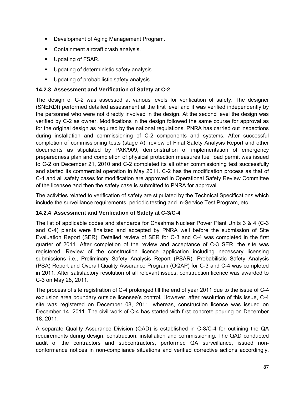- Development of Aging Management Program.
- **Containment aircraft crash analysis.**
- Updating of FSAR.
- **Updating of deterministic safety analysis.**
- **Updating of probabilistic safety analysis.**

### **14.2.3 Assessment and Verification of Safety at C-2**

The design of C-2 was assessed at various levels for verification of safety. The designer (SNERDI) performed detailed assessment at the first level and it was verified independently by the personnel who were not directly involved in the design. At the second level the design was verified by C-2 as owner. Modifications in the design followed the same course for approval as for the original design as required by the national regulations. PNRA has carried out inspections during installation and commissioning of C-2 components and systems. After successful completion of commissioning tests (stage A), review of Final Safety Analysis Report and other documents as stipulated by PAK/909, demonstration of implementation of emergency preparedness plan and completion of physical protection measures fuel load permit was issued to C-2 on December 21, 2010 and C-2 completed its all other commissioning test successfully and started its commercial operation in May 2011. C-2 has the modification process as that of C-1 and all safety cases for modification are approved in Operational Safety Review Committee of the licensee and then the safety case is submitted to PNRA for approval.

The activities related to verification of safety are stipulated by the Technical Specifications which include the surveillance requirements, periodic testing and In-Service Test Program, etc.

### **14.2.4 Assessment and Verification of Safety at C-3/C-4**

The list of applicable codes and standards for Chashma Nuclear Power Plant Units 3 & 4 (C-3 and C-4) plants were finalized and accepted by PNRA well before the submission of Site Evaluation Report (SER). Detailed review of SER for C-3 and C-4 was completed in the first quarter of 2011. After completion of the review and acceptance of C-3 SER, the site was registered. Review of the construction licence application including necessary licensing submissions i.e., Preliminary Safety Analysis Report (PSAR), Probabilistic Safety Analysis (PSA) Report and Overall Quality Assurance Program (OQAP) for C-3 and C-4 was completed in 2011. After satisfactory resolution of all relevant issues, construction licence was awarded to C-3 on May 28, 2011.

The process of site registration of C-4 prolonged till the end of year 2011 due to the issue of C-4 exclusion area boundary outside licensee's control. However, after resolution of this issue, C-4 site was registered on December 08, 2011, whereas, construction licence was issued on December 14, 2011. The civil work of C-4 has started with first concrete pouring on December 18, 2011.

A separate Quality Assurance Division (QAD) is established in C-3/C-4 for outlining the QA requirements during design, construction, installation and commissioning. The QAD conducted audit of the contractors and subcontractors, performed QA surveillance, issued nonconformance notices in non-compliance situations and verified corrective actions accordingly.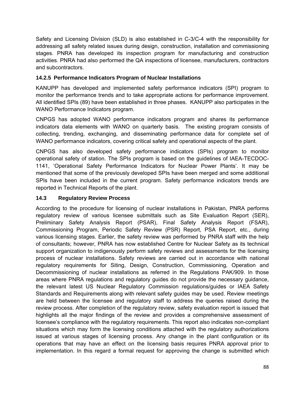Safety and Licensing Division (SLD) is also established in C-3/C-4 with the responsibility for addressing all safety related issues during design, construction, installation and commissioning stages. PNRA has developed its inspection program for manufacturing and construction activities. PNRA had also performed the QA inspections of licensee, manufacturers, contractors and subcontractors.

### **14.2.5 Performance Indicators Program of Nuclear Installations**

KANUPP has developed and implemented safety performance indicators (SPI) program to monitor the performance trends and to take appropriate actions for performance improvement. All identified SPIs (89) have been established in three phases. KANUPP also participates in the WANO Performance Indicators program.

CNPGS has adopted WANO performance indicators program and shares its performance indicators data elements with WANO on quarterly basis. The existing program consists of collecting, trending, exchanging, and disseminating performance data for complete set of WANO performance indicators, covering critical safety and operational aspects of the plant.

CNPGS has also developed safety performance indicators (SPIs) program to monitor operational safety of station. The SPIs program is based on the guidelines of IAEA-TECDOC-1141, 'Operational Safety Performance Indicators for Nuclear Power Plants'. It may be mentioned that some of the previously developed SPIs have been merged and some additional SPIs have been included in the current program. Safety performance indicators trends are reported in Technical Reports of the plant.

### **14.3 Regulatory Review Process**

According to the procedure for licensing of nuclear installations in Pakistan, PNRA performs regulatory review of various licensee submittals such as Site Evaluation Report (SER), Preliminary Safety Analysis Report (PSAR), Final Safety Analysis Report (FSAR), Commissioning Program, Periodic Safety Review (PSR) Report, PSA Report, etc., during various licensing stages. Earlier, the safety review was performed by PNRA staff with the help of consultants; however, PNRA has now established Centre for Nuclear Safety as its technical support organization to indigenously perform safety reviews and assessments for the licensing process of nuclear installations. Safety reviews are carried out in accordance with national regulatory requirements for Siting, Design, Construction, Commissioning, Operation and Decommissioning of nuclear installations as referred in the Regulations PAK/909. In those areas where PNRA regulations and regulatory guides do not provide the necessary guidance, the relevant latest US Nuclear Regulatory Commission regulations/guides or IAEA Safety Standards and Requirements along with relevant safety guides may be used. Review meetings are held between the licensee and regulatory staff to address the queries raised during the review process. After completion of the regulatory review, safety evaluation report is issued that highlights all the major findings of the review and provides a comprehensive assessment of licensee's compliance with the regulatory requirements. This report also indicates non-compliant situations which may form the licensing conditions attached with the regulatory authorizations issued at various stages of licensing process. Any change in the plant configuration or its operations that may have an effect on the licensing basis requires PNRA approval prior to implementation. In this regard a formal request for approving the change is submitted which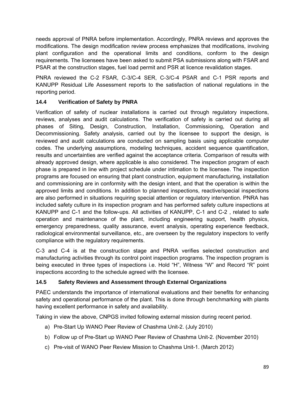needs approval of PNRA before implementation. Accordingly, PNRA reviews and approves the modifications. The design modification review process emphasizes that modifications, involving plant configuration and the operational limits and conditions, conform to the design requirements. The licensees have been asked to submit PSA submissions along with FSAR and PSAR at the construction stages, fuel load permit and PSR at licence revalidation stages.

PNRA reviewed the C-2 FSAR, C-3/C-4 SER, C-3/C-4 PSAR and C-1 PSR reports and KANUPP Residual Life Assessment reports to the satisfaction of national regulations in the reporting period.

# **14.4 Verification of Safety by PNRA**

Verification of safety of nuclear installations is carried out through regulatory inspections, reviews, analyses and audit calculations. The verification of safety is carried out during all phases of Siting, Design, Construction, Installation, Commissioning, Operation and Decommissioning. Safety analysis, carried out by the licensee to support the design, is reviewed and audit calculations are conducted on sampling basis using applicable computer codes. The underlying assumptions, modeling techniques, accident sequence quantification, results and uncertainties are verified against the acceptance criteria. Comparison of results with already approved design, where applicable is also considered. The inspection program of each phase is prepared in line with project schedule under intimation to the licensee. The inspection programs are focused on ensuring that plant construction, equipment manufacturing, installation and commissioning are in conformity with the design intent, and that the operation is within the approved limits and conditions. In addition to planned inspections, reactive/special inspections are also performed in situations requiring special attention or regulatory intervention. PNRA has included safety culture in its inspection program and has performed safety culture inspections at KANUPP and C-1 and the follow-ups. All activities of KANUPP, C-1 and C-2 , related to safe operation and maintenance of the plant, including engineering support, health physics, emergency preparedness, quality assurance, event analysis, operating experience feedback, radiological environmental surveillance, etc., are overseen by the regulatory inspectors to verify compliance with the regulatory requirements.

C-3 and C-4 is at the construction stage and PNRA verifies selected construction and manufacturing activities through its control point inspection programs. The inspection program is being executed in three types of inspections i.e. Hold "H", Witness "W" and Record "R" point inspections according to the schedule agreed with the licensee.

# **14.5 Safety Reviews and Assessment through External Organizations**

PAEC understands the importance of international evaluations and their benefits for enhancing safety and operational performance of the plant. This is done through benchmarking with plants having excellent performance in safety and availability.

Taking in view the above, CNPGS invited following external mission during recent period.

- a) Pre-Start Up WANO Peer Review of Chashma Unit-2. (July 2010)
- b) Follow up of Pre-Start up WANO Peer Review of Chashma Unit-2. (November 2010)
- c) Pre-visit of WANO Peer Review Mission to Chashma Unit-1. (March 2012)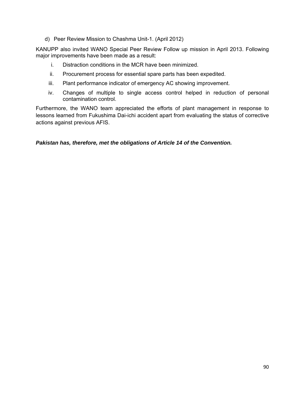d) Peer Review Mission to Chashma Unit-1. (April 2012)

KANUPP also invited WANO Special Peer Review Follow up mission in April 2013. Following major improvements have been made as a result:

- i. Distraction conditions in the MCR have been minimized.
- ii. Procurement process for essential spare parts has been expedited.
- iii. Plant performance indicator of emergency AC showing improvement.
- iv. Changes of multiple to single access control helped in reduction of personal contamination control.

Furthermore, the WANO team appreciated the efforts of plant management in response to lessons learned from Fukushima Dai-ichi accident apart from evaluating the status of corrective actions against previous AFIS.

### *Pakistan has, therefore, met the obligations of Article 14 of the Convention.*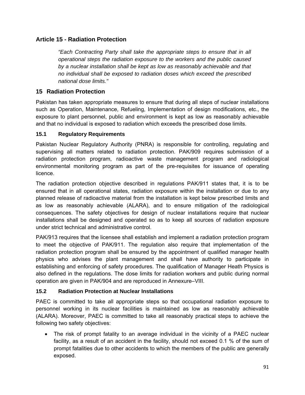# **Article 15 - Radiation Protection**

*"Each Contracting Party shall take the appropriate steps to ensure that in all operational steps the radiation exposure to the workers and the public caused by a nuclear installation shall be kept as low as reasonably achievable and that no individual shall be exposed to radiation doses which exceed the prescribed national dose limits."* 

### **15 Radiation Protection**

Pakistan has taken appropriate measures to ensure that during all steps of nuclear installations such as Operation, Maintenance, Refueling, Implementation of design modifications, etc., the exposure to plant personnel, public and environment is kept as low as reasonably achievable and that no individual is exposed to radiation which exceeds the prescribed dose limits.

### **15.1 Regulatory Requirements**

Pakistan Nuclear Regulatory Authority (PNRA) is responsible for controlling, regulating and supervising all matters related to radiation protection. PAK/909 requires submission of a radiation protection program, radioactive waste management program and radiological environmental monitoring program as part of the pre-requisites for issuance of operating licence.

The radiation protection objective described in regulations PAK/911 states that, it is to be ensured that in all operational states, radiation exposure within the installation or due to any planned release of radioactive material from the installation is kept below prescribed limits and as low as reasonably achievable (ALARA), and to ensure mitigation of the radiological consequences. The safety objectives for design of nuclear installations require that nuclear installations shall be designed and operated so as to keep all sources of radiation exposure under strict technical and administrative control.

PAK/913 requires that the licensee shall establish and implement a radiation protection program to meet the objective of PAK/911. The regulation also require that implementation of the radiation protection program shall be ensured by the appointment of qualified manager health physics who advises the plant management and shall have authority to participate in establishing and enforcing of safety procedures. The qualification of Manager Heath Physics is also defined in the regulations. The dose limits for radiation workers and public during normal operation are given in PAK/904 and are reproduced in Annexure–VIII.

### **15.2 Radiation Protection at Nuclear Installations**

PAEC is committed to take all appropriate steps so that occupational radiation exposure to personnel working in its nuclear facilities is maintained as low as reasonably achievable (ALARA). Moreover, PAEC is committed to take all reasonably practical steps to achieve the following two safety objectives:

 The risk of prompt fatality to an average individual in the vicinity of a PAEC nuclear facility, as a result of an accident in the facility, should not exceed 0.1 % of the sum of prompt fatalities due to other accidents to which the members of the public are generally exposed.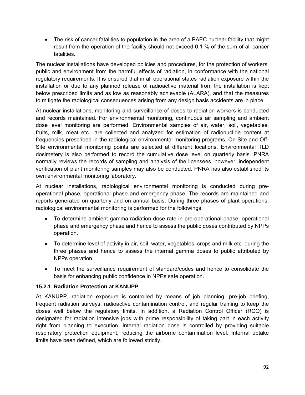The risk of cancer fatalities to population in the area of a PAEC nuclear facility that might result from the operation of the facility should not exceed 0.1 % of the sum of all cancer fatalities.

The nuclear installations have developed policies and procedures, for the protection of workers, public and environment from the harmful effects of radiation, in conformance with the national regulatory requirements. It is ensured that in all operational states radiation exposure within the installation or due to any planned release of radioactive material from the installation is kept below prescribed limits and as low as reasonably achievable (ALARA), and that the measures to mitigate the radiological consequences arising from any design basis accidents are in place.

At nuclear installations, monitoring and surveillance of doses to radiation workers is conducted and records maintained. For environmental monitoring, continuous air sampling and ambient dose level monitoring are performed. Environmental samples of air, water, soil, vegetables, fruits, milk, meat etc., are collected and analyzed for estimation of radionuclide content at frequencies prescribed in the radiological environmental monitoring programs. On-Site and Off-Site environmental monitoring points are selected at different locations. Environmental TLD dosimetery is also performed to record the cumulative dose level on quarterly basis. PNRA normally reviews the records of sampling and analysis of the licensees, however, independent verification of plant monitoring samples may also be conducted. PNRA has also established its own environmental monitoring laboratory.

At nuclear installations, radiological environmental monitoring is conducted during preoperational phase, operational phase and emergency phase. The records are maintained and reports generated on quarterly and on annual basis. During three phases of plant operations, radiological environmental monitoring is performed for the followings:

- To determine ambient gamma radiation dose rate in pre-operational phase, operational phase and emergency phase and hence to assess the public doses contributed by NPPs operation.
- To determine level of activity in air, soil, water, vegetables, crops and milk etc. during the three phases and hence to assess the internal gamma doses to public attributed by NPPs operation.
- To meet the surveillance requirement of standard/codes and hence to consolidate the basis for enhancing public confidence in NPPs safe operation.

### **15.2.1 Radiation Protection at KANUPP**

At KANUPP, radiation exposure is controlled by means of job planning, pre-job briefing, frequent radiation surveys, radioactive contamination control, and regular training to keep the doses well below the regulatory limits. In addition, a Radiation Control Officer (RCO) is designated for radiation intensive jobs with prime responsibility of taking part in each activity right from planning to execution. Internal radiation dose is controlled by providing suitable respiratory protection equipment, reducing the airborne contamination level. Internal uptake limits have been defined, which are followed strictly.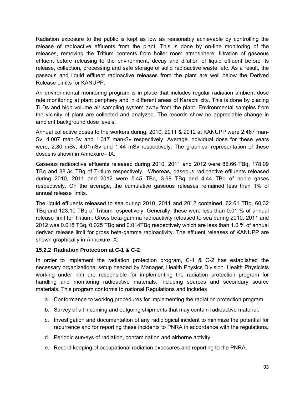Radiation exposure to the public is kept as low as reasonably achievable by controlling the release of radioactive effluents from the plant. This is done by on-line monitoring of the releases, removing the Tritium contents from boiler room atmosphere, filtration of gaseous effluent before releasing to the environment, decay and dilution of liquid effluent before its release, collection, processing and safe storage of solid radioactive waste, etc. As a result, the gaseous and liquid effluent radioactive releases from the plant are well below the Derived Release Limits for KANUPP.

An environmental monitoring program is in place that includes regular radiation ambient dose rate monitoring at plant periphery and in different areas of Karachi city. This is done by placing TLDs and high volume air sampling system away from the plant. Environmental samples from the vicinity of plant are collected and analyzed. The records show no appreciable change in ambient background dose levels.

Annual collective doses to the workers during, 2010, 2011 & 2012 at KANUPP were 2.467 man-Sv, 4.007 man-Sv and 1.317 man-Sv respectively. Average individual dose for these years were, 2.80 mSv, 4.01mSv and 1.44 mSv respectively. The graphical representation of these doses is shown in Annexure– IX.

Gaseous radioactive effluents released during 2010, 2011 and 2012 were 86.66 TBq, 178.09 TBq and 88.34 TBq of Tritium respectively. Whereas, gaseous radioactive effluents released during 2010, 2011 and 2012 were 5.45 TBq, 3.68 TBq and 4.44 TBq of noble gases respectively. On the average, the cumulative gaseous releases remained less than 1% of annual release limits.

The liquid effluents released to sea during 2010, 2011 and 2012 contained, 62.61 TBq, 60.32 TBq and 123.10 TBq of Tritium respectively. Generally, these were less than 0.01 % of annual release limit for Tritium. Gross beta-gamma radioactivity released to sea during 2010, 2011 and 2012 was 0.018 TBq, 0.025 TBq and 0.014TBq respectively which are less than 1.0 % of annual derived release limit for gross beta-gamma radioactivity. The effluent releases of KANUPP are shown graphically in Annexure–X.

### **15.2.2 Radiation Protection at C-1 & C-2**

In order to implement the radiation protection program, C-1 & C-2 has established the necessary organizational setup headed by Manager, Health Physics Division. Health Physicists working under him are responsible for implementing the radiation protection program for handling and monitoring radioactive materials, including sources and secondary source materials. This program conforms to national Regulations and includes

- a. Conformance to working procedures for implementing the radiation protection program.
- b. Survey of all incoming and outgoing shipments that may contain radioactive material.
- c. Investigation and documentation of any radiological incident to minimize the potential for recurrence and for reporting these incidents to PNRA in accordance with the regulations.
- d. Periodic surveys of radiation, contamination and airborne activity.
- e. Record keeping of occupational radiation exposures and reporting to the PNRA.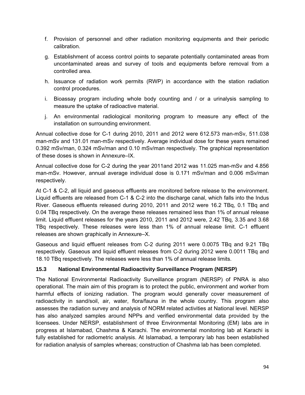- f. Provision of personnel and other radiation monitoring equipments and their periodic calibration.
- g. Establishment of access control points to separate potentially contaminated areas from uncontaminated areas and survey of tools and equipments before removal from a controlled area.
- h. Issuance of radiation work permits (RWP) in accordance with the station radiation control procedures.
- i. Bioassay program including whole body counting and / or a urinalysis sampling to measure the uptake of radioactive material.
- j. An environmental radiological monitoring program to measure any effect of the installation on surrounding environment.

Annual collective dose for C-1 during 2010, 2011 and 2012 were 612.573 man-mSv, 511.038 man-mSv and 131.01 man-mSv respectively. Average individual dose for these years remained 0.392 mSv/man, 0.324 mSv/man and 0.10 mSv/man respectively. The graphical representation of these doses is shown in Annexure–IX.

Annual collective dose for C-2 during the year 2011and 2012 was 11.025 man-mSv and 4.856 man-mSv. However, annual average individual dose is 0.171 mSv/man and 0.006 mSv/man respectively.

At C-1 & C-2, all liquid and gaseous effluents are monitored before release to the environment. Liquid effluents are released from C-1 & C-2 into the discharge canal, which falls into the Indus River. Gaseous effluents released during 2010, 2011 and 2012 were 16.2 TBq, 0.1 TBq and 0.04 TBq respectively. On the average these releases remained less than 1% of annual release limit. Liquid effluent releases for the years 2010, 2011 and 2012 were, 2.42 TBq, 3.35 and 3.68 TBq respectively. These releases were less than 1% of annual release limit. C-1 effluent releases are shown graphically in Annexure–X.

Gaseous and liquid effluent releases from C-2 during 2011 were 0.0075 TBq and 9.21 TBq respectively. Gaseous and liquid effluent releases from C-2 during 2012 were 0.0011 TBq and 18.10 TBq respectively. The releases were less than 1% of annual release limits.

# **15.3 National Environmental Radioactivity Surveillance Program (NERSP)**

The National Environmental Radioactivity Surveillance program (NERSP) of PNRA is also operational. The main aim of this program is to protect the public, environment and worker from harmful effects of ionizing radiation. The program would generally cover measurement of radioactivity in sand/soil, air, water, flora/fauna in the whole country. This program also assesses the radiation survey and analysis of NORM related activities at National level. NERSP has also analyzed samples around NPPs and verified environmental data provided by the licensees. Under NERSP, establishment of three Environmental Monitoring (EM) labs are in progress at Islamabad, Chashma & Karachi. The environmental monitoring lab at Karachi is fully established for radiometric analysis. At Islamabad, a temporary lab has been established for radiation analysis of samples whereas; construction of Chashma lab has been completed.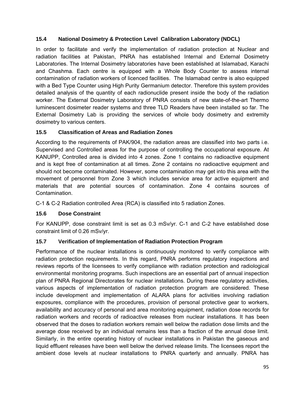### **15.4 National Dosimetry & Protection Level Calibration Laboratory (NDCL)**

In order to facilitate and verify the implementation of radiation protection at Nuclear and radiation facilities at Pakistan, PNRA has established Internal and External Dosimetry Laboratories. The Internal Dosimetry laboratories have been established at Islamabad, Karachi and Chashma. Each centre is equipped with a Whole Body Counter to assess internal contamination of radiation workers of licenced facilities. The Islamabad centre is also equipped with a Bed Type Counter using High Purity Germanium detector. Therefore this system provides detailed analysis of the quantity of each radionuclide present inside the body of the radiation worker. The External Dosimetry Laboratory of PNRA consists of new state-of-the-art Thermo luminescent dosimeter reader systems and three TLD Readers have been installed so far. The External Dosimetry Lab is providing the services of whole body dosimetry and extremity dosimetry to various centers.

### **15.5 Classification of Areas and Radiation Zones**

According to the requirements of PAK/904, the radiation areas are classified into two parts i.e. Supervised and Controlled areas for the purpose of controlling the occupational exposure. At KANUPP, Controlled area is divided into 4 zones. Zone 1 contains no radioactive equipment and is kept free of contamination at all times. Zone 2 contains no radioactive equipment and should not become contaminated. However, some contamination may get into this area with the movement of personnel from Zone 3 which includes service area for active equipment and materials that are potential sources of contamination. Zone 4 contains sources of Contamination.

C-1 & C-2 Radiation controlled Area (RCA) is classified into 5 radiation Zones.

# **15.6 Dose Constraint**

For KANUPP, dose constraint limit is set as 0.3 mSv/yr. C-1 and C-2 have established dose constraint limit of 0.26 mSv/yr.

# **15.7 Verification of Implementation of Radiation Protection Program**

Performance of the nuclear installations is continuously monitored to verify compliance with radiation protection requirements. In this regard, PNRA performs regulatory inspections and reviews reports of the licensees to verify compliance with radiation protection and radiological environmental monitoring programs. Such inspections are an essential part of annual inspection plan of PNRA Regional Directorates for nuclear installations. During these regulatory activities, various aspects of implementation of radiation protection program are considered. These include development and implementation of ALARA plans for activities involving radiation exposures, compliance with the procedures, provision of personal protective gear to workers, availability and accuracy of personal and area monitoring equipment, radiation dose records for radiation workers and records of radioactive releases from nuclear installations. It has been observed that the doses to radiation workers remain well below the radiation dose limits and the average dose received by an individual remains less than a fraction of the annual dose limit. Similarly, in the entire operating history of nuclear installations in Pakistan the gaseous and liquid effluent releases have been well below the derived release limits. The licensees report the ambient dose levels at nuclear installations to PNRA quarterly and annually. PNRA has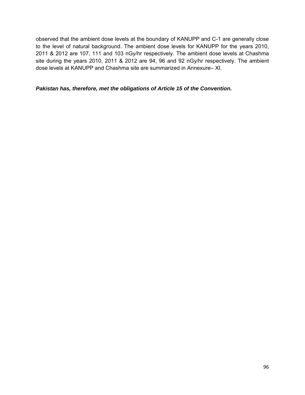observed that the ambient dose levels at the boundary of KANUPP and C-1 are generally close to the level of natural background. The ambient dose levels for KANUPP for the years 2010, 2011 & 2012 are 107, 111 and 103 nGy/hr respectively. The ambient dose levels at Chashma site during the years 2010, 2011 & 2012 are 94, 96 and 92 nGy/hr respectively. The ambient dose levels at KANUPP and Chashma site are summarized in Annexure– XI.

#### *Pakistan has, therefore, met the obligations of Article 15 of the Convention.*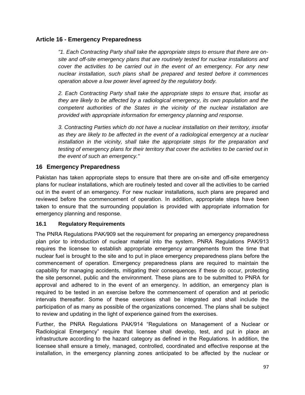### **Article 16 - Emergency Preparedness**

*"1. Each Contracting Party shall take the appropriate steps to ensure that there are onsite and off-site emergency plans that are routinely tested for nuclear installations and cover the activities to be carried out in the event of an emergency. For any new nuclear installation, such plans shall be prepared and tested before it commences operation above a low power level agreed by the regulatory body.* 

*2. Each Contracting Party shall take the appropriate steps to ensure that, insofar as they are likely to be affected by a radiological emergency, its own population and the competent authorities of the States in the vicinity of the nuclear installation are provided with appropriate information for emergency planning and response.* 

*3. Contracting Parties which do not have a nuclear installation on their territory, insofar as they are likely to be affected in the event of a radiological emergency at a nuclear installation in the vicinity, shall take the appropriate steps for the preparation and testing of emergency plans for their territory that cover the activities to be carried out in the event of such an emergency."*

### **16 Emergency Preparedness**

Pakistan has taken appropriate steps to ensure that there are on-site and off-site emergency plans for nuclear installations, which are routinely tested and cover all the activities to be carried out in the event of an emergency. For new nuclear installations, such plans are prepared and reviewed before the commencement of operation. In addition, appropriate steps have been taken to ensure that the surrounding population is provided with appropriate information for emergency planning and response.

### **16.1 Regulatory Requirements**

The PNRA Regulations PAK/909 set the requirement for preparing an emergency preparedness plan prior to introduction of nuclear material into the system. PNRA Regulations PAK/913 requires the licensee to establish appropriate emergency arrangements from the time that nuclear fuel is brought to the site and to put in place emergency preparedness plans before the commencement of operation. Emergency preparedness plans are required to maintain the capability for managing accidents, mitigating their consequences if these do occur, protecting the site personnel, public and the environment. These plans are to be submitted to PNRA for approval and adhered to in the event of an emergency. In addition, an emergency plan is required to be tested in an exercise before the commencement of operation and at periodic intervals thereafter. Some of these exercises shall be integrated and shall include the participation of as many as possible of the organizations concerned. The plans shall be subject to review and updating in the light of experience gained from the exercises.

Further, the PNRA Regulations PAK/914 "Regulations on Management of a Nuclear or Radiological Emergency" require that licensee shall develop, test, and put in place an infrastructure according to the hazard category as defined in the Regulations. In addition, the licensee shall ensure a timely, managed, controlled, coordinated and effective response at the installation, in the emergency planning zones anticipated to be affected by the nuclear or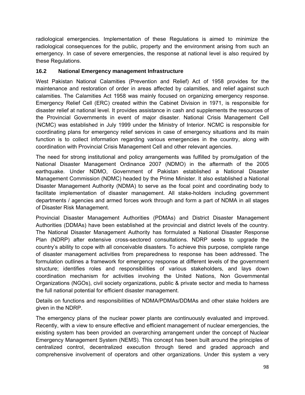radiological emergencies. Implementation of these Regulations is aimed to minimize the radiological consequences for the public, property and the environment arising from such an emergency. In case of severe emergencies, the response at national level is also required by these Regulations.

#### **16.2 National Emergency management Infrastructure**

West Pakistan National Calamities (Prevention and Relief) Act of 1958 provides for the maintenance and restoration of order in areas affected by calamities, and relief against such calamities. The Calamities Act 1958 was mainly focused on organizing emergency response. Emergency Relief Cell (ERC) created within the Cabinet Division in 1971, is responsible for disaster relief at national level. It provides assistance in cash and supplements the resources of the Provincial Governments in event of major disaster. National Crisis Management Cell (NCMC) was established in July 1999 under the Ministry of Interior. NCMC is responsible for coordinating plans for emergency relief services in case of emergency situations and its main function is to collect information regarding various emergencies in the country, along with coordination with Provincial Crisis Management Cell and other relevant agencies.

The need for strong institutional and policy arrangements was fulfilled by promulgation of the National Disaster Management Ordinance 2007 (NDMO) in the aftermath of the 2005 earthquake. Under NDMO, Government of Pakistan established a National Disaster Management Commission (NDMC) headed by the Prime Minister. It also established a National Disaster Management Authority (NDMA) to serve as the focal point and coordinating body to facilitate implementation of disaster management. All stake-holders including government departments / agencies and armed forces work through and form a part of NDMA in all stages of Disaster Risk Management.

Provincial Disaster Management Authorities (PDMAs) and District Disaster Management Authorities (DDMAs) have been established at the provincial and district levels of the country. The National Disaster Management Authority has formulated a National Disaster Response Plan (NDRP) after extensive cross-sectored consultations. NDRP seeks to upgrade the country's ability to cope with all conceivable disasters. To achieve this purpose, complete range of disaster management activities from preparedness to response has been addressed. The formulation outlines a framework for emergency response at different levels of the government structure; identifies roles and responsibilities of various stakeholders, and lays down coordination mechanism for activities involving the United Nations, Non Governmental Organizations (NGOs), civil society organizations, public & private sector and media to harness the full national potential for efficient disaster management.

Details on functions and responsibilities of NDMA/PDMAs/DDMAs and other stake holders are given in the NDRP.

The emergency plans of the nuclear power plants are continuously evaluated and improved. Recently, with a view to ensure effective and efficient management of nuclear emergencies, the existing system has been provided an overarching arrangement under the concept of Nuclear Emergency Management System (NEMS). This concept has been built around the principles of centralized control, decentralized execution through tiered and graded approach and comprehensive involvement of operators and other organizations. Under this system a very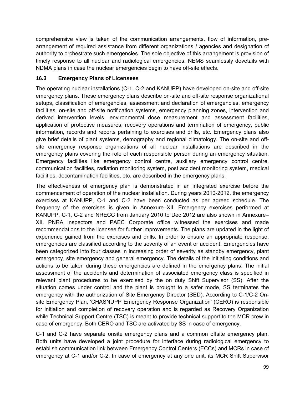comprehensive view is taken of the communication arrangements, flow of information, prearrangement of required assistance from different organizations / agencies and designation of authority to orchestrate such emergencies. The sole objective of this arrangement is provision of timely response to all nuclear and radiological emergencies. NEMS seamlessly dovetails with NDMA plans in case the nuclear emergencies begin to have off-site effects.

### **16.3 Emergency Plans of Licensees**

The operating nuclear installations (C-1, C-2 and KANUPP) have developed on-site and off-site emergency plans. These emergency plans describe on-site and off-site response organizational setups, classification of emergencies, assessment and declaration of emergencies, emergency facilities, on-site and off-site notification systems, emergency planning zones, intervention and derived intervention levels, environmental dose measurement and assessment facilities, application of protective measures, recovery operations and termination of emergency, public information, records and reports pertaining to exercises and drills, etc. Emergency plans also give brief details of plant systems, demography and regional climatology. The on-site and offsite emergency response organizations of all nuclear installations are described in the emergency plans covering the role of each responsible person during an emergency situation. Emergency facilities like emergency control centre, auxiliary emergency control centre, communication facilities, radiation monitoring system, post accident monitoring system, medical facilities, decontamination facilities, etc. are described in the emergency plans.

The effectiveness of emergency plan is demonstrated in an integrated exercise before the commencement of operation of the nuclear installation. During years 2010-2012, the emergency exercises at KANUPP, C-1 and C-2 have been conducted as per agreed schedule. The frequency of the exercises is given in Annexure–XII. Emergency exercises performed at KANUPP, C-1, C-2 and NRECC from January 2010 to Dec 2012 are also shown in Annexure– XII. PNRA inspectors and PAEC Corporate office witnessed the exercises and made recommendations to the licensee for further improvements. The plans are updated in the light of experience gained from the exercises and drills. In order to ensure an appropriate response, emergencies are classified according to the severity of an event or accident. Emergencies have been categorized into four classes in increasing order of severity as standby emergency, plant emergency, site emergency and general emergency. The details of the initiating conditions and actions to be taken during these emergencies are defined in the emergency plans. The initial assessment of the accidents and determination of associated emergency class is specified in relevant plant procedures to be exercised by the on duty Shift Supervisor (SS). After the situation comes under control and the plant is brought to a safer mode, SS terminates the emergency with the authorization of Site Emergency Director (SED). According to C-1/C-2 Onsite Emergency Plan, 'CHASNUPP Emergency Response Organization' (CERO) is responsible for initiation and completion of recovery operation and is regarded as Recovery Organization while Technical Support Centre (TSC) is meant to provide technical support to the MCR crew in case of emergency. Both CERO and TSC are activated by SS in case of emergency.

C-1 and C-2 have separate onsite emergency plans and a common offsite emergency plan. Both units have developed a joint procedure for interface during radiological emergency to establish communication link between Emergency Control Centers (ECCs) and MCRs in case of emergency at C-1 and/or C-2. In case of emergency at any one unit, its MCR Shift Supervisor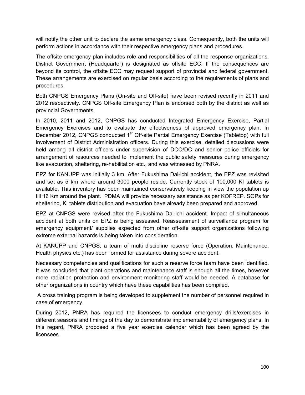will notify the other unit to declare the same emergency class. Consequently, both the units will perform actions in accordance with their respective emergency plans and procedures.

The offsite emergency plan includes role and responsibilities of all the response organizations. District Government (Headquarter) is designated as offsite ECC. If the consequences are beyond its control, the offsite ECC may request support of provincial and federal government. These arrangements are exercised on regular basis according to the requirements of plans and procedures.

Both CNPGS Emergency Plans (On-site and Off-site) have been revised recently in 2011 and 2012 respectively. CNPGS Off-site Emergency Plan is endorsed both by the district as well as provincial Governments.

In 2010, 2011 and 2012, CNPGS has conducted Integrated Emergency Exercise, Partial Emergency Exercises and to evaluate the effectiveness of approved emergency plan. In December 2012, CNPGS conducted 1<sup>st</sup> Off-site Partial Emergency Exercise (Tabletop) with full involvement of District Administration officers. During this exercise, detailed discussions were held among all district officers under supervision of DCO/DC and senior police officials for arrangement of resources needed to implement the public safety measures during emergency like evacuation, sheltering, re-habilitation etc., and was witnessed by PNRA.

EPZ for KANUPP was initially 3 km. After Fukushima Dai-ichi accident, the EPZ was revisited and set as 5 km where around 3000 people reside. Currently stock of 100,000 KI tablets is available. This inventory has been maintained conservatively keeping in view the population up till 16 Km around the plant. PDMA will provide necessary assistance as per KOFREP. SOPs for sheltering, KI tablets distribution and evacuation have already been prepared and approved.

EPZ at CNPGS were revised after the Fukushima Dai-ichi accident. Impact of simultaneous accident at both units on EPZ is being assessed. Reassessment of surveillance program for emergency equipment/ supplies expected from other off-site support organizations following extreme external hazards is being taken into consideration.

At KANUPP and CNPGS, a team of multi discipline reserve force (Operation, Maintenance, Health physics etc.) has been formed for assistance during severe accident.

Necessary competencies and qualifications for such a reserve force team have been identified. It was concluded that plant operations and maintenance staff is enough all the times, however more radiation protection and environment monitoring staff would be needed. A database for other organizations in country which have these capabilities has been compiled.

 A cross training program is being developed to supplement the number of personnel required in case of emergency.

During 2012, PNRA has required the licensees to conduct emergency drills/exercises in different seasons and timings of the day to demonstrate implementability of emergency plans. In this regard, PNRA proposed a five year exercise calendar which has been agreed by the licensees.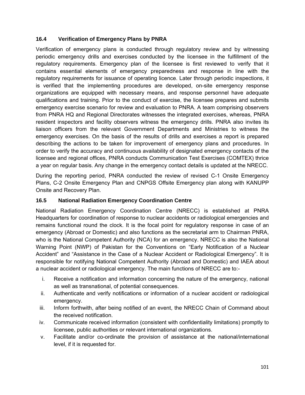#### **16.4 Verification of Emergency Plans by PNRA**

Verification of emergency plans is conducted through regulatory review and by witnessing periodic emergency drills and exercises conducted by the licensee in the fulfillment of the regulatory requirements. Emergency plan of the licensee is first reviewed to verify that it contains essential elements of emergency preparedness and response in line with the regulatory requirements for issuance of operating licence. Later through periodic inspections, it is verified that the implementing procedures are developed, on-site emergency response organizations are equipped with necessary means, and response personnel have adequate qualifications and training. Prior to the conduct of exercise, the licensee prepares and submits emergency exercise scenario for review and evaluation to PNRA. A team comprising observers from PNRA HQ and Regional Directorates witnesses the integrated exercises, whereas, PNRA resident inspectors and facility observers witness the emergency drills. PNRA also invites its liaison officers from the relevant Government Departments and Ministries to witness the emergency exercises. On the basis of the results of drills and exercises a report is prepared describing the actions to be taken for improvement of emergency plans and procedures. In order to verify the accuracy and continuous availability of designated emergency contacts of the licensee and regional offices, PNRA conducts Communication Test Exercises (COMTEX) thrice a year on regular basis. Any change in the emergency contact details is updated at the NRECC.

During the reporting period, PNRA conducted the review of revised C-1 Onsite Emergency Plans, C-2 Onsite Emergency Plan and CNPGS Offsite Emergency plan along with KANUPP Onsite and Recovery Plan.

#### **16.5 National Radiation Emergency Coordination Centre**

National Radiation Emergency Coordination Centre (NRECC) is established at PNRA Headquarters for coordination of response to nuclear accidents or radiological emergencies and remains functional round the clock. It is the focal point for regulatory response in case of an emergency (Abroad or Domestic) and also functions as the secretarial arm to Chairman PNRA, who is the National Competent Authority (NCA) for an emergency. NRECC is also the National Warning Point (NWP) of Pakistan for the Conventions on "Early Notification of a Nuclear Accident" and "Assistance in the Case of a Nuclear Accident or Radiological Emergency". It is responsible for notifying National Competent Authority (Abroad and Domestic) and IAEA about a nuclear accident or radiological emergency. The main functions of NRECC are to:-

- i. Receive a notification and information concerning the nature of the emergency, national as well as transnational, of potential consequences.
- ii. Authenticate and verify notifications or information of a nuclear accident or radiological emergency.
- iii. Inform forthwith, after being notified of an event, the NRECC Chain of Command about the received notification.
- iv. Communicate received information (consistent with confidentiality limitations) promptly to licensee, public authorities or relevant international organizations.
- v. Facilitate and/or co-ordinate the provision of assistance at the national/international level, if it is requested for.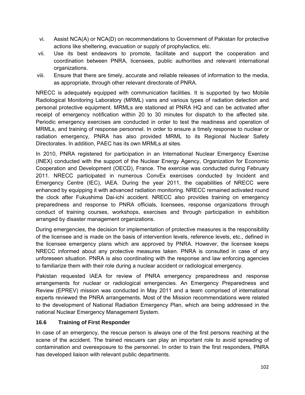- vi. Assist NCA(A) or NCA(D) on recommendations to Government of Pakistan for protective actions like sheltering, evacuation or supply of prophylactics, etc.
- vii. Use its best endeavors to promote, facilitate and support the cooperation and coordination between PNRA, licensees, public authorities and relevant international organizations.
- viii. Ensure that there are timely, accurate and reliable releases of information to the media, as appropriate, through other relevant directorate of PNRA.

NRECC is adequately equipped with communication facilities. It is supported by two Mobile Radiological Monitoring Laboratory (MRML) vans and various types of radiation detection and personal protective equipment. MRMLs are stationed at PNRA HQ and can be activated after receipt of emergency notification within 20 to 30 minutes for dispatch to the affected site. Periodic emergency exercises are conducted in order to test the readiness and operation of MRMLs, and training of response personnel. In order to ensure a timely response to nuclear or radiation emergency, PNRA has also provided MRML to its Regional Nuclear Safety Directorates. In addition, PAEC has its own MRMLs at sites.

In 2010, PNRA registered for participation in an International Nuclear Emergency Exercise (INEX) conducted with the support of the Nuclear Energy Agency, Organization for Economic Cooperation and Development (OECD), France. The exercise was conducted during February 2011. NRECC participated in numerous ConvEx exercises conducted by Incident and Emergency Centre (IEC), IAEA. During the year 2011, the capabilities of NRECC were enhanced by equipping it with advanced radiation monitoring. NRECC remained activated round the clock after Fukushima Dai-ichi accident. NRECC also provides training on emergency preparedness and response to PNRA officials, licensees, response organizations through conduct of training courses, workshops, exercises and through participation in exhibition arranged by disaster management organizations.

During emergencies, the decision for implementation of protective measures is the responsibility of the licensee and is made on the basis of intervention levels, reference levels, etc., defined in the licensee emergency plans which are approved by PNRA. However, the licensee keeps NRECC informed about any protective measures taken. PNRA is consulted in case of any unforeseen situation. PNRA is also coordinating with the response and law enforcing agencies to familiarize them with their role during a nuclear accident or radiological emergency.

Pakistan requested IAEA for review of PNRA emergency preparedness and response arrangements for nuclear or radiological emergencies. An Emergency Preparedness and Review (EPREV) mission was conducted in May 2011 and a team comprised of international experts reviewed the PNRA arrangements. Most of the Mission recommendations were related to the development of National Radiation Emergency Plan, which are being addressed in the national Nuclear Emergency Management System.

### **16.6 Training of First Responder**

In case of an emergency, the rescue person is always one of the first persons reaching at the scene of the accident. The trained rescuers can play an important role to avoid spreading of contamination and overexposure to the personnel. In order to train the first responders, PNRA has developed liaison with relevant public departments.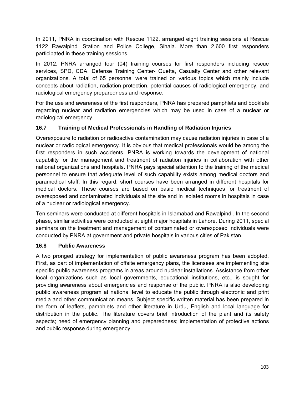In 2011, PNRA in coordination with Rescue 1122, arranged eight training sessions at Rescue 1122 Rawalpindi Station and Police College, Sihala. More than 2,600 first responders participated in these training sessions.

In 2012, PNRA arranged four (04) training courses for first responders including rescue services, SPD, CDA, Defense Training Center- Quetta, Casualty Center and other relevant organizations. A total of 65 personnel were trained on various topics which mainly include concepts about radiation, radiation protection, potential causes of radiological emergency, and radiological emergency preparedness and response.

For the use and awareness of the first responders, PNRA has prepared pamphlets and booklets regarding nuclear and radiation emergencies which may be used in case of a nuclear or radiological emergency.

### **16.7 Training of Medical Professionals in Handling of Radiation Injuries**

Overexposure to radiation or radioactive contamination may cause radiation injuries in case of a nuclear or radiological emergency. It is obvious that medical professionals would be among the first responders in such accidents. PNRA is working towards the development of national capability for the management and treatment of radiation injuries in collaboration with other national organizations and hospitals. PNRA pays special attention to the training of the medical personnel to ensure that adequate level of such capability exists among medical doctors and paramedical staff. In this regard, short courses have been arranged in different hospitals for medical doctors. These courses are based on basic medical techniques for treatment of overexposed and contaminated individuals at the site and in isolated rooms in hospitals in case of a nuclear or radiological emergency.

Ten seminars were conducted at different hospitals in Islamabad and Rawalpindi. In the second phase, similar activities were conducted at eight major hospitals in Lahore. During 2011, special seminars on the treatment and management of contaminated or overexposed individuals were conducted by PNRA at government and private hospitals in various cities of Pakistan.

### **16.8 Public Awareness**

A two pronged strategy for implementation of public awareness program has been adopted. First, as part of implementation of offsite emergency plans, the licensees are implementing site specific public awareness programs in areas around nuclear installations. Assistance from other local organizations such as local governments, educational institutions, etc., is sought for providing awareness about emergencies and response of the public. PNRA is also developing public awareness program at national level to educate the public through electronic and print media and other communication means. Subject specific written material has been prepared in the form of leaflets, pamphlets and other literature in Urdu, English and local language for distribution in the public. The literature covers brief introduction of the plant and its safety aspects; need of emergency planning and preparedness; implementation of protective actions and public response during emergency.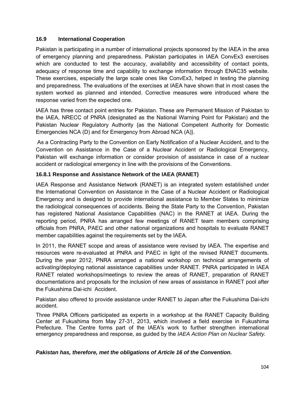#### **16.9 International Cooperation**

Pakistan is participating in a number of international projects sponsored by the IAEA in the area of emergency planning and preparedness. Pakistan participates in IAEA ConvEx3 exercises which are conducted to test the accuracy, availability and accessibility of contact points, adequacy of response time and capability to exchange information through ENAC35 website. These exercises, especially the large scale ones like ConvEx3, helped in testing the planning and preparedness. The evaluations of the exercises at IAEA have shown that in most cases the system worked as planned and intended. Corrective measures were introduced where the response varied from the expected one.

IAEA has three contact point entries for Pakistan. These are Permanent Mission of Pakistan to the IAEA, NRECC of PNRA (designated as the National Warning Point for Pakistan) and the Pakistan Nuclear Regulatory Authority {as the National Competent Authority for Domestic Emergencies NCA (D) and for Emergency from Abroad NCA (A)}.

 As a Contracting Party to the Convention on Early Notification of a Nuclear Accident, and to the Convention on Assistance in the Case of a Nuclear Accident or Radiological Emergency, Pakistan will exchange information or consider provision of assistance in case of a nuclear accident or radiological emergency in line with the provisions of the Conventions.

#### **16.8.1 Response and Assistance Network of the IAEA (RANET)**

IAEA Response and Assistance Network (RANET) is an integrated system established under the International Convention on Assistance in the Case of a Nuclear Accident or Radiological Emergency and is designed to provide international assistance to Member States to minimize the radiological consequences of accidents. Being the State Party to the Convention, Pakistan has registered National Assistance Capabilities (NAC) in the RANET at IAEA. During the reporting period, PNRA has arranged few meetings of RANET team members comprising officials from PNRA, PAEC and other national organizations and hospitals to evaluate RANET member capabilities against the requirements set by the IAEA.

In 2011, the RANET scope and areas of assistance were revised by IAEA. The expertise and resources were re-evaluated at PNRA and PAEC in light of the revised RANET documents. During the year 2012, PNRA arranged a national workshop on technical arrangements of activating/deploying national assistance capabilities under RANET. PNRA participated in IAEA RANET related workshops/meetings to review the areas of RANET, preparation of RANET documentations and proposals for the inclusion of new areas of assistance in RANET pool after the Fukushima Dai-ichi Accident.

Pakistan also offered to provide assistance under RANET to Japan after the Fukushima Dai-ichi accident.

Three PNRA Officers participated as experts in a workshop at the RANET Capacity Building Center at Fukushima from May 27-31, 2013, which involved a field exercise in Fukushima Prefecture. The Centre forms part of the IAEA's work to further strengthen international emergency preparedness and response, as guided by the *IAEA Action Plan on Nuclear Safety.*

#### *Pakistan has, therefore, met the obligations of Article 16 of the Convention.*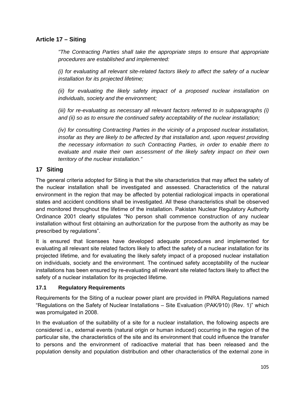### **Article 17 – Siting**

*"The Contracting Parties shall take the appropriate steps to ensure that appropriate procedures are established and implemented:* 

*(i) for evaluating all relevant site-related factors likely to affect the safety of a nuclear installation for its projected lifetime;* 

*(ii) for evaluating the likely safety impact of a proposed nuclear installation on individuals, society and the environment;* 

*(iii) for re-evaluating as necessary all relevant factors referred to in subparagraphs (i) and (ii) so as to ensure the continued safety acceptability of the nuclear installation;* 

*(iv) for consulting Contracting Parties in the vicinity of a proposed nuclear installation, insofar as they are likely to be affected by that installation and, upon request providing the necessary information to such Contracting Parties, in order to enable them to evaluate and make their own assessment of the likely safety impact on their own territory of the nuclear installation."* 

### **17 Siting**

The general criteria adopted for Siting is that the site characteristics that may affect the safety of the nuclear installation shall be investigated and assessed. Characteristics of the natural environment in the region that may be affected by potential radiological impacts in operational states and accident conditions shall be investigated. All these characteristics shall be observed and monitored throughout the lifetime of the installation. Pakistan Nuclear Regulatory Authority Ordinance 2001 clearly stipulates "No person shall commence construction of any nuclear installation without first obtaining an authorization for the purpose from the authority as may be prescribed by regulations".

It is ensured that licensees have developed adequate procedures and implemented for evaluating all relevant site related factors likely to affect the safety of a nuclear installation for its projected lifetime, and for evaluating the likely safety impact of a proposed nuclear installation on individuals, society and the environment. The continued safety acceptability of the nuclear installations has been ensured by re-evaluating all relevant site related factors likely to affect the safety of a nuclear installation for its projected lifetime.

#### **17.1 Regulatory Requirements**

Requirements for the Siting of a nuclear power plant are provided in PNRA Regulations named "Regulations on the Safety of Nuclear Installations – Site Evaluation (PAK/910) (Rev. 1)" which was promulgated in 2008.

In the evaluation of the suitability of a site for a nuclear installation, the following aspects are considered i.e., external events (natural origin or human induced) occurring in the region of the particular site, the characteristics of the site and its environment that could influence the transfer to persons and the environment of radioactive material that has been released and the population density and population distribution and other characteristics of the external zone in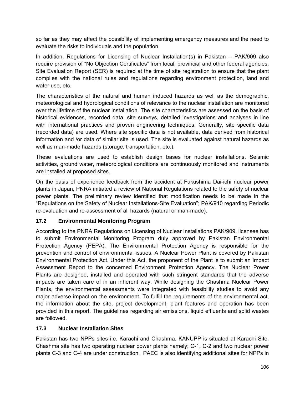so far as they may affect the possibility of implementing emergency measures and the need to evaluate the risks to individuals and the population.

In addition, Regulations for Licensing of Nuclear Installation(s) in Pakistan – PAK/909 also require provision of "No Objection Certificates" from local, provincial and other federal agencies. Site Evaluation Report (SER) is required at the time of site registration to ensure that the plant complies with the national rules and regulations regarding environment protection, land and water use, etc.

The characteristics of the natural and human induced hazards as well as the demographic, meteorological and hydrological conditions of relevance to the nuclear installation are monitored over the lifetime of the nuclear installation. The site characteristics are assessed on the basis of historical evidences, recorded data, site surveys, detailed investigations and analyses in line with international practices and proven engineering techniques. Generally, site specific data (recorded data) are used. Where site specific data is not available, data derived from historical information and /or data of similar site is used. The site is evaluated against natural hazards as well as man-made hazards (storage, transportation, etc.).

These evaluations are used to establish design bases for nuclear installations. Seismic activities, ground water, meteorological conditions are continuously monitored and instruments are installed at proposed sites.

On the basis of experience feedback from the accident at Fukushima Dai-ichi nuclear power plants in Japan, PNRA initiated a review of National Regulations related to the safety of nuclear power plants. The preliminary review identified that modification needs to be made in the "Regulations on the Safety of Nuclear Installations-Site Evaluation"; PAK/910 regarding Periodic re-evaluation and re-assessment of all hazards (natural or man-made).

#### **17.2 Environmental Monitoring Program**

According to the PNRA Regulations on Licensing of Nuclear Installations PAK/909, licensee has to submit Environmental Monitoring Program duly approved by Pakistan Environmental Protection Agency (PEPA). The Environmental Protection Agency is responsible for the prevention and control of environmental issues. A Nuclear Power Plant is covered by Pakistan Environmental Protection Act. Under this Act, the proponent of the Plant is to submit an Impact Assessment Report to the concerned Environment Protection Agency. The Nuclear Power Plants are designed, installed and operated with such stringent standards that the adverse impacts are taken care of in an inherent way. While designing the Chashma Nuclear Power Plants, the environmental assessments were integrated with feasibility studies to avoid any major adverse impact on the environment. To fulfill the requirements of the environmental act, the information about the site, project development, plant features and operation has been provided in this report. The guidelines regarding air emissions, liquid effluents and solid wastes are followed.

#### **17.3 Nuclear Installation Sites**

Pakistan has two NPPs sites i.e. Karachi and Chashma. KANUPP is situated at Karachi Site. Chashma site has two operating nuclear power plants namely; C-1, C-2 and two nuclear power plants C-3 and C-4 are under construction. PAEC is also identifying additional sites for NPPs in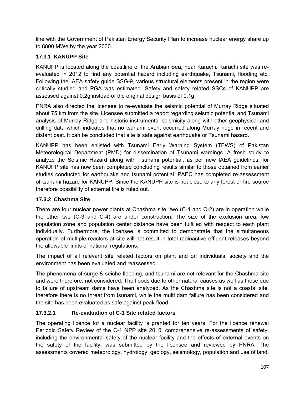line with the Government of Pakistan Energy Security Plan to increase nuclear energy share up to 8800 MWe by the year 2030.

## **17.3.1 KANUPP Site**

KANUPP is located along the coastline of the Arabian Sea, near Karachi. Karachi site was reevaluated in 2012 to find any potential hazard including earthquake, Tsunami, flooding etc. Following the IAEA safety guide SSG-9, various structural elements present in the region were critically studied and PGA was estimated. Safety and safety related SSCs of KANUPP are assessed against 0.2g instead of the original design basis of 0.1g.

PNRA also directed the licensee to re-evaluate the seismic potential of Murray Ridge situated about 75 km from the site. Licensee submitted a report regarding seismic potential and Tsunami analysis of Murray Ridge and historic instrumental seismicity along with other geophysical and drilling data which indicates that no tsunami event occurred along Murray ridge in recent and distant past. It can be concluded that site is safe against earthquake or Tsunami hazard.

KANUPP has been enlisted with Tsunami Early Warning System (TEWS) of Pakistan Meteorological Department (PMD) for dissemination of Tsunami warnings. A fresh study to analyze the Seismic Hazard along with Tsunami potential, as per new IAEA guidelines, for KANUPP site has now been completed concluding results similar to those obtained from earlier studies conducted for earthquake and tsunami potential. PAEC has completed re‐assessment of tsunami hazard for KANUPP. Since the KANUPP site is not close to any forest or fire source therefore possibility of external fire is ruled out.

### **17.3.2 Chashma Site**

There are four nuclear power plants at Chashma site; two (C-1 and C-2) are in operation while the other two (C-3 and C-4) are under construction. The size of the exclusion area, low population zone and population center distance have been fulfilled with respect to each plant individually. Furthermore, the licensee is committed to demonstrate that the simultaneous operation of multiple reactors at site will not result in total radioactive effluent releases beyond the allowable limits of national regulations.

The impact of all relevant site related factors on plant and on individuals, society and the environment has been evaluated and reassessed.

The phenomena of surge & seiche flooding, and tsunami are not relevant for the Chashma site and were therefore, not considered. The floods due to other natural causes as well as those due to failure of upstream dams have been analyzed. As the Chashma site is not a coastal site, therefore there is no threat from tsunami, while the multi dam failure has been considered and the site has been evaluated as safe against peak flood.

## **17.3.2.1 Re-evaluation of C-1 Site related factors**

The operating licence for a nuclear facility is granted for ten years. For the licence renewal Periodic Safety Review of the C-1 NPP site 2010, comprehensive re-assessments of safety, including the environmental safety of the nuclear facility and the effects of external events on the safety of the facility, was submitted by the licensee and reviewed by PNRA. The assessments covered meteorology, hydrology, geology, seismology, population and use of land.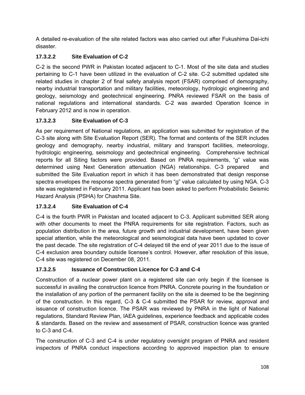A detailed re-evaluation of the site related factors was also carried out after Fukushima Dai-ichi disaster.

## **17.3.2.2 Site Evaluation of C-2**

C-2 is the second PWR in Pakistan located adjacent to C-1. Most of the site data and studies pertaining to C-1 have been utilized in the evaluation of C-2 site. C-2 submitted updated site related studies in chapter 2 of final safety analysis report (FSAR) comprised of demography, nearby industrial transportation and military facilities, meteorology, hydrologic engineering and geology, seismology and geotechnical engineering. PNRA reviewed FSAR on the basis of national regulations and international standards. C-2 was awarded Operation licence in February 2012 and is now in operation.

## **17.3.2.3 Site Evaluation of C-3**

As per requirement of National regulations, an application was submitted for registration of the C-3 site along with Site Evaluation Report (SER). The format and contents of the SER includes geology and demography, nearby industrial, military and transport facilities, meteorology, hydrologic engineering, seismology and geotechnical engineering. Comprehensive technical reports for all Siting factors were provided. Based on PNRA requirements, "g" value was determined using Next Generation attenuation (NGA) relationships. C-3 prepared and submitted the Site Evaluation report in which it has been demonstrated that design response spectra envelopes the response spectra generated from "g" value calculated by using NGA. C-3 site was registered in February 2011. Applicant has been asked to perform Probabilistic Seismic Hazard Analysis (PSHA) for Chashma Site.

## **17.3.2.4 Site Evaluation of C-4**

C-4 is the fourth PWR in Pakistan and located adjacent to C-3. Applicant submitted SER along with other documents to meet the PNRA requirements for site registration. Factors, such as population distribution in the area, future growth and industrial development, have been given special attention, while the meteorological and seismological data have been updated to cover the past decade. The site registration of C-4 delayed till the end of year 2011 due to the issue of C-4 exclusion area boundary outside licensee's control. However, after resolution of this issue, C-4 site was registered on December 08, 2011.

## **17.3.2.5 Issuance of Construction Licence for C-3 and C-4**

Construction of a nuclear power plant on a registered site can only begin if the licensee is successful in availing the construction licence from PNRA. Concrete pouring in the foundation or the installation of any portion of the permanent facility on the site is deemed to be the beginning of the construction. In this regard, C-3 & C-4 submitted the PSAR for review, approval and issuance of construction licence. The PSAR was reviewed by PNRA in the light of National regulations, Standard Review Plan, IAEA guidelines, experience feedback and applicable codes & standards. Based on the review and assessment of PSAR, construction licence was granted to C-3 and C-4.

The construction of C-3 and C-4 is under regulatory oversight program of PNRA and resident inspectors of PNRA conduct inspections according to approved inspection plan to ensure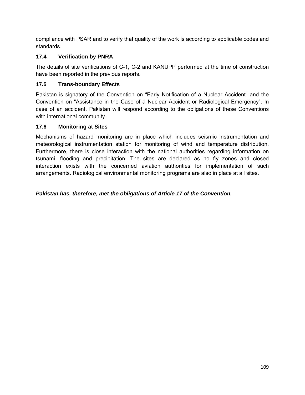compliance with PSAR and to verify that quality of the work is according to applicable codes and standards.

### **17.4 Verification by PNRA**

The details of site verifications of C-1, C-2 and KANUPP performed at the time of construction have been reported in the previous reports.

## **17.5 Trans-boundary Effects**

Pakistan is signatory of the Convention on "Early Notification of a Nuclear Accident" and the Convention on "Assistance in the Case of a Nuclear Accident or Radiological Emergency". In case of an accident, Pakistan will respond according to the obligations of these Conventions with international community.

### **17.6 Monitoring at Sites**

Mechanisms of hazard monitoring are in place which includes seismic instrumentation and meteorological instrumentation station for monitoring of wind and temperature distribution. Furthermore, there is close interaction with the national authorities regarding information on tsunami, flooding and precipitation. The sites are declared as no fly zones and closed interaction exists with the concerned aviation authorities for implementation of such arrangements. Radiological environmental monitoring programs are also in place at all sites.

*Pakistan has, therefore, met the obligations of Article 17 of the Convention.*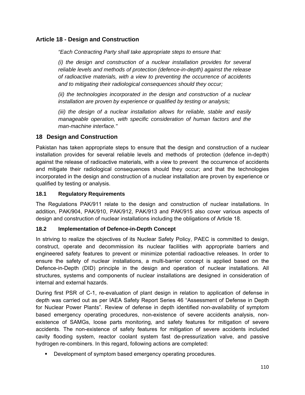### **Article 18 - Design and Construction**

*"Each Contracting Party shall take appropriate steps to ensure that:* 

*(i) the design and construction of a nuclear installation provides for several reliable levels and methods of protection (defence-in-depth) against the release of radioactive materials, with a view to preventing the occurrence of accidents and to mitigating their radiological consequences should they occur;* 

*(ii) the technologies incorporated in the design and construction of a nuclear installation are proven by experience or qualified by testing or analysis;* 

*(iii) the design of a nuclear installation allows for reliable, stable and easily manageable operation, with specific consideration of human factors and the man-machine interface."* 

#### **18 Design and Construction**

Pakistan has taken appropriate steps to ensure that the design and construction of a nuclear installation provides for several reliable levels and methods of protection (defence in-depth) against the release of radioactive materials, with a view to prevent the occurrence of accidents and mitigate their radiological consequences should they occur; and that the technologies incorporated in the design and construction of a nuclear installation are proven by experience or qualified by testing or analysis.

#### **18.1 Regulatory Requirements**

The Regulations PAK/911 relate to the design and construction of nuclear installations. In addition, PAK/904, PAK/910, PAK/912, PAK/913 and PAK/915 also cover various aspects of design and construction of nuclear installations including the obligations of Article 18.

#### **18.2 Implementation of Defence-in-Depth Concept**

In striving to realize the objectives of its Nuclear Safety Policy, PAEC is committed to design, construct, operate and decommission its nuclear facilities with appropriate barriers and engineered safety features to prevent or minimize potential radioactive releases. In order to ensure the safety of nuclear installations, a multi-barrier concept is applied based on the Defence-in-Depth (DID) principle in the design and operation of nuclear installations. All structures, systems and components of nuclear installations are designed in consideration of internal and external hazards.

During first PSR of C-1, re-evaluation of plant design in relation to application of defense in depth was carried out as per IAEA Safety Report Series 46 "Assessment of Defense in Depth for Nuclear Power Plants". Review of defense in depth identified non-availability of symptom based emergency operating procedures, non-existence of severe accidents analysis, nonexistence of SAMGs, loose parts monitoring, and safety features for mitigation of severe accidents. The non-existence of safety features for mitigation of severe accidents included cavity flooding system, reactor coolant system fast de-pressurization valve, and passive hydrogen re-combiners. In this regard, following actions are completed:

**Development of symptom based emergency operating procedures.**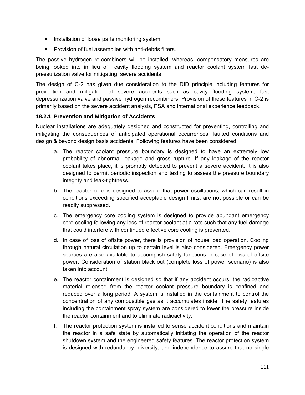- **Installation of loose parts monitoring system.**
- **Provision of fuel assemblies with anti-debris filters.**

The passive hydrogen re-combiners will be installed, whereas, compensatory measures are being looked into in lieu of cavity flooding system and reactor coolant system fast depressurization valve for mitigating severe accidents.

The design of C-2 has given due consideration to the DID principle including features for prevention and mitigation of severe accidents such as cavity flooding system, fast depressurization valve and passive hydrogen recombiners. Provision of these features in C-2 is primarily based on the severe accident analysis, PSA and international experience feedback.

#### **18.2.1 Prevention and Mitigation of Accidents**

Nuclear installations are adequately designed and constructed for preventing, controlling and mitigating the consequences of anticipated operational occurrences, faulted conditions and design & beyond design basis accidents. Following features have been considered:

- a. The reactor coolant pressure boundary is designed to have an extremely low probability of abnormal leakage and gross rupture. If any leakage of the reactor coolant takes place, it is promptly detected to prevent a severe accident. It is also designed to permit periodic inspection and testing to assess the pressure boundary integrity and leak-tightness.
- b. The reactor core is designed to assure that power oscillations, which can result in conditions exceeding specified acceptable design limits, are not possible or can be readily suppressed.
- c. The emergency core cooling system is designed to provide abundant emergency core cooling following any loss of reactor coolant at a rate such that any fuel damage that could interfere with continued effective core cooling is prevented.
- d. In case of loss of offsite power, there is provision of house load operation. Cooling through natural circulation up to certain level is also considered. Emergency power sources are also available to accomplish safety functions in case of loss of offsite power. Consideration of station black out (complete loss of power scenario) is also taken into account.
- e. The reactor containment is designed so that if any accident occurs, the radioactive material released from the reactor coolant pressure boundary is confined and reduced over a long period. A system is installed in the containment to control the concentration of any combustible gas as it accumulates inside. The safety features including the containment spray system are considered to lower the pressure inside the reactor containment and to eliminate radioactivity.
- f. The reactor protection system is installed to sense accident conditions and maintain the reactor in a safe state by automatically initiating the operation of the reactor shutdown system and the engineered safety features. The reactor protection system is designed with redundancy, diversity, and independence to assure that no single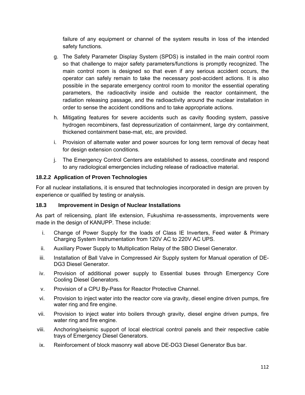failure of any equipment or channel of the system results in loss of the intended safety functions.

- g. The Safety Parameter Display System (SPDS) is installed in the main control room so that challenge to major safety parameters/functions is promptly recognized. The main control room is designed so that even if any serious accident occurs, the operator can safely remain to take the necessary post-accident actions. It is also possible in the separate emergency control room to monitor the essential operating parameters, the radioactivity inside and outside the reactor containment, the radiation releasing passage, and the radioactivity around the nuclear installation in order to sense the accident conditions and to take appropriate actions.
- h. Mitigating features for severe accidents such as cavity flooding system, passive hydrogen recombiners, fast depressurization of containment, large dry containment, thickened containment base-mat, etc, are provided.
- i. Provision of alternate water and power sources for long term removal of decay heat for design extension conditions.
- j. The Emergency Control Centers are established to assess, coordinate and respond to any radiological emergencies including release of radioactive material.

#### **18.2.2 Application of Proven Technologies**

For all nuclear installations, it is ensured that technologies incorporated in design are proven by experience or qualified by testing or analysis.

#### **18.3 Improvement in Design of Nuclear Installations**

As part of relicensing, plant life extension, Fukushima re-assessments, improvements were made in the design of KANUPP. These include:

- i. Change of Power Supply for the loads of Class IE Inverters, Feed water & Primary Charging System Instrumentation from 120V AC to 220V AC UPS.
- ii. Auxiliary Power Supply to Multiplication Relay of the SBO Diesel Generator.
- iii. Installation of Ball Valve in Compressed Air Supply system for Manual operation of DE-DG3 Diesel Generator.
- iv. Provision of additional power supply to Essential buses through Emergency Core Cooling Diesel Generators.
- v. Provision of a CPU By-Pass for Reactor Protective Channel.
- vi. Provision to inject water into the reactor core via gravity, diesel engine driven pumps, fire water ring and fire engine.
- vii. Provision to inject water into boilers through gravity, diesel engine driven pumps, fire water ring and fire engine.
- viii. Anchoring/seismic support of local electrical control panels and their respective cable trays of Emergency Diesel Generators.
- ix. Reinforcement of block masonry wall above DE-DG3 Diesel Generator Bus bar.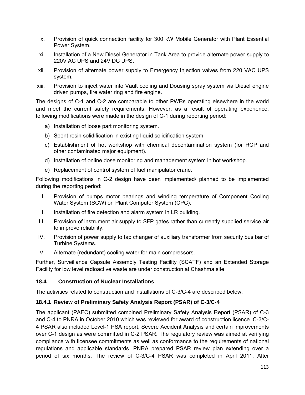- x. Provision of quick connection facility for 300 kW Mobile Generator with Plant Essential Power System.
- xi. Installation of a New Diesel Generator in Tank Area to provide alternate power supply to 220V AC UPS and 24V DC UPS.
- xii. Provision of alternate power supply to Emergency Injection valves from 220 VAC UPS system.
- xiii. Provision to inject water into Vault cooling and Dousing spray system via Diesel engine driven pumps, fire water ring and fire engine.

The designs of C-1 and C-2 are comparable to other PWRs operating elsewhere in the world and meet the current safety requirements. However, as a result of operating experience, following modifications were made in the design of C-1 during reporting period:

- a) Installation of loose part monitoring system.
- b) Spent resin solidification in existing liquid solidification system.
- c) Establishment of hot workshop with chemical decontamination system (for RCP and other contaminated major equipment).
- d) Installation of online dose monitoring and management system in hot workshop.
- e) Replacement of control system of fuel manipulator crane.

Following modifications in C-2 design have been implemented/ planned to be implemented during the reporting period:

- I. Provision of pumps motor bearings and winding temperature of Component Cooling Water System (SCW) on Plant Computer System (CPC).
- II. Installation of fire detection and alarm system in LR building.
- III. Provision of instrument air supply to SFP gates rather than currently supplied service air to improve reliability.
- IV. Provision of power supply to tap changer of auxiliary transformer from security bus bar of Turbine Systems.
- V. Alternate (redundant) cooling water for main compressors.

Further, Surveillance Capsule Assembly Testing Facility (SCATF) and an Extended Storage Facility for low level radioactive waste are under construction at Chashma site.

#### **18.4 Construction of Nuclear Installations**

The activities related to construction and installations of C-3/C-4 are described below.

#### **18.4.1 Review of Preliminary Safety Analysis Report (PSAR) of C-3/C-4**

The applicant (PAEC) submitted combined Preliminary Safety Analysis Report (PSAR) of C-3 and C-4 to PNRA in October 2010 which was reviewed for award of construction licence. C-3/C-4 PSAR also included Level-1 PSA report, Severe Accident Analysis and certain improvements over C-1 design as were committed in C-2 PSAR. The regulatory review was aimed at verifying compliance with licensee commitments as well as conformance to the requirements of national regulations and applicable standards. PNRA prepared PSAR review plan extending over a period of six months. The review of C-3/C-4 PSAR was completed in April 2011. After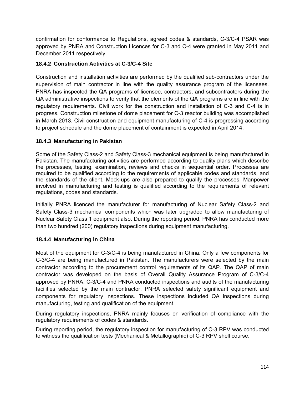confirmation for conformance to Regulations, agreed codes & standards, C-3/C-4 PSAR was approved by PNRA and Construction Licences for C-3 and C-4 were granted in May 2011 and December 2011 respectively.

#### **18.4.2 Construction Activities at C-3/C-4 Site**

Construction and installation activities are performed by the qualified sub-contractors under the supervision of main contractor in line with the quality assurance program of the licensees. PNRA has inspected the QA programs of licensee, contractors, and subcontractors during the QA administrative inspections to verify that the elements of the QA programs are in line with the regulatory requirements. Civil work for the construction and installation of C-3 and C-4 is in progress. Construction milestone of dome placement for C-3 reactor building was accomplished in March 2013. Civil construction and equipment manufacturing of C-4 is progressing according to project schedule and the dome placement of containment is expected in April 2014.

#### **18.4.3 Manufacturing in Pakistan**

Some of the Safety Class-2 and Safety Class-3 mechanical equipment is being manufactured in Pakistan. The manufacturing activities are performed according to quality plans which describe the processes, testing, examination, reviews and checks in sequential order. Processes are required to be qualified according to the requirements of applicable codes and standards, and the standards of the client. Mock-ups are also prepared to qualify the processes. Manpower involved in manufacturing and testing is qualified according to the requirements of relevant regulations, codes and standards.

Initially PNRA licenced the manufacturer for manufacturing of Nuclear Safety Class-2 and Safety Class-3 mechanical components which was later upgraded to allow manufacturing of Nuclear Safety Class 1 equipment also. During the reporting period, PNRA has conducted more than two hundred (200) regulatory inspections during equipment manufacturing.

#### **18.4.4 Manufacturing in China**

Most of the equipment for C-3/C-4 is being manufactured in China. Only a few components for C-3/C-4 are being manufactured in Pakistan. The manufacturers were selected by the main contractor according to the procurement control requirements of its QAP. The QAP of main contractor was developed on the basis of Overall Quality Assurance Program of C-3/C-4 approved by PNRA. C-3/C-4 and PNRA conducted inspections and audits of the manufacturing facilities selected by the main contractor. PNRA selected safety significant equipment and components for regulatory inspections. These inspections included QA inspections during manufacturing, testing and qualification of the equipment.

During regulatory inspections, PNRA mainly focuses on verification of compliance with the regulatory requirements of codes & standards.

During reporting period, the regulatory inspection for manufacturing of C-3 RPV was conducted to witness the qualification tests (Mechanical & Metallographic) of C-3 RPV shell course.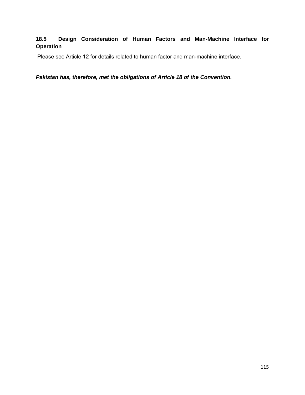#### **18.5 Design Consideration of Human Factors and Man-Machine Interface for Operation**

Please see Article 12 for details related to human factor and man-machine interface.

*Pakistan has, therefore, met the obligations of Article 18 of the Convention.*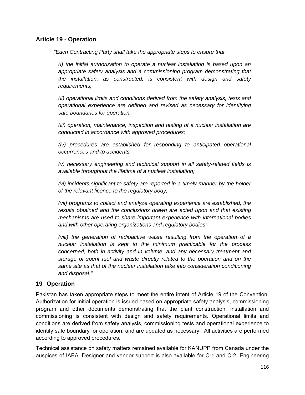#### **Article 19 - Operation**

*"Each Contracting Party shall take the appropriate steps to ensure that:* 

*(i) the initial authorization to operate a nuclear installation is based upon an appropriate safety analysis and a commissioning program demonstrating that the installation, as constructed, is consistent with design and safety requirements;* 

*(ii) operational limits and conditions derived from the safety analysis, tests and operational experience are defined and revised as necessary for identifying safe boundaries for operation;* 

*(iii) operation, maintenance, inspection and testing of a nuclear installation are conducted in accordance with approved procedures;* 

*(iv)* procedures are established for responding to anticipated operational *occurrences and to accidents;* 

*(v) necessary engineering and technical support in all safety-related fields is available throughout the lifetime of a nuclear installation;* 

*(vi) incidents significant to safety are reported in a timely manner by the holder of the relevant licence to the regulatory body;* 

*(vii) programs to collect and analyze operating experience are established, the results obtained and the conclusions drawn are acted upon and that existing mechanisms are used to share important experience with international bodies and with other operating organizations and regulatory bodies;* 

*(viii) the generation of radioactive waste resulting from the operation of a nuclear installation is kept to the minimum practicable for the process concerned, both in activity and in volume, and any necessary treatment and storage of spent fuel and waste directly related to the operation and on the same site as that of the nuclear installation take into consideration conditioning and disposal."* 

#### **19 Operation**

Pakistan has taken appropriate steps to meet the entire intent of Article 19 of the Convention. Authorization for initial operation is issued based on appropriate safety analysis, commissioning program and other documents demonstrating that the plant construction, installation and commissioning is consistent with design and safety requirements. Operational limits and conditions are derived from safety analysis, commissioning tests and operational experience to identify safe boundary for operation, and are updated as necessary. All activities are performed according to approved procedures.

Technical assistance on safety matters remained available for KANUPP from Canada under the auspices of IAEA. Designer and vendor support is also available for C-1 and C-2. Engineering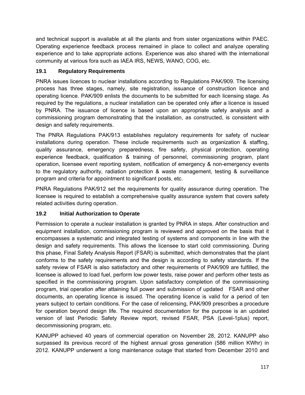and technical support is available at all the plants and from sister organizations within PAEC. Operating experience feedback process remained in place to collect and analyze operating experience and to take appropriate actions. Experience was also shared with the international community at various fora such as IAEA IRS, NEWS, WANO, COG, etc.

### **19.1 Regulatory Requirements**

PNRA issues licences to nuclear installations according to Regulations PAK/909. The licensing process has three stages, namely, site registration, issuance of construction licence and operating licence. PAK/909 enlists the documents to be submitted for each licensing stage. As required by the regulations, a nuclear installation can be operated only after a licence is issued by PNRA. The issuance of licence is based upon an appropriate safety analysis and a commissioning program demonstrating that the installation, as constructed, is consistent with design and safety requirements.

The PNRA Regulations PAK/913 establishes regulatory requirements for safety of nuclear installations during operation. These include requirements such as organization & staffing, quality assurance, emergency preparedness, fire safety, physical protection, operating experience feedback, qualification & training of personnel, commissioning program, plant operation, licensee event reporting system, notification of emergency & non-emergency events to the regulatory authority, radiation protection & waste management, testing & surveillance program and criteria for appointment to significant posts, etc.

PNRA Regulations PAK/912 set the requirements for quality assurance during operation. The licensee is required to establish a comprehensive quality assurance system that covers safety related activities during operation.

#### **19.2 Initial Authorization to Operate**

Permission to operate a nuclear installation is granted by PNRA in steps. After construction and equipment installation, commissioning program is reviewed and approved on the basis that it encompasses a systematic and integrated testing of systems and components in line with the design and safety requirements. This allows the licensee to start cold commissioning. During this phase, Final Safety Analysis Report (FSAR) is submitted, which demonstrates that the plant conforms to the safety requirements and the design is according to safety standards. If the safety review of FSAR is also satisfactory and other requirements of PAK/909 are fulfilled, the licensee is allowed to load fuel, perform low power tests, raise power and perform other tests as specified in the commissioning program. Upon satisfactory completion of the commissioning program, trial operation after attaining full power and submission of updated FSAR and other documents, an operating licence is issued. The operating licence is valid for a period of ten years subject to certain conditions. For the case of relicensing, PAK/909 prescribes a procedure for operation beyond design life. The required documentation for the purpose is an updated version of last Periodic Safety Review report, revised FSAR, PSA (Level-1plus) report, decommissioning program, etc.

KANUPP achieved 40 years of commercial operation on November 28, 2012. KANUPP also surpassed its previous record of the highest annual gross generation (586 million KWhr) in 2012. KANUPP underwent a long maintenance outage that started from December 2010 and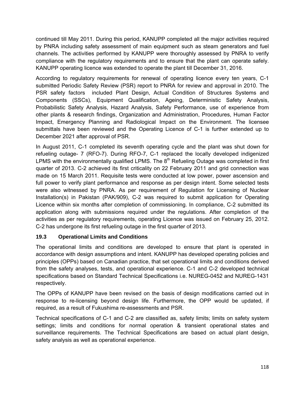continued till May 2011. During this period, KANUPP completed all the major activities required by PNRA including safety assessment of main equipment such as steam generators and fuel channels. The activities performed by KANUPP were thoroughly assessed by PNRA to verify compliance with the regulatory requirements and to ensure that the plant can operate safely. KANUPP operating licence was extended to operate the plant till December 31, 2016.

According to regulatory requirements for renewal of operating licence every ten years, C-1 submitted Periodic Safety Review (PSR) report to PNRA for review and approval in 2010. The PSR safety factors included Plant Design, Actual Condition of Structures Systems and Components (SSCs), Equipment Qualification, Ageing, Deterministic Safety Analysis, Probabilistic Safety Analysis, Hazard Analysis, Safety Performance, use of experience from other plants & research findings, Organization and Administration, Procedures, Human Factor Impact, Emergency Planning and Radiological Impact on the Environment. The licensee submittals have been reviewed and the Operating Licence of C-1 is further extended up to December 2021 after approval of PSR.

In August 2011, C-1 completed its seventh operating cycle and the plant was shut down for refueling outage- 7 (RFO-7). During RFO-7, C-1 replaced the locally developed indigenized LPMS with the environmentally qualified LPMS. The  $8<sup>th</sup>$  Refueling Outage was completed in first quarter of 2013. C-2 achieved its first criticality on 22 February 2011 and grid connection was made on 15 March 2011. Requisite tests were conducted at low power, power ascension and full power to verify plant performance and response as per design intent. Some selected tests were also witnessed by PNRA. As per requirement of Regulation for Licensing of Nuclear Installation(s) in Pakistan (PAK/909), C-2 was required to submit application for Operating Licence within six months after completion of commissioning. In compliance, C-2 submitted its application along with submissions required under the regulations. After completion of the activities as per regulatory requirements, operating Licence was issued on February 25, 2012. C-2 has undergone its first refueling outage in the first quarter of 2013.

#### **19.3 Operational Limits and Conditions**

The operational limits and conditions are developed to ensure that plant is operated in accordance with design assumptions and intent. KANUPP has developed operating policies and principles (OPPs) based on Canadian practice, that set operational limits and conditions derived from the safety analyses, tests, and operational experience. C-1 and C-2 developed technical specifications based on Standard Technical Specifications i.e. NUREG-0452 and NUREG-1431 respectively.

The OPPs of KANUPP have been revised on the basis of design modifications carried out in response to re-licensing beyond design life. Furthermore, the OPP would be updated, if required, as a result of Fukushima re-assessments and PSR.

Technical specifications of C-1 and C-2 are classified as, safety limits; limits on safety system settings; limits and conditions for normal operation & transient operational states and surveillance requirements. The Technical Specifications are based on actual plant design, safety analysis as well as operational experience.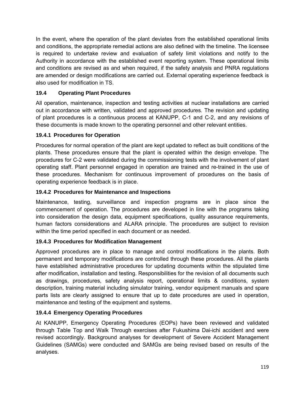In the event, where the operation of the plant deviates from the established operational limits and conditions, the appropriate remedial actions are also defined with the timeline. The licensee is required to undertake review and evaluation of safety limit violations and notify to the Authority in accordance with the established event reporting system. These operational limits and conditions are revised as and when required, if the safety analysis and PNRA regulations are amended or design modifications are carried out. External operating experience feedback is also used for modification in TS.

## **19.4 Operating Plant Procedures**

All operation, maintenance, inspection and testing activities at nuclear installations are carried out in accordance with written, validated and approved procedures. The revision and updating of plant procedures is a continuous process at KANUPP, C-1 and C-2, and any revisions of these documents is made known to the operating personnel and other relevant entities.

### **19.4.1 Procedures for Operation**

Procedures for normal operation of the plant are kept updated to reflect as built conditions of the plants. These procedures ensure that the plant is operated within the design envelope. The procedures for C-2 were validated during the commissioning tests with the involvement of plant operating staff. Plant personnel engaged in operation are trained and re-trained in the use of these procedures. Mechanism for continuous improvement of procedures on the basis of operating experience feedback is in place.

### **19.4.2 Procedures for Maintenance and Inspections**

Maintenance, testing, surveillance and inspection programs are in place since the commencement of operation. The procedures are developed in line with the programs taking into consideration the design data, equipment specifications, quality assurance requirements, human factors considerations and ALARA principle. The procedures are subject to revision within the time period specified in each document or as needed.

### **19.4.3 Procedures for Modification Management**

Approved procedures are in place to manage and control modifications in the plants. Both permanent and temporary modifications are controlled through these procedures. All the plants have established administrative procedures for updating documents within the stipulated time after modification, installation and testing. Responsibilities for the revision of all documents such as drawings, procedures, safety analysis report, operational limits & conditions, system description, training material including simulator training, vendor equipment manuals and spare parts lists are clearly assigned to ensure that up to date procedures are used in operation, maintenance and testing of the equipment and systems.

### **19.4.4 Emergency Operating Procedures**

At KANUPP, Emergency Operating Procedures (EOPs) have been reviewed and validated through Table Top and Walk Through exercises after Fukushima Dai-ichi accident and were revised accordingly. Background analyses for development of Severe Accident Management Guidelines (SAMGs) were conducted and SAMGs are being revised based on results of the analyses.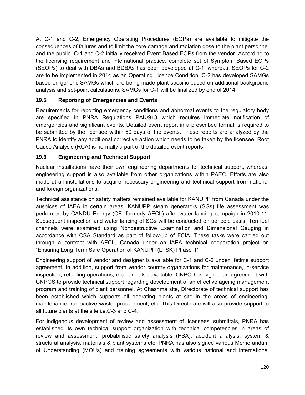At C-1 and C-2, Emergency Operating Procedures (EOPs) are available to mitigate the consequences of failures and to limit the core damage and radiation dose to the plant personnel and the public. C-1 and C-2 initially received Event Based EOPs from the vendor. According to the licensing requirement and international practice, complete set of Symptom Based EOPs (SEOPs) to deal with DBAs and BDBAs has been developed at C-1, whereas, SEOPs for C-2 are to be implemented in 2014 as an Operating Licence Condition. C-2 has developed SAMGs based on generic SAMGs which are being made plant specific based on additional background analysis and set-point calculations. SAMGs for C-1 will be finalized by end of 2014.

## **19.5 Reporting of Emergencies and Events**

Requirements for reporting emergency conditions and abnormal events to the regulatory body are specified in PNRA Regulations PAK/913 which requires immediate notification of emergencies and significant events. Detailed event report in a prescribed format is required to be submitted by the licensee within 60 days of the events. These reports are analyzed by the PNRA to identify any additional corrective action which needs to be taken by the licensee. Root Cause Analysis (RCA) is normally a part of the detailed event reports.

### **19.6 Engineering and Technical Support**

Nuclear Installations have their own engineering departments for technical support, whereas, engineering support is also available from other organizations within PAEC. Efforts are also made at all installations to acquire necessary engineering and technical support from national and foreign organizations.

Technical assistance on safety matters remained available for KANUPP from Canada under the auspices of IAEA in certain areas. KANUPP steam generators (SGs) life assessment was performed by CANDU Energy (CE, formerly AECL) after water lancing campaign in 2010-11. Subsequent inspection and water lancing of SGs will be conducted on periodic basis. Ten fuel channels were examined using Nondestructive Examination and Dimensional Gauging in accordance with CSA Standard as part of follow-up of FCIA. These tasks were carried out through a contract with AECL, Canada under an IAEA technical cooperation project on "Ensuring Long Term Safe Operation of KANUPP (LTSK) Phase II".

Engineering support of vendor and designer is available for C-1 and C-2 under lifetime support agreement. In addition, support from vendor country organizations for maintenance, in-service inspection, refueling operations, etc., are also available. CNPO has signed an agreement with CNPGS to provide technical support regarding development of an effective ageing management program and training of plant personnel. At Chashma site, Directorate of technical support has been established which supports all operating plants at site in the areas of engineering, maintenance, radioactive waste, procurement, etc. This Directorate will also provide support to all future plants at the site i.e.C-3 and C-4.

For indigenous development of review and assessment of licensees' submittals, PNRA has established its own technical support organization with technical competencies in areas of review and assessment, probabilistic safety analysis (PSA), accident analysis, system & structural analysis, materials & plant systems etc. PNRA has also signed various Memorandum of Understanding (MOUs) and training agreements with various national and international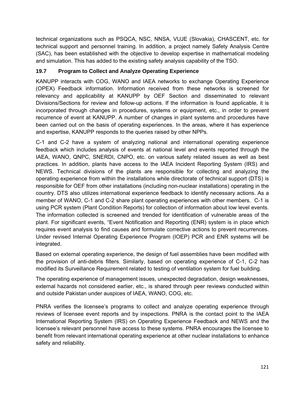technical organizations such as PSQCA, NSC, NNSA, VUJE (Slovakia), CHASCENT, etc. for technical support and personnel training. In addition, a project namely Safety Analysis Centre (SAC), has been established with the objective to develop expertise in mathematical modeling and simulation. This has added to the existing safety analysis capability of the TSO.

## **19.7 Program to Collect and Analyze Operating Experience**

KANUPP interacts with COG, WANO and IAEA networks to exchange Operating Experience (OPEX) Feedback information. Information received from these networks is screened for relevancy and applicability at KANUPP by OEF Section and disseminated to relevant Divisions/Sections for review and follow-up actions. If the information is found applicable, it is incorporated through changes in procedures, systems or equipment, etc., in order to prevent recurrence of event at KANUPP. A number of changes in plant systems and procedures have been carried out on the basis of operating experiences. In the areas, where it has experience and expertise, KANUPP responds to the queries raised by other NPPs.

C-1 and C-2 have a system of analyzing national and international operating experience feedback which includes analysis of events at national level and events reported through the IAEA, WANO, QNPC, SNERDI, CNPO, etc. on various safety related issues as well as best practices. In addition, plants have access to the IAEA Incident Reporting System (IRS) and NEWS. Technical divisions of the plants are responsible for collecting and analyzing the operating experience from within the installations while directorate of technical support (DTS) is responsible for OEF from other installations (including non-nuclear installations) operating in the country. DTS also utilizes international experience feedback to identify necessary actions. As a member of WANO, C-1 and C-2 share plant operating experiences with other members. C-1 is using PCR system (Plant Condition Reports) for collection of information about low level events. The information collected is screened and trended for identification of vulnerable areas of the plant. For significant events, "Event Notification and Reporting (ENR) system is in place which requires event analysis to find causes and formulate corrective actions to prevent recurrences. Under revised Internal Operating Experience Program (IOEP) PCR and ENR systems will be integrated.

Based on external operating experience, the design of fuel assemblies have been modified with the provision of anti-debris filters. Similarly, based on operating experience of C-1, C-2 has modified its Surveillance Requirement related to testing of ventilation system for fuel building.

The operating experience of management issues, unexpected degradation, design weaknesses, external hazards not considered earlier, etc., is shared through peer reviews conducted within and outside Pakistan under auspices of IAEA, WANO, COG, etc.

PNRA verifies the licensee's programs to collect and analyze operating experience through reviews of licensee event reports and by inspections. PNRA is the contact point to the IAEA International Reporting System (IRS) on Operating Experience Feedback and NEWS and the licensee's relevant personnel have access to these systems. PNRA encourages the licensee to benefit from relevant international operating experience at other nuclear installations to enhance safety and reliability.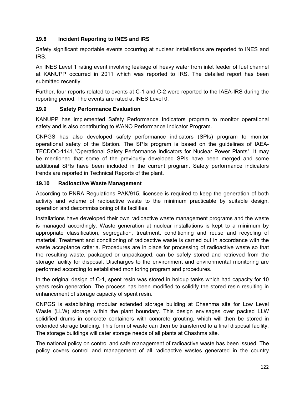#### **19.8 Incident Reporting to INES and IRS**

Safety significant reportable events occurring at nuclear installations are reported to INES and IRS.

An INES Level 1 rating event involving leakage of heavy water from inlet feeder of fuel channel at KANUPP occurred in 2011 which was reported to IRS. The detailed report has been submitted recently.

Further, four reports related to events at C-1 and C-2 were reported to the IAEA-IRS during the reporting period. The events are rated at INES Level 0.

#### **19.9 Safety Performance Evaluation**

KANUPP has implemented Safety Performance Indicators program to monitor operational safety and is also contributing to WANO Performance Indicator Program.

CNPGS has also developed safety performance indicators (SPIs) program to monitor operational safety of the Station. The SPIs program is based on the guidelines of IAEA-TECDOC-1141,"Operational Safety Performance Indicators for Nuclear Power Plants". It may be mentioned that some of the previously developed SPIs have been merged and some additional SPIs have been included in the current program. Safety performance indicators trends are reported in Technical Reports of the plant.

#### **19.10 Radioactive Waste Management**

According to PNRA Regulations PAK/915, licensee is required to keep the generation of both activity and volume of radioactive waste to the minimum practicable by suitable design, operation and decommissioning of its facilities.

Installations have developed their own radioactive waste management programs and the waste is managed accordingly. Waste generation at nuclear installations is kept to a minimum by appropriate classification, segregation, treatment, conditioning and reuse and recycling of material. Treatment and conditioning of radioactive waste is carried out in accordance with the waste acceptance criteria. Procedures are in place for processing of radioactive waste so that the resulting waste, packaged or unpackaged, can be safely stored and retrieved from the storage facility for disposal. Discharges to the environment and environmental monitoring are performed according to established monitoring program and procedures.

In the original design of C-1, spent resin was stored in holdup tanks which had capacity for 10 years resin generation. The process has been modified to solidify the stored resin resulting in enhancement of storage capacity of spent resin.

CNPGS is establishing modular extended storage building at Chashma site for Low Level Waste (LLW) storage within the plant boundary. This design envisages over packed LLW solidified drums in concrete containers with concrete grouting, which will then be stored in extended storage building. This form of waste can then be transferred to a final disposal facility. The storage buildings will cater storage needs of all plants at Chashma site.

The national policy on control and safe management of radioactive waste has been issued. The policy covers control and management of all radioactive wastes generated in the country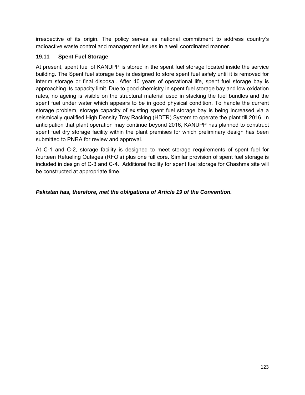irrespective of its origin. The policy serves as national commitment to address country's radioactive waste control and management issues in a well coordinated manner.

#### **19.11 Spent Fuel Storage**

At present, spent fuel of KANUPP is stored in the spent fuel storage located inside the service building. The Spent fuel storage bay is designed to store spent fuel safely until it is removed for interim storage or final disposal. After 40 years of operational life, spent fuel storage bay is approaching its capacity limit. Due to good chemistry in spent fuel storage bay and low oxidation rates, no ageing is visible on the structural material used in stacking the fuel bundles and the spent fuel under water which appears to be in good physical condition. To handle the current storage problem, storage capacity of existing spent fuel storage bay is being increased via a seismically qualified High Density Tray Racking (HDTR) System to operate the plant till 2016. In anticipation that plant operation may continue beyond 2016, KANUPP has planned to construct spent fuel dry storage facility within the plant premises for which preliminary design has been submitted to PNRA for review and approval.

At C-1 and C-2, storage facility is designed to meet storage requirements of spent fuel for fourteen Refueling Outages (RFO's) plus one full core. Similar provision of spent fuel storage is included in design of C-3 and C-4. Additional facility for spent fuel storage for Chashma site will be constructed at appropriate time.

#### *Pakistan has, therefore, met the obligations of Article 19 of the Convention.*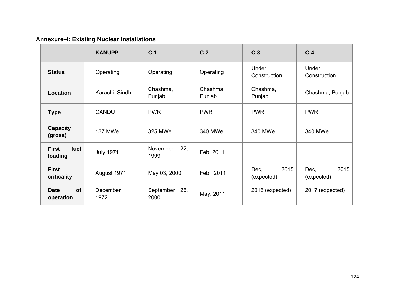# **Annexure–I: Existing Nuclear Installations**

|                                 | <b>KANUPP</b>    | $C-1$                    | $C-2$              | $C-3$                      | $C-4$                      |
|---------------------------------|------------------|--------------------------|--------------------|----------------------------|----------------------------|
| <b>Status</b>                   | Operating        | Operating                | Operating          | Under<br>Construction      | Under<br>Construction      |
| Location                        | Karachi, Sindh   | Chashma,<br>Punjab       | Chashma,<br>Punjab | Chashma,<br>Punjab         | Chashma, Punjab            |
| <b>Type</b>                     | <b>CANDU</b>     | <b>PWR</b>               | <b>PWR</b>         | <b>PWR</b>                 | <b>PWR</b>                 |
| Capacity<br>(gross)             | 137 MWe          | 325 MWe                  | 340 MWe            | 340 MWe                    | 340 MWe                    |
| <b>First</b><br>fuel<br>loading | <b>July 1971</b> | 22,<br>November<br>1999  | Feb, 2011          |                            |                            |
| <b>First</b><br>criticality     | August 1971      | May 03, 2000             | Feb, 2011          | 2015<br>Dec,<br>(expected) | 2015<br>Dec,<br>(expected) |
| of<br><b>Date</b><br>operation  | December<br>1972 | September<br>25,<br>2000 | May, 2011          | 2016 (expected)            | 2017 (expected)            |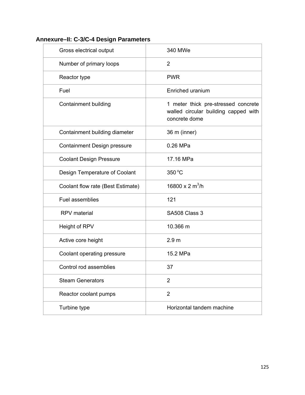## **Annexure–II: C-3/C-4 Design Parameters**

| Gross electrical output           | 340 MWe                                                                                      |
|-----------------------------------|----------------------------------------------------------------------------------------------|
| Number of primary loops           | $\overline{2}$                                                                               |
| Reactor type                      | <b>PWR</b>                                                                                   |
| Fuel                              | Enriched uranium                                                                             |
| <b>Containment building</b>       | 1 meter thick pre-stressed concrete<br>walled circular building capped with<br>concrete dome |
| Containment building diameter     | 36 m (inner)                                                                                 |
| Containment Design pressure       | 0.26 MPa                                                                                     |
| <b>Coolant Design Pressure</b>    | 17.16 MPa                                                                                    |
| Design Temperature of Coolant     | 350 °C                                                                                       |
| Coolant flow rate (Best Estimate) | 16800 x 2 m <sup>3</sup> /h                                                                  |
| Fuel assemblies                   | 121                                                                                          |
| <b>RPV</b> material               | SA508 Class 3                                                                                |
| Height of RPV                     | 10.366 m                                                                                     |
| Active core height                | 2.9 <sub>m</sub>                                                                             |
| Coolant operating pressure        | 15.2 MPa                                                                                     |
| Control rod assemblies            | 37                                                                                           |
| <b>Steam Generators</b>           | $\overline{2}$                                                                               |
| Reactor coolant pumps             | $\overline{2}$                                                                               |
| Turbine type                      | Horizontal tandem machine                                                                    |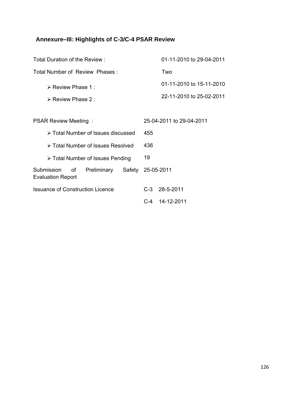# **Annexure–III: Highlights of C-3/C-4 PSAR Review**

| Total Duration of the Review:                                         | 01-11-2010 to 29-04-2011 |  |  |
|-----------------------------------------------------------------------|--------------------------|--|--|
| Total Number of Review Phases:                                        | Two                      |  |  |
| $\triangleright$ Review Phase 1 :                                     | 01-11-2010 to 15-11-2010 |  |  |
| $\triangleright$ Review Phase 2 :                                     | 22-11-2010 to 25-02-2011 |  |  |
|                                                                       |                          |  |  |
| <b>PSAR Review Meeting:</b>                                           | 25-04-2011 to 29-04-2011 |  |  |
| > Total Number of Issues discussed                                    | 455                      |  |  |
| > Total Number of Issues Resolved                                     | 436                      |  |  |
| > Total Number of Issues Pending                                      | 19                       |  |  |
| Submission<br>Preliminary<br>of<br>Safety<br><b>Evaluation Report</b> | 25-05-2011               |  |  |
| <b>Issuance of Construction Licence</b>                               | $C-3$<br>28-5-2011       |  |  |
|                                                                       | C-4 14-12-2011           |  |  |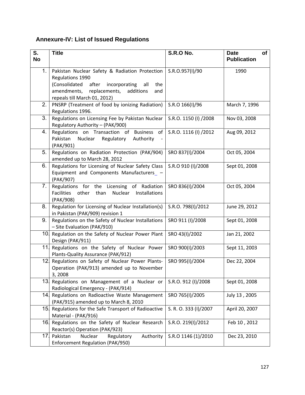# **Annexure-IV: List of Issued Regulations**

| S.<br><b>No</b> | <b>Title</b>                                                                                                                                                                                                 | <b>S.R.O No.</b>      | <b>Date</b><br>of<br><b>Publication</b> |
|-----------------|--------------------------------------------------------------------------------------------------------------------------------------------------------------------------------------------------------------|-----------------------|-----------------------------------------|
| 1.              | Pakistan Nuclear Safety & Radiation Protection<br>Regulations 1990<br>(Consolidated<br>after incorporating<br>all<br>the<br>amendments,<br>replacements,<br>additions<br>and<br>repeals till March 01, 2012) | S.R.O.957(I)/90       | 1990                                    |
| 2.              | PNSRP (Treatment of food by ionizing Radiation)<br>Regulations 1996.                                                                                                                                         | S.R.O 166(I)/96       | March 7, 1996                           |
| 3.              | Regulations on Licensing Fee by Pakistan Nuclear<br>Regulatory Authority - (PAK/900)                                                                                                                         | S.R.O. 1150 (I) /2008 | Nov 03, 2008                            |
| 4.              | Regulations on Transaction of Business of<br>Pakistan<br>Nuclear<br>Regulatory<br>Authority<br>(PAK/901)                                                                                                     | S.R.O. 1116 (I) /2012 | Aug 09, 2012                            |
| 5.              | Regulations on Radiation Protection (PAK/904)<br>amended up to March 28, 2012                                                                                                                                | SRO 837(I)/2004       | Oct 05, 2004                            |
| 6.              | Regulations for Licensing of Nuclear Safety Class<br>Equipment and Components Manufacturers_ -<br>(PAK/907)                                                                                                  | S.R.O 910 (I)/2008    | Sept 01, 2008                           |
| 7.              | Regulations for the Licensing of Radiation<br><b>Facilities</b><br>other<br>than<br>Nuclear<br>Installations<br>(PAK/908)                                                                                    | SRO 836(I)/2004       | Oct 05, 2004                            |
| 8.              | Regulation for Licensing of Nuclear Installation(s)<br>in Pakistan (PAK/909) revision 1                                                                                                                      | S.R.O. 798(I)/2012    | June 29, 2012                           |
| 9.              | Regulations on the Safety of Nuclear Installations<br>- Site Evaluation (PAK/910)                                                                                                                            | SRO 911 (I)/2008      | Sept 01, 2008                           |
|                 | 10 Regulation on the Safety of Nuclear Power Plant<br>Design (PAK/911)                                                                                                                                       | SRO 43(I)/2002        | Jan 21, 2002                            |
| 11 <sub>1</sub> | Regulations on the Safety of Nuclear Power<br>Plants-Quality Assurance (PAK/912)                                                                                                                             | SRO 900(I)/2003       | Sept 11, 2003                           |
|                 | 12. Regulations on Safety of Nuclear Power Plants-<br>Operation (PAK/913) amended up to November<br>3,2008                                                                                                   | SRO 995(I)/2004       | Dec 22, 2004                            |
|                 | 13. Regulations on Management of a Nuclear or<br>Radiological Emergency - (PAK/914)                                                                                                                          | S.R.O. 912 (I)/2008   | Sept 01, 2008                           |
|                 | 14. Regulations on Radioactive Waste Management<br>(PAK/915) amended up to March 8, 2010                                                                                                                     | SRO 765(I)/2005       | July 13, 2005                           |
|                 | 15. Regulations for the Safe Transport of Radioactive<br>Material - (PAK/916)                                                                                                                                | S. R. O. 333 (I)/2007 | April 20, 2007                          |
|                 | 16. Regulations on the Safety of Nuclear Research<br>Reactor(s) Operation (PAK/923)                                                                                                                          | S.R.O. 219(I)/2012    | Feb 10, 2012                            |
| 17.             | Pakistan<br>Nuclear<br>Regulatory<br>Authority<br>Enforcement Regulation (PAK/950)                                                                                                                           | S.R.O 1146 (1)/2010   | Dec 23, 2010                            |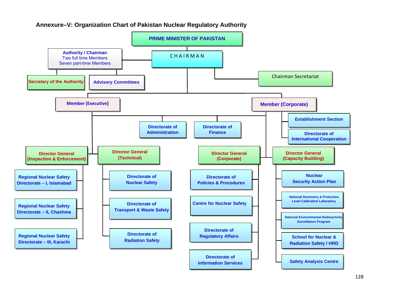

#### **Annexure–V: Organization Chart of Pakistan Nuclear Regulatory Authority**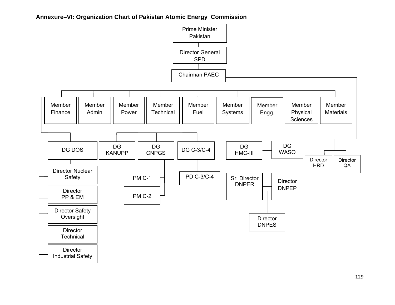#### **Annexure–VI: Organization Chart of Pakistan Atomic Energy Commission**

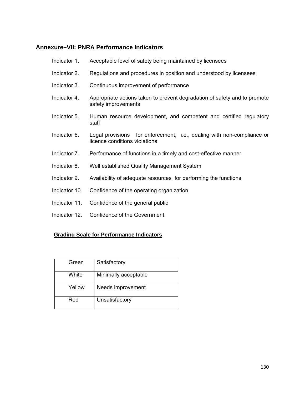## **Annexure–VII: PNRA Performance Indicators**

| Indicator 1.  | Acceptable level of safety being maintained by licensees                                                |
|---------------|---------------------------------------------------------------------------------------------------------|
| Indicator 2.  | Regulations and procedures in position and understood by licensees                                      |
| Indicator 3.  | Continuous improvement of performance                                                                   |
| Indicator 4.  | Appropriate actions taken to prevent degradation of safety and to promote<br>safety improvements        |
| Indicator 5.  | Human resource development, and competent and certified regulatory<br>staff                             |
| Indicator 6.  | Legal provisions for enforcement, i.e., dealing with non-compliance or<br>licence conditions violations |
| Indicator 7.  | Performance of functions in a timely and cost-effective manner                                          |
| Indicator 8.  | Well established Quality Management System                                                              |
| Indicator 9.  | Availability of adequate resources for performing the functions                                         |
| Indicator 10. | Confidence of the operating organization                                                                |
| Indicator 11. | Confidence of the general public                                                                        |
| Indicator 12. | Confidence of the Government.                                                                           |

#### **Grading Scale for Performance Indicators**

| Green  | Satisfactory         |
|--------|----------------------|
| White  | Minimally acceptable |
| Yellow | Needs improvement    |
| Red    | Unsatisfactory       |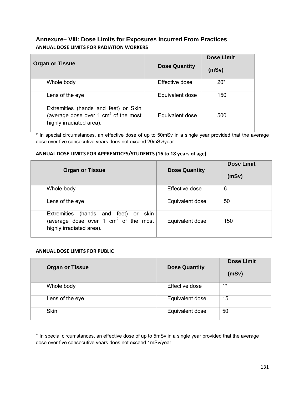#### **Annexure– VIII: Dose Limits for Exposures Incurred From Practices ANNUAL DOSE LIMITS FOR RADIATION WORKERS**

| <b>Organ or Tissue</b>                                                                                     | <b>Dose Quantity</b> | <b>Dose Limit</b><br>(mSv) |
|------------------------------------------------------------------------------------------------------------|----------------------|----------------------------|
| Whole body                                                                                                 | Effective dose       | $20*$                      |
| Lens of the eye                                                                                            | Equivalent dose      | 150                        |
| Extremities (hands and feet) or Skin<br>(average dose over 1 $cm2$ of the most<br>highly irradiated area). | Equivalent dose      | 500                        |

\* In special circumstances, an effective dose of up to 50mSv in a single year provided that the average dose over five consecutive years does not exceed 20mSv/year.

#### **ANNUAL DOSE LIMITS FOR APPRENTICES/STUDENTS (16 to 18 years of age)**

| <b>Organ or Tissue</b>                                                                                        | <b>Dose Quantity</b> | <b>Dose Limit</b><br>(mSv) |
|---------------------------------------------------------------------------------------------------------------|----------------------|----------------------------|
| Whole body                                                                                                    | Effective dose       | 6                          |
| Lens of the eye                                                                                               | Equivalent dose      | 50                         |
| Extremities (hands and feet) or<br>skin<br>(average dose over 1 $cm2$ of the most<br>highly irradiated area). | Equivalent dose      | 150                        |

#### **ANNUAL DOSE LIMITS FOR PUBLIC**

| <b>Organ or Tissue</b> | <b>Dose Quantity</b> | <b>Dose Limit</b><br>(mSv) |
|------------------------|----------------------|----------------------------|
| Whole body             | Effective dose       | $1^*$                      |
| Lens of the eye        | Equivalent dose      | 15                         |
| Skin                   | Equivalent dose      | 50                         |

\* In special circumstances, an effective dose of up to 5mSv in a single year provided that the average dose over five consecutive years does not exceed 1mSv/year.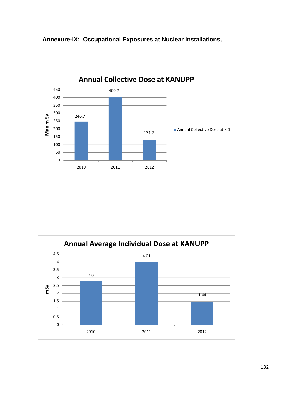



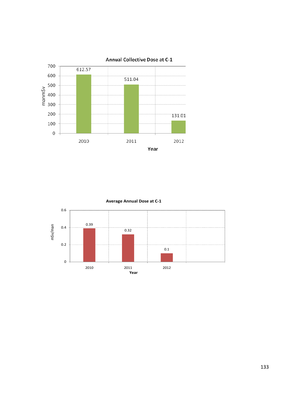



**Average Annual Dose at C‐1**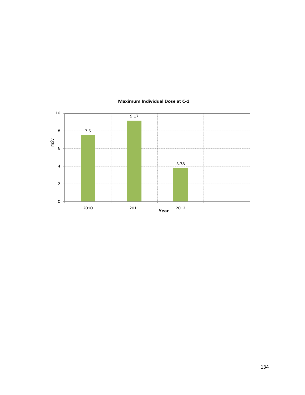

#### **Maximum Individual Dose at C‐1**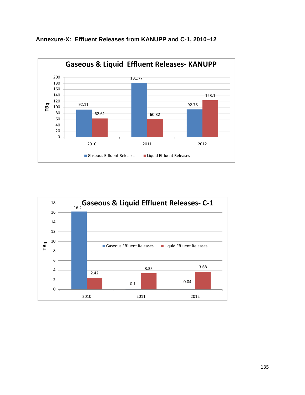



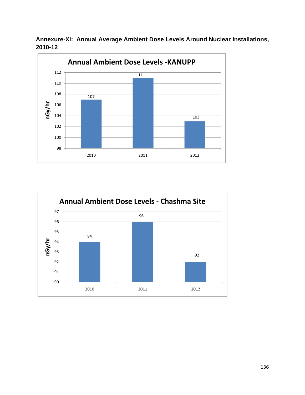



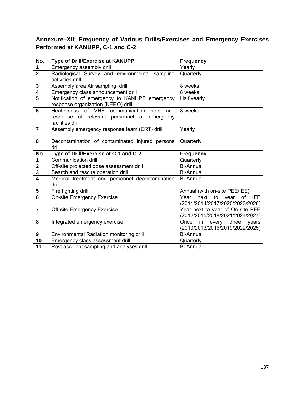# **Annexure–XII: Frequency of Various Drills/Exercises and Emergency Exercises Performed at KANUPP, C-1 and C-2**

| No.                 | Type of Drill/Exercise at KANUPP                                                                                | <b>Frequency</b>                                                    |
|---------------------|-----------------------------------------------------------------------------------------------------------------|---------------------------------------------------------------------|
| $\mathbf 1$         | Emergency assembly drill                                                                                        | Yearly                                                              |
| $\overline{2}$      | Radiological Survey and environmental sampling<br>activities drill                                              | Quarterly                                                           |
| $\mathbf 3$         | Assembly area Air sampling drill                                                                                | 8 weeks                                                             |
| $\overline{4}$      | Emergency class announcement drill                                                                              | $8$ weeks                                                           |
| $\overline{5}$      | Notification of emergency to KANUPP emergency<br>response organization (KERO) drill                             | Half yearly                                                         |
| $6\phantom{1}$      | Healthiness of VHF communication<br>sets and<br>response of relevant personnel at emergency<br>facilities drill | 8 weeks                                                             |
| $\overline{7}$      | Assembly emergency response team (ERT) drill                                                                    | Yearly                                                              |
| 8                   | Decontamination of contaminated injured persons<br>drill                                                        | Quarterly                                                           |
| No.                 | Type of Drill/Exercise at C-1 and C-2                                                                           | <b>Frequency</b>                                                    |
| 1                   | Communication drill                                                                                             | Quarterly                                                           |
| $\mathbf 2$         | Off-site projected dose assessment drill                                                                        | <b>Bi-Annual</b>                                                    |
| $\overline{3}$      | Search and rescue operation drill                                                                               | <b>Bi-Annual</b>                                                    |
| $\overline{\bf{4}}$ | Medical treatment and personnel decontamination<br>drill                                                        | <b>Bi-Annual</b>                                                    |
| 5                   | Fire fighting drill                                                                                             | Annual (with on-site PEE/IEE)                                       |
| $\overline{6}$      | <b>On-site Emergency Exercise</b>                                                                               | Year next to year<br>of IEE<br>(2011/2014/2017/2020/2023/2026)      |
| $\overline{7}$      | <b>Off-site Emergency Exercise</b>                                                                              | Year next to year of On-site PEE<br>(2012/2015/2018/2021/2024/2027) |
| 8                   | Integrated emergency exercise                                                                                   | in every three<br>Once<br>years<br>(2010/2013/2016/2019/2022/2025)  |
| 9                   | Environmental Radiation monitoring drill                                                                        | <b>Bi-Annual</b>                                                    |
| 10                  | Emergency class assessment drill                                                                                | Quarterly                                                           |
| 11                  | Post accident sampling and analyses drill                                                                       | <b>Bi-Annual</b>                                                    |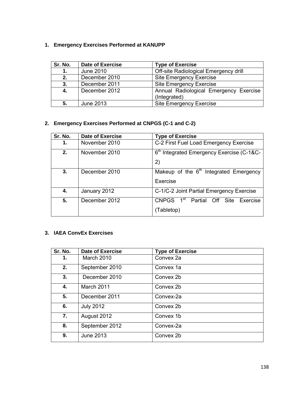## **1. Emergency Exercises Performed at KANUPP**

| Sr. No. | <b>Date of Exercise</b> | <b>Type of Exercise</b>                                |
|---------|-------------------------|--------------------------------------------------------|
| 1.      | June 2010               | Off-site Radiological Emergency drill                  |
| 2.      | December 2010           | <b>Site Emergency Exercise</b>                         |
| 3.      | December 2011           | <b>Site Emergency Exercise</b>                         |
| 4.      | December 2012           | Annual Radiological Emergency Exercise<br>(Integrated) |
| 5.      | June 2013               | <b>Site Emergency Exercise</b>                         |

# **2. Emergency Exercises Performed at CNPGS (C-1 and C-2)**

| Sr. No. | <b>Date of Exercise</b> | <b>Type of Exercise</b>                                                       |
|---------|-------------------------|-------------------------------------------------------------------------------|
| 1.      | November 2010           | C-2 First Fuel Load Emergency Exercise                                        |
| 2.      | November 2010           | 6th Integrated Emergency Exercise (C-1&C-<br>2)                               |
| 3.      | December 2010           | Makeup of the $6th$ Integrated Emergency<br>Exercise                          |
| 4.      | January 2012            | C-1/C-2 Joint Partial Emergency Exercise                                      |
| 5.      | December 2012           | 1 <sup>st</sup><br><b>CNPGS</b><br>Partial Off Site<br>Exercise<br>(Tabletop) |

# **3. IAEA ConvEx Exercises**

| Sr. No. | <b>Date of Exercise</b> | <b>Type of Exercise</b> |
|---------|-------------------------|-------------------------|
| 1.      | March 2010              | Convex 2a               |
| 2.      | September 2010          | Convex 1a               |
| 3.      | December 2010           | Convex 2b               |
| 4.      | March 2011              | Convex 2b               |
| 5.      | December 2011           | Convex-2a               |
| 6.      | <b>July 2012</b>        | Convex 2b               |
| 7.      | August 2012             | Convex 1b               |
| 8.      | September 2012          | Convex-2a               |
| 9.      | <b>June 2013</b>        | Convex 2b               |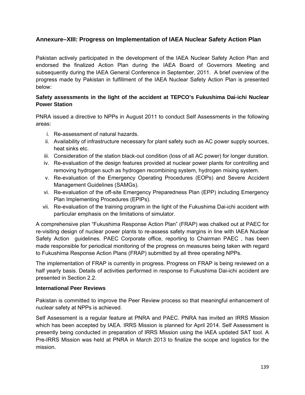# **Annexure–XIII: Progress on Implementation of IAEA Nuclear Safety Action Plan**

Pakistan actively participated in the development of the IAEA Nuclear Safety Action Plan and endorsed the finalized Action Plan during the IAEA Board of Governors Meeting and subsequently during the IAEA General Conference in September, 2011. A brief overview of the progress made by Pakistan in fulfillment of the IAEA Nuclear Safety Action Plan is presented below:

### **Safety assessments in the light of the accident at TEPCO's Fukushima Dai-ichi Nuclear Power Station**

PNRA issued a directive to NPPs in August 2011 to conduct Self Assessments in the following areas:

- i. Re-assessment of natural hazards.
- ii. Availability of infrastructure necessary for plant safety such as AC power supply sources, heat sinks etc.
- iii. Consideration of the station black-out condition (loss of all AC power) for longer duration.
- iv. Re-evaluation of the design features provided at nuclear power plants for controlling and removing hydrogen such as hydrogen recombining system, hydrogen mixing system.
- v. Re-evaluation of the Emergency Operating Procedures (EOPs) and Severe Accident Management Guidelines (SAMGs).
- vi. Re-evaluation of the off-site Emergency Preparedness Plan (EPP) including Emergency Plan Implementing Procedures (EPIPs).
- vii. Re-evaluation of the training program in the light of the Fukushima Dai-ichi accident with particular emphasis on the limitations of simulator.

A comprehensive plan "Fukushima Response Action Plan" (FRAP) was chalked out at PAEC for re-visiting design of nuclear power plants to re-assess safety margins in line with IAEA Nuclear Safety Action guidelines. PAEC Corporate office, reporting to Chairman PAEC , has been made responsible for periodical monitoring of the progress on measures being taken with regard to Fukushima Response Action Plans (FRAP) submitted by all three operating NPPs.

The implementation of FRAP is currently in progress. Progress on FRAP is being reviewed on a half yearly basis. Details of activities performed in response to Fukushima Dai-ichi accident are presented in Section 2.2.

#### **International Peer Reviews**

Pakistan is committed to improve the Peer Review process so that meaningful enhancement of nuclear safety at NPPs is achieved.

Self Assessment is a regular feature at PNRA and PAEC. PNRA has invited an IRRS Mission which has been accepted by IAEA. IRRS Mission is planned for April 2014. Self Assessment is presently being conducted in preparation of IRRS Mission using the IAEA updated SAT tool. A Pre-IRRS Mission was held at PNRA in March 2013 to finalize the scope and logistics for the mission.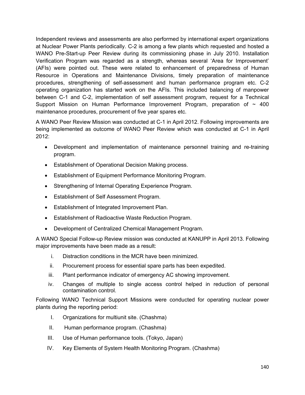Independent reviews and assessments are also performed by international expert organizations at Nuclear Power Plants periodically. C-2 is among a few plants which requested and hosted a WANO Pre-Start-up Peer Review during its commissioning phase in July 2010. Installation Verification Program was regarded as a strength, whereas several 'Area for Improvement' (AFIs) were pointed out. These were related to enhancement of preparedness of Human Resource in Operations and Maintenance Divisions, timely preparation of maintenance procedures, strengthening of self-assessment and human performance program etc. C-2 operating organization has started work on the AFIs. This included balancing of manpower between C-1 and C-2, implementation of self assessment program, request for a Technical Support Mission on Human Performance Improvement Program, preparation of  $\sim$  400 maintenance procedures, procurement of five year spares etc.

A WANO Peer Review Mission was conducted at C-1 in April 2012. Following improvements are being implemented as outcome of WANO Peer Review which was conducted at C-1 in April 2012:

- Development and implementation of maintenance personnel training and re-training program.
- **Establishment of Operational Decision Making process.**
- Establishment of Equipment Performance Monitoring Program.
- Strengthening of Internal Operating Experience Program.
- Establishment of Self Assessment Program.
- Establishment of Integrated Improvement Plan.
- Establishment of Radioactive Waste Reduction Program.
- Development of Centralized Chemical Management Program.

A WANO Special Follow-up Review mission was conducted at KANUPP in April 2013. Following major improvements have been made as a result:

- i. Distraction conditions in the MCR have been minimized.
- ii. Procurement process for essential spare parts has been expedited.
- iii. Plant performance indicator of emergency AC showing improvement.
- iv. Changes of multiple to single access control helped in reduction of personal contamination control.

Following WANO Technical Support Missions were conducted for operating nuclear power plants during the reporting period:

- I. Organizations for multiunit site. (Chashma)
- II. Human performance program. (Chashma)
- III. Use of Human performance tools. (Tokyo, Japan)
- IV. Key Elements of System Health Monitoring Program. (Chashma)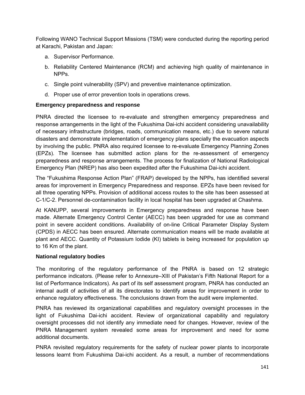Following WANO Technical Support Missions (TSM) were conducted during the reporting period at Karachi, Pakistan and Japan:

- a. Supervisor Performance.
- b. Reliability Centered Maintenance (RCM) and achieving high quality of maintenance in NPPs.
- c. Single point vulnerability (SPV) and preventive maintenance optimization.
- d. Proper use of error prevention tools in operations crews.

## **Emergency preparedness and response**

PNRA directed the licensee to re-evaluate and strengthen emergency preparedness and response arrangements in the light of the Fukushima Dai-ichi accident considering unavailability of necessary infrastructure (bridges, roads, communication means, etc.) due to severe natural disasters and demonstrate implementation of emergency plans specially the evacuation aspects by involving the public. PNRA also required licensee to re-evaluate Emergency Planning Zones (EPZs). The licensee has submitted action plans for the re-assessment of emergency preparedness and response arrangements. The process for finalization of National Radiological Emergency Plan (NREP) has also been expedited after the Fukushima Dai-ichi accident.

The "Fukushima Response Action Plan" (FRAP) developed by the NPPs, has identified several areas for improvement in Emergency Preparedness and response. EPZs have been revised for all three operating NPPs. Provision of additional access routes to the site has been assessed at C-1/C-2. Personnel de-contamination facility in local hospital has been upgraded at Chashma.

At KANUPP, several improvements in Emergency preparedness and response have been made. Alternate Emergency Control Center (AECC) has been upgraded for use as command point in severe accident conditions. Availability of on-line Critical Parameter Display System (CPDS) in AECC has been ensured. Alternate communication means will be made available at plant and AECC. Quantity of Potassium Iodide (KI) tablets is being increased for population up to 16 Km of the plant.

### **National regulatory bodies**

The monitoring of the regulatory performance of the PNRA is based on 12 strategic performance indicators. (Please refer to Annexure–XIII of Pakistan's Fifth National Report for a list of Performance Indicators). As part of its self assessment program, PNRA has conducted an internal audit of activities of all its directorates to identify areas for improvement in order to enhance regulatory effectiveness. The conclusions drawn from the audit were implemented.

PNRA has reviewed its organizational capabilities and regulatory oversight processes in the light of Fukushima Dai-ichi accident. Review of organizational capability and regulatory oversight processes did not identify any immediate need for changes. However, review of the PNRA Management system revealed some areas for improvement and need for some additional documents.

PNRA revisited regulatory requirements for the safety of nuclear power plants to incorporate lessons learnt from Fukushima Dai-ichi accident. As a result, a number of recommendations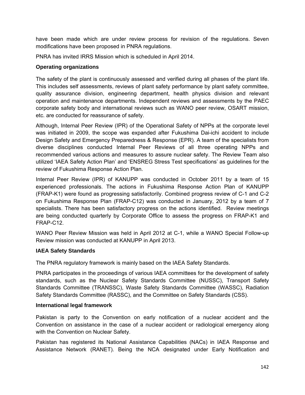have been made which are under review process for revision of the regulations. Seven modifications have been proposed in PNRA regulations.

PNRA has invited IRRS Mission which is scheduled in April 2014.

### **Operating organizations**

The safety of the plant is continuously assessed and verified during all phases of the plant life. This includes self assessments, reviews of plant safety performance by plant safety committee, quality assurance division, engineering department, health physics division and relevant operation and maintenance departments. Independent reviews and assessments by the PAEC corporate safety body and international reviews such as WANO peer review, OSART mission, etc. are conducted for reassurance of safety.

Although, Internal Peer Review (IPR) of the Operational Safety of NPPs at the corporate level was initiated in 2009, the scope was expanded after Fukushima Dai-ichi accident to include Design Safety and Emergency Preparedness & Response (EPR). A team of the specialists from diverse disciplines conducted Internal Peer Reviews of all three operating NPPs and recommended various actions and measures to assure nuclear safety. The Review Team also utilized 'IAEA Safety Action Plan' and 'ENSREG Stress Test specifications' as guidelines for the review of Fukushima Response Action Plan.

Internal Peer Review (IPR) of KANUPP was conducted in October 2011 by a team of 15 experienced professionals. The actions in Fukushima Response Action Plan of KANUPP (FRAP-K1) were found as progressing satisfactorily. Combined progress review of C-1 and C-2 on Fukushima Response Plan (FRAP-C12) was conducted in January, 2012 by a team of 7 specialists. There has been satisfactory progress on the actions identified. Review meetings are being conducted quarterly by Corporate Office to assess the progress on FRAP-K1 and FRAP-C12.

WANO Peer Review Mission was held in April 2012 at C-1, while a WANO Special Follow-up Review mission was conducted at KANUPP in April 2013.

### **IAEA Safety Standards**

The PNRA regulatory framework is mainly based on the IAEA Safety Standards.

PNRA participates in the proceedings of various IAEA committees for the development of safety standards, such as the Nuclear Safety Standards Committee (NUSSC), Transport Safety Standards Committee (TRANSSC), Waste Safety Standards Committee (WASSC), Radiation Safety Standards Committee (RASSC), and the Committee on Safety Standards (CSS).

#### **International legal framework**

Pakistan is party to the Convention on early notification of a nuclear accident and the Convention on assistance in the case of a nuclear accident or radiological emergency along with the Convention on Nuclear Safety.

Pakistan has registered its National Assistance Capabilities (NACs) in IAEA Response and Assistance Network (RANET). Being the NCA designated under Early Notification and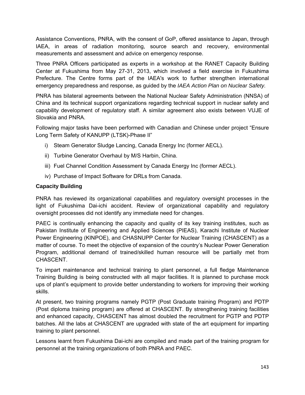Assistance Conventions, PNRA, with the consent of GoP, offered assistance to Japan, through IAEA, in areas of radiation monitoring, source search and recovery, environmental measurements and assessment and advice on emergency response.

Three PNRA Officers participated as experts in a workshop at the RANET Capacity Building Center at Fukushima from May 27-31, 2013, which involved a field exercise in Fukushima Prefecture. The Centre forms part of the IAEA's work to further strengthen international emergency preparedness and response, as guided by the *IAEA Action Plan on Nuclear Safety.*

PNRA has bilateral agreements between the National Nuclear Safety Administration (NNSA) of China and its technical support organizations regarding technical support in nuclear safety and capability development of regulatory staff. A similar agreement also exists between VUJE of Slovakia and PNRA.

Following major tasks have been performed with Canadian and Chinese under project "Ensure Long Term Safety of KANUPP (LTSK)-Phase II"

- i) Steam Generator Sludge Lancing, Canada Energy Inc (former AECL).
- ii) Turbine Generator Overhaul by M/S Harbin, China.
- iii) Fuel Channel Condition Assessment by Canada Energy Inc (former AECL).
- iv) Purchase of Impact Software for DRLs from Canada.

### **Capacity Building**

PNRA has reviewed its organizational capabilities and regulatory oversight processes in the light of Fukushima Dai-ichi accident. Review of organizational capability and regulatory oversight processes did not identify any immediate need for changes.

PAEC is continually enhancing the capacity and quality of its key training institutes, such as Pakistan Institute of Engineering and Applied Sciences (PIEAS), Karachi Institute of Nuclear Power Engineering (KINPOE), and CHASNUPP Center for Nuclear Training (CHASCENT) as a matter of course. To meet the objective of expansion of the country's Nuclear Power Generation Program, additional demand of trained/skilled human resource will be partially met from CHASCENT.

To impart maintenance and technical training to plant personnel, a full fledge Maintenance Training Building is being constructed with all major facilities. It is planned to purchase mock ups of plant's equipment to provide better understanding to workers for improving their working skills.

At present, two training programs namely PGTP (Post Graduate training Program) and PDTP (Post diploma training program) are offered at CHASCENT. By strengthening training facilities and enhanced capacity, CHASCENT has almost doubled the recruitment for PGTP and PDTP batches. All the labs at CHASCENT are upgraded with state of the art equipment for imparting training to plant personnel.

Lessons learnt from Fukushima Dai-ichi are compiled and made part of the training program for personnel at the training organizations of both PNRA and PAEC.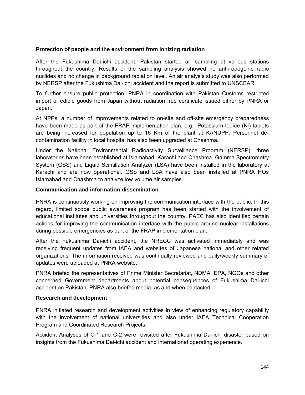#### **Protection of people and the environment from ionizing radiation**

After the Fukushima Dai-ichi accident, Pakistan started air sampling at various stations throughout the country. Results of the sampling analysis showed no anthropogenic radio nuclides and no change in background radiation level. An air analysis study was also performed by NERSP after the Fukushima Dai-ichi accident and the report is submitted to UNSCEAR.

To further ensure public protection, PNRA in coordination with Pakistan Customs restricted import of edible goods from Japan without radiation free certificate issued either by PNRA or Japan.

At NPPs, a number of improvements related to on-site and off-site emergency preparedness have been made as part of the FRAP implementation plan, e.g. Potassium Iodide (KI) tablets are being increased for population up to 16 Km of the plant at KANUPP. Personnel decontamination facility in local hospital has also been upgraded at Chashma.

Under the National Environmental Radioactivity Surveillance Program (NERSP), three laboratories have been established at Islamabad, Karachi and Chashma. Gamma Spectrometry System (GSS) and Liquid Scintillation Analyzer (LSA) have been installed in the laboratory at Karachi and are now operational. GSS and LSA have also been installed at PNRA HQs Islamabad and Chashma to analyze low volume air samples.

#### **Communication and information dissemination**

PNRA is continuously working on improving the communication interface with the public. In this regard, limited scope public awareness program has been started with the involvement of educational institutes and universities throughout the country. PAEC has also identified certain actions for improving the communication interface with the public around nuclear installations during possible emergencies as part of the FRAP implementation plan.

After the Fukushima Dai-ichi accident, the NRECC was activated immediately and was receiving frequent updates from IAEA and websites of Japanese national and other related organizations. The information received was continually reviewed and daily/weekly summary of updates were uploaded at PNRA website.

PNRA briefed the representatives of Prime Minister Secretariat, NDMA, EPA, NGOs and other concerned Government departments about potential consequences of Fukushima Dai-ichi accident on Pakistan. PNRA also briefed media, as and when contacted.

#### **Research and development**

PNRA initiated research and development activities in view of enhancing regulatory capability with the involvement of national universities and also under IAEA Technical Cooperation Program and Coordinated Research Projects.

Accident Analyses of C-1 and C-2 were revisited after Fukushima Dai-ichi disaster based on insights from the Fukushima Dai-ichi accident and international operating experience.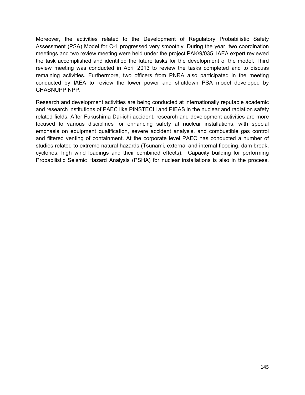Moreover, the activities related to the Development of Regulatory Probabilistic Safety Assessment (PSA) Model for C-1 progressed very smoothly. During the year, two coordination meetings and two review meeting were held under the project PAK/9/035. IAEA expert reviewed the task accomplished and identified the future tasks for the development of the model. Third review meeting was conducted in April 2013 to review the tasks completed and to discuss remaining activities. Furthermore, two officers from PNRA also participated in the meeting conducted by IAEA to review the lower power and shutdown PSA model developed by CHASNUPP NPP.

Research and development activities are being conducted at internationally reputable academic and research institutions of PAEC like PINSTECH and PIEAS in the nuclear and radiation safety related fields. After Fukushima Dai-ichi accident, research and development activities are more focused to various disciplines for enhancing safety at nuclear installations, with special emphasis on equipment qualification, severe accident analysis, and combustible gas control and filtered venting of containment. At the corporate level PAEC has conducted a number of studies related to extreme natural hazards (Tsunami, external and internal flooding, dam break, cyclones, high wind loadings and their combined effects). Capacity building for performing Probabilistic Seismic Hazard Analysis (PSHA) for nuclear installations is also in the process.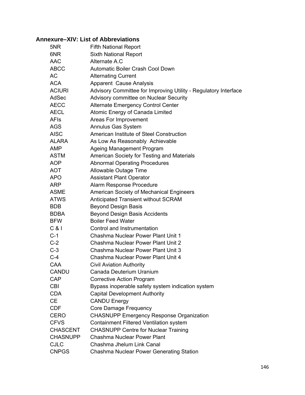# **Annexure–XIV: List of Abbreviations**

| 5NR             | <b>Fifth National Report</b>                                    |
|-----------------|-----------------------------------------------------------------|
| 6NR             | <b>Sixth National Report</b>                                    |
| <b>AAC</b>      | Alternate A.C                                                   |
| <b>ABCC</b>     | Automatic Boiler Crash Cool Down                                |
| AC              | <b>Alternating Current</b>                                      |
| <b>ACA</b>      | <b>Apparent Cause Analysis</b>                                  |
| <b>ACIURI</b>   | Advisory Committee for Improving Utility - Regulatory Interface |
| AdSec           | Advisory committee on Nuclear Security                          |
| <b>AECC</b>     | <b>Alternate Emergency Control Center</b>                       |
| <b>AECL</b>     | Atomic Energy of Canada Limited                                 |
| <b>AFIs</b>     | Areas For Improvement                                           |
| AGS             | <b>Annulus Gas System</b>                                       |
| <b>AISC</b>     | American Institute of Steel Construction                        |
| <b>ALARA</b>    | As Low As Reasonably Achievable                                 |
| AMP             | <b>Ageing Management Program</b>                                |
| <b>ASTM</b>     | American Society for Testing and Materials                      |
| <b>AOP</b>      | <b>Abnormal Operating Procedures</b>                            |
| <b>AOT</b>      | Allowable Outage Time                                           |
| <b>APO</b>      | <b>Assistant Plant Operator</b>                                 |
| ARP             | Alarm Response Procedure                                        |
| <b>ASME</b>     | American Society of Mechanical Engineers                        |
| <b>ATWS</b>     | Anticipated Transient without SCRAM                             |
| <b>BDB</b>      | <b>Beyond Design Basis</b>                                      |
| <b>BDBA</b>     | <b>Beyond Design Basis Accidents</b>                            |
| <b>BFW</b>      | <b>Boiler Feed Water</b>                                        |
| C & 1           | Control and Instrumentation                                     |
| $C-1$           | Chashma Nuclear Power Plant Unit 1                              |
| $C-2$           | Chashma Nuclear Power Plant Unit 2                              |
| $C-3$           | Chashma Nuclear Power Plant Unit 3                              |
| $C-4$           | Chashma Nuclear Power Plant Unit 4                              |
| CAA             | <b>Civil Aviation Authority</b>                                 |
| <b>CANDU</b>    | Canada Deuterium Uranium                                        |
| <b>CAP</b>      | <b>Corrective Action Program</b>                                |
| <b>CBI</b>      | Bypass inoperable safety system indication system               |
| <b>CDA</b>      | <b>Capital Development Authority</b>                            |
| СE              | <b>CANDU Energy</b>                                             |
| <b>CDF</b>      | Core Damage Frequency                                           |
| CERO            | <b>CHASNUPP Emergency Response Organization</b>                 |
| <b>CFVS</b>     | Containment Filtered Ventilation system                         |
| <b>CHASCENT</b> | <b>CHASNUPP Centre for Nuclear Training</b>                     |
| <b>CHASNUPP</b> | <b>Chashma Nuclear Power Plant</b>                              |
| <b>CJLC</b>     | Chashma Jhelum Link Canal                                       |
| <b>CNPGS</b>    | <b>Chashma Nuclear Power Generating Station</b>                 |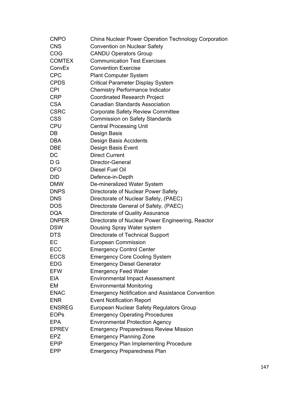| <b>CNPO</b>   | China Nuclear Power Operation Technology Corporation    |
|---------------|---------------------------------------------------------|
| <b>CNS</b>    | <b>Convention on Nuclear Safety</b>                     |
| COG           | <b>CANDU Operators Group</b>                            |
| <b>COMTEX</b> | <b>Communication Test Exercises</b>                     |
| ConvEx        | <b>Convention Exercise</b>                              |
| <b>CPC</b>    | <b>Plant Computer System</b>                            |
| <b>CPDS</b>   | Critical Parameter Display System                       |
| <b>CPI</b>    | <b>Chemistry Performance Indicator</b>                  |
| <b>CRP</b>    | <b>Coordinated Research Project</b>                     |
| <b>CSA</b>    | <b>Canadian Standards Association</b>                   |
| <b>CSRC</b>   | <b>Corporate Safety Review Committee</b>                |
| <b>CSS</b>    | <b>Commission on Safety Standards</b>                   |
| <b>CPU</b>    | <b>Central Processing Unit</b>                          |
| DB            | Design Basis                                            |
| DBA           | Design Basis Accidents                                  |
| DBE           | Design Basis Event                                      |
| DC            | <b>Direct Current</b>                                   |
| D G           | Director-General                                        |
| <b>DFO</b>    | Diesel Fuel Oil                                         |
| DID           | Defence-in-Depth                                        |
| <b>DMW</b>    | De-mineralized Water System                             |
| <b>DNPS</b>   | Directorate of Nuclear Power Safety                     |
| <b>DNS</b>    | Directorate of Nuclear Safety, (PAEC)                   |
| <b>DOS</b>    | Directorate General of Safety, (PAEC)                   |
| <b>DQA</b>    | Directorate of Quality Assurance                        |
| <b>DNPER</b>  | Directorate of Nuclear Power Engineering, Reactor       |
| <b>DSW</b>    | Dousing Spray Water system                              |
| <b>DTS</b>    | Directorate of Technical Support                        |
| EC            | <b>European Commission</b>                              |
| ECC           | <b>Emergency Control Center</b>                         |
| <b>ECCS</b>   | <b>Emergency Core Cooling System</b>                    |
| <b>EDG</b>    | <b>Emergency Diesel Generator</b>                       |
| <b>EFW</b>    | <b>Emergency Feed Water</b>                             |
| EIA           | <b>Environmental Impact Assessment</b>                  |
| EM            | <b>Environmental Monitoring</b>                         |
| <b>ENAC</b>   | <b>Emergency Notification and Assistance Convention</b> |
| <b>ENR</b>    | <b>Event Notification Report</b>                        |
| <b>ENSREG</b> | European Nuclear Safety Regulators Group                |
| <b>EOPs</b>   | <b>Emergency Operating Procedures</b>                   |
| <b>EPA</b>    | <b>Environmental Protection Agency</b>                  |
| <b>EPREV</b>  | <b>Emergency Preparedness Review Mission</b>            |
| EPZ           | <b>Emergency Planning Zone</b>                          |
| <b>EPIP</b>   | <b>Emergency Plan Implementing Procedure</b>            |
| EPP           | <b>Emergency Preparedness Plan</b>                      |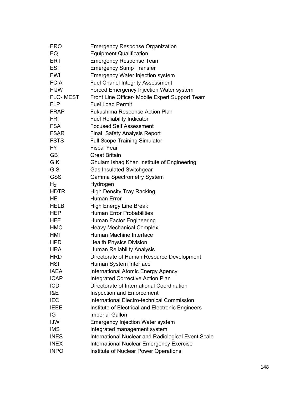| <b>ERO</b>      | <b>Emergency Response Organization</b>             |
|-----------------|----------------------------------------------------|
| EQ              | <b>Equipment Qualification</b>                     |
| <b>ERT</b>      | <b>Emergency Response Team</b>                     |
| <b>EST</b>      | <b>Emergency Sump Transfer</b>                     |
| <b>EWI</b>      | <b>Emergency Water Injection system</b>            |
| <b>FCIA</b>     | <b>Fuel Chanel Integrity Assessment</b>            |
| <b>FIJW</b>     | Forced Emergency Injection Water system            |
| <b>FLO-MEST</b> | Front Line Officer- Mobile Expert Support Team     |
| <b>FLP</b>      | <b>Fuel Load Permit</b>                            |
| <b>FRAP</b>     | Fukushima Response Action Plan                     |
| FRI             | <b>Fuel Reliability Indicator</b>                  |
| <b>FSA</b>      | <b>Focused Self Assessment</b>                     |
| <b>FSAR</b>     | Final Safety Analysis Report                       |
| <b>FSTS</b>     | <b>Full Scope Training Simulator</b>               |
| FY.             | <b>Fiscal Year</b>                                 |
| GB              | <b>Great Britain</b>                               |
| <b>GIK</b>      | Ghulam Ishaq Khan Institute of Engineering         |
| <b>GIS</b>      | <b>Gas Insulated Switchgear</b>                    |
| <b>GSS</b>      | <b>Gamma Spectrometry System</b>                   |
| H <sub>2</sub>  | Hydrogen                                           |
| HDTR            | <b>High Density Tray Racking</b>                   |
| HE              | <b>Human Error</b>                                 |
| <b>HELB</b>     | <b>High Energy Line Break</b>                      |
| <b>HEP</b>      | <b>Human Error Probabilities</b>                   |
| <b>HFE</b>      | Human Factor Engineering                           |
| <b>HMC</b>      | <b>Heavy Mechanical Complex</b>                    |
| HMI             | Human Machine Interface                            |
| <b>HPD</b>      | <b>Health Physics Division</b>                     |
| <b>HRA</b>      | Human Reliability Analysis                         |
| <b>HRD</b>      | Directorate of Human Resource Development          |
| HSI             | Human System Interface                             |
| <b>IAEA</b>     | <b>International Atomic Energy Agency</b>          |
| <b>ICAP</b>     | <b>Integrated Corrective Action Plan</b>           |
| <b>ICD</b>      | Directorate of International Coordination          |
| I&E             | <b>Inspection and Enforcement</b>                  |
| <b>IEC</b>      | <b>International Electro-technical Commission</b>  |
| <b>IEEE</b>     | Institute of Electrical and Electronic Engineers   |
| IG              | <b>Imperial Gallon</b>                             |
| <b>IJW</b>      | <b>Emergency Injection Water system</b>            |
| <b>IMS</b>      | Integrated management system                       |
| <b>INES</b>     | International Nuclear and Radiological Event Scale |
| <b>INEX</b>     | <b>International Nuclear Emergency Exercise</b>    |
| <b>INPO</b>     | Institute of Nuclear Power Operations              |
|                 |                                                    |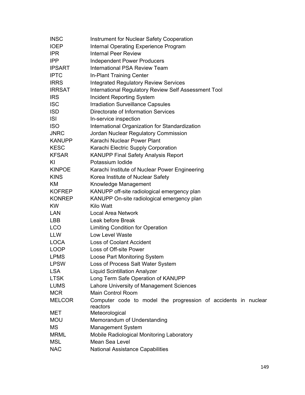| <b>INSC</b>   | Instrument for Nuclear Safety Cooperation                                  |
|---------------|----------------------------------------------------------------------------|
| <b>IOEP</b>   | Internal Operating Experience Program                                      |
| <b>IPR</b>    | <b>Internal Peer Review</b>                                                |
| IPP           | <b>Independent Power Producers</b>                                         |
| <b>IPSART</b> | International PSA Review Team                                              |
| <b>IPTC</b>   | In-Plant Training Center                                                   |
| <b>IRRS</b>   | <b>Integrated Regulatory Review Services</b>                               |
| <b>IRRSAT</b> | International Regulatory Review Self Assessment Tool                       |
| <b>IRS</b>    | <b>Incident Reporting System</b>                                           |
| <b>ISC</b>    | <b>Irradiation Surveillance Capsules</b>                                   |
| <b>ISD</b>    | Directorate of Information Services                                        |
| <b>ISI</b>    | In-service inspection                                                      |
| <b>ISO</b>    | International Organization for Standardization                             |
| <b>JNRC</b>   | Jordan Nuclear Regulatory Commission                                       |
| <b>KANUPP</b> | Karachi Nuclear Power Plant                                                |
| <b>KESC</b>   | Karachi Electric Supply Corporation                                        |
| <b>KFSAR</b>  | <b>KANUPP Final Safety Analysis Report</b>                                 |
| KI            | Potassium Iodide                                                           |
| <b>KINPOE</b> | Karachi Institute of Nuclear Power Engineering                             |
| <b>KINS</b>   | Korea Institute of Nuclear Safety                                          |
| KM.           | Knowledge Management                                                       |
| <b>KOFREP</b> | KANUPP off-site radiological emergency plan                                |
| <b>KONREP</b> | KANUPP On-site radiological emergency plan                                 |
| <b>KW</b>     | Kilo Watt                                                                  |
| LAN           | <b>Local Area Network</b>                                                  |
| LBB           | Leak before Break                                                          |
| <b>LCO</b>    | <b>Limiting Condition for Operation</b>                                    |
| <b>LLW</b>    | <b>Low Level Waste</b>                                                     |
| <b>LOCA</b>   | <b>Loss of Coolant Accident</b>                                            |
| <b>LOOP</b>   | Loss of Off-site Power                                                     |
| <b>LPMS</b>   | Loose Part Monitoring System                                               |
| <b>LPSW</b>   | Loss of Process Salt Water System                                          |
| <b>LSA</b>    | <b>Liquid Scintillation Analyzer</b>                                       |
| <b>LTSK</b>   | Long Term Safe Operation of KANUPP                                         |
| <b>LUMS</b>   | Lahore University of Management Sciences                                   |
| <b>MCR</b>    | Main Control Room                                                          |
| <b>MELCOR</b> | Computer code to model the progression of accidents in nuclear<br>reactors |
| MET           | Meteorological                                                             |
| <b>MOU</b>    | Memorandum of Understanding                                                |
| <b>MS</b>     | <b>Management System</b>                                                   |
| <b>MRML</b>   | <b>Mobile Radiological Monitoring Laboratory</b>                           |
| <b>MSL</b>    | Mean Sea Level                                                             |
| <b>NAC</b>    | <b>National Assistance Capabilities</b>                                    |
|               |                                                                            |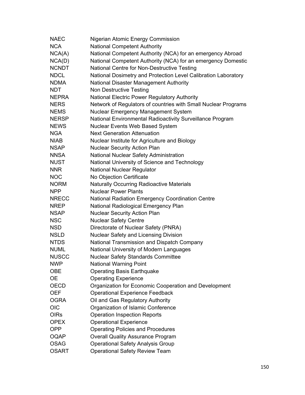| <b>NAEC</b>  | Nigerian Atomic Energy Commission                              |
|--------------|----------------------------------------------------------------|
| <b>NCA</b>   | <b>National Competent Authority</b>                            |
| NCA(A)       | National Competent Authority (NCA) for an emergency Abroad     |
| NCA(D)       | National Competent Authority (NCA) for an emergency Domestic   |
| <b>NCNDT</b> | National Centre for Non-Destructive Testing                    |
| <b>NDCL</b>  | National Dosimetry and Protection Level Calibration Laboratory |
| <b>NDMA</b>  | National Disaster Management Authority                         |
| <b>NDT</b>   | Non Destructive Testing                                        |
| <b>NEPRA</b> | National Electric Power Regulatory Authority                   |
| <b>NERS</b>  | Network of Regulators of countries with Small Nuclear Programs |
| <b>NEMS</b>  | Nuclear Emergency Management System                            |
| <b>NERSP</b> | National Environmental Radioactivity Surveillance Program      |
| <b>NEWS</b>  | Nuclear Events Web Based System                                |
| <b>NGA</b>   | <b>Next Generation Attenuation</b>                             |
| <b>NIAB</b>  | Nuclear Institute for Agriculture and Biology                  |
| <b>NSAP</b>  | <b>Nuclear Security Action Plan</b>                            |
| <b>NNSA</b>  | National Nuclear Safety Administration                         |
| <b>NUST</b>  | National University of Science and Technology                  |
| <b>NNR</b>   | National Nuclear Regulator                                     |
| <b>NOC</b>   | No Objection Certificate                                       |
| <b>NORM</b>  | <b>Naturally Occurring Radioactive Materials</b>               |
| <b>NPP</b>   | <b>Nuclear Power Plants</b>                                    |
| <b>NRECC</b> | <b>National Radiation Emergency Coordination Centre</b>        |
| <b>NREP</b>  | National Radiological Emergency Plan                           |
| <b>NSAP</b>  | <b>Nuclear Security Action Plan</b>                            |
| <b>NSC</b>   | <b>Nuclear Safety Centre</b>                                   |
| <b>NSD</b>   | Directorate of Nuclear Safety (PNRA)                           |
| <b>NSLD</b>  | Nuclear Safety and Licensing Division                          |
| <b>NTDS</b>  | National Transmission and Dispatch Company                     |
| <b>NUML</b>  | National University of Modern Languages                        |
| <b>NUSCC</b> | <b>Nuclear Safety Standards Committee</b>                      |
| <b>NWP</b>   | <b>National Warning Point</b>                                  |
| <b>OBE</b>   | <b>Operating Basis Earthquake</b>                              |
| <b>OE</b>    | <b>Operating Experience</b>                                    |
| <b>OECD</b>  | Organization for Economic Cooperation and Development          |
| <b>OEF</b>   | <b>Operational Experience Feedback</b>                         |
| <b>OGRA</b>  | Oil and Gas Regulatory Authority                               |
| <b>OIC</b>   | Organization of Islamic Conference                             |
| <b>OIRs</b>  | <b>Operation Inspection Reports</b>                            |
| <b>OPEX</b>  | <b>Operational Experience</b>                                  |
| <b>OPP</b>   | <b>Operating Policies and Procedures</b>                       |
| <b>OQAP</b>  | <b>Overall Quality Assurance Program</b>                       |
| <b>OSAG</b>  | <b>Operational Safety Analysis Group</b>                       |
| <b>OSART</b> | <b>Operational Safety Review Team</b>                          |
|              |                                                                |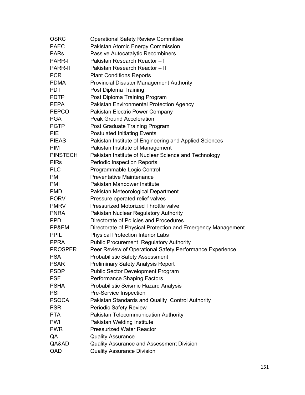| <b>OSRC</b>     | <b>Operational Safety Review Committee</b>                  |
|-----------------|-------------------------------------------------------------|
| <b>PAEC</b>     | Pakistan Atomic Energy Commission                           |
| <b>PARs</b>     | <b>Passive Autocatalytic Recombiners</b>                    |
| <b>PARR-I</b>   | Pakistan Research Reactor - I                               |
| <b>PARR-II</b>  | Pakistan Research Reactor - II                              |
| <b>PCR</b>      | <b>Plant Conditions Reports</b>                             |
| <b>PDMA</b>     | <b>Provincial Disaster Management Authority</b>             |
| <b>PDT</b>      | Post Diploma Training                                       |
| <b>PDTP</b>     | Post Diploma Training Program                               |
| <b>PEPA</b>     | Pakistan Environmental Protection Agency                    |
| <b>PEPCO</b>    | Pakistan Electric Power Company                             |
| <b>PGA</b>      | <b>Peak Ground Acceleration</b>                             |
| <b>PGTP</b>     | Post Graduate Training Program                              |
| <b>PIE</b>      | <b>Postulated Initiating Events</b>                         |
| <b>PIEAS</b>    | Pakistan Institute of Engineering and Applied Sciences      |
| <b>PIM</b>      | Pakistan Institute of Management                            |
| <b>PINSTECH</b> | Pakistan Institute of Nuclear Science and Technology        |
| <b>PIRs</b>     | <b>Periodic Inspection Reports</b>                          |
| <b>PLC</b>      | Programmable Logic Control                                  |
| <b>PM</b>       | <b>Preventative Maintenance</b>                             |
| <b>PMI</b>      | Pakistan Manpower Institute                                 |
| <b>PMD</b>      | Pakistan Meteorological Department                          |
| <b>PORV</b>     | Pressure operated relief valves                             |
| <b>PMRV</b>     | Pressurized Motorized Throttle valve                        |
| <b>PNRA</b>     | Pakistan Nuclear Regulatory Authority                       |
| <b>PPD</b>      | Directorate of Policies and Procedures                      |
| PP&EM           | Directorate of Physical Protection and Emergency Management |
| <b>PPIL</b>     | <b>Physical Protection Interior Labs</b>                    |
| <b>PPRA</b>     | <b>Public Procurement Regulatory Authority</b>              |
| <b>PROSPER</b>  | Peer Review of Operational Safety Performance Experience    |
| <b>PSA</b>      | <b>Probabilistic Safety Assessment</b>                      |
| <b>PSAR</b>     | <b>Preliminary Safety Analysis Report</b>                   |
| <b>PSDP</b>     | <b>Public Sector Development Program</b>                    |
| <b>PSF</b>      | <b>Performance Shaping Factors</b>                          |
| <b>PSHA</b>     | Probabilistic Seismic Hazard Analysis                       |
| <b>PSI</b>      | Pre-Service Inspection                                      |
| <b>PSQCA</b>    | Pakistan Standards and Quality Control Authority            |
| <b>PSR</b>      | <b>Periodic Safety Review</b>                               |
| <b>PTA</b>      | <b>Pakistan Telecommunication Authority</b>                 |
| <b>PWI</b>      | Pakistan Welding Institute                                  |
| <b>PWR</b>      | <b>Pressurized Water Reactor</b>                            |
| QA              | <b>Quality Assurance</b>                                    |
| QA&AD           | Quality Assurance and Assessment Division                   |
| QAD             | <b>Quality Assurance Division</b>                           |
|                 |                                                             |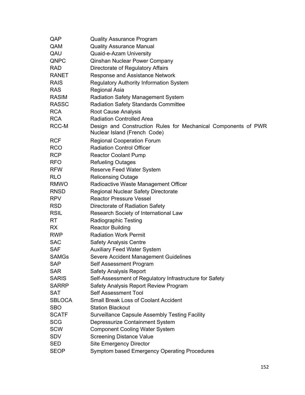| QAP           | <b>Quality Assurance Program</b>                                                               |
|---------------|------------------------------------------------------------------------------------------------|
| QAM           | <b>Quality Assurance Manual</b>                                                                |
| QAU           | Quaid-e-Azam University                                                                        |
| QNPC          | Qinshan Nuclear Power Company                                                                  |
| <b>RAD</b>    | Directorate of Regulatory Affairs                                                              |
| <b>RANET</b>  | Response and Assistance Network                                                                |
| <b>RAIS</b>   | <b>Regulatory Authority Information System</b>                                                 |
| <b>RAS</b>    | Regional Asia                                                                                  |
| <b>RASIM</b>  | <b>Radiation Safety Management System</b>                                                      |
| <b>RASSC</b>  | <b>Radiation Safety Standards Committee</b>                                                    |
| <b>RCA</b>    | Root Cause Analysis                                                                            |
| <b>RCA</b>    | <b>Radiation Controlled Area</b>                                                               |
| RCC-M         | Design and Construction Rules for Mechanical Components of PWR<br>Nuclear Island (French Code) |
| <b>RCF</b>    | <b>Regional Cooperation Forum</b>                                                              |
| <b>RCO</b>    | <b>Radiation Control Officer</b>                                                               |
| <b>RCP</b>    | <b>Reactor Coolant Pump</b>                                                                    |
| <b>RFO</b>    | <b>Refueling Outages</b>                                                                       |
| <b>RFW</b>    | <b>Reserve Feed Water System</b>                                                               |
| <b>RLO</b>    | <b>Relicensing Outage</b>                                                                      |
| <b>RMWO</b>   | Radioactive Waste Management Officer                                                           |
| <b>RNSD</b>   | <b>Regional Nuclear Safety Directorate</b>                                                     |
| <b>RPV</b>    | <b>Reactor Pressure Vessel</b>                                                                 |
| <b>RSD</b>    | Directorate of Radiation Safety                                                                |
| <b>RSIL</b>   | Research Society of International Law                                                          |
| RT.           | Radiographic Testing                                                                           |
| <b>RX</b>     | <b>Reactor Building</b>                                                                        |
| <b>RWP</b>    | <b>Radiation Work Permit</b>                                                                   |
| <b>SAC</b>    | <b>Safety Analysis Centre</b>                                                                  |
| <b>SAF</b>    | <b>Auxiliary Feed Water System</b>                                                             |
| <b>SAMGs</b>  | Severe Accident Management Guidelines                                                          |
| <b>SAP</b>    | Self Assessment Program                                                                        |
| <b>SAR</b>    | <b>Safety Analysis Report</b>                                                                  |
| <b>SARIS</b>  | Self-Assessment of Regulatory Infrastructure for Safety                                        |
| <b>SARRP</b>  | Safety Analysis Report Review Program                                                          |
| <b>SAT</b>    | Self Assessment Tool                                                                           |
| <b>SBLOCA</b> | <b>Small Break Loss of Coolant Accident</b>                                                    |
| <b>SBO</b>    | <b>Station Blackout</b>                                                                        |
| <b>SCATF</b>  | <b>Surveillance Capsule Assembly Testing Facility</b>                                          |
| <b>SCG</b>    | Depressurize Containment System                                                                |
| <b>SCW</b>    | <b>Component Cooling Water System</b>                                                          |
| <b>SDV</b>    | <b>Screening Distance Value</b>                                                                |
| <b>SED</b>    | <b>Site Emergency Director</b>                                                                 |
| <b>SEOP</b>   | Symptom based Emergency Operating Procedures                                                   |
|               |                                                                                                |